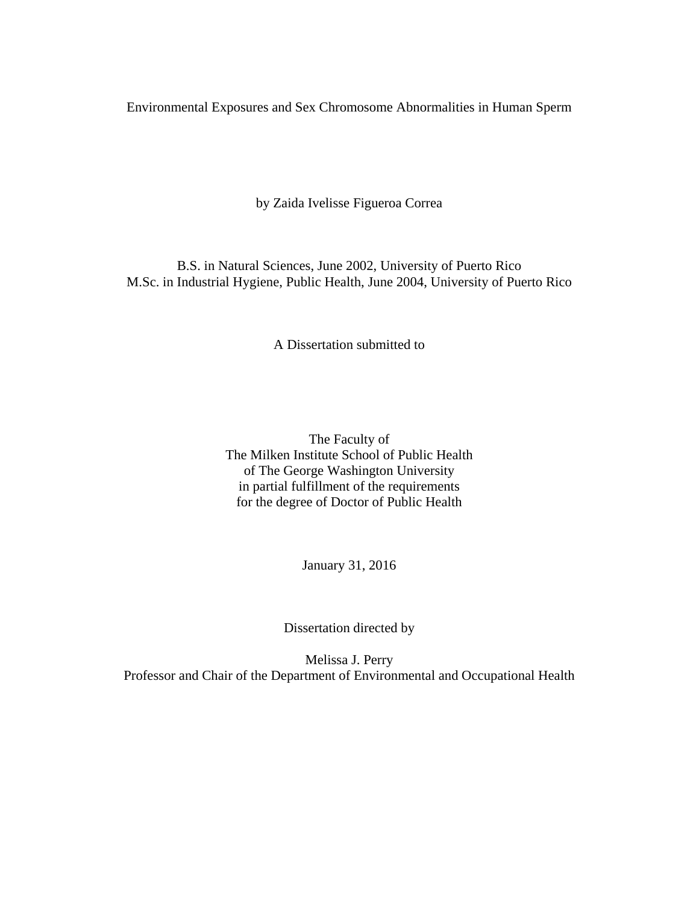Environmental Exposures and Sex Chromosome Abnormalities in Human Sperm

by Zaida Ivelisse Figueroa Correa

B.S. in Natural Sciences, June 2002, University of Puerto Rico M.Sc. in Industrial Hygiene, Public Health, June 2004, University of Puerto Rico

A Dissertation submitted to

The Faculty of The Milken Institute School of Public Health of The George Washington University in partial fulfillment of the requirements for the degree of Doctor of Public Health

January 31, 2016

Dissertation directed by

Melissa J. Perry Professor and Chair of the Department of Environmental and Occupational Health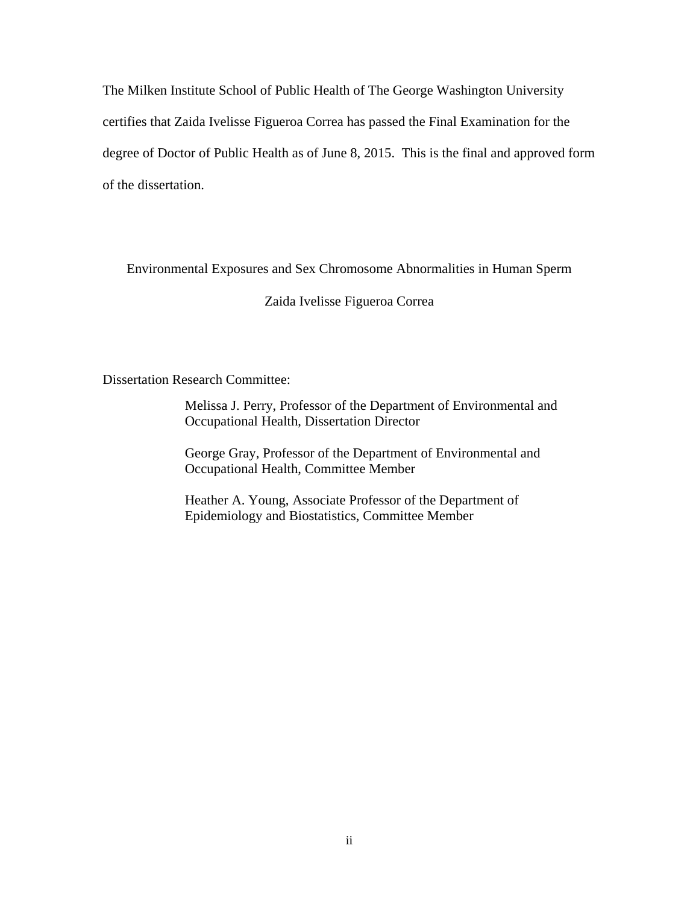The Milken Institute School of Public Health of The George Washington University certifies that Zaida Ivelisse Figueroa Correa has passed the Final Examination for the degree of Doctor of Public Health as of June 8, 2015. This is the final and approved form of the dissertation.

Environmental Exposures and Sex Chromosome Abnormalities in Human Sperm

Zaida Ivelisse Figueroa Correa

Dissertation Research Committee:

Melissa J. Perry, Professor of the Department of Environmental and Occupational Health, Dissertation Director

George Gray, Professor of the Department of Environmental and Occupational Health, Committee Member

Heather A. Young, Associate Professor of the Department of Epidemiology and Biostatistics, Committee Member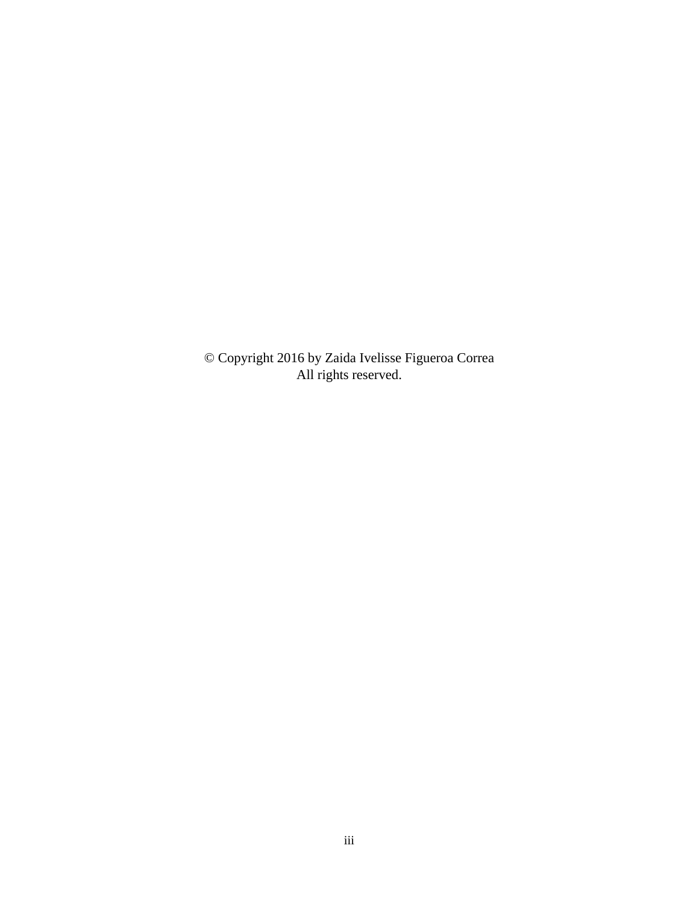© Copyright 2016 by Zaida Ivelisse Figueroa Correa All rights reserved.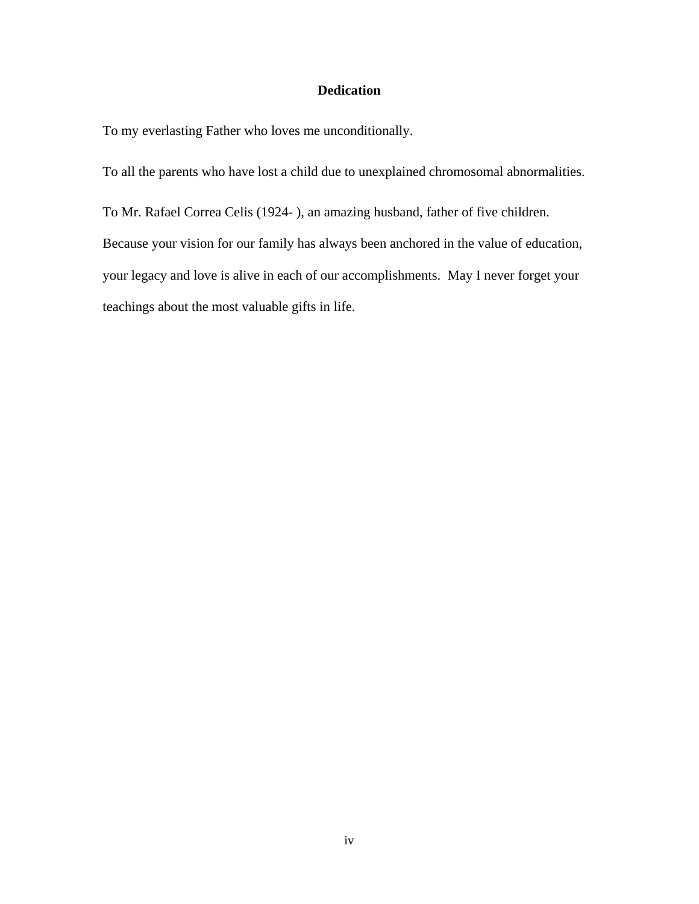# **Dedication**

<span id="page-3-0"></span>To my everlasting Father who loves me unconditionally.

To all the parents who have lost a child due to unexplained chromosomal abnormalities.

To Mr. Rafael Correa Celis (1924- ), an amazing husband, father of five children. Because your vision for our family has always been anchored in the value of education, your legacy and love is alive in each of our accomplishments. May I never forget your teachings about the most valuable gifts in life.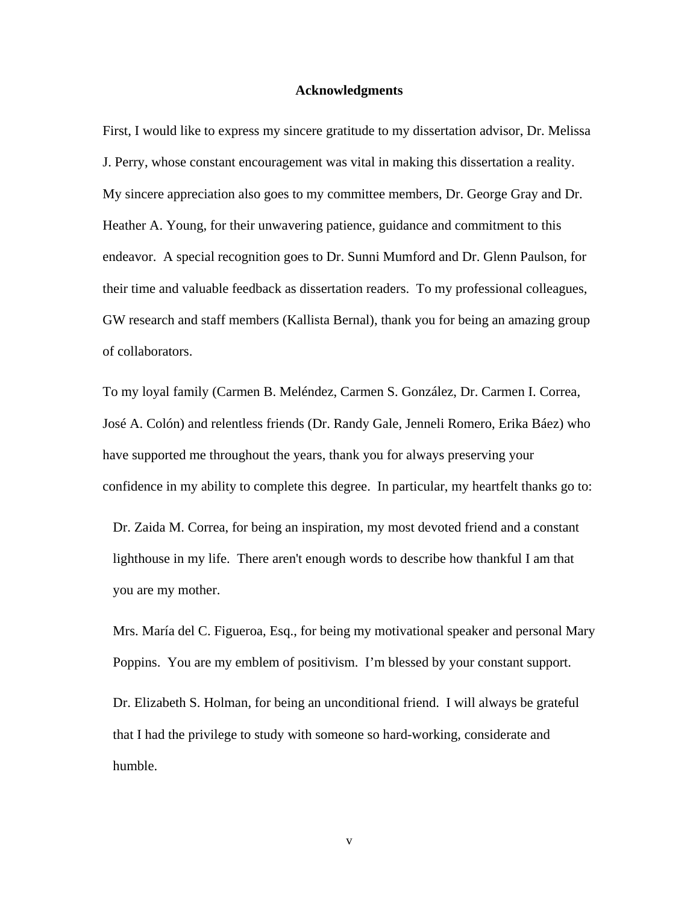#### **Acknowledgments**

<span id="page-4-0"></span>First, I would like to express my sincere gratitude to my dissertation advisor, Dr. Melissa J. Perry, whose constant encouragement was vital in making this dissertation a reality. My sincere appreciation also goes to my committee members, Dr. George Gray and Dr. Heather A. Young, for their unwavering patience, guidance and commitment to this endeavor. A special recognition goes to Dr. Sunni Mumford and Dr. Glenn Paulson, for their time and valuable feedback as dissertation readers. To my professional colleagues, GW research and staff members (Kallista Bernal), thank you for being an amazing group of collaborators.

To my loyal family (Carmen B. Meléndez, Carmen S. González, Dr. Carmen I. Correa, José A. Colón) and relentless friends (Dr. Randy Gale, Jenneli Romero, Erika Báez) who have supported me throughout the years, thank you for always preserving your confidence in my ability to complete this degree. In particular, my heartfelt thanks go to:

Dr. Zaida M. Correa, for being an inspiration, my most devoted friend and a constant lighthouse in my life. There aren't enough words to describe how thankful I am that you are my mother.

Mrs. María del C. Figueroa, Esq., for being my motivational speaker and personal Mary Poppins. You are my emblem of positivism. I'm blessed by your constant support.

Dr. Elizabeth S. Holman, for being an unconditional friend. I will always be grateful that I had the privilege to study with someone so hard-working, considerate and humble.

v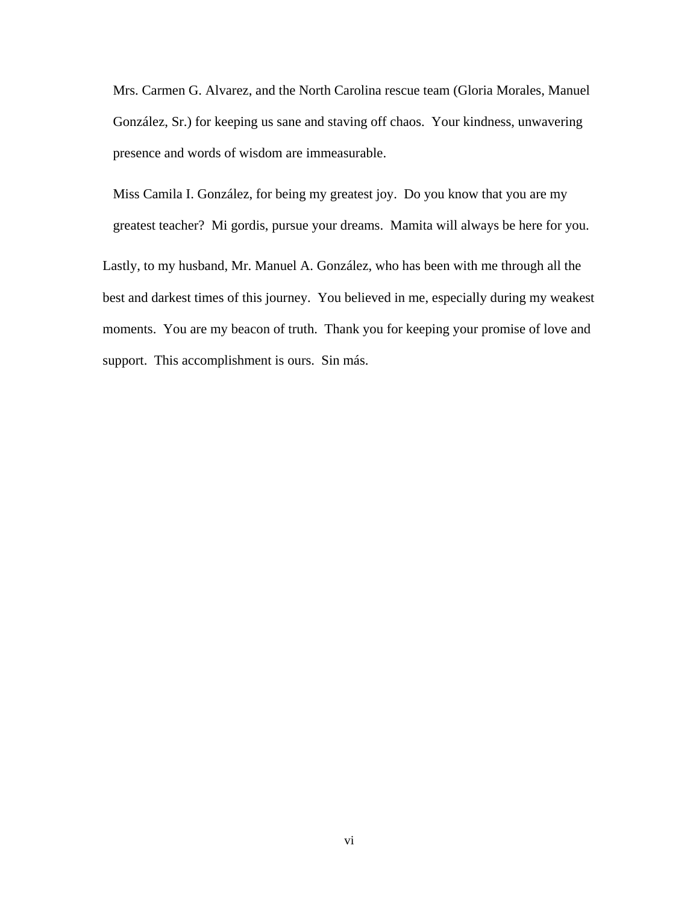Mrs. Carmen G. Alvarez, and the North Carolina rescue team (Gloria Morales, Manuel González, Sr.) for keeping us sane and staving off chaos. Your kindness, unwavering presence and words of wisdom are immeasurable.

Miss Camila I. González, for being my greatest joy. Do you know that you are my greatest teacher? Mi gordis, pursue your dreams. Mamita will always be here for you.

Lastly, to my husband, Mr. Manuel A. González, who has been with me through all the best and darkest times of this journey. You believed in me, especially during my weakest moments. You are my beacon of truth. Thank you for keeping your promise of love and support. This accomplishment is ours. Sin más.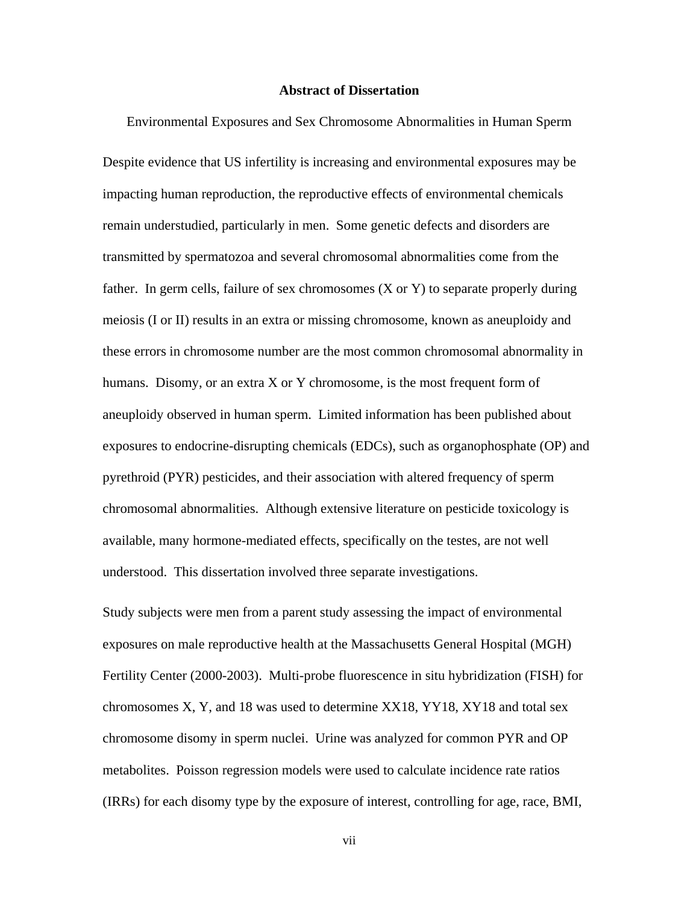### **Abstract of Dissertation**

<span id="page-6-0"></span>Environmental Exposures and Sex Chromosome Abnormalities in Human Sperm Despite evidence that US infertility is increasing and environmental exposures may be impacting human reproduction, the reproductive effects of environmental chemicals remain understudied, particularly in men. Some genetic defects and disorders are transmitted by spermatozoa and several chromosomal abnormalities come from the father. In germ cells, failure of sex chromosomes (X or Y) to separate properly during meiosis (I or II) results in an extra or missing chromosome, known as aneuploidy and these errors in chromosome number are the most common chromosomal abnormality in humans. Disomy, or an extra X or Y chromosome, is the most frequent form of aneuploidy observed in human sperm. Limited information has been published about exposures to endocrine-disrupting chemicals (EDCs), such as organophosphate (OP) and pyrethroid (PYR) pesticides, and their association with altered frequency of sperm chromosomal abnormalities. Although extensive literature on pesticide toxicology is available, many hormone-mediated effects, specifically on the testes, are not well understood. This dissertation involved three separate investigations.

Study subjects were men from a parent study assessing the impact of environmental exposures on male reproductive health at the Massachusetts General Hospital (MGH) Fertility Center (2000-2003). Multi-probe fluorescence in situ hybridization (FISH) for chromosomes X, Y, and 18 was used to determine XX18, YY18, XY18 and total sex chromosome disomy in sperm nuclei. Urine was analyzed for common PYR and OP metabolites. Poisson regression models were used to calculate incidence rate ratios (IRRs) for each disomy type by the exposure of interest, controlling for age, race, BMI,

vii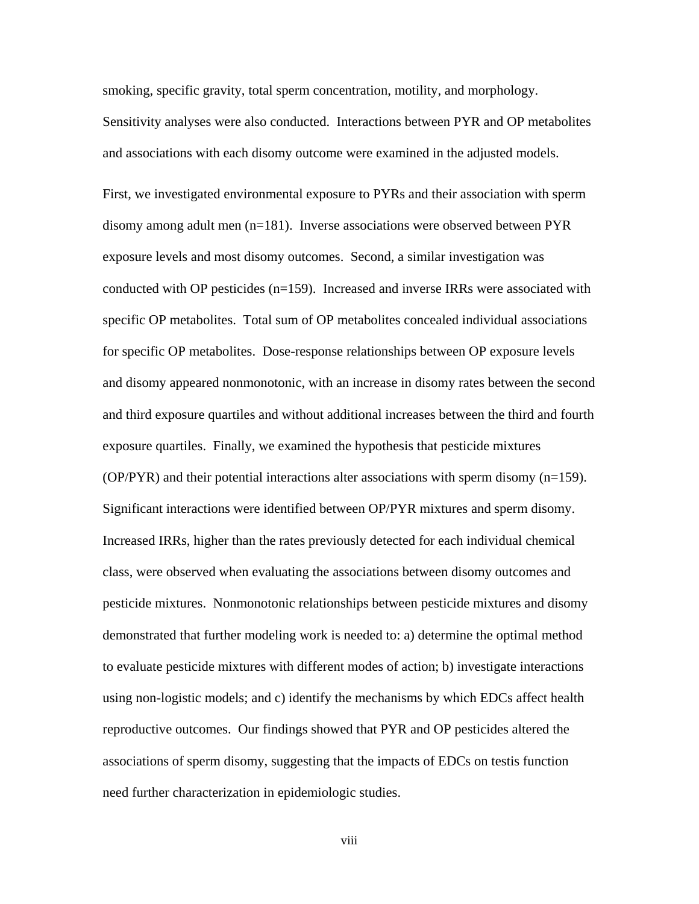smoking, specific gravity, total sperm concentration, motility, and morphology. Sensitivity analyses were also conducted. Interactions between PYR and OP metabolites and associations with each disomy outcome were examined in the adjusted models.

First, we investigated environmental exposure to PYRs and their association with sperm disomy among adult men (n=181). Inverse associations were observed between PYR exposure levels and most disomy outcomes. Second, a similar investigation was conducted with OP pesticides (n=159). Increased and inverse IRRs were associated with specific OP metabolites. Total sum of OP metabolites concealed individual associations for specific OP metabolites. Dose-response relationships between OP exposure levels and disomy appeared nonmonotonic, with an increase in disomy rates between the second and third exposure quartiles and without additional increases between the third and fourth exposure quartiles. Finally, we examined the hypothesis that pesticide mixtures  $(OP/PYR)$  and their potential interactions alter associations with sperm disomy  $(n=159)$ . Significant interactions were identified between OP/PYR mixtures and sperm disomy. Increased IRRs, higher than the rates previously detected for each individual chemical class, were observed when evaluating the associations between disomy outcomes and pesticide mixtures. Nonmonotonic relationships between pesticide mixtures and disomy demonstrated that further modeling work is needed to: a) determine the optimal method to evaluate pesticide mixtures with different modes of action; b) investigate interactions using non-logistic models; and c) identify the mechanisms by which EDCs affect health reproductive outcomes. Our findings showed that PYR and OP pesticides altered the associations of sperm disomy, suggesting that the impacts of EDCs on testis function need further characterization in epidemiologic studies.

viii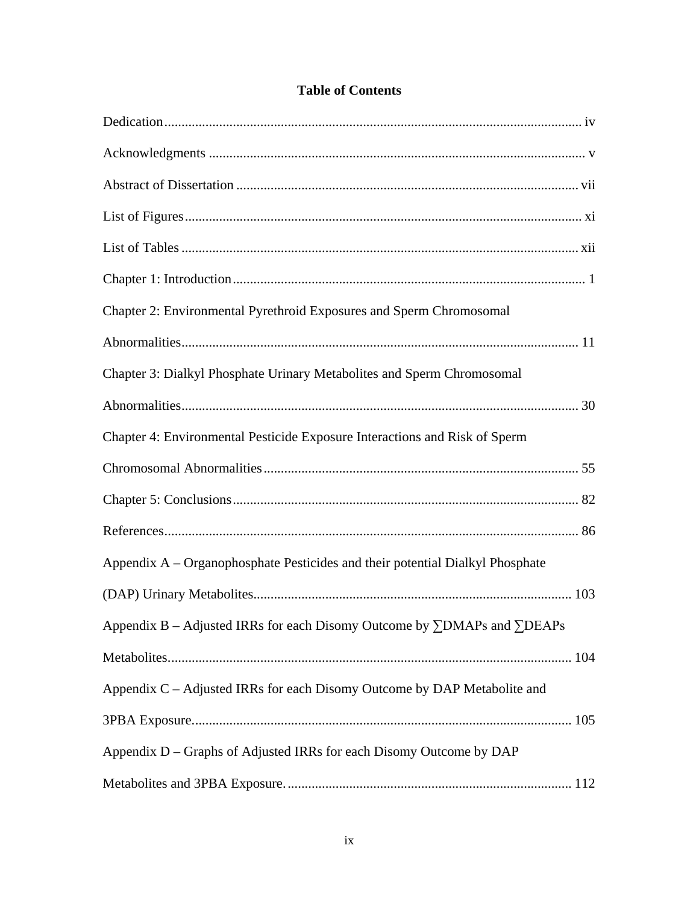| Chapter 2: Environmental Pyrethroid Exposures and Sperm Chromosomal                     |  |
|-----------------------------------------------------------------------------------------|--|
|                                                                                         |  |
| Chapter 3: Dialkyl Phosphate Urinary Metabolites and Sperm Chromosomal                  |  |
|                                                                                         |  |
| Chapter 4: Environmental Pesticide Exposure Interactions and Risk of Sperm              |  |
|                                                                                         |  |
|                                                                                         |  |
|                                                                                         |  |
| Appendix A – Organophosphate Pesticides and their potential Dialkyl Phosphate           |  |
|                                                                                         |  |
| Appendix B – Adjusted IRRs for each Disomy Outcome by $\Sigma$ DMAPs and $\Sigma$ DEAPs |  |
|                                                                                         |  |
| Appendix C – Adjusted IRRs for each Disomy Outcome by DAP Metabolite and                |  |
|                                                                                         |  |
| Appendix D – Graphs of Adjusted IRRs for each Disomy Outcome by DAP                     |  |
|                                                                                         |  |

# **Table of Contents**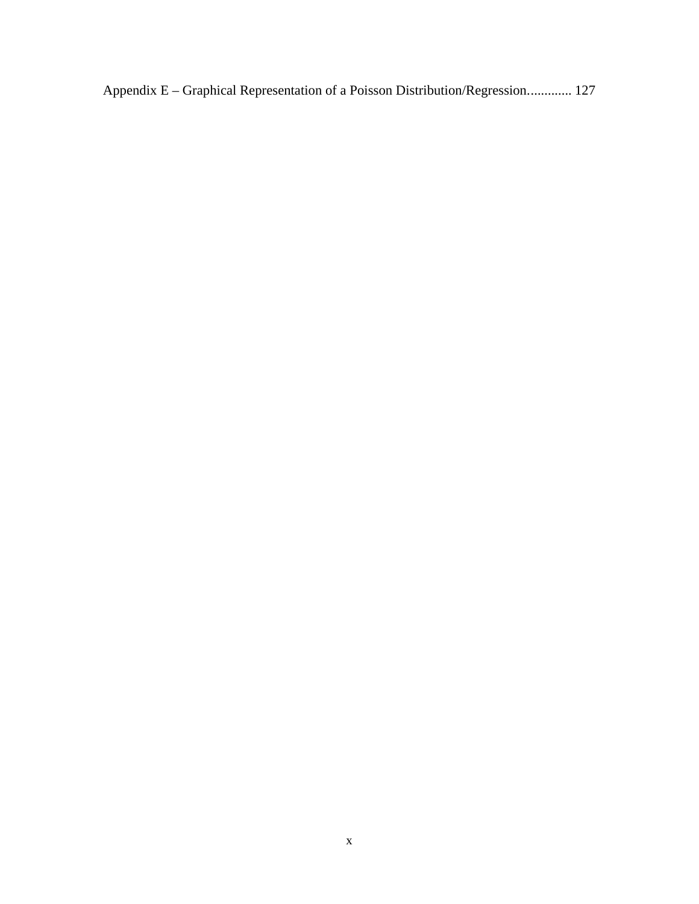Appendix E – [Graphical Representation of a Poisson Distribution/Regression.............](#page-138-0) 127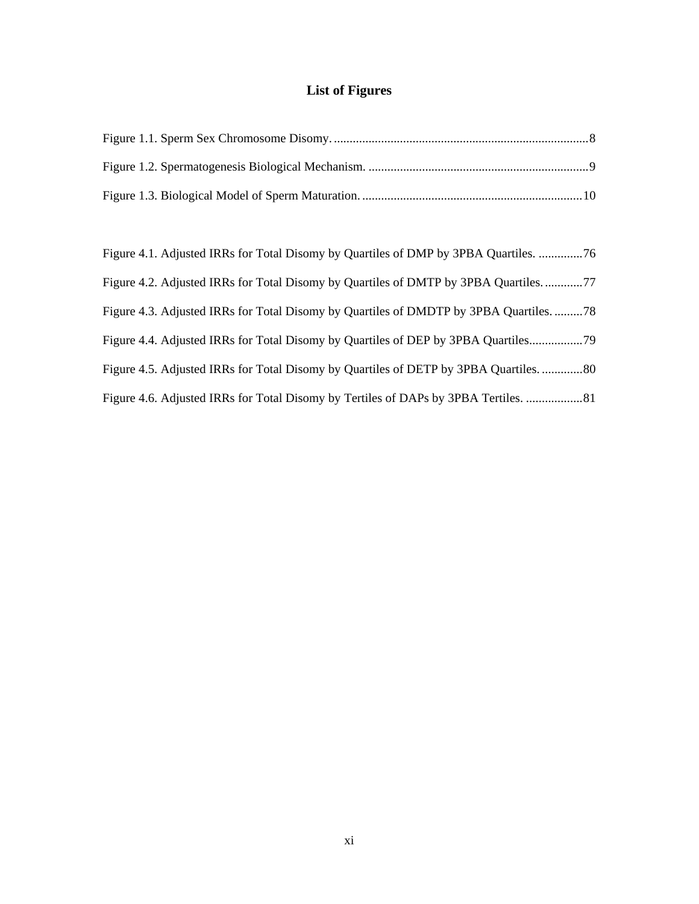# **List of Figures**

<span id="page-10-0"></span>

| Figure 4.1. Adjusted IRRs for Total Disomy by Quartiles of DMP by 3PBA Quartiles. 76 |
|--------------------------------------------------------------------------------------|
| Figure 4.2. Adjusted IRRs for Total Disomy by Quartiles of DMTP by 3PBA Quartiles77  |
| Figure 4.3. Adjusted IRRs for Total Disomy by Quartiles of DMDTP by 3PBA Quartiles78 |
| Figure 4.4. Adjusted IRRs for Total Disomy by Quartiles of DEP by 3PBA Quartiles     |
| Figure 4.5. Adjusted IRRs for Total Disomy by Quartiles of DETP by 3PBA Quartiles80  |
| Figure 4.6. Adjusted IRRs for Total Disomy by Tertiles of DAPs by 3PBA Tertiles.     |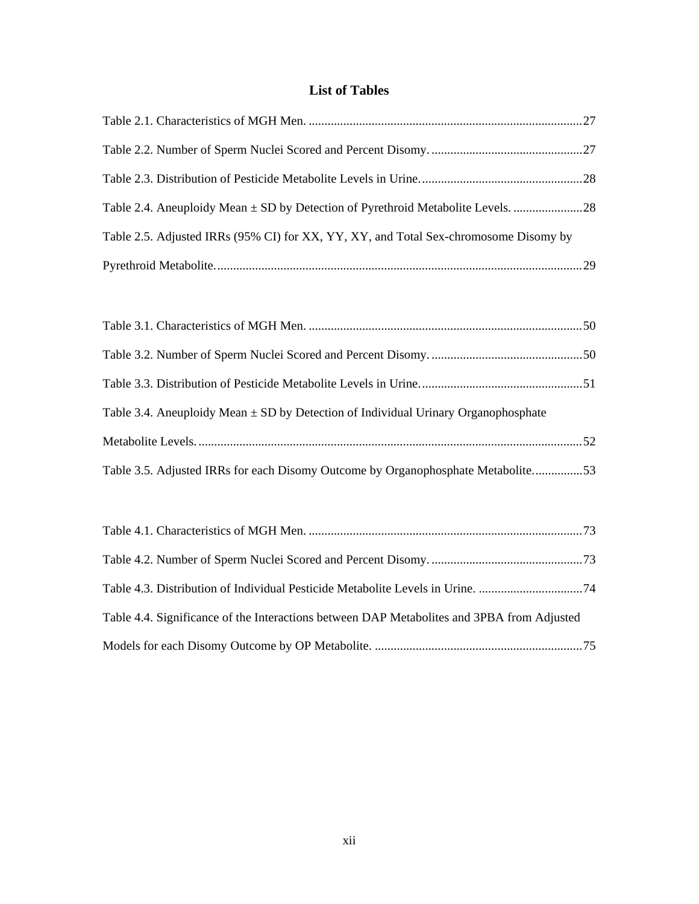# **List of Tables**

<span id="page-11-0"></span>

| Table 2.5. Adjusted IRRs (95% CI) for XX, YY, XY, and Total Sex-chromosome Disomy by |  |
|--------------------------------------------------------------------------------------|--|
|                                                                                      |  |

| Table 3.4. Aneuploidy Mean $\pm$ SD by Detection of Individual Urinary Organophosphate |  |
|----------------------------------------------------------------------------------------|--|
|                                                                                        |  |
| Table 3.5. Adjusted IRRs for each Disomy Outcome by Organophosphate Metabolite53       |  |

| Table 4.4. Significance of the Interactions between DAP Metabolites and 3PBA from Adjusted |  |
|--------------------------------------------------------------------------------------------|--|
|                                                                                            |  |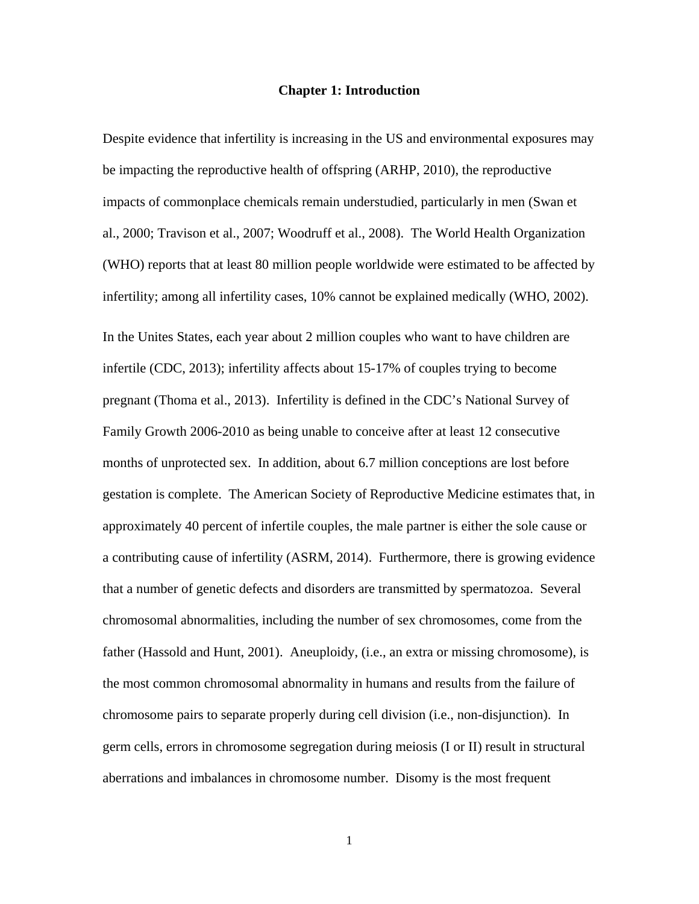#### **Chapter 1: Introduction**

<span id="page-12-0"></span>Despite evidence that infertility is increasing in the US and environmental exposures may be impacting the reproductive health of offspring (ARHP, 2010), the reproductive impacts of commonplace chemicals remain understudied, particularly in men (Swan et al., 2000; Travison et al., 2007; Woodruff et al., 2008). The World Health Organization (WHO) reports that at least 80 million people worldwide were estimated to be affected by infertility; among all infertility cases, 10% cannot be explained medically (WHO, 2002). In the Unites States, each year about 2 million couples who want to have children are infertile (CDC, 2013); infertility affects about 15-17% of couples trying to become pregnant (Thoma et al., 2013). Infertility is defined in the CDC's National Survey of Family Growth 2006-2010 as being unable to conceive after at least 12 consecutive months of unprotected sex. In addition, about 6.7 million conceptions are lost before gestation is complete. The American Society of Reproductive Medicine estimates that, in approximately 40 percent of infertile couples, the male partner is either the sole cause or a contributing cause of infertility (ASRM, 2014). Furthermore, there is growing evidence that a number of genetic defects and disorders are transmitted by spermatozoa. Several chromosomal abnormalities, including the number of sex chromosomes, come from the father (Hassold and Hunt, 2001). Aneuploidy, (i.e., an extra or missing chromosome), is the most common chromosomal abnormality in humans and results from the failure of chromosome pairs to separate properly during cell division (i.e., non-disjunction). In germ cells, errors in chromosome segregation during meiosis (I or II) result in structural aberrations and imbalances in chromosome number. Disomy is the most frequent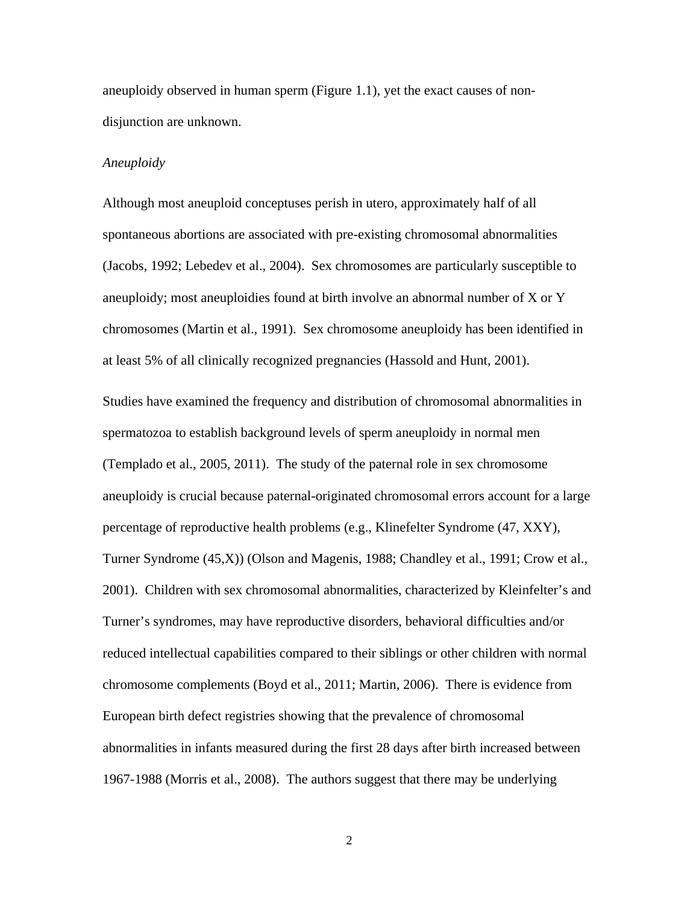aneuploidy observed in human sperm (Figure 1.1), yet the exact causes of nondisjunction are unknown.

# *Aneuploidy*

Although most aneuploid conceptuses perish in utero, approximately half of all spontaneous abortions are associated with pre-existing chromosomal abnormalities (Jacobs, 1992; Lebedev et al., 2004). Sex chromosomes are particularly susceptible to aneuploidy; most aneuploidies found at birth involve an abnormal number of X or Y chromosomes (Martin et al., 1991). Sex chromosome aneuploidy has been identified in at least 5% of all clinically recognized pregnancies (Hassold and Hunt, 2001).

Studies have examined the frequency and distribution of chromosomal abnormalities in spermatozoa to establish background levels of sperm aneuploidy in normal men (Templado et al., 2005, 2011). The study of the paternal role in sex chromosome aneuploidy is crucial because paternal-originated chromosomal errors account for a large percentage of reproductive health problems (e.g., Klinefelter Syndrome (47, XXY), Turner Syndrome (45,X)) (Olson and Magenis, 1988; Chandley et al., 1991; Crow et al., 2001). Children with sex chromosomal abnormalities, characterized by Kleinfelter's and Turner's syndromes, may have reproductive disorders, behavioral difficulties and/or reduced intellectual capabilities compared to their siblings or other children with normal chromosome complements (Boyd et al., 2011; Martin, 2006). There is evidence from European birth defect registries showing that the prevalence of chromosomal abnormalities in infants measured during the first 28 days after birth increased between 1967-1988 (Morris et al., 2008). The authors suggest that there may be underlying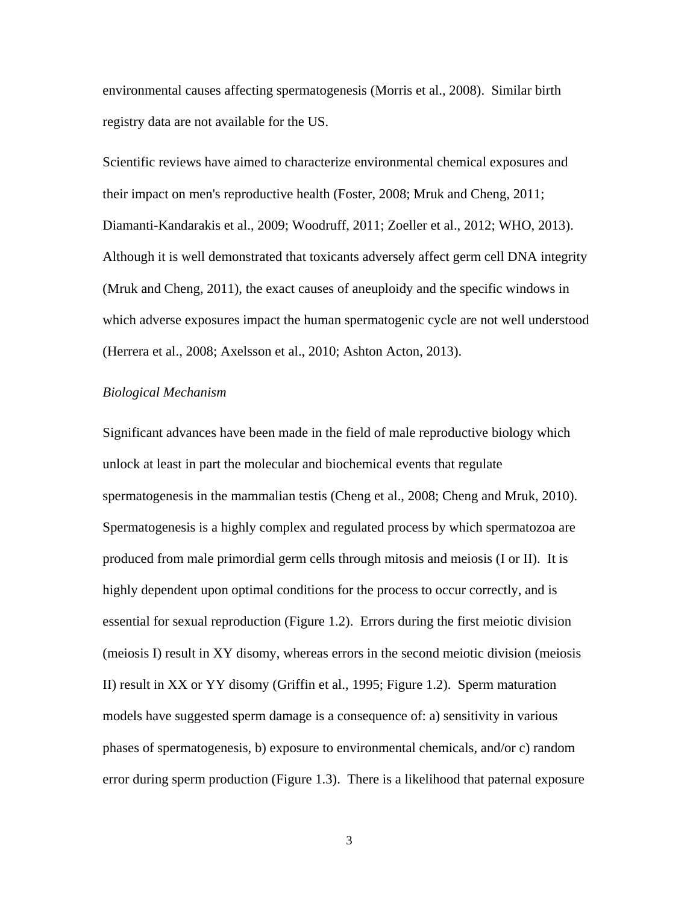environmental causes affecting spermatogenesis (Morris et al., 2008). Similar birth registry data are not available for the US.

Scientific reviews have aimed to characterize environmental chemical exposures and their impact on men's reproductive health (Foster, 2008; Mruk and Cheng, 2011; Diamanti-Kandarakis et al., 2009; Woodruff, 2011; Zoeller et al., 2012; WHO, 2013). Although it is well demonstrated that toxicants adversely affect germ cell DNA integrity (Mruk and Cheng, 2011), the exact causes of aneuploidy and the specific windows in which adverse exposures impact the human spermatogenic cycle are not well understood (Herrera et al., 2008; Axelsson et al., 2010; Ashton Acton, 2013).

### *Biological Mechanism*

Significant advances have been made in the field of male reproductive biology which unlock at least in part the molecular and biochemical events that regulate spermatogenesis in the mammalian testis (Cheng et al., 2008; Cheng and Mruk, 2010). Spermatogenesis is a highly complex and regulated process by which spermatozoa are produced from male primordial germ cells through mitosis and meiosis (I or II). It is highly dependent upon optimal conditions for the process to occur correctly, and is essential for sexual reproduction (Figure 1.2). Errors during the first meiotic division (meiosis I) result in XY disomy, whereas errors in the second meiotic division (meiosis II) result in XX or YY disomy (Griffin et al., 1995; Figure 1.2). Sperm maturation models have suggested sperm damage is a consequence of: a) sensitivity in various phases of spermatogenesis, b) exposure to environmental chemicals, and/or c) random error during sperm production (Figure 1.3). There is a likelihood that paternal exposure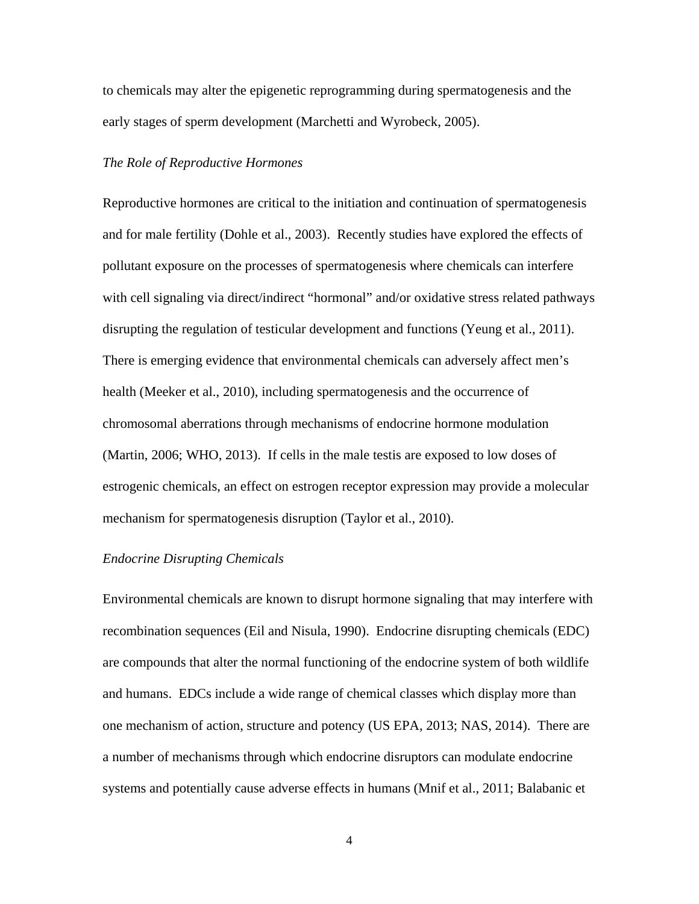to chemicals may alter the epigenetic reprogramming during spermatogenesis and the early stages of sperm development (Marchetti and Wyrobeck, 2005).

## *The Role of Reproductive Hormones*

Reproductive hormones are critical to the initiation and continuation of spermatogenesis and for male fertility (Dohle et al., 2003). Recently studies have explored the effects of pollutant exposure on the processes of spermatogenesis where chemicals can interfere with cell signaling via direct/indirect "hormonal" and/or oxidative stress related pathways disrupting the regulation of testicular development and functions (Yeung et al., 2011). There is emerging evidence that environmental chemicals can adversely affect men's health (Meeker et al., 2010), including spermatogenesis and the occurrence of chromosomal aberrations through mechanisms of endocrine hormone modulation (Martin, 2006; WHO, 2013). If cells in the male testis are exposed to low doses of estrogenic chemicals, an effect on estrogen receptor expression may provide a molecular mechanism for spermatogenesis disruption (Taylor et al., 2010).

### *Endocrine Disrupting Chemicals*

Environmental chemicals are known to disrupt hormone signaling that may interfere with recombination sequences (Eil and Nisula, 1990). Endocrine disrupting chemicals (EDC) are compounds that alter the normal functioning of the endocrine system of both wildlife and humans. EDCs include a wide range of chemical classes which display more than one mechanism of action, structure and potency (US EPA, 2013; NAS, 2014). There are a number of mechanisms through which endocrine disruptors can modulate endocrine systems and potentially cause adverse effects in humans (Mnif et al., 2011; Balabanic et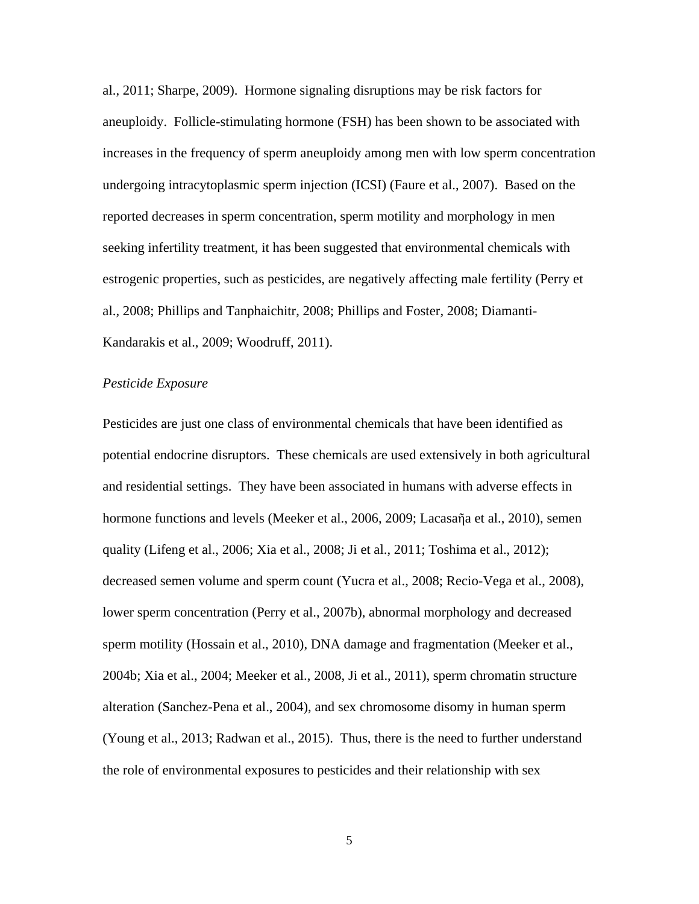al., 2011; Sharpe, 2009). Hormone signaling disruptions may be risk factors for aneuploidy. Follicle-stimulating hormone (FSH) has been shown to be associated with increases in the frequency of sperm aneuploidy among men with low sperm concentration undergoing intracytoplasmic sperm injection (ICSI) (Faure et al., 2007). Based on the reported decreases in sperm concentration, sperm motility and morphology in men seeking infertility treatment, it has been suggested that environmental chemicals with estrogenic properties, such as pesticides, are negatively affecting male fertility (Perry et al., 2008; Phillips and Tanphaichitr, 2008; Phillips and Foster, 2008; Diamanti-Kandarakis et al., 2009; Woodruff, 2011).

# *Pesticide Exposure*

Pesticides are just one class of environmental chemicals that have been identified as potential endocrine disruptors. These chemicals are used extensively in both agricultural and residential settings. They have been associated in humans with adverse effects in hormone functions and levels (Meeker et al., 2006, 2009; Lacasaña et al., 2010), semen quality (Lifeng et al., 2006; Xia et al., 2008; Ji et al., 2011; Toshima et al., 2012); decreased semen volume and sperm count (Yucra et al., 2008; Recio-Vega et al., 2008), lower sperm concentration (Perry et al., 2007b), abnormal morphology and decreased sperm motility (Hossain et al., 2010), DNA damage and fragmentation (Meeker et al., 2004b; Xia et al., 2004; Meeker et al., 2008, Ji et al., 2011), sperm chromatin structure alteration (Sanchez-Pena et al., 2004), and sex chromosome disomy in human sperm (Young et al., 2013; Radwan et al., 2015). Thus, there is the need to further understand the role of environmental exposures to pesticides and their relationship with sex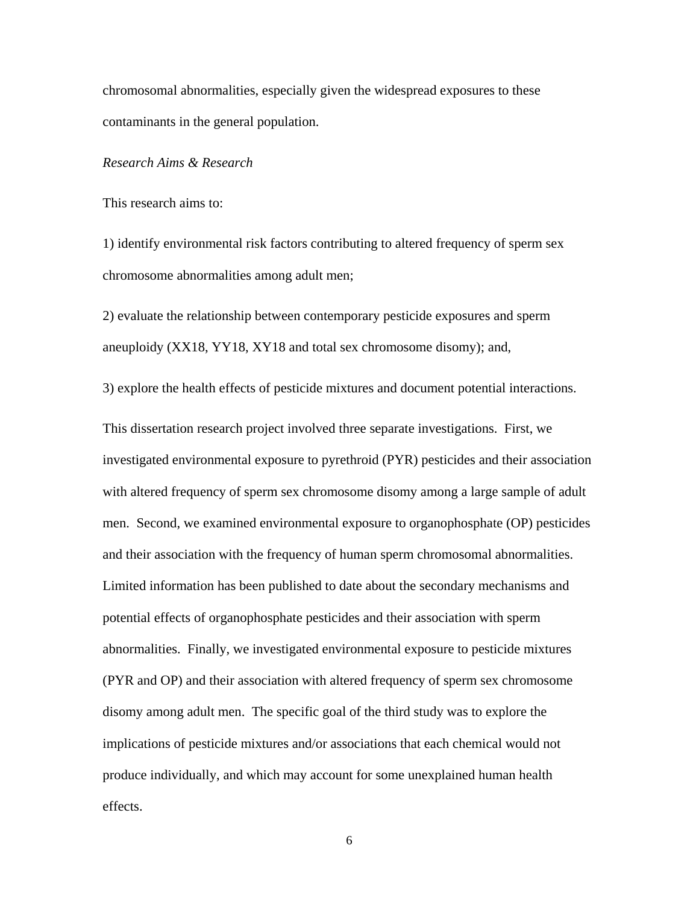chromosomal abnormalities, especially given the widespread exposures to these contaminants in the general population.

### *Research Aims & Research*

This research aims to:

1) identify environmental risk factors contributing to altered frequency of sperm sex chromosome abnormalities among adult men;

2) evaluate the relationship between contemporary pesticide exposures and sperm aneuploidy (XX18, YY18, XY18 and total sex chromosome disomy); and,

3) explore the health effects of pesticide mixtures and document potential interactions.

This dissertation research project involved three separate investigations. First, we investigated environmental exposure to pyrethroid (PYR) pesticides and their association with altered frequency of sperm sex chromosome disomy among a large sample of adult men. Second, we examined environmental exposure to organophosphate (OP) pesticides and their association with the frequency of human sperm chromosomal abnormalities. Limited information has been published to date about the secondary mechanisms and potential effects of organophosphate pesticides and their association with sperm abnormalities. Finally, we investigated environmental exposure to pesticide mixtures (PYR and OP) and their association with altered frequency of sperm sex chromosome disomy among adult men. The specific goal of the third study was to explore the implications of pesticide mixtures and/or associations that each chemical would not produce individually, and which may account for some unexplained human health effects.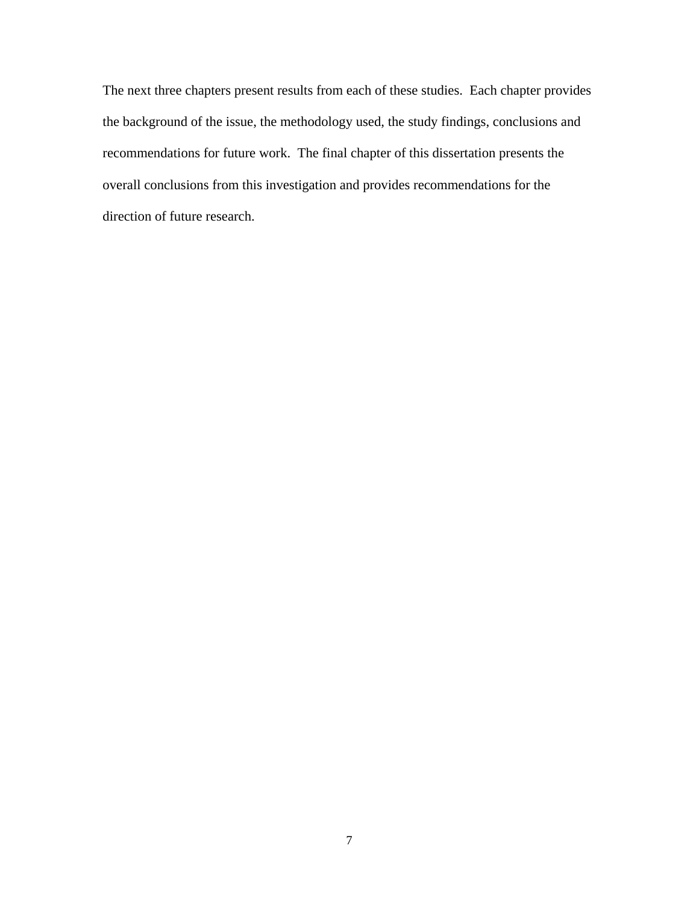The next three chapters present results from each of these studies. Each chapter provides the background of the issue, the methodology used, the study findings, conclusions and recommendations for future work. The final chapter of this dissertation presents the overall conclusions from this investigation and provides recommendations for the direction of future research.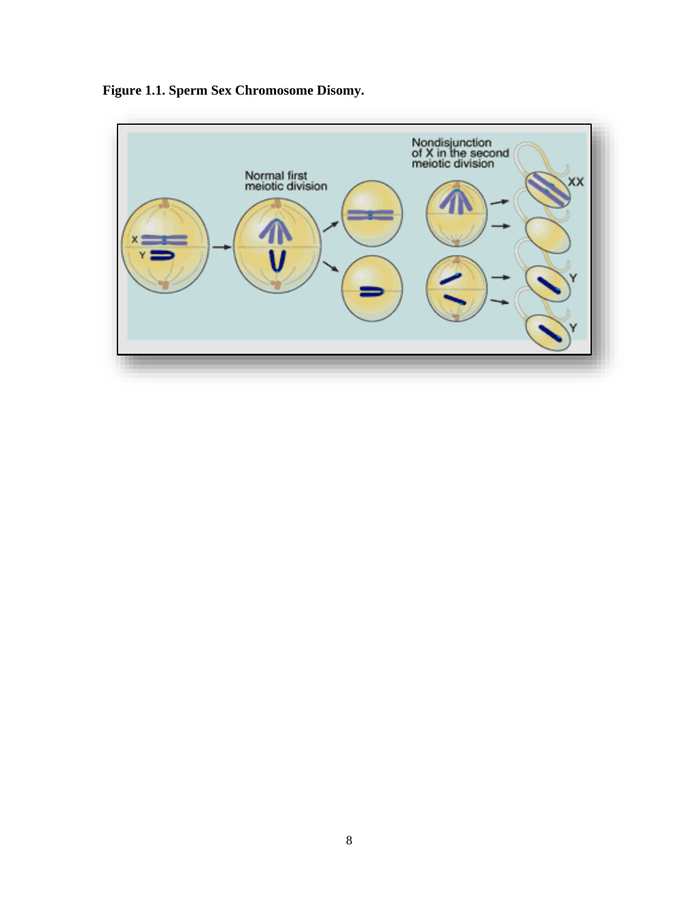<span id="page-19-0"></span>

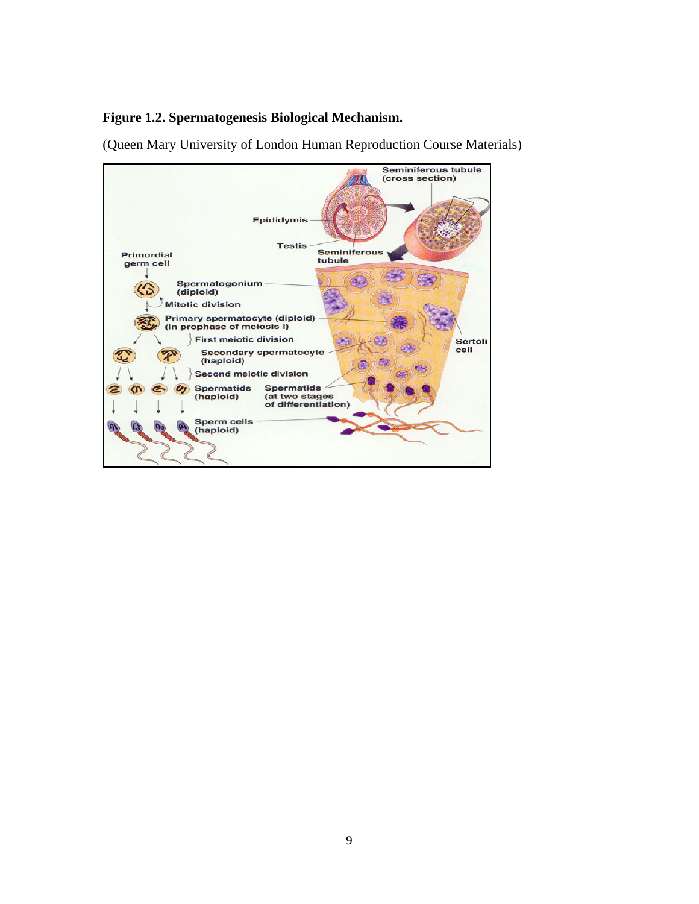# <span id="page-20-0"></span>**Figure 1.2. Spermatogenesis Biological Mechanism.**

(Queen Mary University of London Human Reproduction Course Materials)

<span id="page-20-1"></span>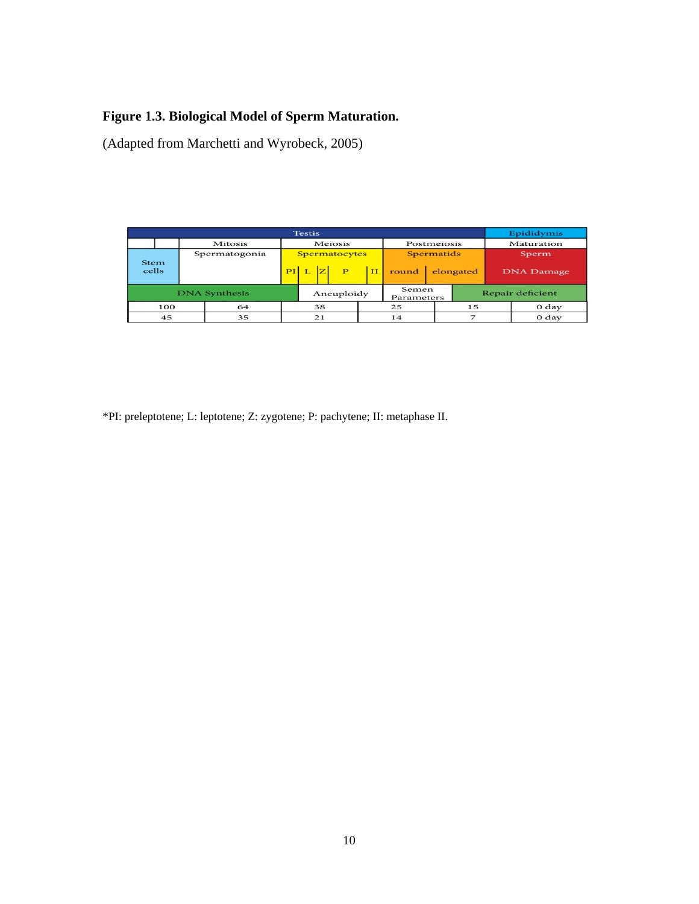# **Figure 1.3. Biological Model of Sperm Maturation.**

(Adapted from Marchetti and Wyrobeck, 2005)

| <b>Testis</b>        |  |  |               |                      |            |              |              |                     | Epididymis |           |                  |                   |  |
|----------------------|--|--|---------------|----------------------|------------|--------------|--------------|---------------------|------------|-----------|------------------|-------------------|--|
|                      |  |  | Mitosis       | Meiosis              |            |              |              | Postmeiosis         |            |           | Maturation       |                   |  |
| <b>Stem</b><br>cells |  |  | Spermatogonia | <b>Spermatocytes</b> |            |              |              | Spermatids          |            |           | Sperm            |                   |  |
|                      |  |  |               | PI                   |            | $\mathbf{P}$ | $\mathbf{H}$ | round               |            | elongated |                  | <b>DNA</b> Damage |  |
| <b>DNA</b> Synthesis |  |  |               |                      | Aneuploidy |              |              | Semen<br>Parameters |            |           | Repair deficient |                   |  |
| 100                  |  |  | 64            |                      | 38         |              | 25           |                     |            | 15        |                  | 0 <sub>day</sub>  |  |
| 45                   |  |  | 35            |                      | 21         |              | 14           |                     |            | ⇁         |                  | 0 day             |  |

\*PI: preleptotene; L: leptotene; Z: zygotene; P: pachytene; II: metaphase II.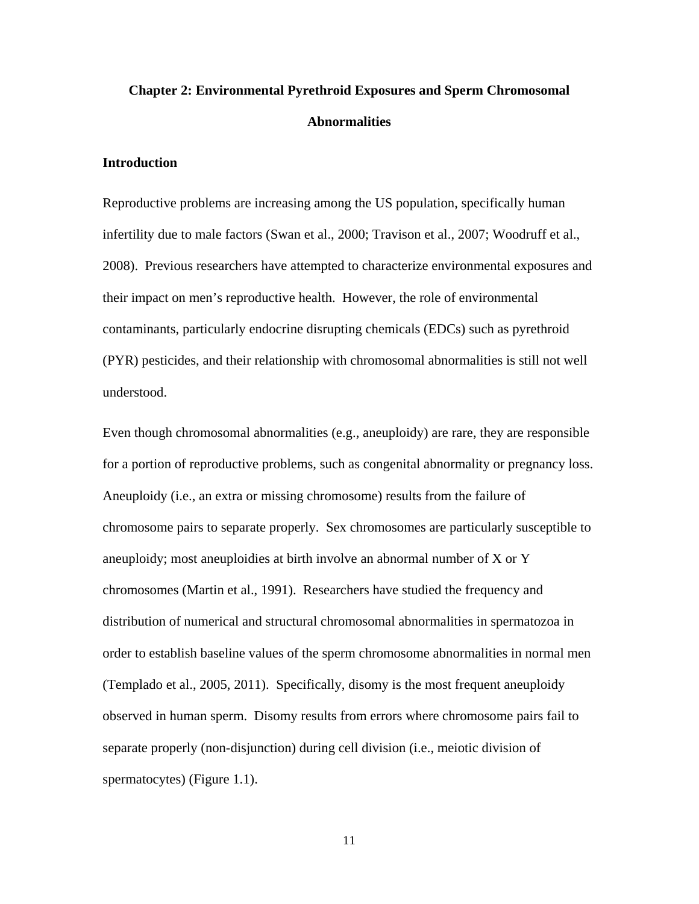# <span id="page-22-0"></span>**Chapter 2: Environmental Pyrethroid Exposures and Sperm Chromosomal Abnormalities**

# **Introduction**

Reproductive problems are increasing among the US population, specifically human infertility due to male factors (Swan et al., 2000; Travison et al., 2007; Woodruff et al., 2008). Previous researchers have attempted to characterize environmental exposures and their impact on men's reproductive health. However, the role of environmental contaminants, particularly endocrine disrupting chemicals (EDCs) such as pyrethroid (PYR) pesticides, and their relationship with chromosomal abnormalities is still not well understood.

Even though chromosomal abnormalities (e.g., aneuploidy) are rare, they are responsible for a portion of reproductive problems, such as congenital abnormality or pregnancy loss. Aneuploidy (i.e., an extra or missing chromosome) results from the failure of chromosome pairs to separate properly. Sex chromosomes are particularly susceptible to aneuploidy; most aneuploidies at birth involve an abnormal number of X or Y chromosomes (Martin et al., 1991). Researchers have studied the frequency and distribution of numerical and structural chromosomal abnormalities in spermatozoa in order to establish baseline values of the sperm chromosome abnormalities in normal men (Templado et al., 2005, 2011). Specifically, disomy is the most frequent aneuploidy observed in human sperm. Disomy results from errors where chromosome pairs fail to separate properly (non-disjunction) during cell division (i.e., meiotic division of spermatocytes) (Figure 1.1).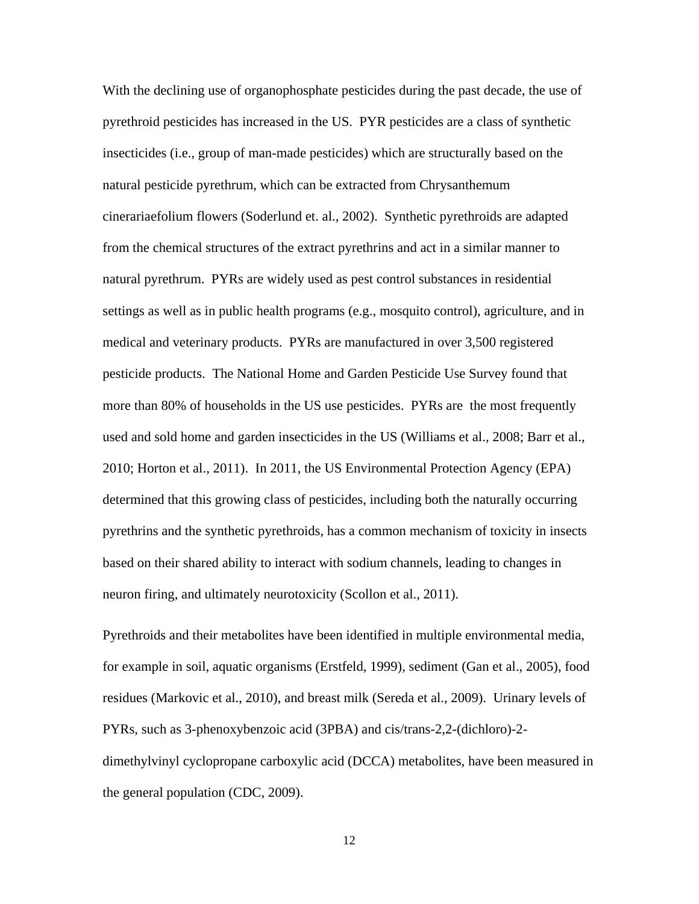With the declining use of organophosphate pesticides during the past decade, the use of pyrethroid pesticides has increased in the US. PYR pesticides are a class of synthetic insecticides (i.e., group of man-made pesticides) which are structurally based on the natural pesticide pyrethrum, which can be extracted from Chrysanthemum cinerariaefolium flowers (Soderlund et. al., 2002). Synthetic pyrethroids are adapted from the chemical structures of the extract pyrethrins and act in a similar manner to natural pyrethrum. PYRs are widely used as pest control substances in residential settings as well as in public health programs (e.g., mosquito control), agriculture, and in medical and veterinary products. PYRs are manufactured in over 3,500 registered pesticide products. The National Home and Garden Pesticide Use Survey found that more than 80% of households in the US use pesticides. PYRs are the most frequently used and sold home and garden insecticides in the US (Williams et al., 2008; Barr et al., 2010; Horton et al., 2011). In 2011, the US Environmental Protection Agency (EPA) determined that this growing class of pesticides, including both the naturally occurring pyrethrins and the synthetic pyrethroids, has a common mechanism of toxicity in insects based on their shared ability to interact with sodium channels, leading to changes in neuron firing, and ultimately neurotoxicity (Scollon et al., 2011).

Pyrethroids and their metabolites have been identified in multiple environmental media, for example in soil, aquatic organisms (Erstfeld, 1999), sediment (Gan et al., 2005), food residues (Markovic et al., 2010), and breast milk (Sereda et al., 2009). Urinary levels of PYRs, such as 3-phenoxybenzoic acid (3PBA) and cis/trans-2,2-(dichloro)-2 dimethylvinyl cyclopropane carboxylic acid (DCCA) metabolites, have been measured in the general population (CDC, 2009).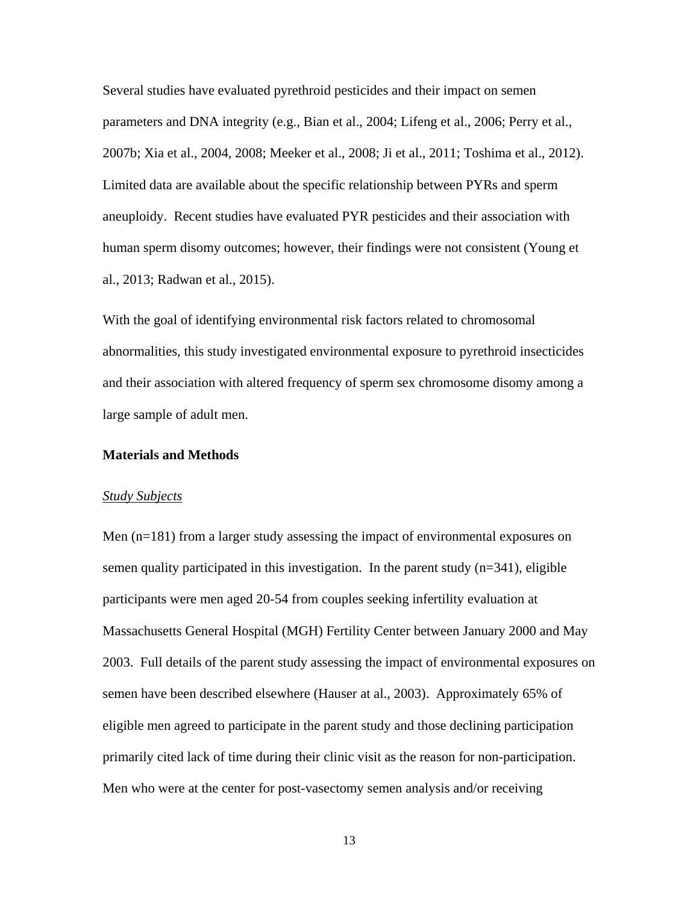Several studies have evaluated pyrethroid pesticides and their impact on semen parameters and DNA integrity (e.g., Bian et al., 2004; Lifeng et al., 2006; Perry et al., 2007b; Xia et al., 2004, 2008; Meeker et al., 2008; Ji et al., 2011; Toshima et al., 2012). Limited data are available about the specific relationship between PYRs and sperm aneuploidy. Recent studies have evaluated PYR pesticides and their association with human sperm disomy outcomes; however, their findings were not consistent (Young et al., 2013; Radwan et al., 2015).

With the goal of identifying environmental risk factors related to chromosomal abnormalities, this study investigated environmental exposure to pyrethroid insecticides and their association with altered frequency of sperm sex chromosome disomy among a large sample of adult men.

#### **Materials and Methods**

#### *Study Subjects*

Men (n=181) from a larger study assessing the impact of environmental exposures on semen quality participated in this investigation. In the parent study  $(n=341)$ , eligible participants were men aged 20-54 from couples seeking infertility evaluation at Massachusetts General Hospital (MGH) Fertility Center between January 2000 and May 2003. Full details of the parent study assessing the impact of environmental exposures on semen have been described elsewhere (Hauser at al., 2003). Approximately 65% of eligible men agreed to participate in the parent study and those declining participation primarily cited lack of time during their clinic visit as the reason for non-participation. Men who were at the center for post-vasectomy semen analysis and/or receiving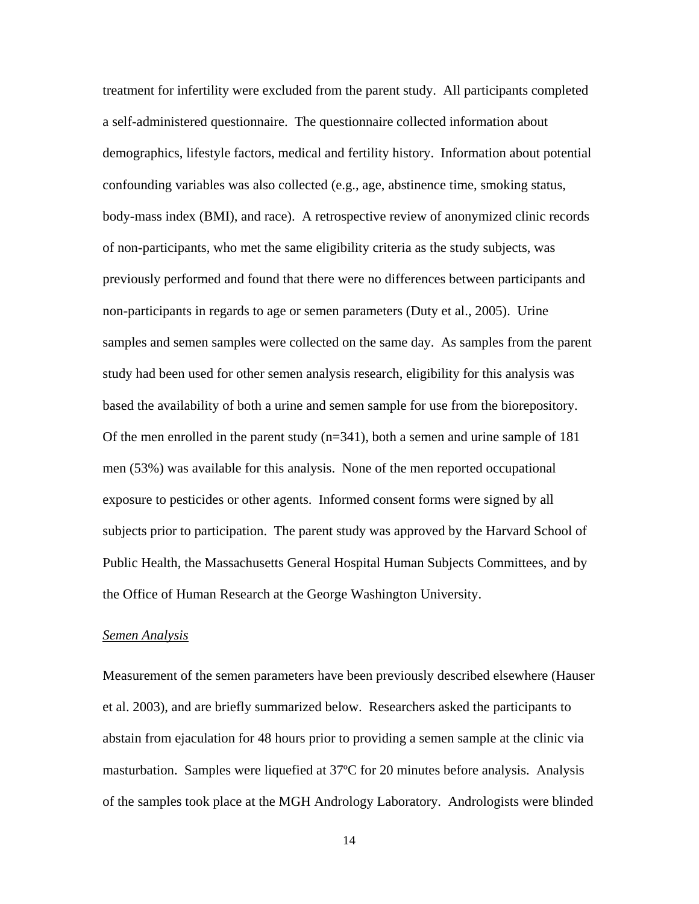treatment for infertility were excluded from the parent study. All participants completed a self-administered questionnaire. The questionnaire collected information about demographics, lifestyle factors, medical and fertility history. Information about potential confounding variables was also collected (e.g., age, abstinence time, smoking status, body-mass index (BMI), and race). A retrospective review of anonymized clinic records of non-participants, who met the same eligibility criteria as the study subjects, was previously performed and found that there were no differences between participants and non-participants in regards to age or semen parameters (Duty et al., 2005). Urine samples and semen samples were collected on the same day. As samples from the parent study had been used for other semen analysis research, eligibility for this analysis was based the availability of both a urine and semen sample for use from the biorepository. Of the men enrolled in the parent study  $(n=341)$ , both a semen and urine sample of 181 men (53%) was available for this analysis. None of the men reported occupational exposure to pesticides or other agents. Informed consent forms were signed by all subjects prior to participation. The parent study was approved by the Harvard School of Public Health, the Massachusetts General Hospital Human Subjects Committees, and by the Office of Human Research at the George Washington University.

### *Semen Analysis*

Measurement of the semen parameters have been previously described elsewhere (Hauser et al. 2003), and are briefly summarized below. Researchers asked the participants to abstain from ejaculation for 48 hours prior to providing a semen sample at the clinic via masturbation. Samples were liquefied at 37ºC for 20 minutes before analysis. Analysis of the samples took place at the MGH Andrology Laboratory. Andrologists were blinded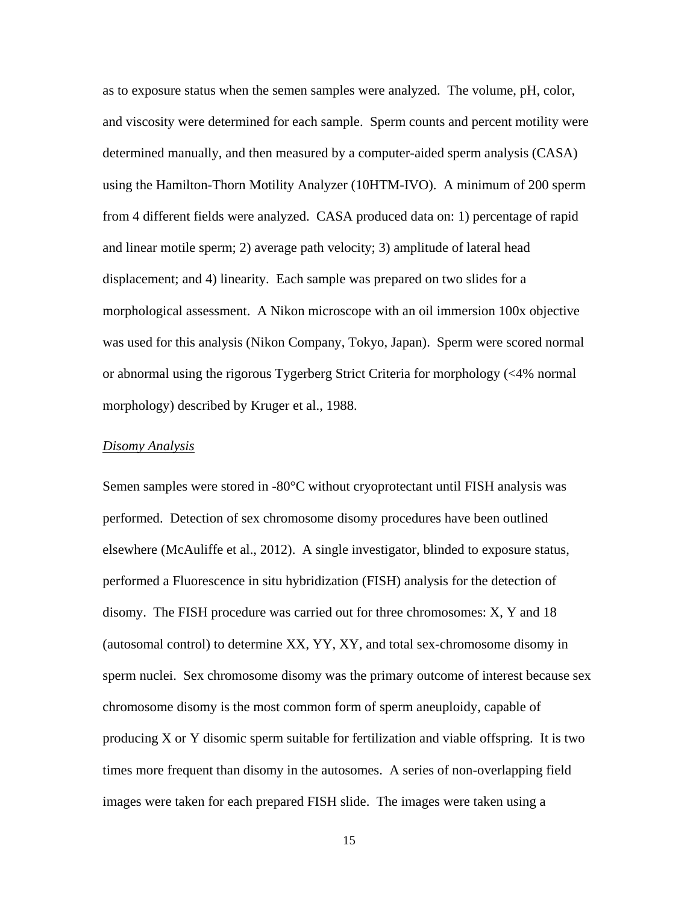as to exposure status when the semen samples were analyzed. The volume, pH, color, and viscosity were determined for each sample. Sperm counts and percent motility were determined manually, and then measured by a computer-aided sperm analysis (CASA) using the Hamilton-Thorn Motility Analyzer (10HTM-IVO). A minimum of 200 sperm from 4 different fields were analyzed. CASA produced data on: 1) percentage of rapid and linear motile sperm; 2) average path velocity; 3) amplitude of lateral head displacement; and 4) linearity. Each sample was prepared on two slides for a morphological assessment. A Nikon microscope with an oil immersion 100x objective was used for this analysis (Nikon Company, Tokyo, Japan). Sperm were scored normal or abnormal using the rigorous Tygerberg Strict Criteria for morphology (<4% normal morphology) described by Kruger et al., 1988.

### *Disomy Analysis*

Semen samples were stored in -80°C without cryoprotectant until FISH analysis was performed. Detection of sex chromosome disomy procedures have been outlined elsewhere (McAuliffe et al., 2012). A single investigator, blinded to exposure status, performed a Fluorescence in situ hybridization (FISH) analysis for the detection of disomy. The FISH procedure was carried out for three chromosomes: X, Y and 18 (autosomal control) to determine XX, YY, XY, and total sex-chromosome disomy in sperm nuclei. Sex chromosome disomy was the primary outcome of interest because sex chromosome disomy is the most common form of sperm aneuploidy, capable of producing X or Y disomic sperm suitable for fertilization and viable offspring. It is two times more frequent than disomy in the autosomes. A series of non-overlapping field images were taken for each prepared FISH slide. The images were taken using a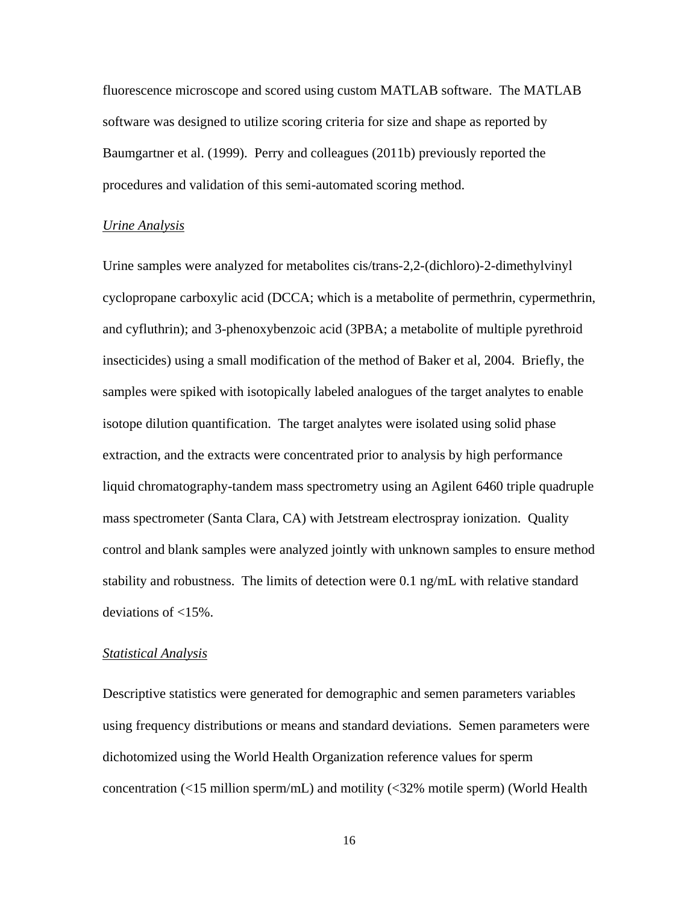fluorescence microscope and scored using custom MATLAB software. The MATLAB software was designed to utilize scoring criteria for size and shape as reported by Baumgartner et al. (1999). Perry and colleagues (2011b) previously reported the procedures and validation of this semi-automated scoring method.

#### *Urine Analysis*

Urine samples were analyzed for metabolites cis/trans-2,2-(dichloro)-2-dimethylvinyl cyclopropane carboxylic acid (DCCA; which is a metabolite of permethrin, cypermethrin, and cyfluthrin); and 3-phenoxybenzoic acid (3PBA; a metabolite of multiple pyrethroid insecticides) using a small modification of the method of Baker et al, 2004. Briefly, the samples were spiked with isotopically labeled analogues of the target analytes to enable isotope dilution quantification. The target analytes were isolated using solid phase extraction, and the extracts were concentrated prior to analysis by high performance liquid chromatography-tandem mass spectrometry using an Agilent 6460 triple quadruple mass spectrometer (Santa Clara, CA) with Jetstream electrospray ionization. Quality control and blank samples were analyzed jointly with unknown samples to ensure method stability and robustness. The limits of detection were 0.1 ng/mL with relative standard deviations of <15%.

### *Statistical Analysis*

Descriptive statistics were generated for demographic and semen parameters variables using frequency distributions or means and standard deviations. Semen parameters were dichotomized using the World Health Organization reference values for sperm concentration (<15 million sperm/mL) and motility (<32% motile sperm) (World Health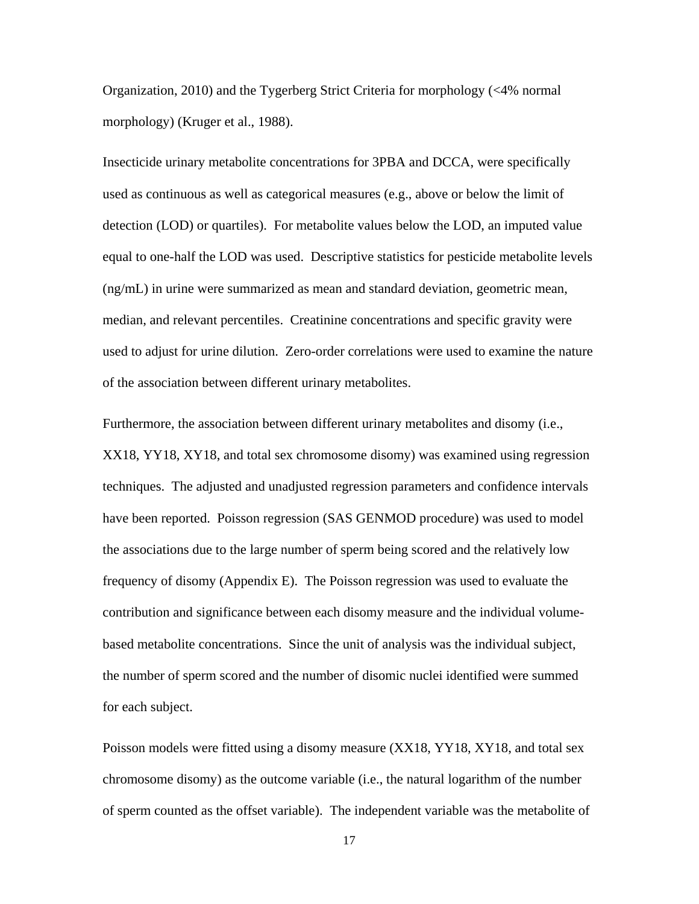Organization, 2010) and the Tygerberg Strict Criteria for morphology (<4% normal morphology) (Kruger et al., 1988).

Insecticide urinary metabolite concentrations for 3PBA and DCCA, were specifically used as continuous as well as categorical measures (e.g., above or below the limit of detection (LOD) or quartiles). For metabolite values below the LOD, an imputed value equal to one-half the LOD was used. Descriptive statistics for pesticide metabolite levels (ng/mL) in urine were summarized as mean and standard deviation, geometric mean, median, and relevant percentiles. Creatinine concentrations and specific gravity were used to adjust for urine dilution. Zero-order correlations were used to examine the nature of the association between different urinary metabolites.

Furthermore, the association between different urinary metabolites and disomy (i.e., XX18, YY18, XY18, and total sex chromosome disomy) was examined using regression techniques. The adjusted and unadjusted regression parameters and confidence intervals have been reported. Poisson regression (SAS GENMOD procedure) was used to model the associations due to the large number of sperm being scored and the relatively low frequency of disomy (Appendix E). The Poisson regression was used to evaluate the contribution and significance between each disomy measure and the individual volumebased metabolite concentrations. Since the unit of analysis was the individual subject, the number of sperm scored and the number of disomic nuclei identified were summed for each subject.

Poisson models were fitted using a disomy measure (XX18, YY18, XY18, and total sex chromosome disomy) as the outcome variable (i.e., the natural logarithm of the number of sperm counted as the offset variable). The independent variable was the metabolite of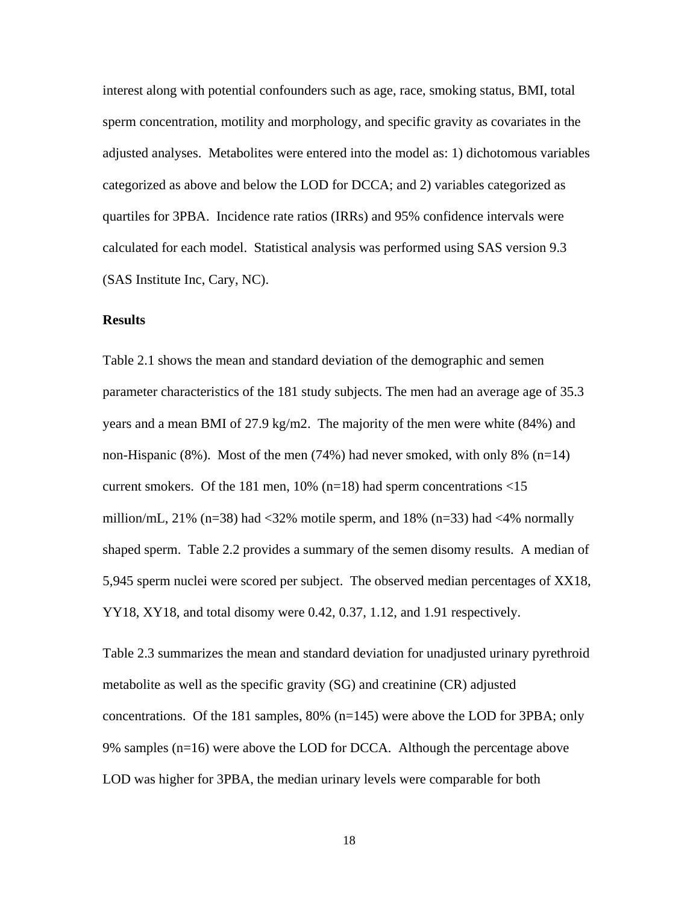interest along with potential confounders such as age, race, smoking status, BMI, total sperm concentration, motility and morphology, and specific gravity as covariates in the adjusted analyses. Metabolites were entered into the model as: 1) dichotomous variables categorized as above and below the LOD for DCCA; and 2) variables categorized as quartiles for 3PBA. Incidence rate ratios (IRRs) and 95% confidence intervals were calculated for each model. Statistical analysis was performed using SAS version 9.3 (SAS Institute Inc, Cary, NC).

# **Results**

Table 2.1 shows the mean and standard deviation of the demographic and semen parameter characteristics of the 181 study subjects. The men had an average age of 35.3 years and a mean BMI of 27.9 kg/m2. The majority of the men were white (84%) and non-Hispanic  $(8\%)$ . Most of the men  $(74\%)$  had never smoked, with only  $8\%$  (n=14) current smokers. Of the 181 men,  $10\%$  (n=18) had sperm concentrations <15 million/mL, 21% (n=38) had  $\langle 32\%$  motile sperm, and 18% (n=33) had  $\langle 4\%$  normally shaped sperm. Table 2.2 provides a summary of the semen disomy results. A median of 5,945 sperm nuclei were scored per subject. The observed median percentages of XX18, YY18, XY18, and total disomy were 0.42, 0.37, 1.12, and 1.91 respectively.

Table 2.3 summarizes the mean and standard deviation for unadjusted urinary pyrethroid metabolite as well as the specific gravity (SG) and creatinine (CR) adjusted concentrations. Of the 181 samples, 80%  $(n=145)$  were above the LOD for 3PBA; only 9% samples (n=16) were above the LOD for DCCA. Although the percentage above LOD was higher for 3PBA, the median urinary levels were comparable for both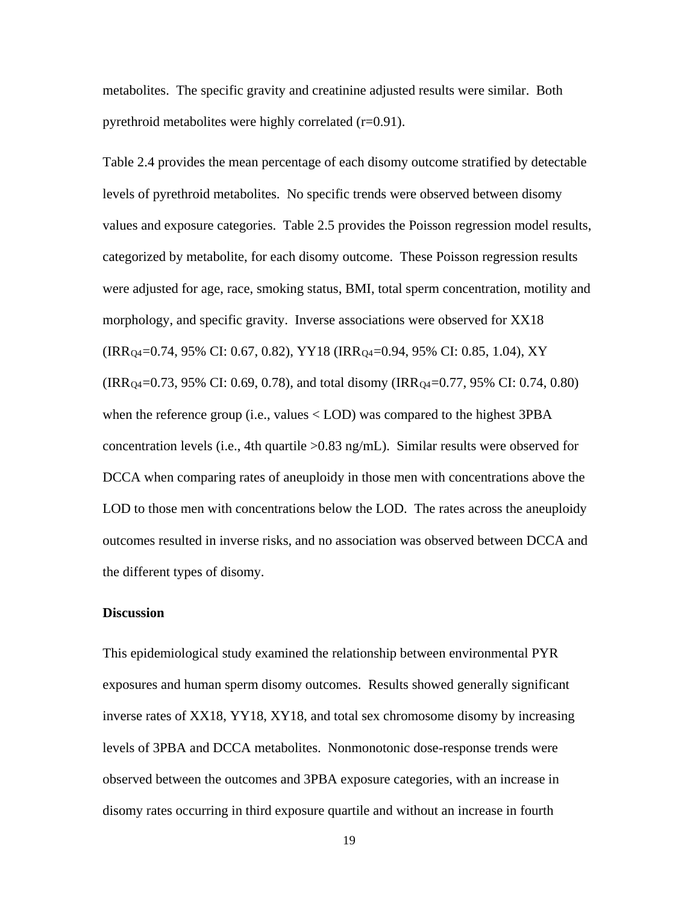metabolites. The specific gravity and creatinine adjusted results were similar. Both pyrethroid metabolites were highly correlated (r=0.91).

Table 2.4 provides the mean percentage of each disomy outcome stratified by detectable levels of pyrethroid metabolites. No specific trends were observed between disomy values and exposure categories. Table 2.5 provides the Poisson regression model results, categorized by metabolite, for each disomy outcome. These Poisson regression results were adjusted for age, race, smoking status, BMI, total sperm concentration, motility and morphology, and specific gravity. Inverse associations were observed for XX18 (IRRQ4=0.74, 95% CI: 0.67, 0.82), YY18 (IRRQ4=0.94, 95% CI: 0.85, 1.04), XY  $(IRR_{Q4}=0.73, 95\% \text{ CI: } 0.69, 0.78)$ , and total disomy  $(IRR_{Q4}=0.77, 95\% \text{ CI: } 0.74, 0.80)$ when the reference group (i.e., values < LOD) was compared to the highest 3PBA concentration levels (i.e., 4th quartile >0.83 ng/mL). Similar results were observed for DCCA when comparing rates of aneuploidy in those men with concentrations above the LOD to those men with concentrations below the LOD. The rates across the aneuploidy outcomes resulted in inverse risks, and no association was observed between DCCA and the different types of disomy.

### **Discussion**

This epidemiological study examined the relationship between environmental PYR exposures and human sperm disomy outcomes. Results showed generally significant inverse rates of XX18, YY18, XY18, and total sex chromosome disomy by increasing levels of 3PBA and DCCA metabolites. Nonmonotonic dose-response trends were observed between the outcomes and 3PBA exposure categories, with an increase in disomy rates occurring in third exposure quartile and without an increase in fourth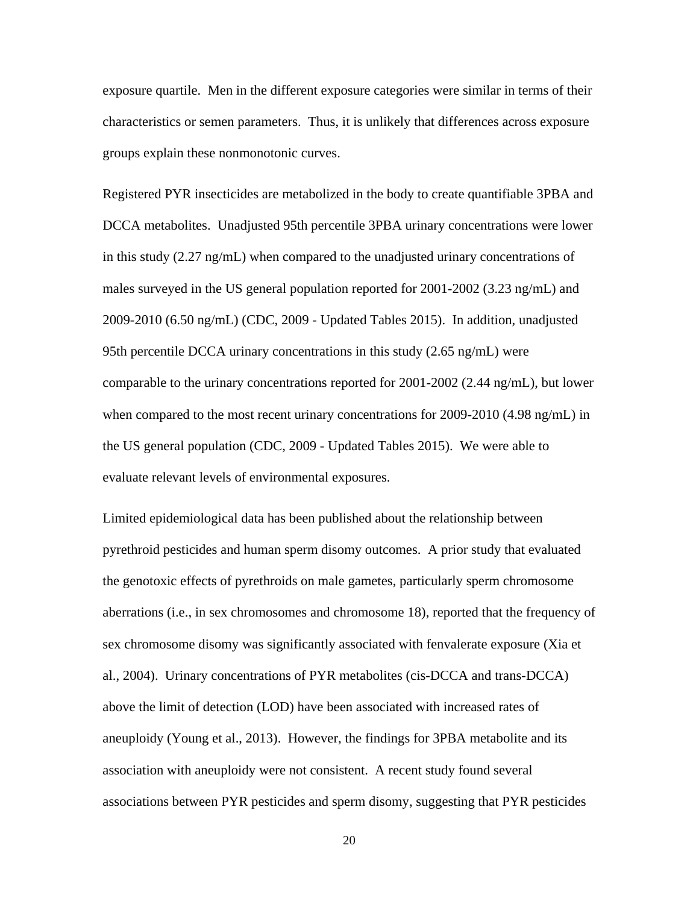exposure quartile. Men in the different exposure categories were similar in terms of their characteristics or semen parameters. Thus, it is unlikely that differences across exposure groups explain these nonmonotonic curves.

Registered PYR insecticides are metabolized in the body to create quantifiable 3PBA and DCCA metabolites. Unadjusted 95th percentile 3PBA urinary concentrations were lower in this study (2.27 ng/mL) when compared to the unadjusted urinary concentrations of males surveyed in the US general population reported for 2001-2002 (3.23 ng/mL) and 2009-2010 (6.50 ng/mL) (CDC, 2009 - Updated Tables 2015). In addition, unadjusted 95th percentile DCCA urinary concentrations in this study (2.65 ng/mL) were comparable to the urinary concentrations reported for 2001-2002 (2.44 ng/mL), but lower when compared to the most recent urinary concentrations for 2009-2010 (4.98 ng/mL) in the US general population (CDC, 2009 - Updated Tables 2015). We were able to evaluate relevant levels of environmental exposures.

Limited epidemiological data has been published about the relationship between pyrethroid pesticides and human sperm disomy outcomes. A prior study that evaluated the genotoxic effects of pyrethroids on male gametes, particularly sperm chromosome aberrations (i.e., in sex chromosomes and chromosome 18), reported that the frequency of sex chromosome disomy was significantly associated with fenvalerate exposure (Xia et al., 2004). Urinary concentrations of PYR metabolites (cis-DCCA and trans-DCCA) above the limit of detection (LOD) have been associated with increased rates of aneuploidy (Young et al., 2013). However, the findings for 3PBA metabolite and its association with aneuploidy were not consistent. A recent study found several associations between PYR pesticides and sperm disomy, suggesting that PYR pesticides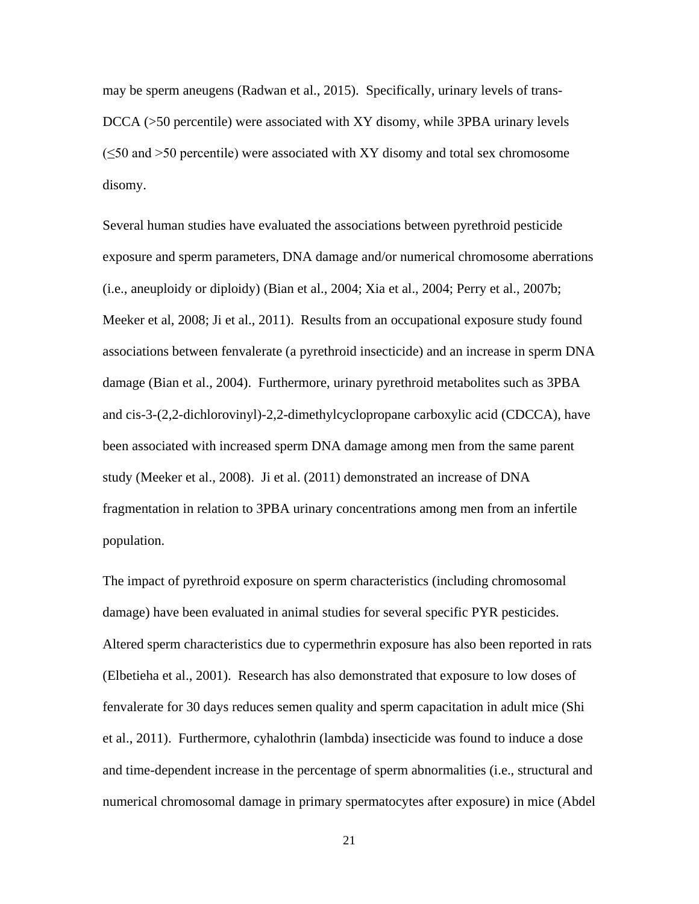may be sperm aneugens (Radwan et al., 2015). Specifically, urinary levels of trans-DCCA (>50 percentile) were associated with XY disomy, while 3PBA urinary levels  $(\leq 50$  and  $> 50$  percentile) were associated with XY disomy and total sex chromosome disomy.

Several human studies have evaluated the associations between pyrethroid pesticide exposure and sperm parameters, DNA damage and/or numerical chromosome aberrations (i.e., aneuploidy or diploidy) (Bian et al., 2004; Xia et al., 2004; Perry et al., 2007b; Meeker et al, 2008; Ji et al., 2011). Results from an occupational exposure study found associations between fenvalerate (a pyrethroid insecticide) and an increase in sperm DNA damage (Bian et al., 2004). Furthermore, urinary pyrethroid metabolites such as 3PBA and cis-3-(2,2-dichlorovinyl)-2,2-dimethylcyclopropane carboxylic acid (CDCCA), have been associated with increased sperm DNA damage among men from the same parent study (Meeker et al., 2008). Ji et al. (2011) demonstrated an increase of DNA fragmentation in relation to 3PBA urinary concentrations among men from an infertile population.

The impact of pyrethroid exposure on sperm characteristics (including chromosomal damage) have been evaluated in animal studies for several specific PYR pesticides. Altered sperm characteristics due to cypermethrin exposure has also been reported in rats (Elbetieha et al., 2001). Research has also demonstrated that exposure to low doses of fenvalerate for 30 days reduces semen quality and sperm capacitation in adult mice (Shi et al., 2011). Furthermore, cyhalothrin (lambda) insecticide was found to induce a dose and time-dependent increase in the percentage of sperm abnormalities (i.e., structural and numerical chromosomal damage in primary spermatocytes after exposure) in mice (Abdel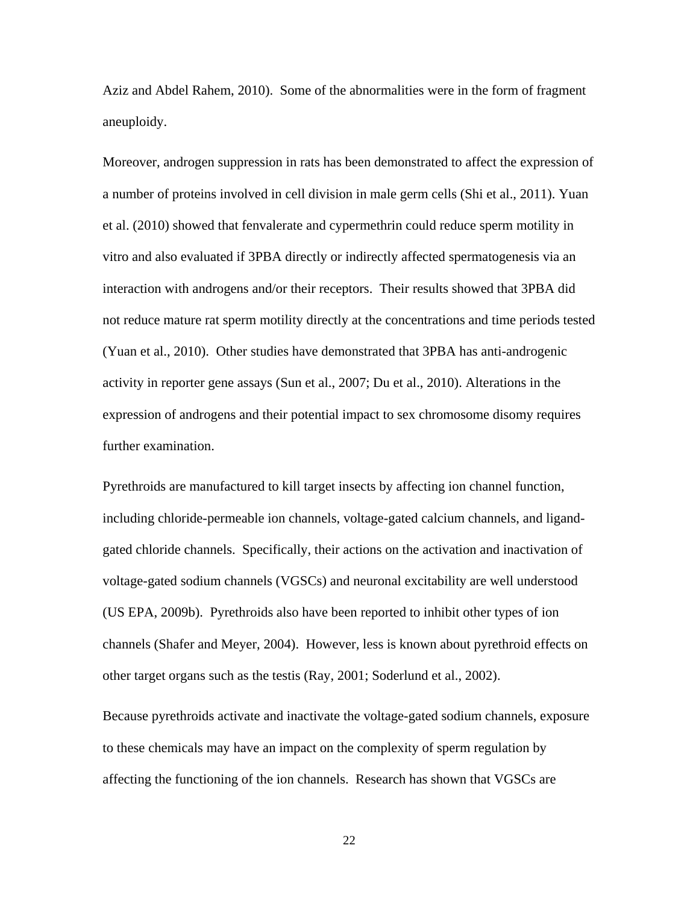Aziz and Abdel Rahem, 2010). Some of the abnormalities were in the form of fragment aneuploidy.

Moreover, androgen suppression in rats has been demonstrated to affect the expression of a number of proteins involved in cell division in male germ cells (Shi et al., 2011). Yuan et al. (2010) showed that fenvalerate and cypermethrin could reduce sperm motility in vitro and also evaluated if 3PBA directly or indirectly affected spermatogenesis via an interaction with androgens and/or their receptors. Their results showed that 3PBA did not reduce mature rat sperm motility directly at the concentrations and time periods tested (Yuan et al., 2010). Other studies have demonstrated that 3PBA has anti-androgenic activity in reporter gene assays (Sun et al., 2007; Du et al., 2010). Alterations in the expression of androgens and their potential impact to sex chromosome disomy requires further examination.

Pyrethroids are manufactured to kill target insects by affecting ion channel function, including chloride-permeable ion channels, voltage-gated calcium channels, and ligandgated chloride channels. Specifically, their actions on the activation and inactivation of voltage-gated sodium channels (VGSCs) and neuronal excitability are well understood (US EPA, 2009b). Pyrethroids also have been reported to inhibit other types of ion channels (Shafer and Meyer, 2004). However, less is known about pyrethroid effects on other target organs such as the testis (Ray, 2001; Soderlund et al., 2002).

Because pyrethroids activate and inactivate the voltage-gated sodium channels, exposure to these chemicals may have an impact on the complexity of sperm regulation by affecting the functioning of the ion channels. Research has shown that VGSCs are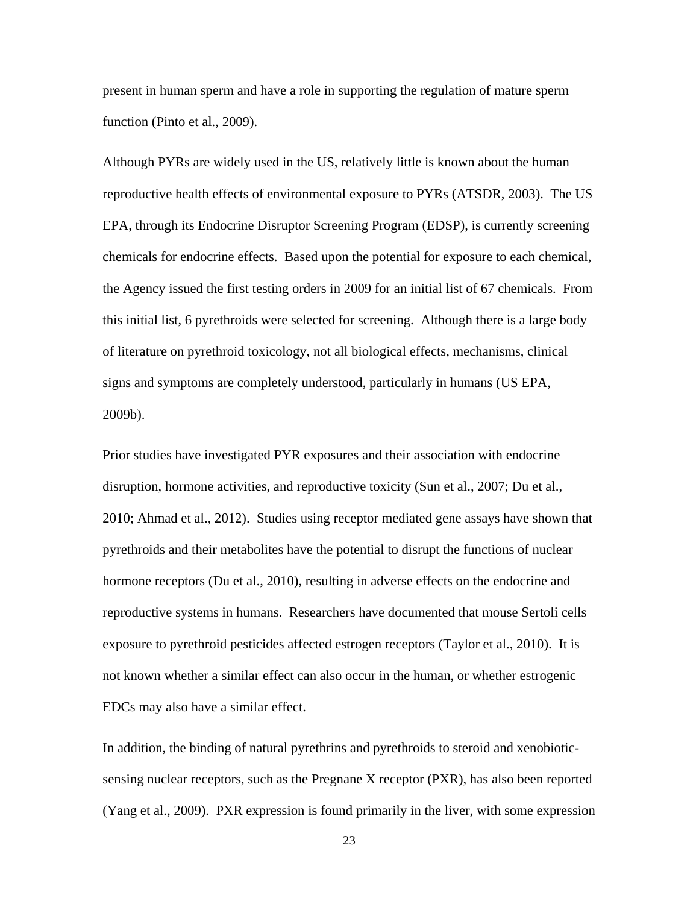present in human sperm and have a role in supporting the regulation of mature sperm function (Pinto et al., 2009).

Although PYRs are widely used in the US, relatively little is known about the human reproductive health effects of environmental exposure to PYRs (ATSDR, 2003). The US EPA, through its Endocrine Disruptor Screening Program (EDSP), is currently screening chemicals for endocrine effects. Based upon the potential for exposure to each chemical, the Agency issued the first testing orders in 2009 for an initial list of 67 chemicals. From this initial list, 6 pyrethroids were selected for screening. Although there is a large body of literature on pyrethroid toxicology, not all biological effects, mechanisms, clinical signs and symptoms are completely understood, particularly in humans (US EPA, 2009b).

Prior studies have investigated PYR exposures and their association with endocrine disruption, hormone activities, and reproductive toxicity (Sun et al., 2007; Du et al., 2010; Ahmad et al., 2012). Studies using receptor mediated gene assays have shown that pyrethroids and their metabolites have the potential to disrupt the functions of nuclear hormone receptors (Du et al., 2010), resulting in adverse effects on the endocrine and reproductive systems in humans. Researchers have documented that mouse Sertoli cells exposure to pyrethroid pesticides affected estrogen receptors (Taylor et al., 2010). It is not known whether a similar effect can also occur in the human, or whether estrogenic EDCs may also have a similar effect.

In addition, the binding of natural pyrethrins and pyrethroids to steroid and xenobioticsensing nuclear receptors, such as the Pregnane X receptor (PXR), has also been reported (Yang et al., 2009). PXR expression is found primarily in the liver, with some expression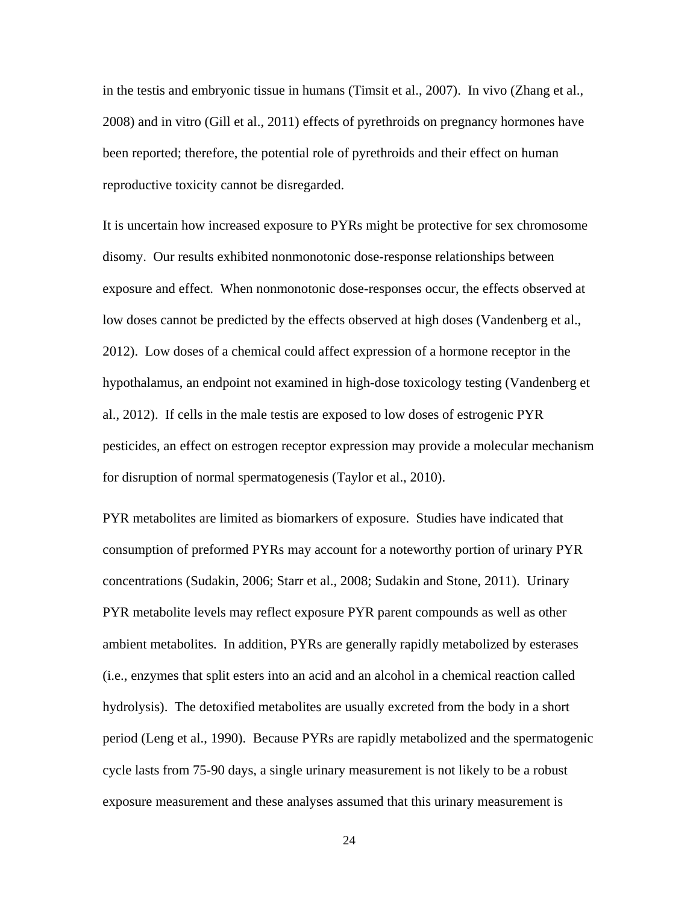in the testis and embryonic tissue in humans (Timsit et al., 2007). In vivo (Zhang et al., 2008) and in vitro (Gill et al., 2011) effects of pyrethroids on pregnancy hormones have been reported; therefore, the potential role of pyrethroids and their effect on human reproductive toxicity cannot be disregarded.

It is uncertain how increased exposure to PYRs might be protective for sex chromosome disomy. Our results exhibited nonmonotonic dose-response relationships between exposure and effect. When nonmonotonic dose-responses occur, the effects observed at low doses cannot be predicted by the effects observed at high doses (Vandenberg et al., 2012). Low doses of a chemical could affect expression of a hormone receptor in the hypothalamus, an endpoint not examined in high-dose toxicology testing (Vandenberg et al., 2012). If cells in the male testis are exposed to low doses of estrogenic PYR pesticides, an effect on estrogen receptor expression may provide a molecular mechanism for disruption of normal spermatogenesis (Taylor et al., 2010).

PYR metabolites are limited as biomarkers of exposure. Studies have indicated that consumption of preformed PYRs may account for a noteworthy portion of urinary PYR concentrations (Sudakin, 2006; Starr et al., 2008; Sudakin and Stone, 2011). Urinary PYR metabolite levels may reflect exposure PYR parent compounds as well as other ambient metabolites. In addition, PYRs are generally rapidly metabolized by esterases (i.e., enzymes that split esters into an acid and an alcohol in a chemical reaction called hydrolysis). The detoxified metabolites are usually excreted from the body in a short period (Leng et al., 1990). Because PYRs are rapidly metabolized and the spermatogenic cycle lasts from 75-90 days, a single urinary measurement is not likely to be a robust exposure measurement and these analyses assumed that this urinary measurement is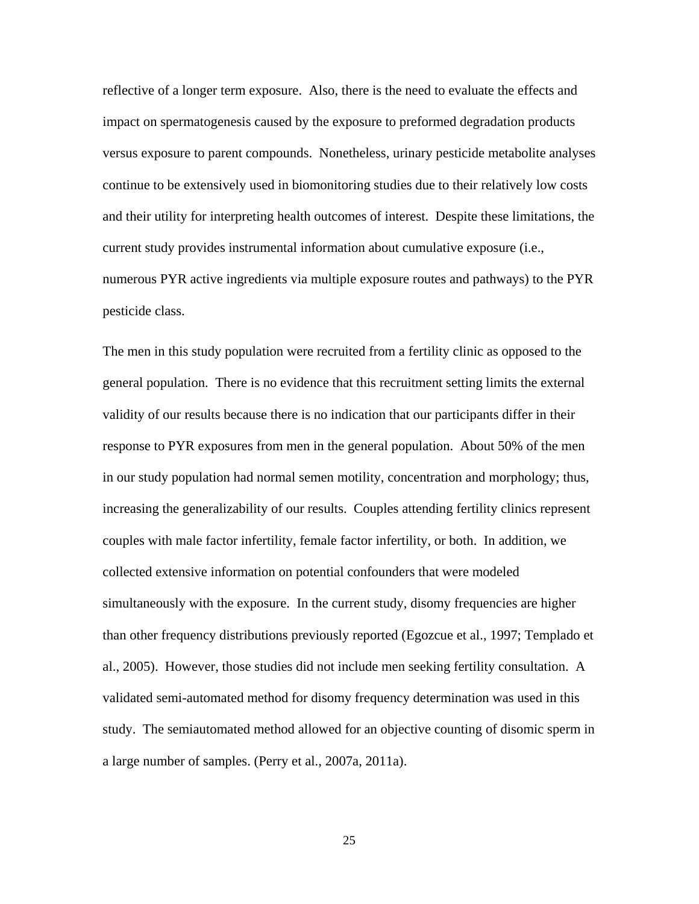reflective of a longer term exposure. Also, there is the need to evaluate the effects and impact on spermatogenesis caused by the exposure to preformed degradation products versus exposure to parent compounds. Nonetheless, urinary pesticide metabolite analyses continue to be extensively used in biomonitoring studies due to their relatively low costs and their utility for interpreting health outcomes of interest. Despite these limitations, the current study provides instrumental information about cumulative exposure (i.e., numerous PYR active ingredients via multiple exposure routes and pathways) to the PYR pesticide class.

The men in this study population were recruited from a fertility clinic as opposed to the general population. There is no evidence that this recruitment setting limits the external validity of our results because there is no indication that our participants differ in their response to PYR exposures from men in the general population. About 50% of the men in our study population had normal semen motility, concentration and morphology; thus, increasing the generalizability of our results. Couples attending fertility clinics represent couples with male factor infertility, female factor infertility, or both. In addition, we collected extensive information on potential confounders that were modeled simultaneously with the exposure. In the current study, disomy frequencies are higher than other frequency distributions previously reported (Egozcue et al., 1997; Templado et al., 2005). However, those studies did not include men seeking fertility consultation. A validated semi-automated method for disomy frequency determination was used in this study. The semiautomated method allowed for an objective counting of disomic sperm in a large number of samples. (Perry et al., 2007a, 2011a).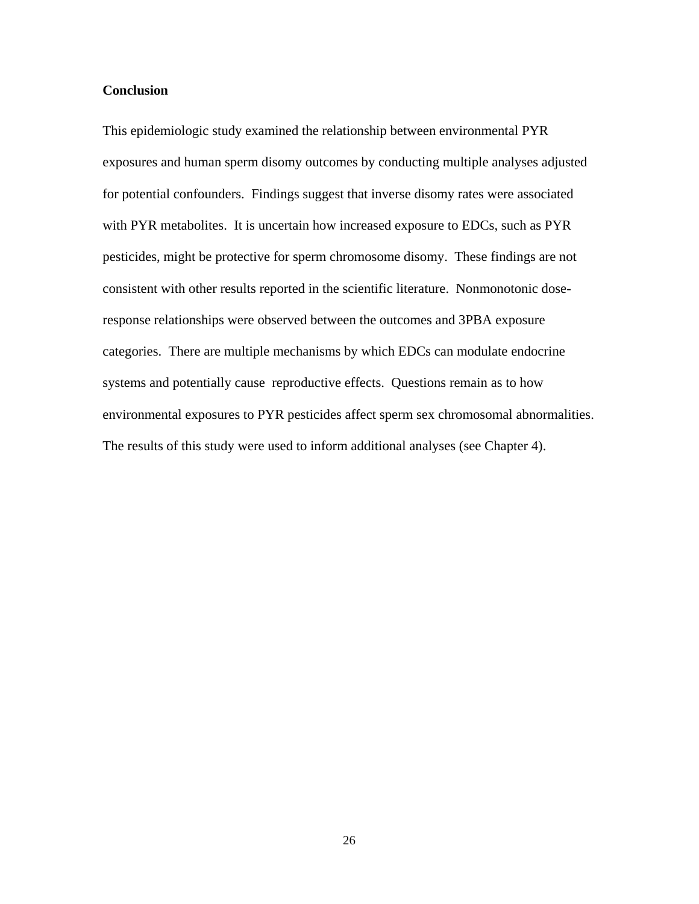# **Conclusion**

This epidemiologic study examined the relationship between environmental PYR exposures and human sperm disomy outcomes by conducting multiple analyses adjusted for potential confounders. Findings suggest that inverse disomy rates were associated with PYR metabolites. It is uncertain how increased exposure to EDCs, such as PYR pesticides, might be protective for sperm chromosome disomy. These findings are not consistent with other results reported in the scientific literature. Nonmonotonic doseresponse relationships were observed between the outcomes and 3PBA exposure categories. There are multiple mechanisms by which EDCs can modulate endocrine systems and potentially cause reproductive effects. Questions remain as to how environmental exposures to PYR pesticides affect sperm sex chromosomal abnormalities. The results of this study were used to inform additional analyses (see Chapter 4).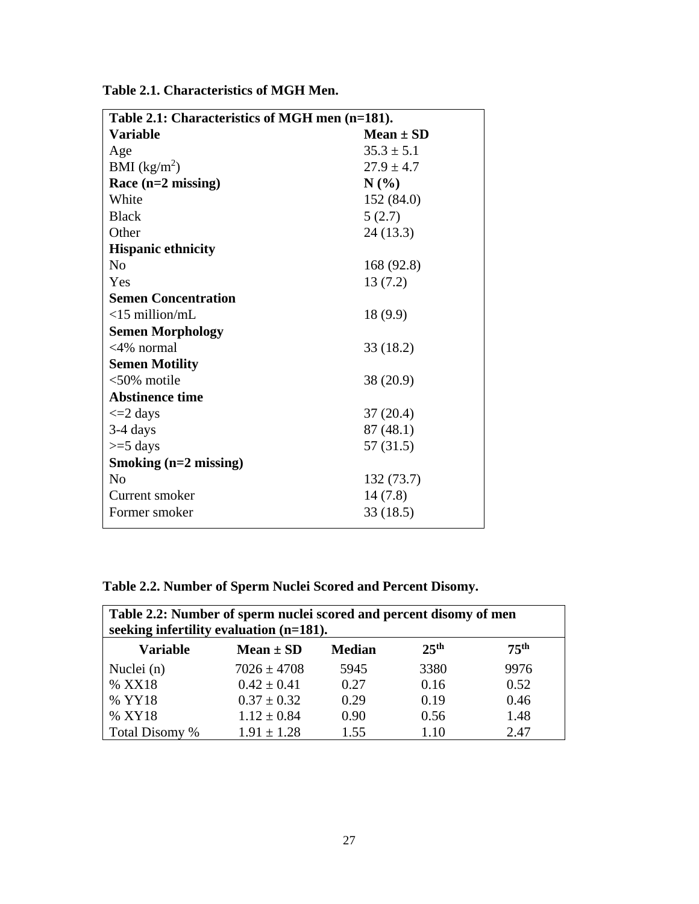| Table 2.1: Characteristics of MGH men (n=181). |                |  |  |  |  |  |  |  |
|------------------------------------------------|----------------|--|--|--|--|--|--|--|
| <b>Variable</b>                                | $Mean \pm SD$  |  |  |  |  |  |  |  |
| Age                                            | $35.3 \pm 5.1$ |  |  |  |  |  |  |  |
| BMI $(kg/m^2)$                                 | $27.9 \pm 4.7$ |  |  |  |  |  |  |  |
| Race $(n=2$ missing)                           | N(%            |  |  |  |  |  |  |  |
| White                                          | 152 (84.0)     |  |  |  |  |  |  |  |
| <b>Black</b>                                   | 5(2.7)         |  |  |  |  |  |  |  |
| Other                                          | 24 (13.3)      |  |  |  |  |  |  |  |
| <b>Hispanic ethnicity</b>                      |                |  |  |  |  |  |  |  |
| N <sub>0</sub>                                 | 168 (92.8)     |  |  |  |  |  |  |  |
| Yes                                            | 13(7.2)        |  |  |  |  |  |  |  |
| <b>Semen Concentration</b>                     |                |  |  |  |  |  |  |  |
| $<$ 15 million/mL                              | 18 (9.9)       |  |  |  |  |  |  |  |
| <b>Semen Morphology</b>                        |                |  |  |  |  |  |  |  |
| $<$ 4% normal                                  | 33 (18.2)      |  |  |  |  |  |  |  |
| <b>Semen Motility</b>                          |                |  |  |  |  |  |  |  |
| $<50\%$ motile                                 | 38 (20.9)      |  |  |  |  |  |  |  |
| <b>Abstinence time</b>                         |                |  |  |  |  |  |  |  |
| $\leq$ 2 days                                  | 37(20.4)       |  |  |  |  |  |  |  |
| $3-4$ days                                     | 87 (48.1)      |  |  |  |  |  |  |  |
| $>=$ 5 days                                    | 57(31.5)       |  |  |  |  |  |  |  |
| Smoking $(n=2 \text{ missing})$                |                |  |  |  |  |  |  |  |
| N <sub>0</sub>                                 | 132 (73.7)     |  |  |  |  |  |  |  |
| Current smoker                                 | 14(7.8)        |  |  |  |  |  |  |  |
| Former smoker                                  | 33 (18.5)      |  |  |  |  |  |  |  |
|                                                |                |  |  |  |  |  |  |  |

**Table 2.1. Characteristics of MGH Men.**

# **Table 2.2. Number of Sperm Nuclei Scored and Percent Disomy.**

| Table 2.2: Number of sperm nuclei scored and percent disomy of men<br>seeking infertility evaluation $(n=181)$ . |                 |      |      |      |  |  |  |  |  |  |  |
|------------------------------------------------------------------------------------------------------------------|-----------------|------|------|------|--|--|--|--|--|--|--|
| 75 <sup>th</sup><br>25 <sup>th</sup><br><b>Variable</b><br>Mean $\pm$ SD<br><b>Median</b>                        |                 |      |      |      |  |  |  |  |  |  |  |
| Nuclei (n)                                                                                                       | $7026 \pm 4708$ | 5945 | 3380 | 9976 |  |  |  |  |  |  |  |
| % XX18                                                                                                           | $0.42 \pm 0.41$ | 0.27 | 0.16 | 0.52 |  |  |  |  |  |  |  |
| % YY18                                                                                                           | $0.37 \pm 0.32$ | 0.29 | 0.19 | 0.46 |  |  |  |  |  |  |  |
| % XY18                                                                                                           | $1.12 \pm 0.84$ | 0.90 | 0.56 | 1.48 |  |  |  |  |  |  |  |
| Total Disomy %                                                                                                   | $1.91 \pm 1.28$ | 1.55 | 1.10 | 2.47 |  |  |  |  |  |  |  |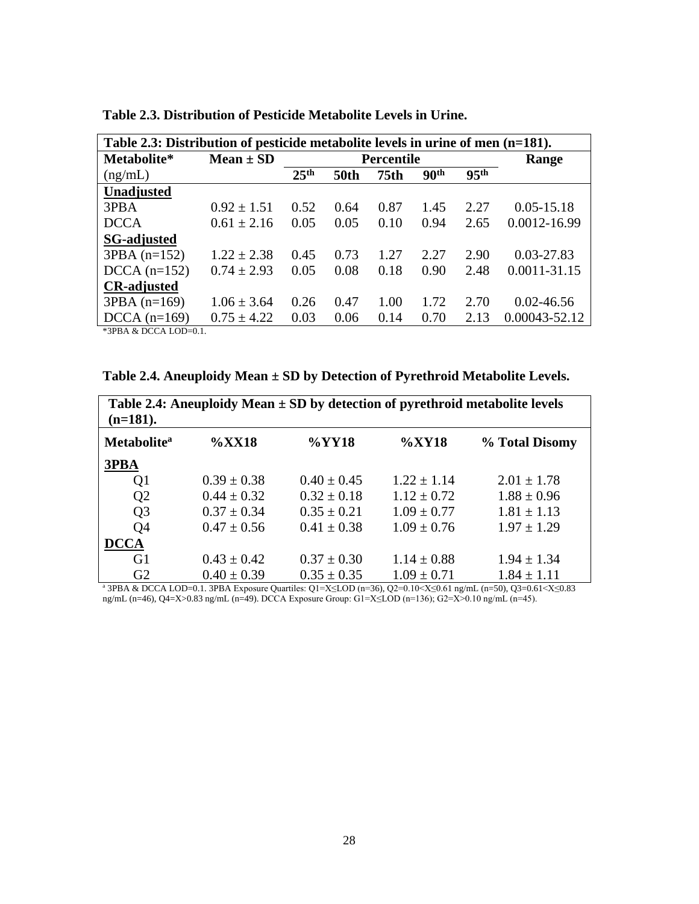| Table 2.3: Distribution of pesticide metabolite levels in urine of men (n=181). |                 |                  |                   |                  |                  |                  |                |  |  |
|---------------------------------------------------------------------------------|-----------------|------------------|-------------------|------------------|------------------|------------------|----------------|--|--|
| Metabolite*                                                                     | $Mean \pm SD$   |                  | <b>Percentile</b> | Range            |                  |                  |                |  |  |
| (ng/mL)                                                                         |                 | 25 <sup>th</sup> | <b>50th</b>       | 75 <sub>th</sub> | 90 <sup>th</sup> | 95 <sup>th</sup> |                |  |  |
| Unadjusted                                                                      |                 |                  |                   |                  |                  |                  |                |  |  |
| 3PBA                                                                            | $0.92 \pm 1.51$ | 0.52             | 0.64              | 0.87             | 1.45             | 2.27             | $0.05 - 15.18$ |  |  |
| <b>DCCA</b>                                                                     | $0.61 \pm 2.16$ | 0.05             | 0.05              | 0.10             | 0.94             | 2.65             | 0.0012-16.99   |  |  |
| <b>SG-adjusted</b>                                                              |                 |                  |                   |                  |                  |                  |                |  |  |
| $3PBA (n=152)$                                                                  | $1.22 \pm 2.38$ | 0.45             | 0.73              | 1.27             | 2.27             | 2.90             | 0.03-27.83     |  |  |
| $DCCA (n=152)$                                                                  | $0.74 \pm 2.93$ | 0.05             | 0.08              | 0.18             | 0.90             | 2.48             | 0.0011-31.15   |  |  |
| <b>CR-adjusted</b>                                                              |                 |                  |                   |                  |                  |                  |                |  |  |
| $3PBA (n=169)$                                                                  | $1.06 \pm 3.64$ | 0.26             | 0.47              | 1.00             | 1.72             | 2.70             | $0.02 - 46.56$ |  |  |
| $DCCA (n=169)$                                                                  | $0.75 \pm 4.22$ | 0.03             | 0.06              | 0.14             | 0.70             | 2.13             | 0.00043-52.12  |  |  |

**Table 2.3. Distribution of Pesticide Metabolite Levels in Urine.**

\*3PBA & DCCA LOD=0.1.

| Table 2.4. Aneuploidy Mean $\pm$ SD by Detection of Pyrethroid Metabolite Levels. |  |
|-----------------------------------------------------------------------------------|--|
|-----------------------------------------------------------------------------------|--|

| Table 2.4: Aneuploidy Mean $\pm$ SD by detection of pyrethroid metabolite levels<br>$(n=181)$ . |                 |                 |                 |                 |  |  |  |  |  |
|-------------------------------------------------------------------------------------------------|-----------------|-----------------|-----------------|-----------------|--|--|--|--|--|
| <b>Metabolite</b> <sup>a</sup>                                                                  | $\%XX18$        | $\%$ YY18       | $\%XY18$        | % Total Disomy  |  |  |  |  |  |
| 3PBA                                                                                            |                 |                 |                 |                 |  |  |  |  |  |
| Q <sub>1</sub>                                                                                  | $0.39 \pm 0.38$ | $0.40 \pm 0.45$ | $1.22 \pm 1.14$ | $2.01 \pm 1.78$ |  |  |  |  |  |
| Q <sub>2</sub>                                                                                  | $0.44 \pm 0.32$ | $0.32 \pm 0.18$ | $1.12 \pm 0.72$ | $1.88 \pm 0.96$ |  |  |  |  |  |
| Q <sub>3</sub>                                                                                  | $0.37 \pm 0.34$ | $0.35 \pm 0.21$ | $1.09 \pm 0.77$ | $1.81 \pm 1.13$ |  |  |  |  |  |
| Q <sub>4</sub>                                                                                  | $0.47 \pm 0.56$ | $0.41 \pm 0.38$ | $1.09 \pm 0.76$ | $1.97 \pm 1.29$ |  |  |  |  |  |
| <b>DCCA</b>                                                                                     |                 |                 |                 |                 |  |  |  |  |  |
| G <sub>1</sub>                                                                                  | $0.43 \pm 0.42$ | $0.37 \pm 0.30$ | $1.14 \pm 0.88$ | $1.94 \pm 1.34$ |  |  |  |  |  |
| G2                                                                                              | $0.40 \pm 0.39$ | $0.35 \pm 0.35$ | $1.09 \pm 0.71$ | $1.84 \pm 1.11$ |  |  |  |  |  |

<sup>a</sup> 3PBA & DCCA LOD=0.1. 3PBA Exposure Quartiles: Q1=X≤LOD (n=36), Q2=0.10<X≤0.61 ng/mL (n=50), Q3=0.61<X≤0.83 ng/mL (n=46), Q4=X>0.83 ng/mL (n=49). DCCA Exposure Group: G1=X≤LOD (n=136); G2=X>0.10 ng/mL (n=45).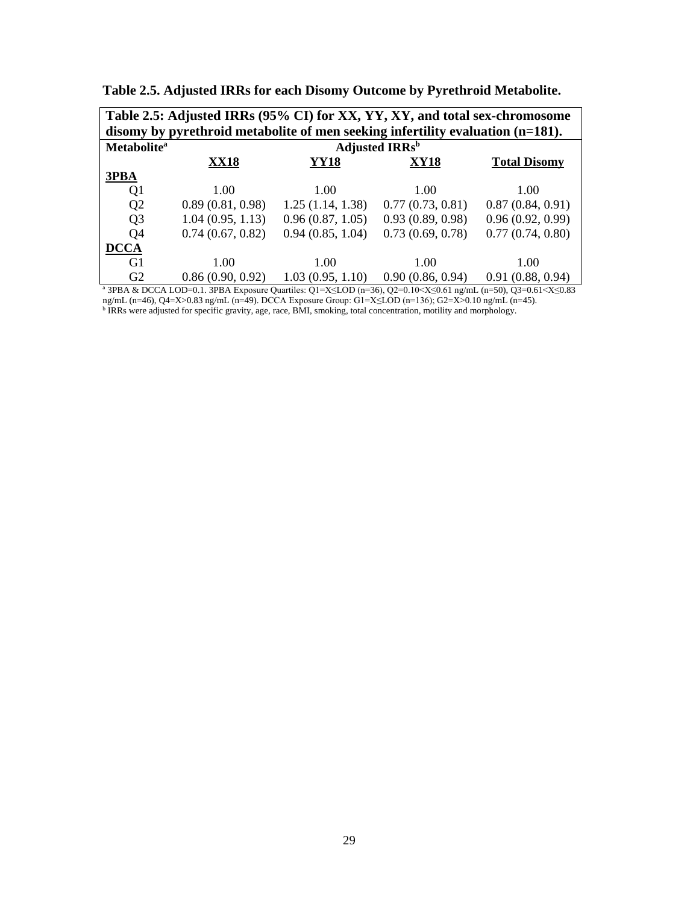| Table 2.5: Adjusted IRRs (95% CI) for XX, YY, XY, and total sex-chromosome        |                  |                                   |                  |                     |  |  |  |  |  |  |  |
|-----------------------------------------------------------------------------------|------------------|-----------------------------------|------------------|---------------------|--|--|--|--|--|--|--|
| disomy by pyrethroid metabolite of men seeking infertility evaluation $(n=181)$ . |                  |                                   |                  |                     |  |  |  |  |  |  |  |
| <b>Metabolite</b> <sup>a</sup>                                                    |                  | <b>Adjusted IRRs</b> <sup>b</sup> |                  |                     |  |  |  |  |  |  |  |
|                                                                                   | <b>XX18</b>      | <b>YY18</b>                       | <b>XY18</b>      | <b>Total Disomy</b> |  |  |  |  |  |  |  |
| 3PBA                                                                              |                  |                                   |                  |                     |  |  |  |  |  |  |  |
| Q1                                                                                | 1.00             | 1.00                              | 1.00             | 1.00                |  |  |  |  |  |  |  |
| Q <sub>2</sub>                                                                    | 0.89(0.81, 0.98) | 1.25(1.14, 1.38)                  | 0.77(0.73, 0.81) | 0.87(0.84, 0.91)    |  |  |  |  |  |  |  |
| Q <sub>3</sub>                                                                    | 1.04(0.95, 1.13) | 0.96(0.87, 1.05)                  | 0.93(0.89, 0.98) | 0.96(0.92, 0.99)    |  |  |  |  |  |  |  |
| O <sub>4</sub>                                                                    | 0.74(0.67, 0.82) | 0.94(0.85, 1.04)                  | 0.73(0.69, 0.78) | 0.77(0.74, 0.80)    |  |  |  |  |  |  |  |
| <b>DCCA</b>                                                                       |                  |                                   |                  |                     |  |  |  |  |  |  |  |
| G <sub>1</sub>                                                                    | 1.00             | 1.00                              | 1.00             | 1.00                |  |  |  |  |  |  |  |
| G <sub>2</sub>                                                                    | 0.86(0.90, 0.92) | 1.03(0.95, 1.10)                  | 0.90(0.86, 0.94) | 0.91(0.88, 0.94)    |  |  |  |  |  |  |  |

**Table 2.5. Adjusted IRRs for each Disomy Outcome by Pyrethroid Metabolite.**

<sup>a</sup> 3PBA & DCCA LOD=0.1. 3PBA Exposure Quartiles: Q1=X≤LOD (n=36), Q2=0.10<X≤0.61 ng/mL (n=50), Q3=0.61<X≤0.83 ng/mL (n=46), Q4=X>0.83 ng/mL (n=49). DCCA Exposure Group: G1=X≤LOD (n=136); G2=X>0.10 ng/mL (n=45).

<sup>b</sup> IRRs were adjusted for specific gravity, age, race, BMI, smoking, total concentration, motility and morphology.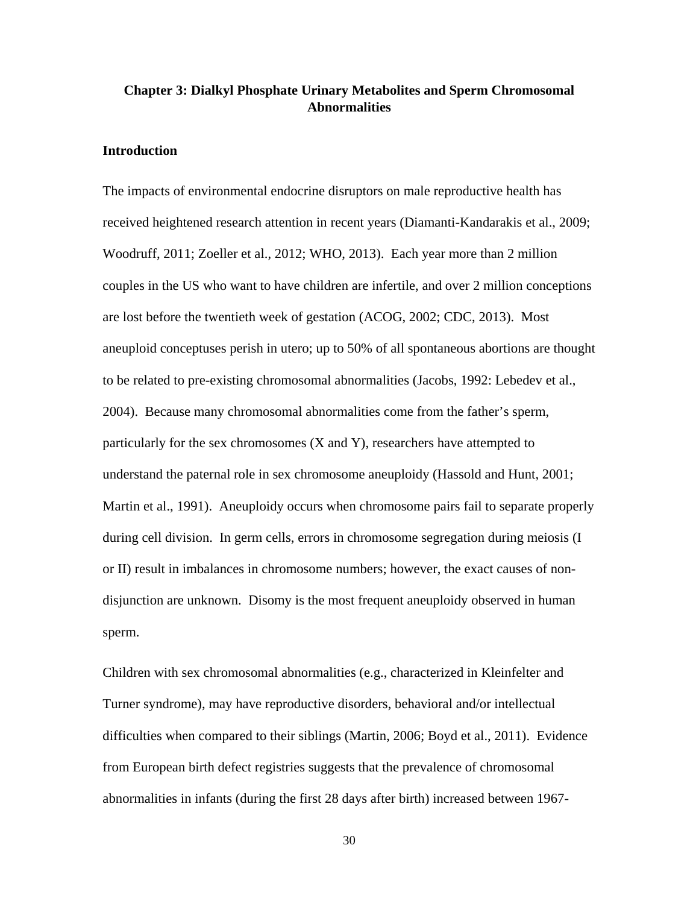# **Chapter 3: Dialkyl Phosphate Urinary Metabolites and Sperm Chromosomal Abnormalities**

# **Introduction**

The impacts of environmental endocrine disruptors on male reproductive health has received heightened research attention in recent years (Diamanti-Kandarakis et al., 2009; Woodruff, 2011; Zoeller et al., 2012; WHO, 2013). Each year more than 2 million couples in the US who want to have children are infertile, and over 2 million conceptions are lost before the twentieth week of gestation (ACOG, 2002; CDC, 2013). Most aneuploid conceptuses perish in utero; up to 50% of all spontaneous abortions are thought to be related to pre-existing chromosomal abnormalities (Jacobs, 1992: Lebedev et al., 2004). Because many chromosomal abnormalities come from the father's sperm, particularly for the sex chromosomes (X and Y), researchers have attempted to understand the paternal role in sex chromosome aneuploidy (Hassold and Hunt, 2001; Martin et al., 1991). Aneuploidy occurs when chromosome pairs fail to separate properly during cell division. In germ cells, errors in chromosome segregation during meiosis (I or II) result in imbalances in chromosome numbers; however, the exact causes of nondisjunction are unknown. Disomy is the most frequent aneuploidy observed in human sperm.

Children with sex chromosomal abnormalities (e.g., characterized in Kleinfelter and Turner syndrome), may have reproductive disorders, behavioral and/or intellectual difficulties when compared to their siblings (Martin, 2006; Boyd et al., 2011). Evidence from European birth defect registries suggests that the prevalence of chromosomal abnormalities in infants (during the first 28 days after birth) increased between 1967-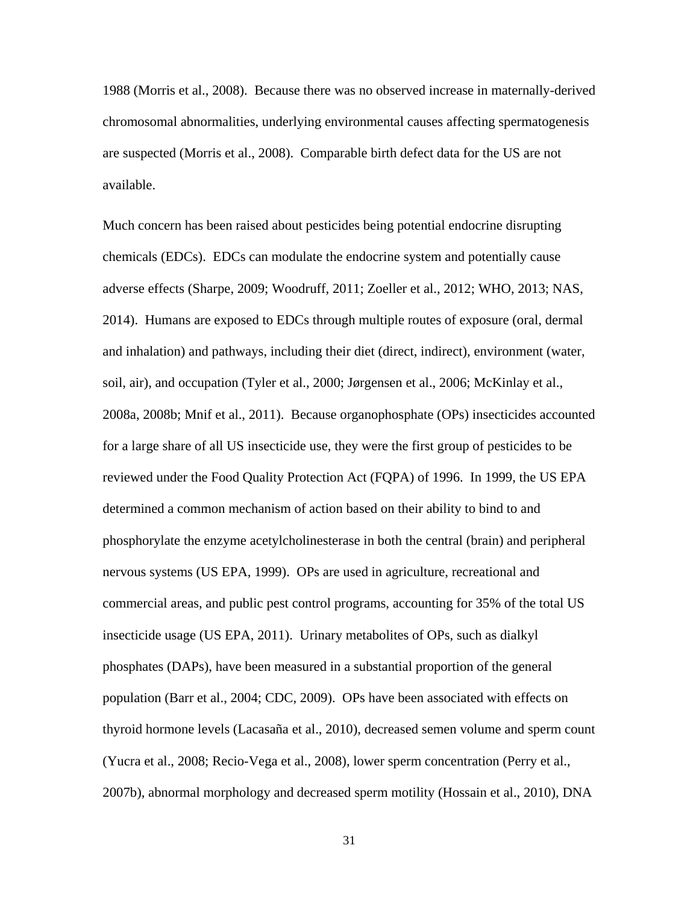1988 (Morris et al., 2008). Because there was no observed increase in maternally-derived chromosomal abnormalities, underlying environmental causes affecting spermatogenesis are suspected (Morris et al., 2008). Comparable birth defect data for the US are not available.

Much concern has been raised about pesticides being potential endocrine disrupting chemicals (EDCs). EDCs can modulate the endocrine system and potentially cause adverse effects (Sharpe, 2009; Woodruff, 2011; Zoeller et al., 2012; WHO, 2013; NAS, 2014). Humans are exposed to EDCs through multiple routes of exposure (oral, dermal and inhalation) and pathways, including their diet (direct, indirect), environment (water, soil, air), and occupation (Tyler et al., 2000; Jørgensen et al., 2006; McKinlay et al., 2008a, 2008b; Mnif et al., 2011). Because organophosphate (OPs) insecticides accounted for a large share of all US insecticide use, they were the first group of pesticides to be reviewed under the Food Quality Protection Act (FQPA) of 1996. In 1999, the US EPA determined a common mechanism of action based on their ability to bind to and phosphorylate the enzyme acetylcholinesterase in both the central (brain) and peripheral nervous systems (US EPA, 1999). OPs are used in agriculture, recreational and commercial areas, and public pest control programs, accounting for 35% of the total US insecticide usage (US EPA, 2011). Urinary metabolites of OPs, such as dialkyl phosphates (DAPs), have been measured in a substantial proportion of the general population (Barr et al., 2004; CDC, 2009). OPs have been associated with effects on thyroid hormone levels (Lacasaña et al., 2010), decreased semen volume and sperm count (Yucra et al., 2008; Recio-Vega et al., 2008), lower sperm concentration (Perry et al., 2007b), abnormal morphology and decreased sperm motility (Hossain et al., 2010), DNA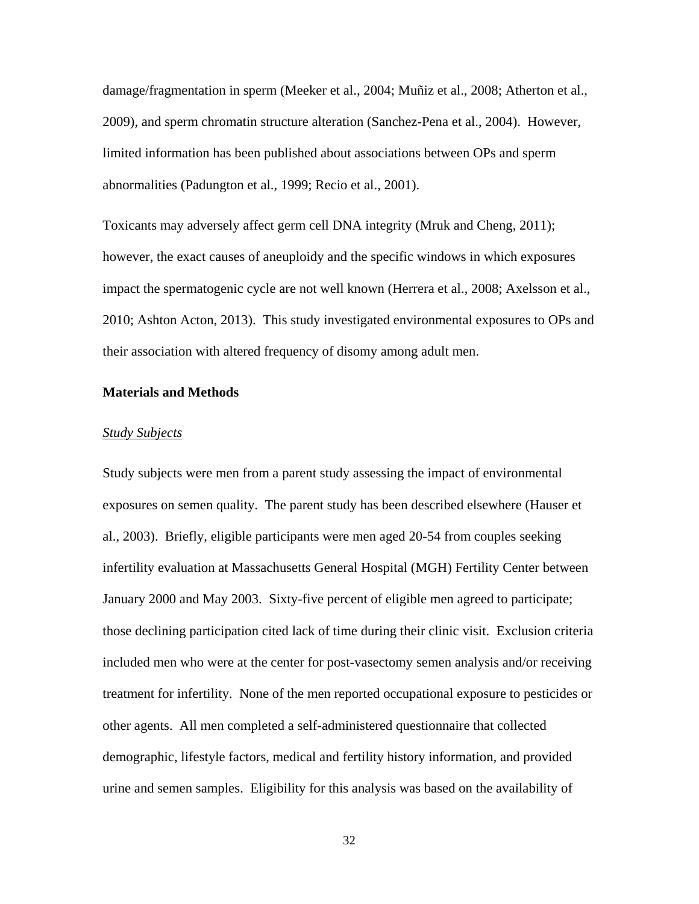damage/fragmentation in sperm (Meeker et al., 2004; Muñiz et al., 2008; Atherton et al., 2009), and sperm chromatin structure alteration (Sanchez-Pena et al., 2004). However, limited information has been published about associations between OPs and sperm abnormalities (Padungton et al., 1999; Recio et al., 2001).

Toxicants may adversely affect germ cell DNA integrity (Mruk and Cheng, 2011); however, the exact causes of aneuploidy and the specific windows in which exposures impact the spermatogenic cycle are not well known (Herrera et al., 2008; Axelsson et al., 2010; Ashton Acton, 2013). This study investigated environmental exposures to OPs and their association with altered frequency of disomy among adult men.

### **Materials and Methods**

#### *Study Subjects*

Study subjects were men from a parent study assessing the impact of environmental exposures on semen quality. The parent study has been described elsewhere (Hauser et al., 2003). Briefly, eligible participants were men aged 20-54 from couples seeking infertility evaluation at Massachusetts General Hospital (MGH) Fertility Center between January 2000 and May 2003. Sixty-five percent of eligible men agreed to participate; those declining participation cited lack of time during their clinic visit. Exclusion criteria included men who were at the center for post-vasectomy semen analysis and/or receiving treatment for infertility. None of the men reported occupational exposure to pesticides or other agents. All men completed a self-administered questionnaire that collected demographic, lifestyle factors, medical and fertility history information, and provided urine and semen samples. Eligibility for this analysis was based on the availability of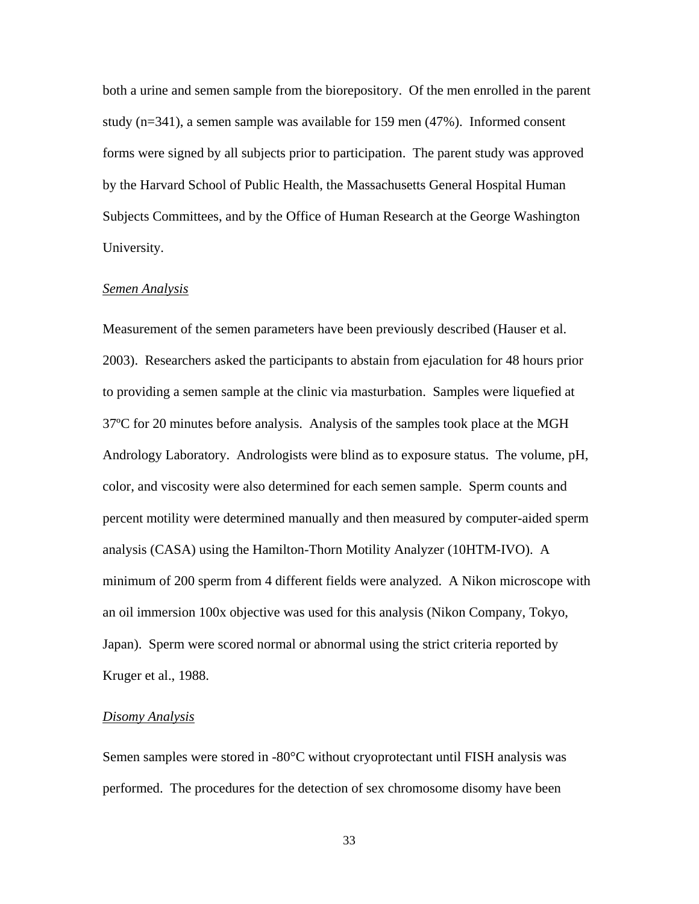both a urine and semen sample from the biorepository. Of the men enrolled in the parent study  $(n=341)$ , a semen sample was available for 159 men  $(47%)$ . Informed consent forms were signed by all subjects prior to participation. The parent study was approved by the Harvard School of Public Health, the Massachusetts General Hospital Human Subjects Committees, and by the Office of Human Research at the George Washington University.

#### *Semen Analysis*

Measurement of the semen parameters have been previously described (Hauser et al. 2003). Researchers asked the participants to abstain from ejaculation for 48 hours prior to providing a semen sample at the clinic via masturbation. Samples were liquefied at 37ºC for 20 minutes before analysis. Analysis of the samples took place at the MGH Andrology Laboratory. Andrologists were blind as to exposure status. The volume, pH, color, and viscosity were also determined for each semen sample. Sperm counts and percent motility were determined manually and then measured by computer-aided sperm analysis (CASA) using the Hamilton-Thorn Motility Analyzer (10HTM-IVO). A minimum of 200 sperm from 4 different fields were analyzed. A Nikon microscope with an oil immersion 100x objective was used for this analysis (Nikon Company, Tokyo, Japan). Sperm were scored normal or abnormal using the strict criteria reported by Kruger et al., 1988.

#### *Disomy Analysis*

Semen samples were stored in -80°C without cryoprotectant until FISH analysis was performed. The procedures for the detection of sex chromosome disomy have been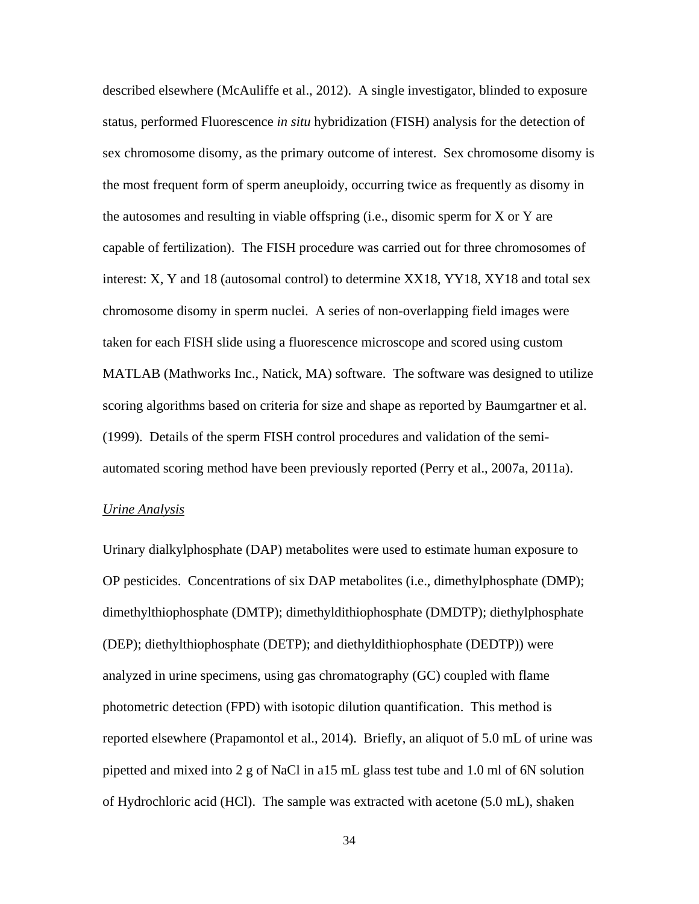described elsewhere (McAuliffe et al., 2012). A single investigator, blinded to exposure status, performed Fluorescence *in situ* hybridization (FISH) analysis for the detection of sex chromosome disomy, as the primary outcome of interest. Sex chromosome disomy is the most frequent form of sperm aneuploidy, occurring twice as frequently as disomy in the autosomes and resulting in viable offspring (i.e., disomic sperm for X or Y are capable of fertilization). The FISH procedure was carried out for three chromosomes of interest: X, Y and 18 (autosomal control) to determine XX18, YY18, XY18 and total sex chromosome disomy in sperm nuclei. A series of non-overlapping field images were taken for each FISH slide using a fluorescence microscope and scored using custom MATLAB (Mathworks Inc., Natick, MA) software. The software was designed to utilize scoring algorithms based on criteria for size and shape as reported by Baumgartner et al. (1999). Details of the sperm FISH control procedures and validation of the semiautomated scoring method have been previously reported (Perry et al., 2007a, 2011a).

#### *Urine Analysis*

Urinary dialkylphosphate (DAP) metabolites were used to estimate human exposure to OP pesticides. Concentrations of six DAP metabolites (i.e., dimethylphosphate (DMP); dimethylthiophosphate (DMTP); dimethyldithiophosphate (DMDTP); diethylphosphate (DEP); diethylthiophosphate (DETP); and diethyldithiophosphate (DEDTP)) were analyzed in urine specimens, using gas chromatography (GC) coupled with flame photometric detection (FPD) with isotopic dilution quantification. This method is reported elsewhere (Prapamontol et al., 2014). Briefly, an aliquot of 5.0 mL of urine was pipetted and mixed into 2 g of NaCl in a15 mL glass test tube and 1.0 ml of 6N solution of Hydrochloric acid (HCl). The sample was extracted with acetone (5.0 mL), shaken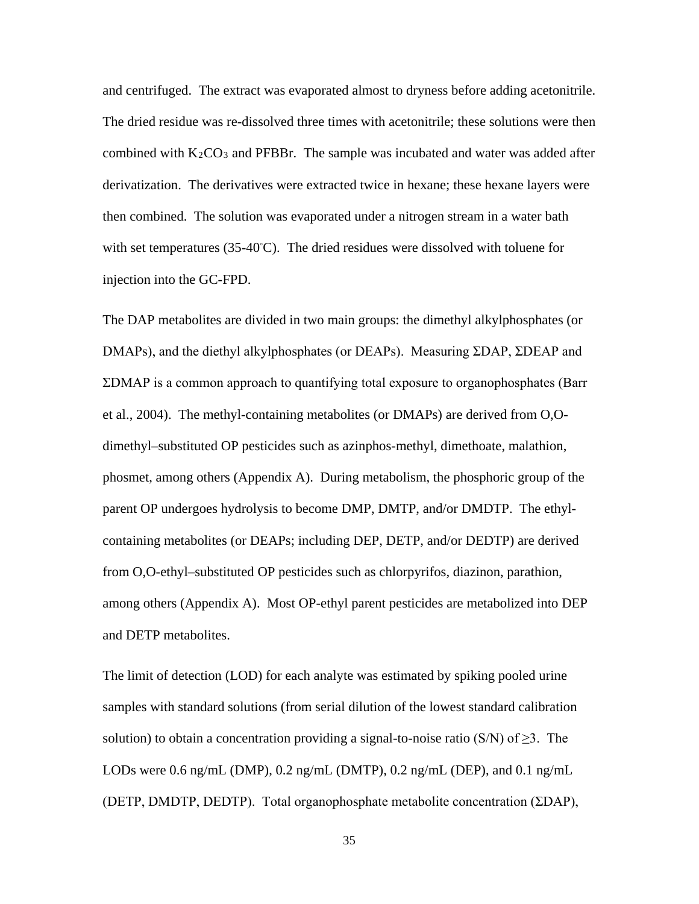and centrifuged. The extract was evaporated almost to dryness before adding acetonitrile. The dried residue was re-dissolved three times with acetonitrile; these solutions were then combined with  $K_2CO_3$  and PFBBr. The sample was incubated and water was added after derivatization. The derivatives were extracted twice in hexane; these hexane layers were then combined. The solution was evaporated under a nitrogen stream in a water bath with set temperatures (35-40℃). The dried residues were dissolved with toluene for injection into the GC-FPD.

The DAP metabolites are divided in two main groups: the dimethyl alkylphosphates (or DMAPs), and the diethyl alkylphosphates (or DEAPs). Measuring ΣDAP, ΣDEAP and ΣDMAP is a common approach to quantifying total exposure to organophosphates (Barr et al., 2004). The methyl-containing metabolites (or DMAPs) are derived from O,Odimethyl–substituted OP pesticides such as azinphos-methyl, dimethoate, malathion, phosmet, among others (Appendix A). During metabolism, the phosphoric group of the parent OP undergoes hydrolysis to become DMP, DMTP, and/or DMDTP. The ethylcontaining metabolites (or DEAPs; including DEP, DETP, and/or DEDTP) are derived from O,O-ethyl–substituted OP pesticides such as chlorpyrifos, diazinon, parathion, among others (Appendix A). Most OP-ethyl parent pesticides are metabolized into DEP and DETP metabolites.

The limit of detection (LOD) for each analyte was estimated by spiking pooled urine samples with standard solutions (from serial dilution of the lowest standard calibration solution) to obtain a concentration providing a signal-to-noise ratio (S/N) of  $\geq 3$ . The LODs were 0.6 ng/mL (DMP), 0.2 ng/mL (DMTP), 0.2 ng/mL (DEP), and 0.1 ng/mL (DETP, DMDTP, DEDTP). Total organophosphate metabolite concentration (ΣDAP),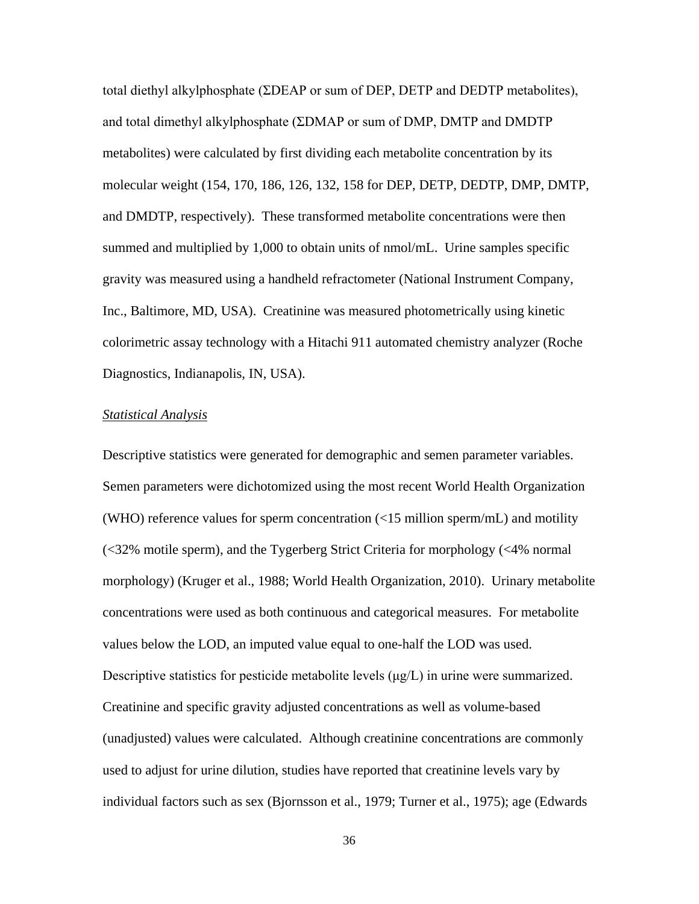total diethyl alkylphosphate (ΣDEAP or sum of DEP, DETP and DEDTP metabolites), and total dimethyl alkylphosphate (ΣDMAP or sum of DMP, DMTP and DMDTP metabolites) were calculated by first dividing each metabolite concentration by its molecular weight (154, 170, 186, 126, 132, 158 for DEP, DETP, DEDTP, DMP, DMTP, and DMDTP, respectively). These transformed metabolite concentrations were then summed and multiplied by 1,000 to obtain units of nmol/mL. Urine samples specific gravity was measured using a handheld refractometer (National Instrument Company, Inc., Baltimore, MD, USA). Creatinine was measured photometrically using kinetic colorimetric assay technology with a Hitachi 911 automated chemistry analyzer (Roche Diagnostics, Indianapolis, IN, USA).

# *Statistical Analysis*

Descriptive statistics were generated for demographic and semen parameter variables. Semen parameters were dichotomized using the most recent World Health Organization (WHO) reference values for sperm concentration (<15 million sperm/mL) and motility (<32% motile sperm), and the Tygerberg Strict Criteria for morphology (<4% normal morphology) (Kruger et al., 1988; World Health Organization, 2010). Urinary metabolite concentrations were used as both continuous and categorical measures. For metabolite values below the LOD, an imputed value equal to one-half the LOD was used. Descriptive statistics for pesticide metabolite levels  $(\mu g/L)$  in urine were summarized. Creatinine and specific gravity adjusted concentrations as well as volume-based (unadjusted) values were calculated. Although creatinine concentrations are commonly used to adjust for urine dilution, studies have reported that creatinine levels vary by individual factors such as sex (Bjornsson et al., 1979; Turner et al., 1975); age (Edwards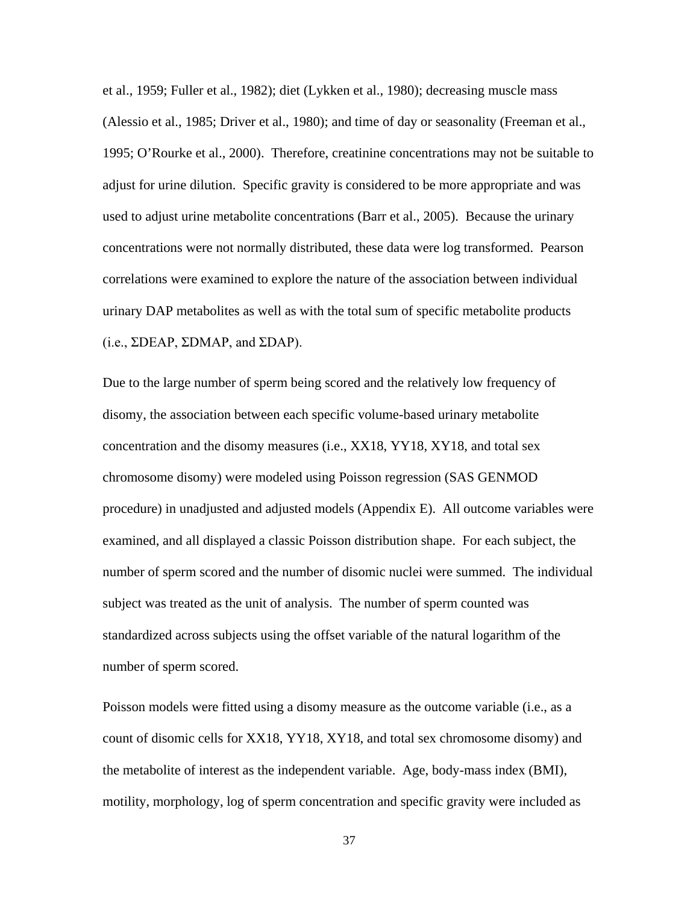et al., 1959; Fuller et al., 1982); diet (Lykken et al., 1980); decreasing muscle mass (Alessio et al., 1985; Driver et al., 1980); and time of day or seasonality (Freeman et al., 1995; O'Rourke et al., 2000). Therefore, creatinine concentrations may not be suitable to adjust for urine dilution. Specific gravity is considered to be more appropriate and was used to adjust urine metabolite concentrations (Barr et al., 2005). Because the urinary concentrations were not normally distributed, these data were log transformed. Pearson correlations were examined to explore the nature of the association between individual urinary DAP metabolites as well as with the total sum of specific metabolite products (i.e.,  $\Sigma DEAP$ ,  $\Sigma DMAP$ , and  $\Sigma DAP$ ).

Due to the large number of sperm being scored and the relatively low frequency of disomy, the association between each specific volume-based urinary metabolite concentration and the disomy measures (i.e., XX18, YY18, XY18, and total sex chromosome disomy) were modeled using Poisson regression (SAS GENMOD procedure) in unadjusted and adjusted models (Appendix E). All outcome variables were examined, and all displayed a classic Poisson distribution shape. For each subject, the number of sperm scored and the number of disomic nuclei were summed. The individual subject was treated as the unit of analysis. The number of sperm counted was standardized across subjects using the offset variable of the natural logarithm of the number of sperm scored.

Poisson models were fitted using a disomy measure as the outcome variable (i.e., as a count of disomic cells for XX18, YY18, XY18, and total sex chromosome disomy) and the metabolite of interest as the independent variable. Age, body-mass index (BMI), motility, morphology, log of sperm concentration and specific gravity were included as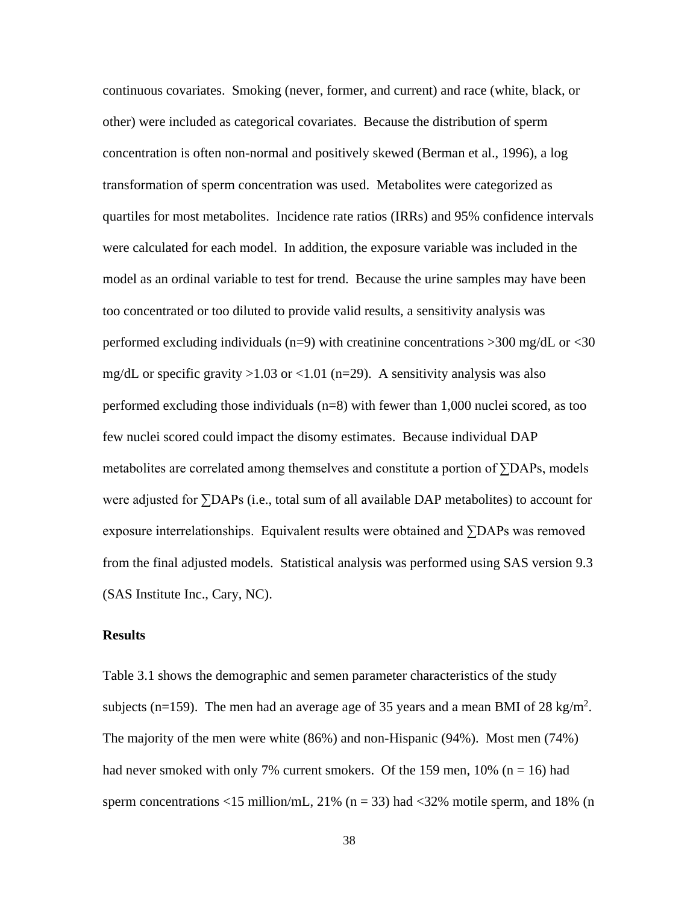continuous covariates. Smoking (never, former, and current) and race (white, black, or other) were included as categorical covariates. Because the distribution of sperm concentration is often non-normal and positively skewed (Berman et al., 1996), a log transformation of sperm concentration was used. Metabolites were categorized as quartiles for most metabolites. Incidence rate ratios (IRRs) and 95% confidence intervals were calculated for each model. In addition, the exposure variable was included in the model as an ordinal variable to test for trend. Because the urine samples may have been too concentrated or too diluted to provide valid results, a sensitivity analysis was performed excluding individuals (n=9) with creatinine concentrations >300 mg/dL or <30 mg/dL or specific gravity  $>1.03$  or  $<1.01$  (n=29). A sensitivity analysis was also performed excluding those individuals (n=8) with fewer than 1,000 nuclei scored, as too few nuclei scored could impact the disomy estimates. Because individual DAP metabolites are correlated among themselves and constitute a portion of ∑DAPs, models were adjusted for ∑DAPs (i.e., total sum of all available DAP metabolites) to account for exposure interrelationships. Equivalent results were obtained and ∑DAPs was removed from the final adjusted models. Statistical analysis was performed using SAS version 9.3 (SAS Institute Inc., Cary, NC).

# **Results**

Table 3.1 shows the demographic and semen parameter characteristics of the study subjects (n=159). The men had an average age of 35 years and a mean BMI of 28 kg/m<sup>2</sup>. The majority of the men were white (86%) and non-Hispanic (94%). Most men (74%) had never smoked with only 7% current smokers. Of the 159 men,  $10\%$  (n = 16) had sperm concentrations <15 million/mL, 21% ( $n = 33$ ) had <32% motile sperm, and 18% (n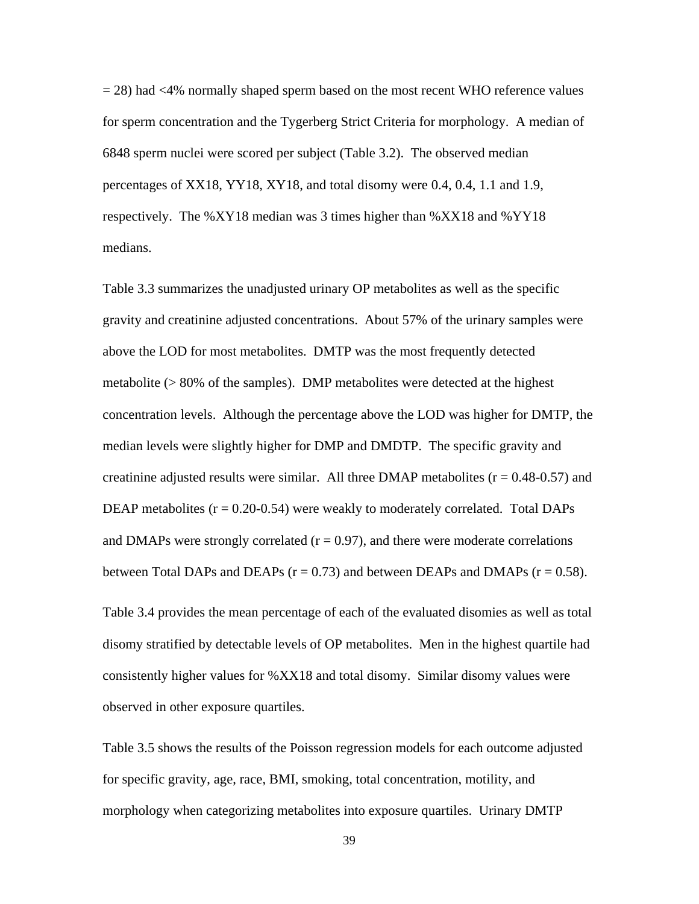= 28) had <4% normally shaped sperm based on the most recent WHO reference values for sperm concentration and the Tygerberg Strict Criteria for morphology. A median of 6848 sperm nuclei were scored per subject (Table 3.2). The observed median percentages of XX18, YY18, XY18, and total disomy were 0.4, 0.4, 1.1 and 1.9, respectively. The %XY18 median was 3 times higher than %XX18 and %YY18 medians.

Table 3.3 summarizes the unadjusted urinary OP metabolites as well as the specific gravity and creatinine adjusted concentrations. About 57% of the urinary samples were above the LOD for most metabolites. DMTP was the most frequently detected metabolite  $(> 80\%$  of the samples). DMP metabolites were detected at the highest concentration levels. Although the percentage above the LOD was higher for DMTP, the median levels were slightly higher for DMP and DMDTP. The specific gravity and creatinine adjusted results were similar. All three DMAP metabolites  $(r = 0.48 - 0.57)$  and DEAP metabolites  $(r = 0.20 - 0.54)$  were weakly to moderately correlated. Total DAPs and DMAPs were strongly correlated  $(r = 0.97)$ , and there were moderate correlations between Total DAPs and DEAPs  $(r = 0.73)$  and between DEAPs and DMAPs  $(r = 0.58)$ .

Table 3.4 provides the mean percentage of each of the evaluated disomies as well as total disomy stratified by detectable levels of OP metabolites. Men in the highest quartile had consistently higher values for %XX18 and total disomy. Similar disomy values were observed in other exposure quartiles.

Table 3.5 shows the results of the Poisson regression models for each outcome adjusted for specific gravity, age, race, BMI, smoking, total concentration, motility, and morphology when categorizing metabolites into exposure quartiles. Urinary DMTP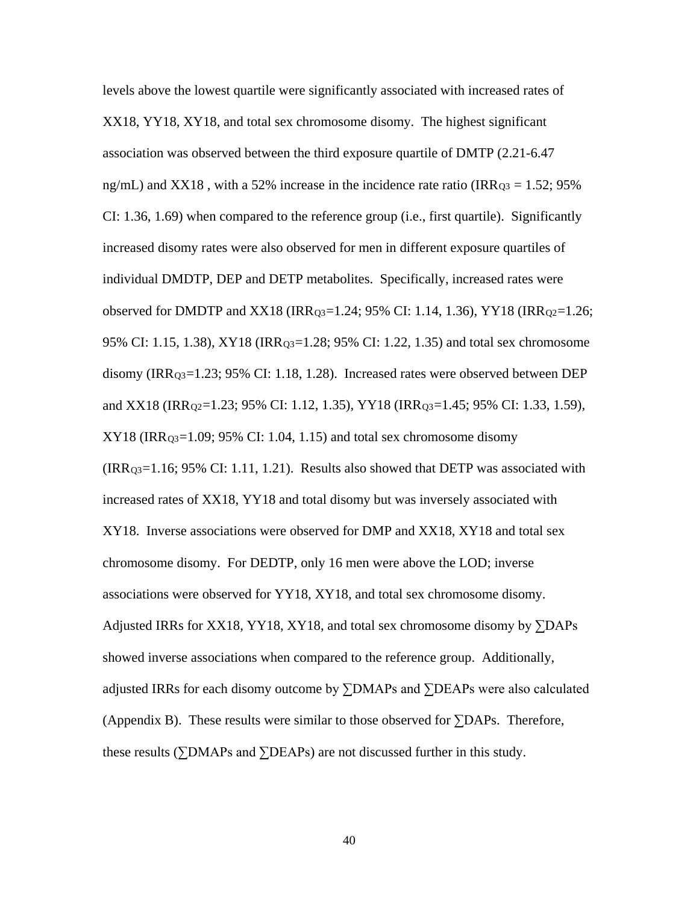levels above the lowest quartile were significantly associated with increased rates of XX18, YY18, XY18, and total sex chromosome disomy. The highest significant association was observed between the third exposure quartile of DMTP (2.21-6.47 ng/mL) and XX18, with a 52% increase in the incidence rate ratio (IRR $_{Q3} = 1.52$ ; 95% CI: 1.36, 1.69) when compared to the reference group (i.e., first quartile). Significantly increased disomy rates were also observed for men in different exposure quartiles of individual DMDTP, DEP and DETP metabolites. Specifically, increased rates were observed for DMDTP and XX18 (IRR $_{0.3}$ =1.24; 95% CI: 1.14, 1.36), YY18 (IRR $_{0.2}$ =1.26; 95% CI: 1.15, 1.38), XY18 (IRRQ3=1.28; 95% CI: 1.22, 1.35) and total sex chromosome disomy (IRR<sub>Q3</sub>=1.23; 95% CI: 1.18, 1.28). Increased rates were observed between DEP and XX18 (IRR<sub>02</sub>=1.23; 95% CI: 1.12, 1.35), YY18 (IRR<sub>03</sub>=1.45; 95% CI: 1.33, 1.59),  $XY18$  (IRR<sub>Q3</sub>=1.09; 95% CI: 1.04, 1.15) and total sex chromosome disomy (IRRQ3=1.16; 95% CI: 1.11, 1.21). Results also showed that DETP was associated with increased rates of XX18, YY18 and total disomy but was inversely associated with XY18. Inverse associations were observed for DMP and XX18, XY18 and total sex chromosome disomy. For DEDTP, only 16 men were above the LOD; inverse associations were observed for YY18, XY18, and total sex chromosome disomy. Adjusted IRRs for XX18, YY18, XY18, and total sex chromosome disomy by  $\Sigma$ DAPs showed inverse associations when compared to the reference group. Additionally, adjusted IRRs for each disomy outcome by ∑DMAPs and ∑DEAPs were also calculated (Appendix B). These results were similar to those observed for  $\Sigma$ DAPs. Therefore, these results (∑DMAPs and ∑DEAPs) are not discussed further in this study.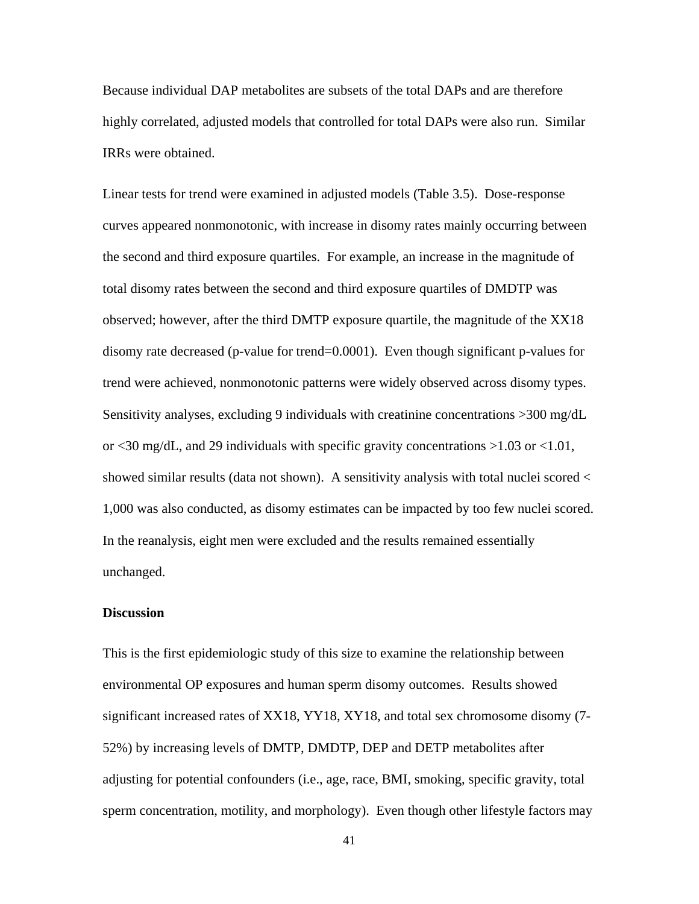Because individual DAP metabolites are subsets of the total DAPs and are therefore highly correlated, adjusted models that controlled for total DAPs were also run. Similar IRRs were obtained.

Linear tests for trend were examined in adjusted models (Table 3.5). Dose-response curves appeared nonmonotonic, with increase in disomy rates mainly occurring between the second and third exposure quartiles. For example, an increase in the magnitude of total disomy rates between the second and third exposure quartiles of DMDTP was observed; however, after the third DMTP exposure quartile, the magnitude of the XX18 disomy rate decreased (p-value for trend=0.0001). Even though significant p-values for trend were achieved, nonmonotonic patterns were widely observed across disomy types. Sensitivity analyses, excluding 9 individuals with creatinine concentrations >300 mg/dL or <30 mg/dL, and 29 individuals with specific gravity concentrations >1.03 or <1.01, showed similar results (data not shown). A sensitivity analysis with total nuclei scored < 1,000 was also conducted, as disomy estimates can be impacted by too few nuclei scored. In the reanalysis, eight men were excluded and the results remained essentially unchanged.

### **Discussion**

This is the first epidemiologic study of this size to examine the relationship between environmental OP exposures and human sperm disomy outcomes. Results showed significant increased rates of XX18, YY18, XY18, and total sex chromosome disomy (7- 52%) by increasing levels of DMTP, DMDTP, DEP and DETP metabolites after adjusting for potential confounders (i.e., age, race, BMI, smoking, specific gravity, total sperm concentration, motility, and morphology). Even though other lifestyle factors may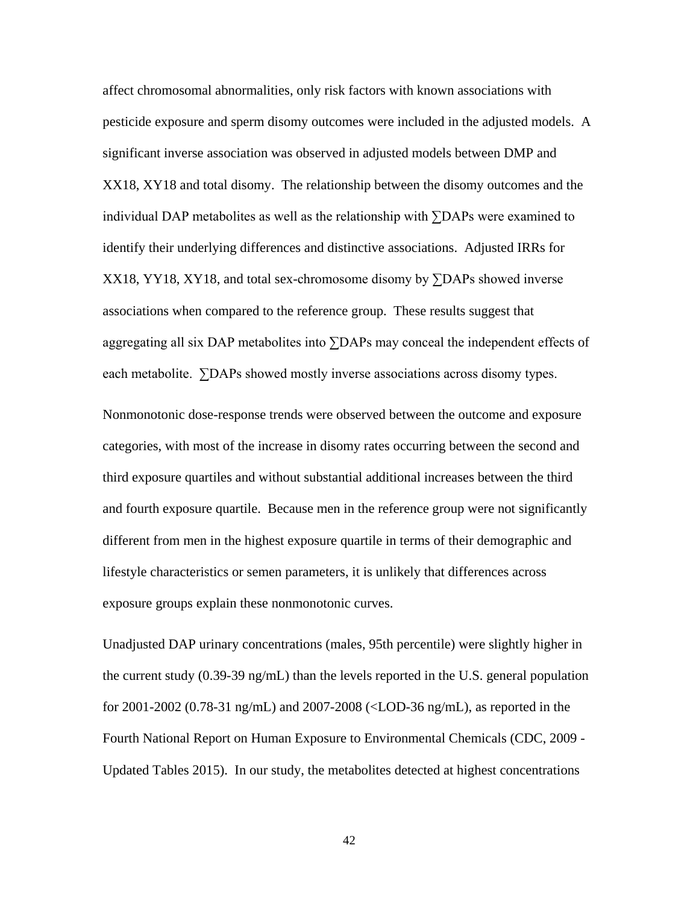affect chromosomal abnormalities, only risk factors with known associations with pesticide exposure and sperm disomy outcomes were included in the adjusted models. A significant inverse association was observed in adjusted models between DMP and XX18, XY18 and total disomy. The relationship between the disomy outcomes and the individual DAP metabolites as well as the relationship with ∑DAPs were examined to identify their underlying differences and distinctive associations. Adjusted IRRs for XX18, YY18, XY18, and total sex-chromosome disomy by ∑DAPs showed inverse associations when compared to the reference group. These results suggest that aggregating all six DAP metabolites into ∑DAPs may conceal the independent effects of each metabolite. ∑DAPs showed mostly inverse associations across disomy types.

Nonmonotonic dose-response trends were observed between the outcome and exposure categories, with most of the increase in disomy rates occurring between the second and third exposure quartiles and without substantial additional increases between the third and fourth exposure quartile. Because men in the reference group were not significantly different from men in the highest exposure quartile in terms of their demographic and lifestyle characteristics or semen parameters, it is unlikely that differences across exposure groups explain these nonmonotonic curves.

Unadjusted DAP urinary concentrations (males, 95th percentile) were slightly higher in the current study (0.39-39 ng/mL) than the levels reported in the U.S. general population for 2001-2002 (0.78-31 ng/mL) and 2007-2008 (<LOD-36 ng/mL), as reported in the Fourth National Report on Human Exposure to Environmental Chemicals (CDC, 2009 - Updated Tables 2015). In our study, the metabolites detected at highest concentrations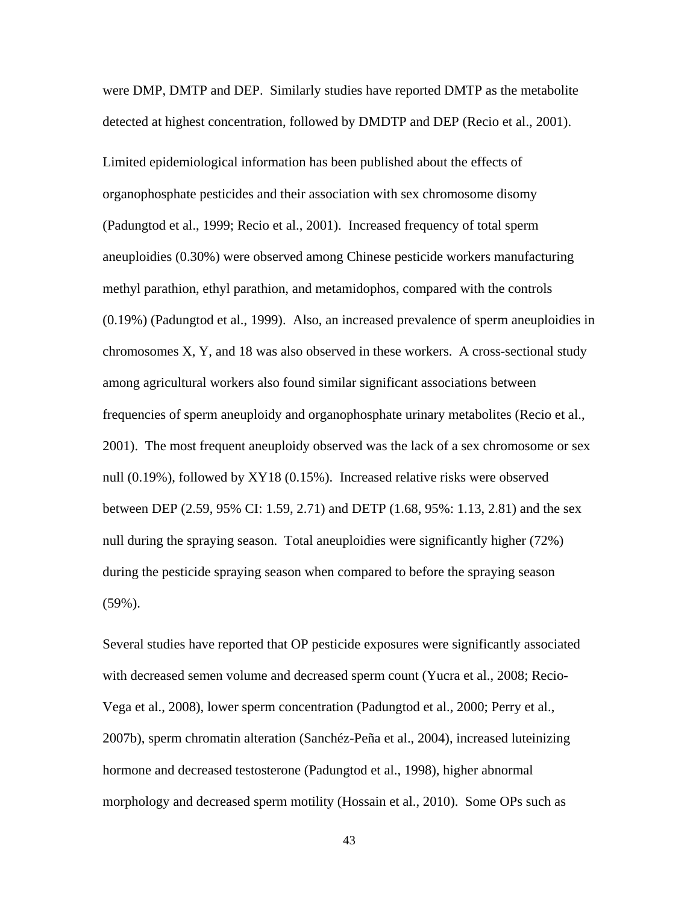were DMP, DMTP and DEP. Similarly studies have reported DMTP as the metabolite detected at highest concentration, followed by DMDTP and DEP (Recio et al., 2001). Limited epidemiological information has been published about the effects of organophosphate pesticides and their association with sex chromosome disomy (Padungtod et al., 1999; Recio et al., 2001). Increased frequency of total sperm aneuploidies (0.30%) were observed among Chinese pesticide workers manufacturing methyl parathion, ethyl parathion, and metamidophos, compared with the controls (0.19%) (Padungtod et al., 1999). Also, an increased prevalence of sperm aneuploidies in chromosomes X, Y, and 18 was also observed in these workers. A cross-sectional study among agricultural workers also found similar significant associations between frequencies of sperm aneuploidy and organophosphate urinary metabolites (Recio et al., 2001). The most frequent aneuploidy observed was the lack of a sex chromosome or sex null (0.19%), followed by XY18 (0.15%). Increased relative risks were observed between DEP (2.59, 95% CI: 1.59, 2.71) and DETP (1.68, 95%: 1.13, 2.81) and the sex null during the spraying season. Total aneuploidies were significantly higher (72%) during the pesticide spraying season when compared to before the spraying season (59%).

Several studies have reported that OP pesticide exposures were significantly associated with decreased semen volume and decreased sperm count (Yucra et al., 2008; Recio-Vega et al., 2008), lower sperm concentration (Padungtod et al., 2000; Perry et al., 2007b), sperm chromatin alteration (Sanchéz-Peña et al., 2004), increased luteinizing hormone and decreased testosterone (Padungtod et al., 1998), higher abnormal morphology and decreased sperm motility (Hossain et al., 2010). Some OPs such as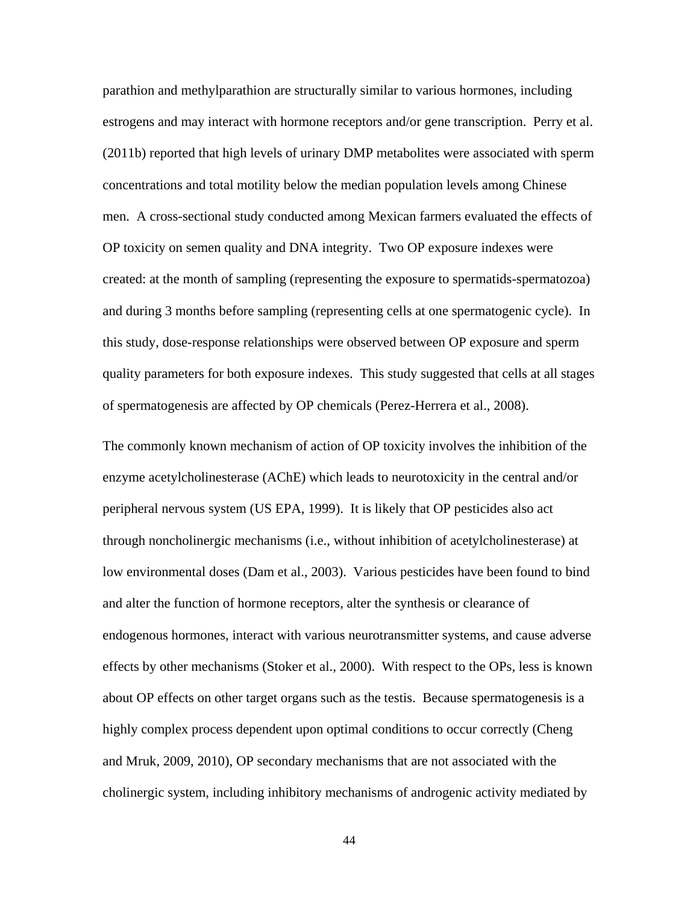parathion and methylparathion are structurally similar to various hormones, including estrogens and may interact with hormone receptors and/or gene transcription. Perry et al. (2011b) reported that high levels of urinary DMP metabolites were associated with sperm concentrations and total motility below the median population levels among Chinese men. A cross-sectional study conducted among Mexican farmers evaluated the effects of OP toxicity on semen quality and DNA integrity. Two OP exposure indexes were created: at the month of sampling (representing the exposure to spermatids-spermatozoa) and during 3 months before sampling (representing cells at one spermatogenic cycle). In this study, dose-response relationships were observed between OP exposure and sperm quality parameters for both exposure indexes. This study suggested that cells at all stages of spermatogenesis are affected by OP chemicals (Perez-Herrera et al., 2008).

The commonly known mechanism of action of OP toxicity involves the inhibition of the enzyme acetylcholinesterase (AChE) which leads to neurotoxicity in the central and/or peripheral nervous system (US EPA, 1999). It is likely that OP pesticides also act through noncholinergic mechanisms (i.e., without inhibition of acetylcholinesterase) at low environmental doses (Dam et al., 2003). Various pesticides have been found to bind and alter the function of hormone receptors, alter the synthesis or clearance of endogenous hormones, interact with various neurotransmitter systems, and cause adverse effects by other mechanisms (Stoker et al., 2000). With respect to the OPs, less is known about OP effects on other target organs such as the testis. Because spermatogenesis is a highly complex process dependent upon optimal conditions to occur correctly (Cheng and Mruk, 2009, 2010), OP secondary mechanisms that are not associated with the cholinergic system, including inhibitory mechanisms of androgenic activity mediated by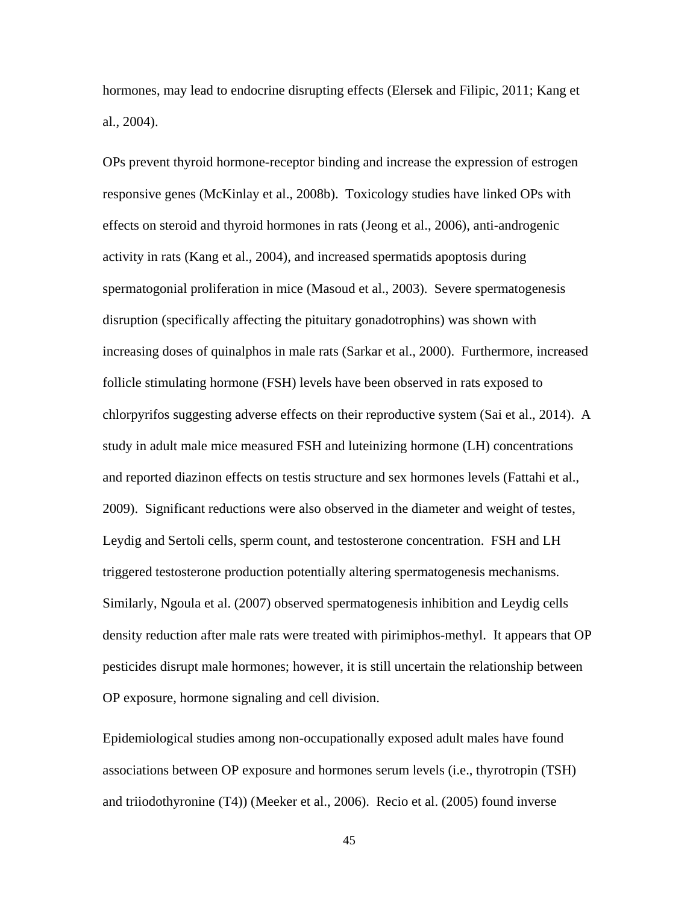hormones, may lead to endocrine disrupting effects (Elersek and Filipic, 2011; Kang et al., 2004).

OPs prevent thyroid hormone-receptor binding and increase the expression of estrogen responsive genes (McKinlay et al., 2008b). Toxicology studies have linked OPs with effects on steroid and thyroid hormones in rats (Jeong et al., 2006), anti-androgenic activity in rats (Kang et al., 2004), and increased spermatids apoptosis during spermatogonial proliferation in mice (Masoud et al., 2003). Severe spermatogenesis disruption (specifically affecting the pituitary gonadotrophins) was shown with increasing doses of quinalphos in male rats (Sarkar et al., 2000). Furthermore, increased follicle stimulating hormone (FSH) levels have been observed in rats exposed to chlorpyrifos suggesting adverse effects on their reproductive system (Sai et al., 2014). A study in adult male mice measured FSH and luteinizing hormone (LH) concentrations and reported diazinon effects on testis structure and sex hormones levels (Fattahi et al., 2009). Significant reductions were also observed in the diameter and weight of testes, Leydig and Sertoli cells, sperm count, and testosterone concentration. FSH and LH triggered testosterone production potentially altering spermatogenesis mechanisms. Similarly, Ngoula et al. (2007) observed spermatogenesis inhibition and Leydig cells density reduction after male rats were treated with pirimiphos-methyl. It appears that OP pesticides disrupt male hormones; however, it is still uncertain the relationship between OP exposure, hormone signaling and cell division.

Epidemiological studies among non-occupationally exposed adult males have found associations between OP exposure and hormones serum levels (i.e., thyrotropin (TSH) and triiodothyronine (T4)) (Meeker et al., 2006). Recio et al. (2005) found inverse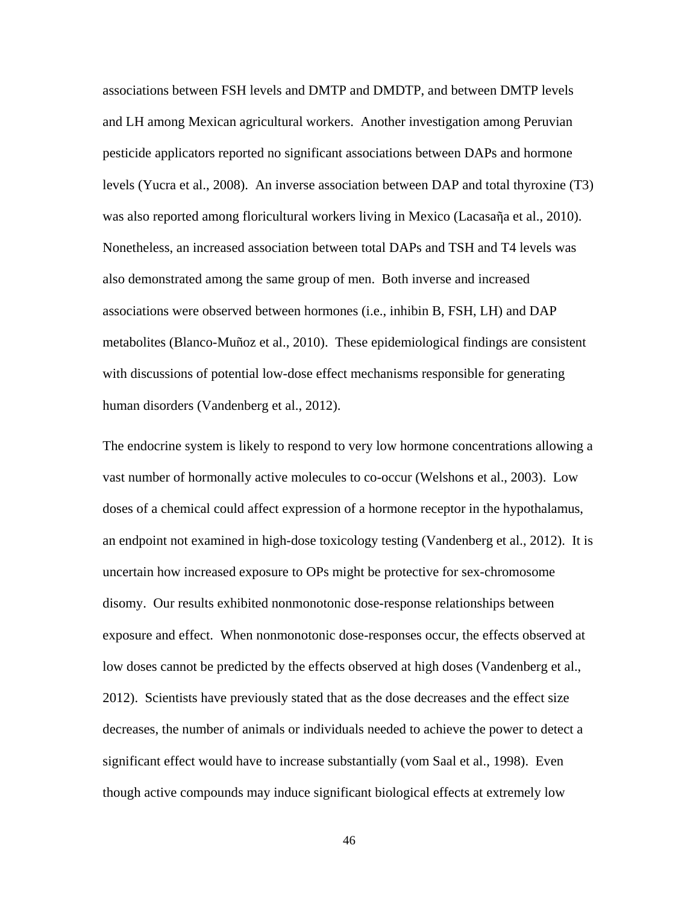associations between FSH levels and DMTP and DMDTP, and between DMTP levels and LH among Mexican agricultural workers. Another investigation among Peruvian pesticide applicators reported no significant associations between DAPs and hormone levels (Yucra et al., 2008). An inverse association between DAP and total thyroxine (T3) was also reported among floricultural workers living in Mexico (Lacasaῆa et al., 2010). Nonetheless, an increased association between total DAPs and TSH and T4 levels was also demonstrated among the same group of men. Both inverse and increased associations were observed between hormones (i.e., inhibin B, FSH, LH) and DAP metabolites (Blanco-Muñoz et al., 2010). These epidemiological findings are consistent with discussions of potential low-dose effect mechanisms responsible for generating human disorders (Vandenberg et al., 2012).

The endocrine system is likely to respond to very low hormone concentrations allowing a vast number of hormonally active molecules to co-occur (Welshons et al., 2003). Low doses of a chemical could affect expression of a hormone receptor in the hypothalamus, an endpoint not examined in high-dose toxicology testing (Vandenberg et al., 2012). It is uncertain how increased exposure to OPs might be protective for sex-chromosome disomy. Our results exhibited nonmonotonic dose-response relationships between exposure and effect. When nonmonotonic dose-responses occur, the effects observed at low doses cannot be predicted by the effects observed at high doses (Vandenberg et al., 2012). Scientists have previously stated that as the dose decreases and the effect size decreases, the number of animals or individuals needed to achieve the power to detect a significant effect would have to increase substantially (vom Saal et al., 1998). Even though active compounds may induce significant biological effects at extremely low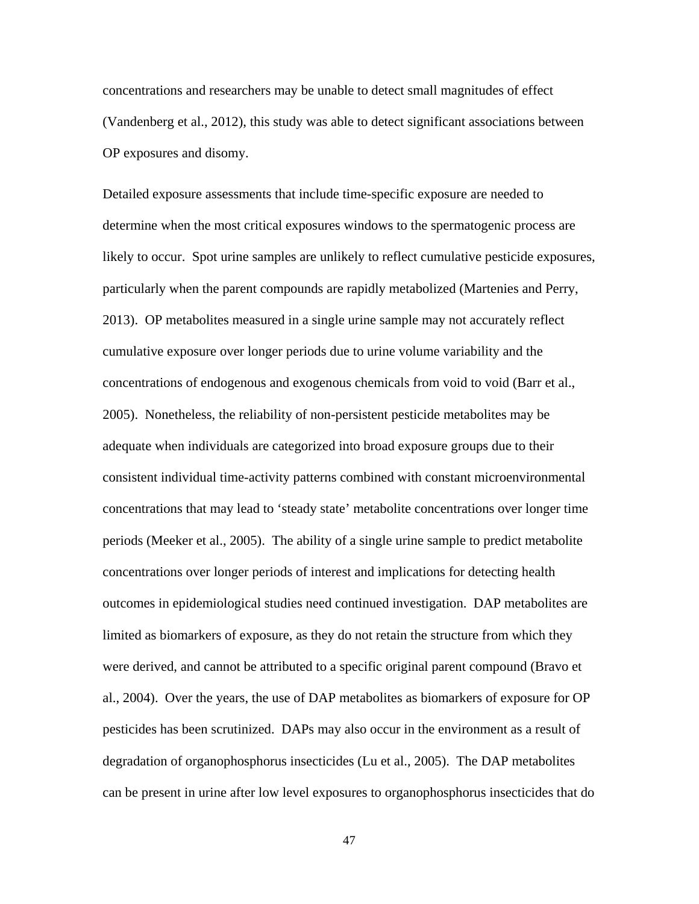concentrations and researchers may be unable to detect small magnitudes of effect (Vandenberg et al., 2012), this study was able to detect significant associations between OP exposures and disomy.

Detailed exposure assessments that include time-specific exposure are needed to determine when the most critical exposures windows to the spermatogenic process are likely to occur. Spot urine samples are unlikely to reflect cumulative pesticide exposures, particularly when the parent compounds are rapidly metabolized (Martenies and Perry, 2013). OP metabolites measured in a single urine sample may not accurately reflect cumulative exposure over longer periods due to urine volume variability and the concentrations of endogenous and exogenous chemicals from void to void (Barr et al., 2005). Nonetheless, the reliability of non-persistent pesticide metabolites may be adequate when individuals are categorized into broad exposure groups due to their consistent individual time-activity patterns combined with constant microenvironmental concentrations that may lead to 'steady state' metabolite concentrations over longer time periods (Meeker et al., 2005). The ability of a single urine sample to predict metabolite concentrations over longer periods of interest and implications for detecting health outcomes in epidemiological studies need continued investigation. DAP metabolites are limited as biomarkers of exposure, as they do not retain the structure from which they were derived, and cannot be attributed to a specific original parent compound (Bravo et al., 2004). Over the years, the use of DAP metabolites as biomarkers of exposure for OP pesticides has been scrutinized. DAPs may also occur in the environment as a result of degradation of organophosphorus insecticides (Lu et al., 2005). The DAP metabolites can be present in urine after low level exposures to organophosphorus insecticides that do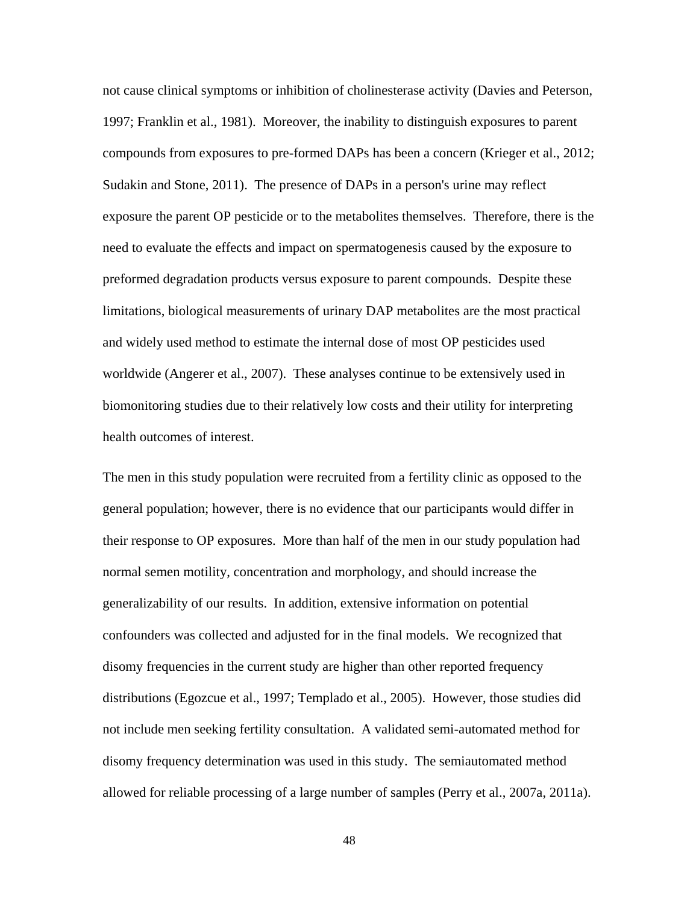not cause clinical symptoms or inhibition of cholinesterase activity (Davies and Peterson, 1997; Franklin et al., 1981). Moreover, the inability to distinguish exposures to parent compounds from exposures to pre-formed DAPs has been a concern (Krieger et al., 2012; Sudakin and Stone, 2011). The presence of DAPs in a person's urine may reflect exposure the parent OP pesticide or to the metabolites themselves. Therefore, there is the need to evaluate the effects and impact on spermatogenesis caused by the exposure to preformed degradation products versus exposure to parent compounds. Despite these limitations, biological measurements of urinary DAP metabolites are the most practical and widely used method to estimate the internal dose of most OP pesticides used worldwide (Angerer et al., 2007). These analyses continue to be extensively used in biomonitoring studies due to their relatively low costs and their utility for interpreting health outcomes of interest.

The men in this study population were recruited from a fertility clinic as opposed to the general population; however, there is no evidence that our participants would differ in their response to OP exposures. More than half of the men in our study population had normal semen motility, concentration and morphology, and should increase the generalizability of our results. In addition, extensive information on potential confounders was collected and adjusted for in the final models. We recognized that disomy frequencies in the current study are higher than other reported frequency distributions (Egozcue et al., 1997; Templado et al., 2005). However, those studies did not include men seeking fertility consultation. A validated semi-automated method for disomy frequency determination was used in this study. The semiautomated method allowed for reliable processing of a large number of samples (Perry et al., 2007a, 2011a).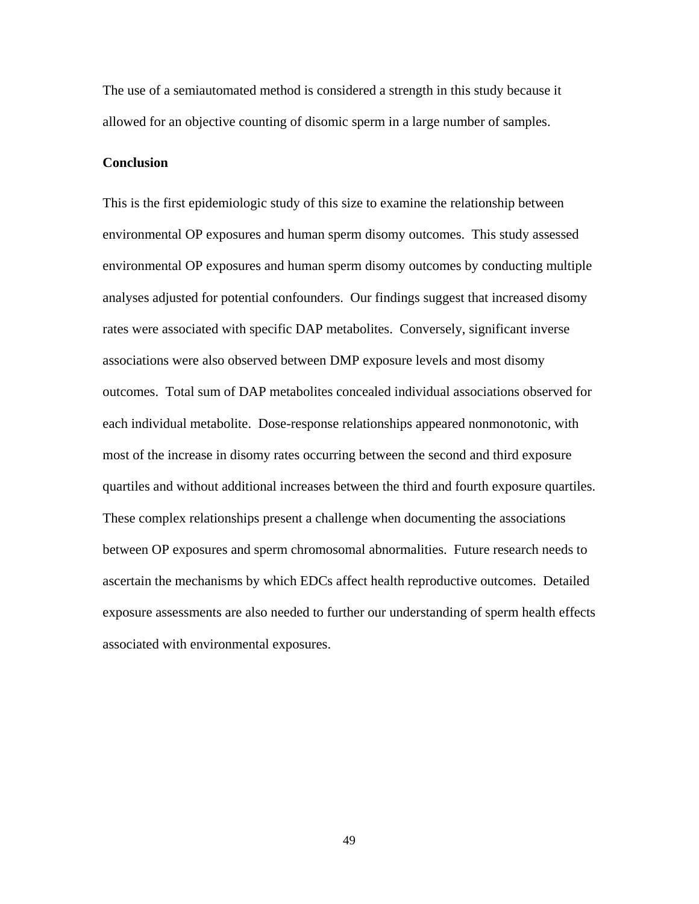The use of a semiautomated method is considered a strength in this study because it allowed for an objective counting of disomic sperm in a large number of samples.

# **Conclusion**

This is the first epidemiologic study of this size to examine the relationship between environmental OP exposures and human sperm disomy outcomes. This study assessed environmental OP exposures and human sperm disomy outcomes by conducting multiple analyses adjusted for potential confounders. Our findings suggest that increased disomy rates were associated with specific DAP metabolites. Conversely, significant inverse associations were also observed between DMP exposure levels and most disomy outcomes. Total sum of DAP metabolites concealed individual associations observed for each individual metabolite. Dose-response relationships appeared nonmonotonic, with most of the increase in disomy rates occurring between the second and third exposure quartiles and without additional increases between the third and fourth exposure quartiles. These complex relationships present a challenge when documenting the associations between OP exposures and sperm chromosomal abnormalities. Future research needs to ascertain the mechanisms by which EDCs affect health reproductive outcomes. Detailed exposure assessments are also needed to further our understanding of sperm health effects associated with environmental exposures.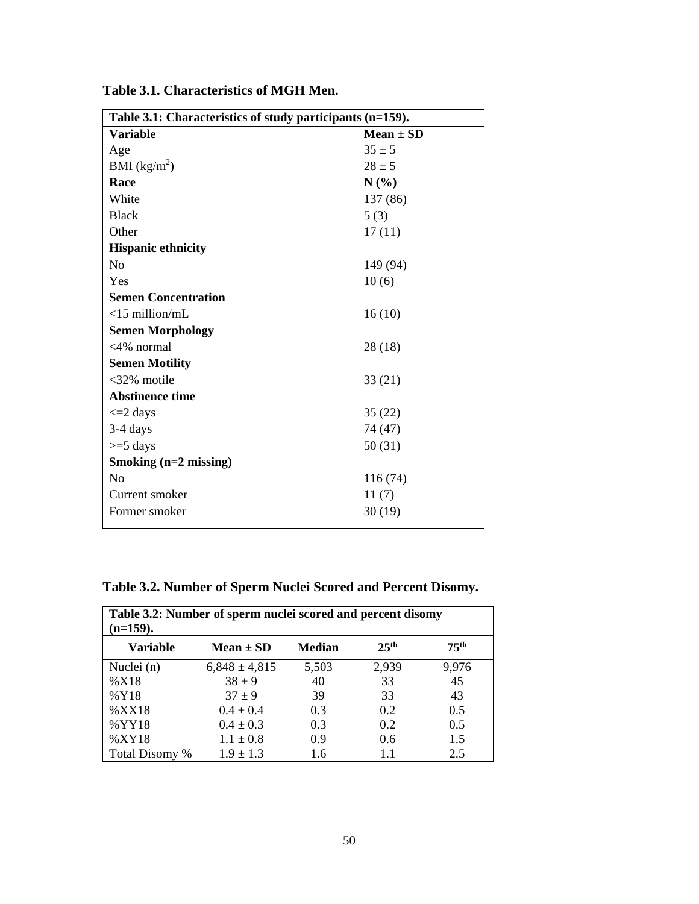| Table 3.1: Characteristics of study participants (n=159). |               |  |  |  |  |  |
|-----------------------------------------------------------|---------------|--|--|--|--|--|
| <b>Variable</b>                                           | $Mean \pm SD$ |  |  |  |  |  |
| Age                                                       | $35 \pm 5$    |  |  |  |  |  |
| BMI $(kg/m^2)$                                            | $28 \pm 5$    |  |  |  |  |  |
| Race                                                      | N(%)          |  |  |  |  |  |
| White                                                     | 137 (86)      |  |  |  |  |  |
| <b>Black</b>                                              | 5(3)          |  |  |  |  |  |
| Other                                                     | 17(11)        |  |  |  |  |  |
| <b>Hispanic ethnicity</b>                                 |               |  |  |  |  |  |
| N <sub>0</sub>                                            | 149 (94)      |  |  |  |  |  |
| Yes                                                       | 10(6)         |  |  |  |  |  |
| <b>Semen Concentration</b>                                |               |  |  |  |  |  |
| $<$ 15 million/mL                                         | 16(10)        |  |  |  |  |  |
| <b>Semen Morphology</b>                                   |               |  |  |  |  |  |
| $<4\%$ normal                                             | 28(18)        |  |  |  |  |  |
| <b>Semen Motility</b>                                     |               |  |  |  |  |  |
| $<32\%$ motile                                            | 33(21)        |  |  |  |  |  |
| <b>Abstinence time</b>                                    |               |  |  |  |  |  |
| $\leq$ 2 days                                             | 35(22)        |  |  |  |  |  |
| $3-4$ days                                                | 74 (47)       |  |  |  |  |  |
| $>=$ 5 days                                               | 50(31)        |  |  |  |  |  |
| Smoking $(n=2 \text{ missing})$                           |               |  |  |  |  |  |
| N <sub>0</sub>                                            | 116 (74)      |  |  |  |  |  |
| Current smoker                                            | 11(7)         |  |  |  |  |  |
| Former smoker                                             | 30(19)        |  |  |  |  |  |
|                                                           |               |  |  |  |  |  |

**Table 3.1. Characteristics of MGH Men.**

|  |  |  |  |  |  | Table 3.2. Number of Sperm Nuclei Scored and Percent Disomy. |  |  |  |  |  |  |  |  |  |
|--|--|--|--|--|--|--------------------------------------------------------------|--|--|--|--|--|--|--|--|--|
|  |  |  |  |  |  |                                                              |  |  |  |  |  |  |  |  |  |

| Table 3.2: Number of sperm nuclei scored and percent disomy<br>$(n=159).$ |                   |               |                  |                  |  |  |  |  |
|---------------------------------------------------------------------------|-------------------|---------------|------------------|------------------|--|--|--|--|
| <b>Variable</b>                                                           | Mean $\pm$ SD     | <b>Median</b> | 25 <sup>th</sup> | 75 <sup>th</sup> |  |  |  |  |
| Nuclei (n)                                                                | $6,848 \pm 4,815$ | 5,503         | 2,939            | 9,976            |  |  |  |  |
| %X18                                                                      | $38 \pm 9$        | 40            | 33               | 45               |  |  |  |  |
| %Y18                                                                      | $37 + 9$          | 39            | 33               | 43               |  |  |  |  |
| %XX18                                                                     | $0.4 \pm 0.4$     | 0.3           | 0.2              | 0.5              |  |  |  |  |
| %YY18                                                                     | $0.4 \pm 0.3$     | 0.3           | 0.2              | 0.5              |  |  |  |  |
| %XY18                                                                     | $1.1 \pm 0.8$     | 0.9           | 0.6              | 1.5              |  |  |  |  |
| Total Disomy %                                                            | $1.9 \pm 1.3$     | 1.6           | 1.1              | 2.5              |  |  |  |  |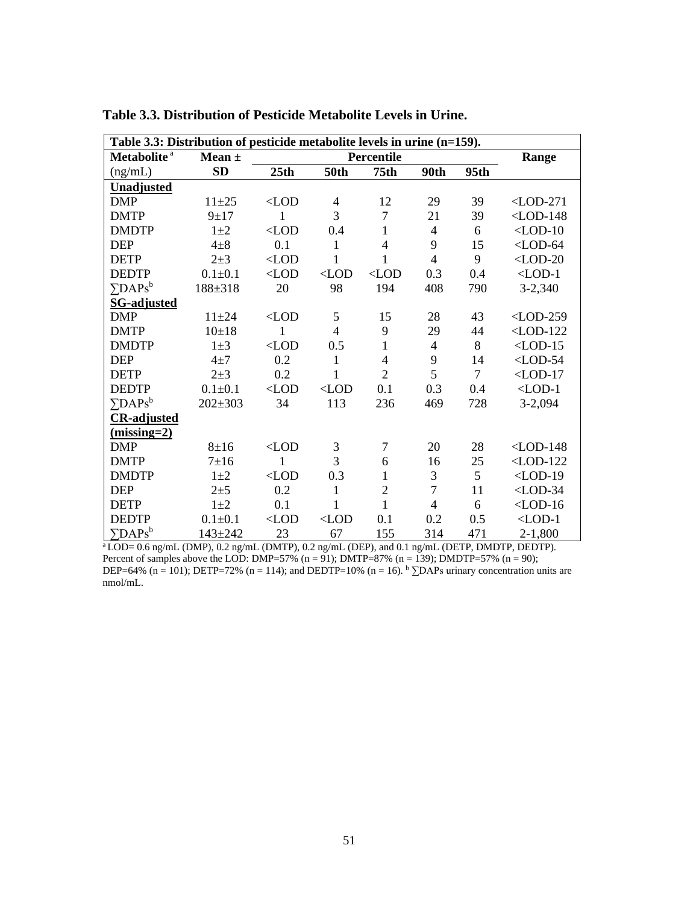| Table 3.3: Distribution of pesticide metabolite levels in urine (n=159). |             |               |                |                  |                |                |             |  |
|--------------------------------------------------------------------------|-------------|---------------|----------------|------------------|----------------|----------------|-------------|--|
| Metabolite <sup>a</sup>                                                  | Mean $\pm$  |               |                | Percentile       |                |                | Range       |  |
| (ng/mL)                                                                  | <b>SD</b>   | 25th          | <b>50th</b>    | 75 <sub>th</sub> | 90th           | 95th           |             |  |
| <b>Unadjusted</b>                                                        |             |               |                |                  |                |                |             |  |
| <b>DMP</b>                                                               | $11 + 25$   | $<$ LOD       | $\overline{4}$ | 12               | 29             | 39             | $<$ LOD-271 |  |
| <b>DMTP</b>                                                              | $9 + 17$    | $\mathbf{1}$  | 3              | $\overline{7}$   | 21             | 39             | $<$ LOD-148 |  |
| <b>DMDTP</b>                                                             | $1\pm 2$    | $\langle$ LOD | 0.4            | $\mathbf{1}$     | $\overline{4}$ | 6              | $<$ LOD-10  |  |
| <b>DEP</b>                                                               | $4\pm 8$    | 0.1           | $\mathbf{1}$   | $\overline{4}$   | 9              | 15             | $<$ LOD-64  |  |
| <b>DETP</b>                                                              | $2 + 3$     | $<$ LOD       | $\mathbf{1}$   | $\mathbf{1}$     | $\overline{4}$ | 9              | $<$ LOD-20  |  |
| <b>DEDTP</b>                                                             | $0.1 + 0.1$ | $<$ LOD       | $<$ LOD        | $<$ LOD          | 0.3            | 0.4            | $<$ LOD-1   |  |
| $\Sigma$ DAPs <sup>b</sup>                                               | 188±318     | 20            | 98             | 194              | 408            | 790            | $3 - 2,340$ |  |
| <b>SG-adjusted</b>                                                       |             |               |                |                  |                |                |             |  |
| <b>DMP</b>                                                               | $11 + 24$   | $\langle$ LOD | 5              | 15               | 28             | 43             | $<$ LOD-259 |  |
| <b>DMTP</b>                                                              | $10+18$     | 1             | $\overline{4}$ | 9                | 29             | 44             | $<$ LOD-122 |  |
| <b>DMDTP</b>                                                             | $1\pm3$     | $<$ LOD       | 0.5            | $\mathbf{1}$     | $\overline{4}$ | 8              | $<$ LOD-15  |  |
| <b>DEP</b>                                                               | $4+7$       | 0.2           | 1              | $\overline{4}$   | 9              | 14             | $<$ LOD-54  |  |
| <b>DETP</b>                                                              | $2 + 3$     | 0.2           | $\mathbf{1}$   | $\overline{2}$   | 5              | $\overline{7}$ | $<$ LOD-17  |  |
| <b>DEDTP</b>                                                             | $0.1 + 0.1$ | $<$ LOD       | $<$ LOD        | 0.1              | 0.3            | 0.4            | $<$ LOD-1   |  |
| $\Sigma$ DAPs <sup>b</sup>                                               | $202 + 303$ | 34            | 113            | 236              | 469            | 728            | $3-2,094$   |  |
| <b>CR-adjusted</b>                                                       |             |               |                |                  |                |                |             |  |
| $(missing=2)$                                                            |             |               |                |                  |                |                |             |  |
| <b>DMP</b>                                                               | $8 + 16$    | $\langle$ LOD | $\mathfrak{Z}$ | $\overline{7}$   | 20             | 28             | $<$ LOD-148 |  |
| <b>DMTP</b>                                                              | $7\pm16$    | 1             | 3              | 6                | 16             | 25             | $<$ LOD-122 |  |
| <b>DMDTP</b>                                                             | $1\pm 2$    | $<$ LOD       | 0.3            | $\mathbf{1}$     | 3              | 5              | $<$ LOD-19  |  |
| <b>DEP</b>                                                               | $2 + 5$     | 0.2           | $\mathbf{1}$   | $\overline{c}$   | $\overline{7}$ | 11             | $<$ LOD-34  |  |
| <b>DETP</b>                                                              | $1\pm 2$    | 0.1           | 1              | $\mathbf{1}$     | $\overline{4}$ | 6              | $<$ LOD-16  |  |
| <b>DEDTP</b>                                                             | $0.1 + 0.1$ | $<$ LOD       | $<$ LOD        | 0.1              | 0.2            | 0.5            | $<$ LOD-1   |  |
| $\Sigma$ DAPs <sup>b</sup>                                               | $143 + 242$ | 23            | 67             | 155              | 314            | 471            | $2-1,800$   |  |

**Table 3.3. Distribution of Pesticide Metabolite Levels in Urine.**

 $a$  LOD= 0.6 ng/mL (DMP), 0.2 ng/mL (DMTP), 0.2 ng/mL (DEP), and 0.1 ng/mL (DETP, DMDTP, DEDTP). Percent of samples above the LOD: DMP=57% (n = 91); DMTP=87% (n = 139); DMDTP=57% (n = 90); DEP=64% (n = 101); DETP=72% (n = 114); and DEDTP=10% (n = 16).  $\frac{b}{2}$ DAPs urinary concentration units are nmol/mL.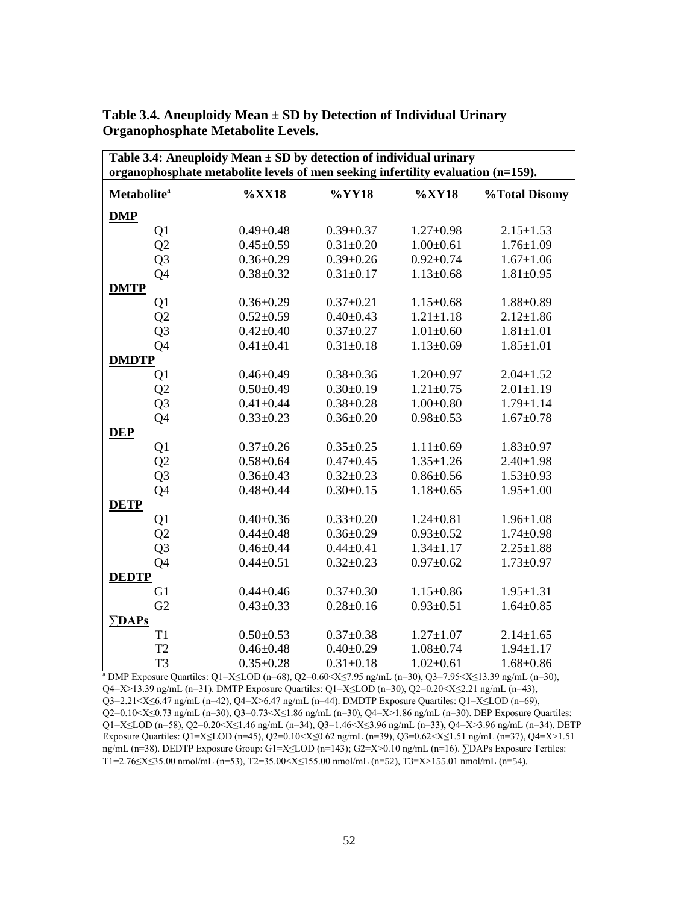| Table 3.4: Aneuploidy Mean $\pm$ SD by detection of individual urinary<br>organophosphate metabolite levels of men seeking infertility evaluation (n=159). |                 |                 |                 |                 |  |  |  |  |  |  |
|------------------------------------------------------------------------------------------------------------------------------------------------------------|-----------------|-----------------|-----------------|-----------------|--|--|--|--|--|--|
| Metabolite <sup>a</sup>                                                                                                                                    | $\%XX18$        | %YY18           | $\%XY18$        | %Total Disomy   |  |  |  |  |  |  |
|                                                                                                                                                            |                 |                 |                 |                 |  |  |  |  |  |  |
| <b>DMP</b>                                                                                                                                                 |                 |                 |                 |                 |  |  |  |  |  |  |
| Q1                                                                                                                                                         | $0.49 \pm 0.48$ | $0.39 \pm 0.37$ | $1.27 \pm 0.98$ | $2.15 \pm 1.53$ |  |  |  |  |  |  |
| Q2                                                                                                                                                         | $0.45 \pm 0.59$ | $0.31 \pm 0.20$ | $1.00 \pm 0.61$ | $1.76 \pm 1.09$ |  |  |  |  |  |  |
| Q <sub>3</sub>                                                                                                                                             | $0.36 \pm 0.29$ | $0.39 \pm 0.26$ | $0.92 \pm 0.74$ | $1.67 \pm 1.06$ |  |  |  |  |  |  |
| Q4                                                                                                                                                         | $0.38 + 0.32$   | $0.31 \pm 0.17$ | $1.13 \pm 0.68$ | $1.81 \pm 0.95$ |  |  |  |  |  |  |
| <b>DMTP</b>                                                                                                                                                |                 |                 |                 |                 |  |  |  |  |  |  |
| Q1                                                                                                                                                         | $0.36 \pm 0.29$ | $0.37 \pm 0.21$ | $1.15 \pm 0.68$ | $1.88 + 0.89$   |  |  |  |  |  |  |
| Q2                                                                                                                                                         | $0.52 \pm 0.59$ | $0.40 \pm 0.43$ | $1.21 \pm 1.18$ | $2.12 \pm 1.86$ |  |  |  |  |  |  |
| Q <sub>3</sub>                                                                                                                                             | $0.42 \pm 0.40$ | $0.37 \pm 0.27$ | $1.01 \pm 0.60$ | $1.81 \pm 1.01$ |  |  |  |  |  |  |
| Q4                                                                                                                                                         | $0.41 + 0.41$   | $0.31 \pm 0.18$ | $1.13 \pm 0.69$ | $1.85 \pm 1.01$ |  |  |  |  |  |  |
| <b>DMDTP</b>                                                                                                                                               |                 |                 |                 |                 |  |  |  |  |  |  |
| Q1                                                                                                                                                         | $0.46 \pm 0.49$ | $0.38 \pm 0.36$ | $1.20 \pm 0.97$ | $2.04 \pm 1.52$ |  |  |  |  |  |  |
| Q2                                                                                                                                                         | $0.50 \pm 0.49$ | $0.30 \pm 0.19$ | $1.21 \pm 0.75$ | $2.01 \pm 1.19$ |  |  |  |  |  |  |
| Q <sub>3</sub>                                                                                                                                             | $0.41 \pm 0.44$ | $0.38 \pm 0.28$ | $1.00 \pm 0.80$ | $1.79 \pm 1.14$ |  |  |  |  |  |  |
| Q4                                                                                                                                                         | $0.33 \pm 0.23$ | $0.36 \pm 0.20$ | $0.98 \pm 0.53$ | $1.67 \pm 0.78$ |  |  |  |  |  |  |
| <b>DEP</b>                                                                                                                                                 |                 |                 |                 |                 |  |  |  |  |  |  |
| Q1                                                                                                                                                         | $0.37 \pm 0.26$ | $0.35 \pm 0.25$ | $1.11 \pm 0.69$ | $1.83 \pm 0.97$ |  |  |  |  |  |  |
| Q2                                                                                                                                                         | $0.58 \pm 0.64$ | $0.47 + 0.45$   | $1.35 \pm 1.26$ | $2.40 \pm 1.98$ |  |  |  |  |  |  |
| Q <sub>3</sub>                                                                                                                                             | $0.36 \pm 0.43$ | $0.32 \pm 0.23$ | $0.86 \pm 0.56$ | $1.53 \pm 0.93$ |  |  |  |  |  |  |
| Q4                                                                                                                                                         | $0.48 + 0.44$   | $0.30 \pm 0.15$ | $1.18 + 0.65$   | $1.95 \pm 1.00$ |  |  |  |  |  |  |
| <b>DETP</b>                                                                                                                                                |                 |                 |                 |                 |  |  |  |  |  |  |
| Q1                                                                                                                                                         | $0.40 \pm 0.36$ | $0.33 \pm 0.20$ | $1.24 \pm 0.81$ | $1.96 \pm 1.08$ |  |  |  |  |  |  |
| Q2                                                                                                                                                         | $0.44 \pm 0.48$ | $0.36 \pm 0.29$ | $0.93 \pm 0.52$ | $1.74 \pm 0.98$ |  |  |  |  |  |  |
| Q <sub>3</sub>                                                                                                                                             | $0.46 \pm 0.44$ | $0.44 \pm 0.41$ | $1.34 \pm 1.17$ | $2.25 \pm 1.88$ |  |  |  |  |  |  |
| Q4                                                                                                                                                         | $0.44 \pm 0.51$ | $0.32 \pm 0.23$ | $0.97 + 0.62$   | $1.73 \pm 0.97$ |  |  |  |  |  |  |
| <b>DEDTP</b>                                                                                                                                               |                 |                 |                 |                 |  |  |  |  |  |  |
| G1                                                                                                                                                         | $0.44 \pm 0.46$ | $0.37 \pm 0.30$ | $1.15 \pm 0.86$ | $1.95 \pm 1.31$ |  |  |  |  |  |  |
| G2                                                                                                                                                         | $0.43 \pm 0.33$ | $0.28 \pm 0.16$ | $0.93 \pm 0.51$ | $1.64 \pm 0.85$ |  |  |  |  |  |  |
| $\Sigma$ DAPs                                                                                                                                              |                 |                 |                 |                 |  |  |  |  |  |  |
| T1                                                                                                                                                         | $0.50 \pm 0.53$ | $0.37 \pm 0.38$ | $1.27 \pm 1.07$ | $2.14 \pm 1.65$ |  |  |  |  |  |  |
| T <sub>2</sub>                                                                                                                                             | $0.46 \pm 0.48$ | $0.40 \pm 0.29$ | $1.08 + 0.74$   | $1.94 \pm 1.17$ |  |  |  |  |  |  |
| T <sub>3</sub>                                                                                                                                             | $0.35 \pm 0.28$ | $0.31 \pm 0.18$ | $1.02 \pm 0.61$ | $1.68 \pm 0.86$ |  |  |  |  |  |  |

**Table 3.4. Aneuploidy Mean ± SD by Detection of Individual Urinary Organophosphate Metabolite Levels.**

<sup>a</sup> DMP Exposure Quartiles: Q1=X≤LOD (n=68), Q2=0.60<X≤7.95 ng/mL (n=30), Q3=7.95<X≤13.39 ng/mL (n=30), Q4=X>13.39 ng/mL (n=31). DMTP Exposure Quartiles: Q1=X≤LOD (n=30), Q2=0.20<X≤2.21 ng/mL (n=43), Q3=2.21<X≤6.47 ng/mL (n=42), Q4=X>6.47 ng/mL (n=44). DMDTP Exposure Quartiles: Q1=X≤LOD (n=69), Q2=0.10<X≤0.73 ng/mL (n=30), Q3=0.73<X≤1.86 ng/mL (n=30), Q4=X>1.86 ng/mL (n=30). DEP Exposure Quartiles: Q1=X≤LOD (n=58), Q2=0.20<X≤1.46 ng/mL (n=34), Q3=1.46<X≤3.96 ng/mL (n=33), Q4=X>3.96 ng/mL (n=34). DETP Exposure Quartiles: Q1=X≤LOD (n=45), Q2=0.10<X≤0.62 ng/mL (n=39), Q3=0.62<X≤1.51 ng/mL (n=37), Q4=X>1.51 ng/mL (n=38). DEDTP Exposure Group: G1=X≤LOD (n=143); G2=X>0.10 ng/mL (n=16). ∑DAPs Exposure Tertiles: T1=2.76≤X≤35.00 nmol/mL (n=53), T2=35.00<X≤155.00 nmol/mL (n=52), T3=X>155.01 nmol/mL (n=54).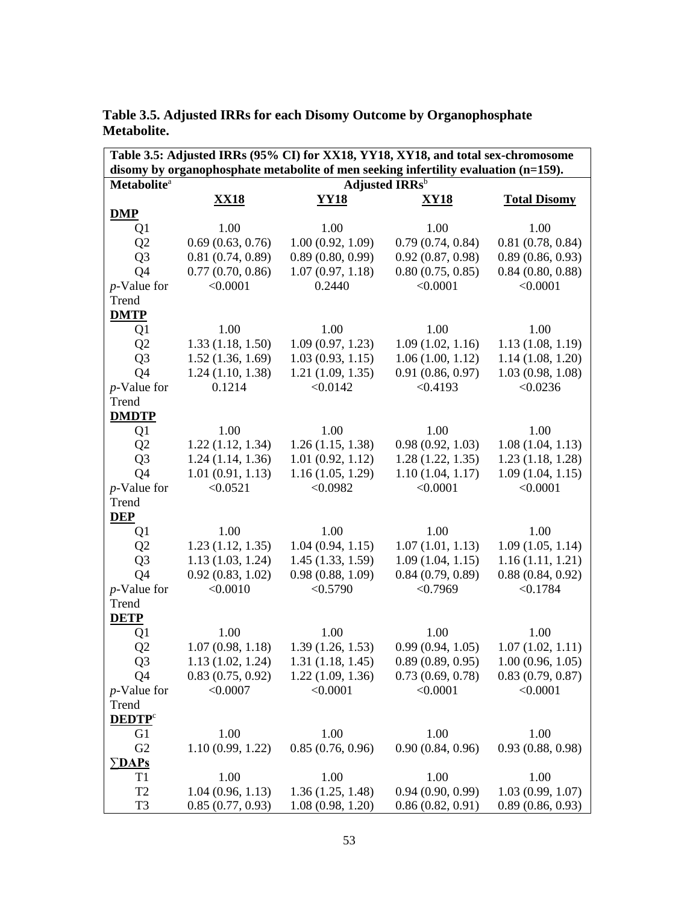| Table 3.5: Adjusted IRRs (95% CI) for XX18, YY18, XY18, and total sex-chromosome |                  |                                       |                                                                                     |                                       |  |  |  |  |  |
|----------------------------------------------------------------------------------|------------------|---------------------------------------|-------------------------------------------------------------------------------------|---------------------------------------|--|--|--|--|--|
|                                                                                  |                  |                                       | disomy by organophosphate metabolite of men seeking infertility evaluation (n=159). |                                       |  |  |  |  |  |
| <b>Metabolite</b> <sup>a</sup>                                                   |                  |                                       | Adjusted IRRs <sup>b</sup>                                                          |                                       |  |  |  |  |  |
|                                                                                  | <b>XX18</b>      | <u>YY18</u>                           | <u>XY18</u>                                                                         | <b>Total Disomy</b>                   |  |  |  |  |  |
| <b>DMP</b>                                                                       |                  |                                       |                                                                                     |                                       |  |  |  |  |  |
| Q <sub>1</sub>                                                                   | 1.00             | 1.00                                  | 1.00                                                                                | 1.00                                  |  |  |  |  |  |
| Q <sub>2</sub>                                                                   | 0.69(0.63, 0.76) | 1.00(0.92, 1.09)                      | 0.79(0.74, 0.84)                                                                    | 0.81(0.78, 0.84)                      |  |  |  |  |  |
| Q <sub>3</sub>                                                                   | 0.81(0.74, 0.89) | 0.89(0.80, 0.99)                      | 0.92(0.87, 0.98)                                                                    | 0.89(0.86, 0.93)                      |  |  |  |  |  |
| Q <sub>4</sub>                                                                   | 0.77(0.70, 0.86) | 1.07(0.97, 1.18)                      | 0.80(0.75, 0.85)                                                                    | 0.84(0.80, 0.88)                      |  |  |  |  |  |
| $p$ -Value for                                                                   | < 0.0001         | 0.2440                                | < 0.0001                                                                            | < 0.0001                              |  |  |  |  |  |
| Trend                                                                            |                  |                                       |                                                                                     |                                       |  |  |  |  |  |
| <b>DMTP</b>                                                                      |                  |                                       |                                                                                     |                                       |  |  |  |  |  |
| Q1                                                                               | 1.00             | 1.00                                  | 1.00                                                                                | 1.00                                  |  |  |  |  |  |
| Q2                                                                               | 1.33(1.18, 1.50) | 1.09(0.97, 1.23)                      | 1.09(1.02, 1.16)                                                                    | 1.13(1.08, 1.19)                      |  |  |  |  |  |
| Q <sub>3</sub>                                                                   | 1.52(1.36, 1.69) | 1.03(0.93, 1.15)                      | 1.06(1.00, 1.12)                                                                    | 1.14(1.08, 1.20)                      |  |  |  |  |  |
| Q <sub>4</sub>                                                                   | 1.24(1.10, 1.38) | 1.21(1.09, 1.35)                      | 0.91(0.86, 0.97)                                                                    | 1.03(0.98, 1.08)                      |  |  |  |  |  |
| $p$ -Value for                                                                   | 0.1214           | < 0.0142                              | < 0.4193                                                                            | < 0.0236                              |  |  |  |  |  |
| Trend                                                                            |                  |                                       |                                                                                     |                                       |  |  |  |  |  |
| <b>DMDTP</b>                                                                     |                  |                                       |                                                                                     |                                       |  |  |  |  |  |
| Q1                                                                               | 1.00             | 1.00                                  | 1.00                                                                                | 1.00                                  |  |  |  |  |  |
| Q <sub>2</sub>                                                                   | 1.22(1.12, 1.34) | 1.26(1.15, 1.38)                      | 0.98(0.92, 1.03)                                                                    | 1.08(1.04, 1.13)                      |  |  |  |  |  |
| Q <sub>3</sub>                                                                   | 1.24(1.14, 1.36) | 1.01(0.92, 1.12)                      | 1.28(1.22, 1.35)                                                                    | 1.23(1.18, 1.28)                      |  |  |  |  |  |
| Q <sub>4</sub>                                                                   | 1.01(0.91, 1.13) | 1.16(1.05, 1.29)                      | 1.10(1.04, 1.17)                                                                    | 1.09(1.04, 1.15)                      |  |  |  |  |  |
| $p$ -Value for                                                                   | < 0.0521         | < 0.0982                              | < 0.0001                                                                            | < 0.0001                              |  |  |  |  |  |
| Trend                                                                            |                  |                                       |                                                                                     |                                       |  |  |  |  |  |
| <b>DEP</b>                                                                       |                  |                                       |                                                                                     |                                       |  |  |  |  |  |
| Q1                                                                               | 1.00             | 1.00                                  | 1.00                                                                                | 1.00                                  |  |  |  |  |  |
| Q2                                                                               | 1.23(1.12, 1.35) | 1.04(0.94, 1.15)                      | 1.07(1.01, 1.13)                                                                    | 1.09(1.05, 1.14)                      |  |  |  |  |  |
| Q <sub>3</sub>                                                                   | 1.13(1.03, 1.24) | 1.45(1.33, 1.59)                      | 1.09(1.04, 1.15)                                                                    | 1.16(1.11, 1.21)                      |  |  |  |  |  |
| Q <sub>4</sub>                                                                   | 0.92(0.83, 1.02) | 0.98(0.88, 1.09)                      | 0.84(0.79, 0.89)                                                                    | 0.88(0.84, 0.92)                      |  |  |  |  |  |
| $p$ -Value for                                                                   | < 0.0010         | < 0.5790                              | < 0.7969                                                                            | < 0.1784                              |  |  |  |  |  |
| Trend                                                                            |                  |                                       |                                                                                     |                                       |  |  |  |  |  |
| <b>DETP</b>                                                                      |                  |                                       |                                                                                     |                                       |  |  |  |  |  |
| Q1                                                                               | 1.00             | 1.00                                  | 1.00                                                                                | 1.00                                  |  |  |  |  |  |
| Q2                                                                               | 1.07(0.98, 1.18) | 1.39(1.26, 1.53)                      | 0.99(0.94, 1.05)                                                                    | 1.07(1.02, 1.11)                      |  |  |  |  |  |
| Q <sub>3</sub>                                                                   |                  | $1.13(1.02, 1.24)$ $1.31(1.18, 1.45)$ |                                                                                     | $0.89(0.89, 0.95)$ $1.00(0.96, 1.05)$ |  |  |  |  |  |
|                                                                                  | 0.83(0.75, 0.92) | 1.22(1.09, 1.36)                      | 0.73(0.69, 0.78)                                                                    |                                       |  |  |  |  |  |
| Q4<br>$p$ -Value for                                                             | < 0.0007         | < 0.0001                              | < 0.0001                                                                            | 0.83(0.79, 0.87)<br>< 0.0001          |  |  |  |  |  |
|                                                                                  |                  |                                       |                                                                                     |                                       |  |  |  |  |  |
| Trend<br><b>DEDTP</b> <sup>c</sup>                                               |                  |                                       |                                                                                     |                                       |  |  |  |  |  |
|                                                                                  | 1.00             | 1.00                                  |                                                                                     |                                       |  |  |  |  |  |
| G <sub>1</sub><br>G2                                                             | 1.10(0.99, 1.22) | 0.85(0.76, 0.96)                      | 1.00<br>0.90(0.84, 0.96)                                                            | 1.00<br>0.93(0.88, 0.98)              |  |  |  |  |  |
| $\Sigma$ DAPs                                                                    |                  |                                       |                                                                                     |                                       |  |  |  |  |  |
| T <sub>1</sub>                                                                   | 1.00             | 1.00                                  | 1.00                                                                                | 1.00                                  |  |  |  |  |  |
| T <sub>2</sub>                                                                   |                  |                                       | 0.94(0.90, 0.99)                                                                    |                                       |  |  |  |  |  |
|                                                                                  | 1.04(0.96, 1.13) | 1.36(1.25, 1.48)                      |                                                                                     | 1.03(0.99, 1.07)                      |  |  |  |  |  |
| T <sub>3</sub>                                                                   | 0.85(0.77, 0.93) | 1.08(0.98, 1.20)                      | 0.86(0.82, 0.91)                                                                    | 0.89(0.86, 0.93)                      |  |  |  |  |  |

**Table 3.5. Adjusted IRRs for each Disomy Outcome by Organophosphate Metabolite.**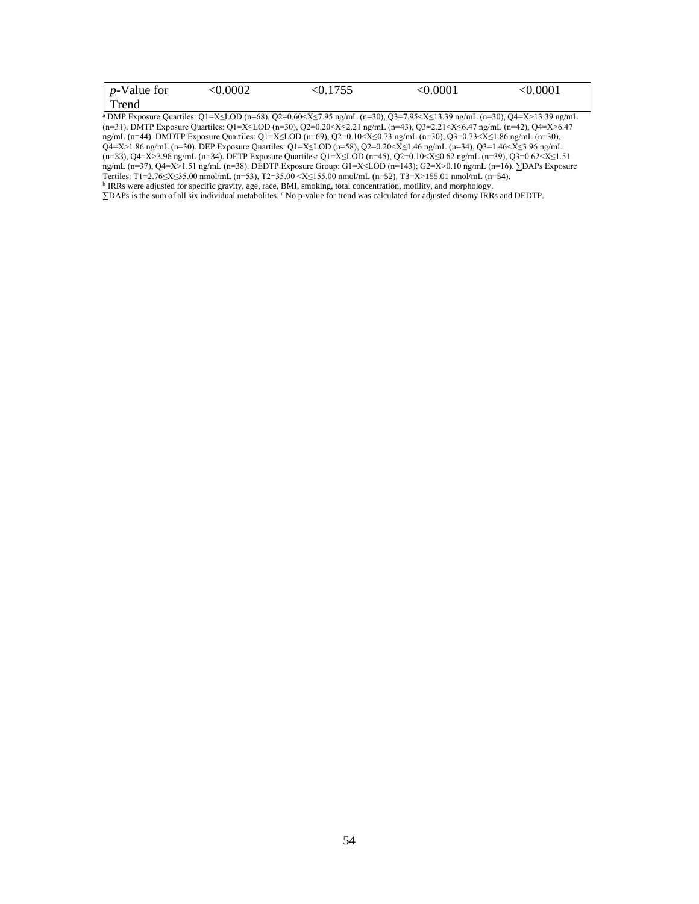| $p$ -Value for | < 0.0002 | $< \!\! 0.1755$ | < 0.0001 | < 0.0001 |
|----------------|----------|-----------------|----------|----------|
| Trend          |          |                 |          |          |

<sup>a</sup> DMP Exposure Quartiles: Q1=X≤LOD (n=68), Q2=0.60<X≤7.95 ng/mL (n=30), Q3=7.95<X≤13.39 ng/mL (n=30), Q4=X>13.39 ng/mL (n=31). DMTP Exposure Quartiles: Q1=X≤LOD (n=30), Q2=0.20<X≤2.21 ng/mL (n=43), Q3=2.21<X≤6.47 ng/mL (n=42), Q4=X>6.47 ng/mL (n=44). DMDTP Exposure Quartiles: Q1=X≤LOD (n=69), Q2=0.10<X≤0.73 ng/mL (n=30), Q3=0.73<X≤1.86 ng/mL (n=30), ng.ma (n +1), and 11 exposure Quartiles: Q1=X≤LOD (n=58), Q2=0.20<X≤1.46 ng/mL (n=34), Q3=1.46<X≤3.96 ng/mL<br>Q4=X>1.86 ng/mL (n=30). DEP Exposure Quartiles: Q1=X≤LOD (n=58), Q2=0.20<X≤1.46 ng/mL (n=34), Q3=1.46<X≤3.96 ng/m (n=33), Q4=X>3.96 ng/mL (n=34). DETP Exposure Quartiles: Q1=X≤LOD (n=45), Q2=0.10<X≤0.62 ng/mL (n=39), Q3=0.62<X≤1.51 ng/mL (n=37), Q4=X>1.51 ng/mL (n=38). DEDTP Exposure Group: G1=X≤LOD (n=143); G2=X>0.10 ng/mL (n=16). ∑DAPs Exposure Tertiles: T1=2.76≤X≤35.00 nmol/mL (n=53), T2=35.00 <X≤155.00 nmol/mL (n=52), T3=X>155.01 nmol/mL (n=54).<br><sup>b</sup> IRRs were adjusted for specific gravity, age, race, BMI, smoking, total concentration, motility, and morphology.

∑DAPs is the sum of all six individual metabolites. <sup>c</sup> No p-value for trend was calculated for adjusted disomy IRRs and DEDTP.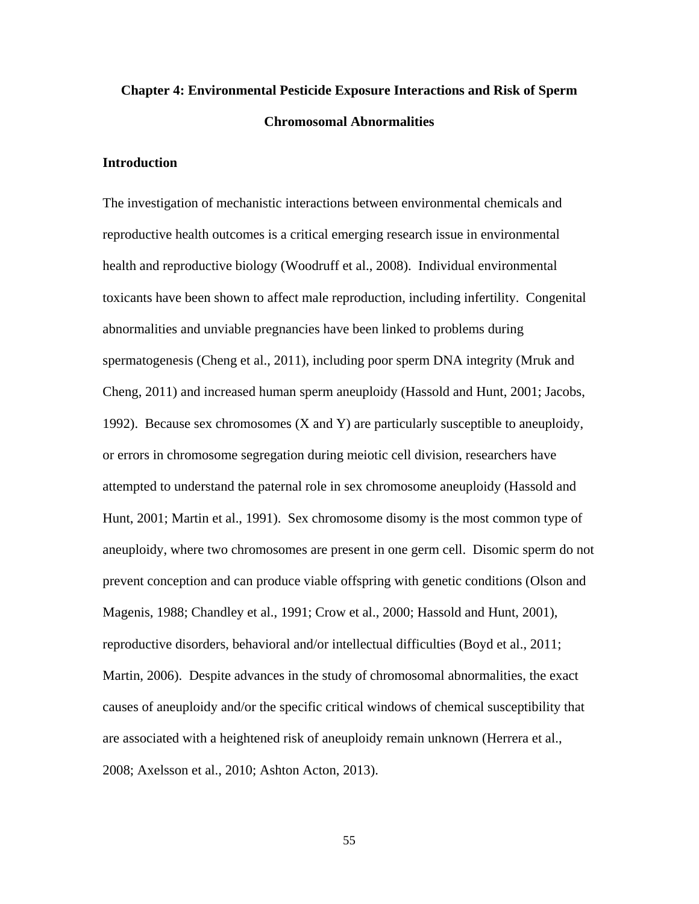# **Chapter 4: Environmental Pesticide Exposure Interactions and Risk of Sperm Chromosomal Abnormalities**

# **Introduction**

The investigation of mechanistic interactions between environmental chemicals and reproductive health outcomes is a critical emerging research issue in environmental health and reproductive biology (Woodruff et al., 2008). Individual environmental toxicants have been shown to affect male reproduction, including infertility. Congenital abnormalities and unviable pregnancies have been linked to problems during spermatogenesis (Cheng et al., 2011), including poor sperm DNA integrity (Mruk and Cheng, 2011) and increased human sperm aneuploidy (Hassold and Hunt, 2001; Jacobs, 1992). Because sex chromosomes (X and Y) are particularly susceptible to aneuploidy, or errors in chromosome segregation during meiotic cell division, researchers have attempted to understand the paternal role in sex chromosome aneuploidy (Hassold and Hunt, 2001; Martin et al., 1991). Sex chromosome disomy is the most common type of aneuploidy, where two chromosomes are present in one germ cell. Disomic sperm do not prevent conception and can produce viable offspring with genetic conditions (Olson and Magenis, 1988; Chandley et al., 1991; Crow et al., 2000; Hassold and Hunt, 2001), reproductive disorders, behavioral and/or intellectual difficulties (Boyd et al., 2011; Martin, 2006). Despite advances in the study of chromosomal abnormalities, the exact causes of aneuploidy and/or the specific critical windows of chemical susceptibility that are associated with a heightened risk of aneuploidy remain unknown (Herrera et al., 2008; Axelsson et al., 2010; Ashton Acton, 2013).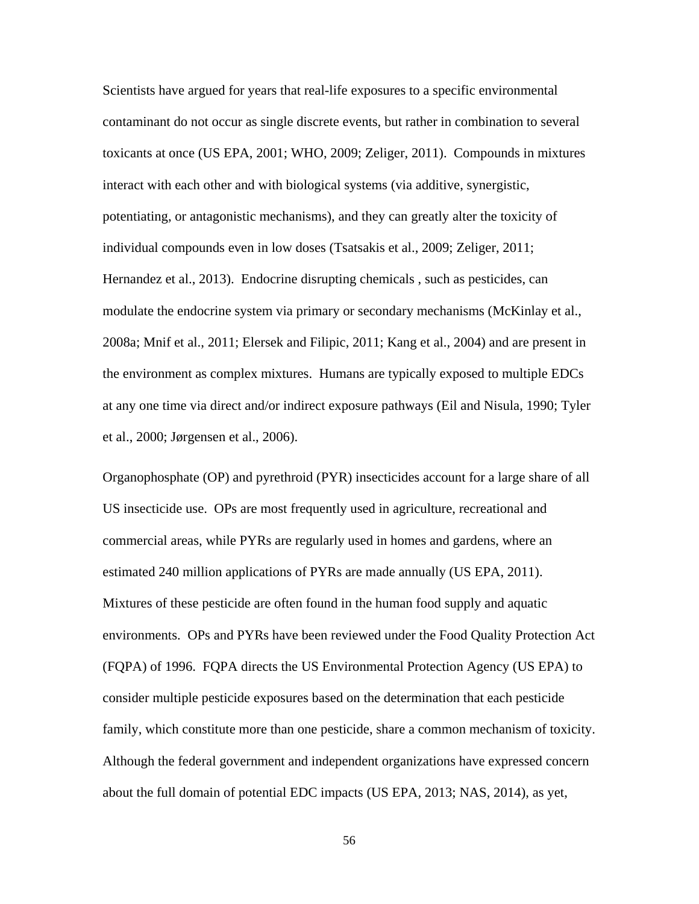Scientists have argued for years that real-life exposures to a specific environmental contaminant do not occur as single discrete events, but rather in combination to several toxicants at once (US EPA, 2001; WHO, 2009; Zeliger, 2011). Compounds in mixtures interact with each other and with biological systems (via additive, synergistic, potentiating, or antagonistic mechanisms), and they can greatly alter the toxicity of individual compounds even in low doses (Tsatsakis et al., 2009; Zeliger, 2011; Hernandez et al., 2013). Endocrine disrupting chemicals , such as pesticides, can modulate the endocrine system via primary or secondary mechanisms (McKinlay et al., 2008a; Mnif et al., 2011; Elersek and Filipic, 2011; Kang et al., 2004) and are present in the environment as complex mixtures. Humans are typically exposed to multiple EDCs at any one time via direct and/or indirect exposure pathways (Eil and Nisula, 1990; Tyler et al., 2000; Jørgensen et al., 2006).

Organophosphate (OP) and pyrethroid (PYR) insecticides account for a large share of all US insecticide use. OPs are most frequently used in agriculture, recreational and commercial areas, while PYRs are regularly used in homes and gardens, where an estimated 240 million applications of PYRs are made annually (US EPA, 2011). Mixtures of these pesticide are often found in the human food supply and aquatic environments. OPs and PYRs have been reviewed under the Food Quality Protection Act (FQPA) of 1996. FQPA directs the US Environmental Protection Agency (US EPA) to consider multiple pesticide exposures based on the determination that each pesticide family, which constitute more than one pesticide, share a common mechanism of toxicity. Although the federal government and independent organizations have expressed concern about the full domain of potential EDC impacts (US EPA, 2013; NAS, 2014), as yet,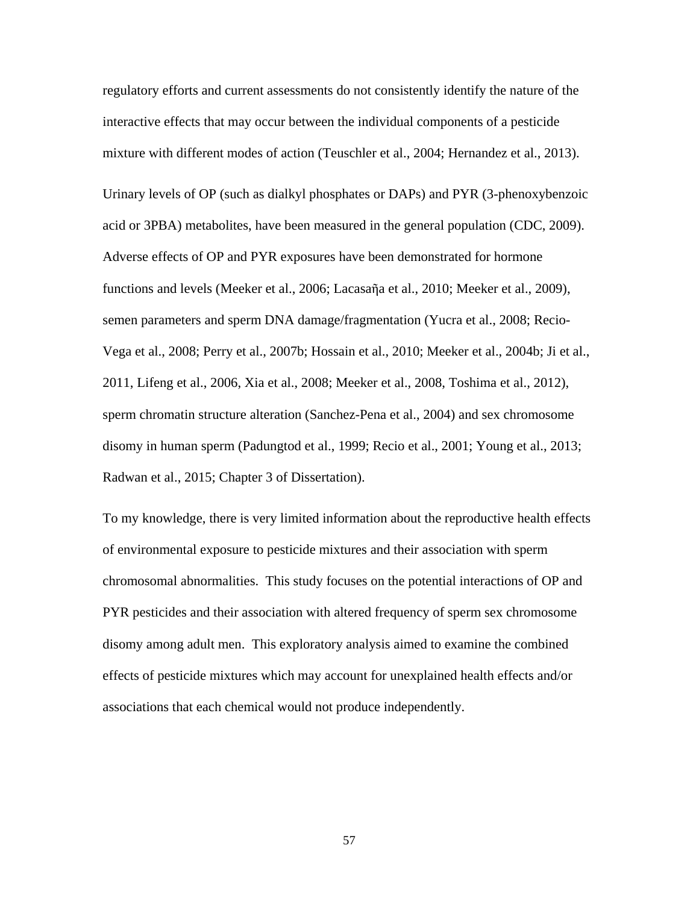regulatory efforts and current assessments do not consistently identify the nature of the interactive effects that may occur between the individual components of a pesticide mixture with different modes of action (Teuschler et al., 2004; Hernandez et al., 2013). Urinary levels of OP (such as dialkyl phosphates or DAPs) and PYR (3-phenoxybenzoic acid or 3PBA) metabolites, have been measured in the general population (CDC, 2009). Adverse effects of OP and PYR exposures have been demonstrated for hormone functions and levels (Meeker et al., 2006; Lacasaῆa et al., 2010; Meeker et al., 2009), semen parameters and sperm DNA damage/fragmentation (Yucra et al., 2008; Recio-Vega et al., 2008; Perry et al., 2007b; Hossain et al., 2010; Meeker et al., 2004b; Ji et al., 2011, Lifeng et al., 2006, Xia et al., 2008; Meeker et al., 2008, Toshima et al., 2012), sperm chromatin structure alteration (Sanchez-Pena et al., 2004) and sex chromosome disomy in human sperm (Padungtod et al., 1999; Recio et al., 2001; Young et al., 2013; Radwan et al., 2015; Chapter 3 of Dissertation).

To my knowledge, there is very limited information about the reproductive health effects of environmental exposure to pesticide mixtures and their association with sperm chromosomal abnormalities. This study focuses on the potential interactions of OP and PYR pesticides and their association with altered frequency of sperm sex chromosome disomy among adult men. This exploratory analysis aimed to examine the combined effects of pesticide mixtures which may account for unexplained health effects and/or associations that each chemical would not produce independently.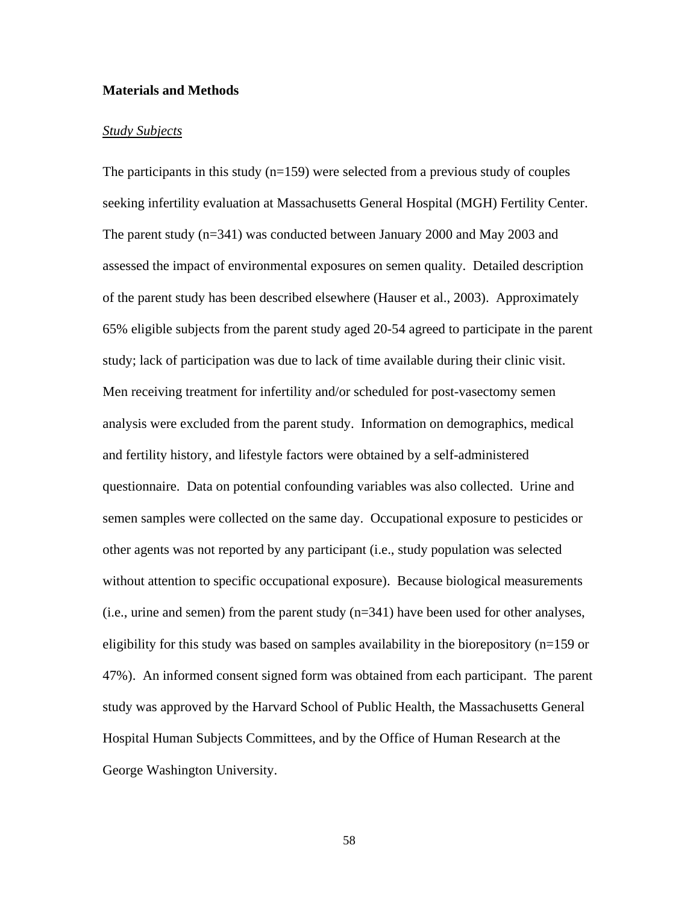## **Materials and Methods**

### *Study Subjects*

The participants in this study  $(n=159)$  were selected from a previous study of couples seeking infertility evaluation at Massachusetts General Hospital (MGH) Fertility Center. The parent study (n=341) was conducted between January 2000 and May 2003 and assessed the impact of environmental exposures on semen quality. Detailed description of the parent study has been described elsewhere (Hauser et al., 2003). Approximately 65% eligible subjects from the parent study aged 20-54 agreed to participate in the parent study; lack of participation was due to lack of time available during their clinic visit. Men receiving treatment for infertility and/or scheduled for post-vasectomy semen analysis were excluded from the parent study. Information on demographics, medical and fertility history, and lifestyle factors were obtained by a self-administered questionnaire. Data on potential confounding variables was also collected. Urine and semen samples were collected on the same day. Occupational exposure to pesticides or other agents was not reported by any participant (i.e., study population was selected without attention to specific occupational exposure). Because biological measurements (i.e., urine and semen) from the parent study (n=341) have been used for other analyses, eligibility for this study was based on samples availability in the biorepository (n=159 or 47%). An informed consent signed form was obtained from each participant. The parent study was approved by the Harvard School of Public Health, the Massachusetts General Hospital Human Subjects Committees, and by the Office of Human Research at the George Washington University.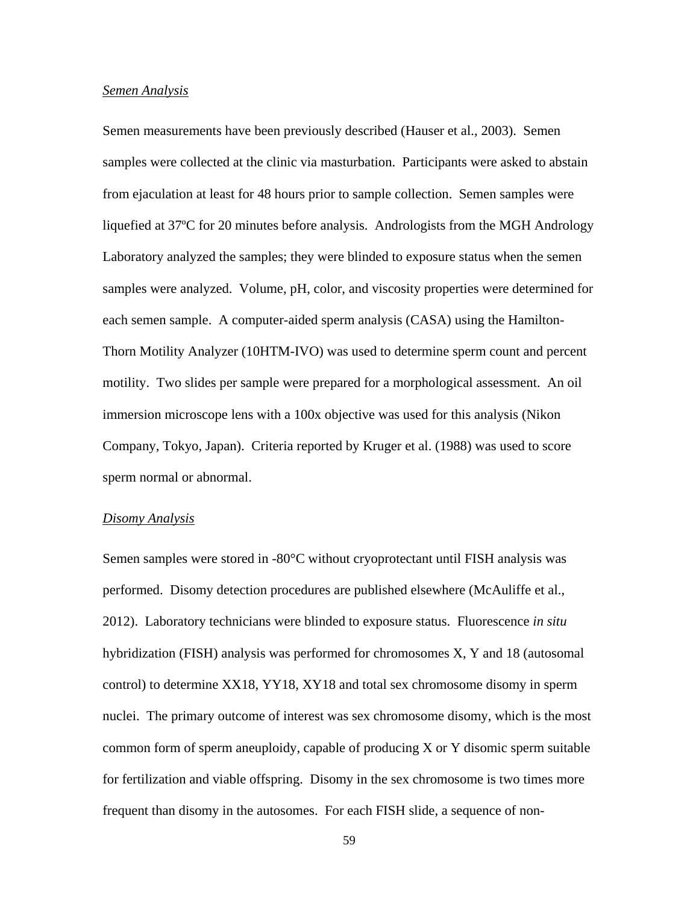#### *Semen Analysis*

Semen measurements have been previously described (Hauser et al., 2003). Semen samples were collected at the clinic via masturbation. Participants were asked to abstain from ejaculation at least for 48 hours prior to sample collection. Semen samples were liquefied at 37ºC for 20 minutes before analysis. Andrologists from the MGH Andrology Laboratory analyzed the samples; they were blinded to exposure status when the semen samples were analyzed. Volume, pH, color, and viscosity properties were determined for each semen sample. A computer-aided sperm analysis (CASA) using the Hamilton-Thorn Motility Analyzer (10HTM-IVO) was used to determine sperm count and percent motility. Two slides per sample were prepared for a morphological assessment. An oil immersion microscope lens with a 100x objective was used for this analysis (Nikon Company, Tokyo, Japan). Criteria reported by Kruger et al. (1988) was used to score sperm normal or abnormal.

#### *Disomy Analysis*

Semen samples were stored in -80°C without cryoprotectant until FISH analysis was performed. Disomy detection procedures are published elsewhere (McAuliffe et al., 2012). Laboratory technicians were blinded to exposure status. Fluorescence *in situ* hybridization (FISH) analysis was performed for chromosomes X, Y and 18 (autosomal control) to determine XX18, YY18, XY18 and total sex chromosome disomy in sperm nuclei. The primary outcome of interest was sex chromosome disomy, which is the most common form of sperm aneuploidy, capable of producing X or Y disomic sperm suitable for fertilization and viable offspring. Disomy in the sex chromosome is two times more frequent than disomy in the autosomes. For each FISH slide, a sequence of non-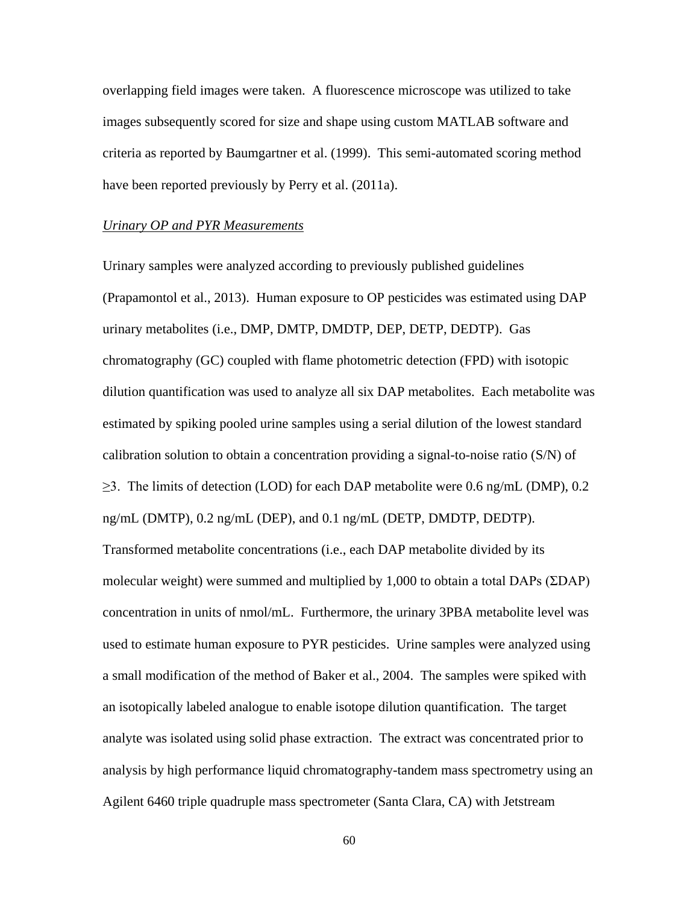overlapping field images were taken. A fluorescence microscope was utilized to take images subsequently scored for size and shape using custom MATLAB software and criteria as reported by Baumgartner et al. (1999). This semi-automated scoring method have been reported previously by Perry et al. (2011a).

# *Urinary OP and PYR Measurements*

Urinary samples were analyzed according to previously published guidelines (Prapamontol et al., 2013). Human exposure to OP pesticides was estimated using DAP urinary metabolites (i.e., DMP, DMTP, DMDTP, DEP, DETP, DEDTP). Gas chromatography (GC) coupled with flame photometric detection (FPD) with isotopic dilution quantification was used to analyze all six DAP metabolites. Each metabolite was estimated by spiking pooled urine samples using a serial dilution of the lowest standard calibration solution to obtain a concentration providing a signal-to-noise ratio (S/N) of  $\geq$ 3. The limits of detection (LOD) for each DAP metabolite were 0.6 ng/mL (DMP), 0.2 ng/mL (DMTP), 0.2 ng/mL (DEP), and 0.1 ng/mL (DETP, DMDTP, DEDTP). Transformed metabolite concentrations (i.e., each DAP metabolite divided by its molecular weight) were summed and multiplied by 1,000 to obtain a total DAPs (ΣDAP) concentration in units of nmol/mL. Furthermore, the urinary 3PBA metabolite level was used to estimate human exposure to PYR pesticides. Urine samples were analyzed using a small modification of the method of Baker et al., 2004. The samples were spiked with an isotopically labeled analogue to enable isotope dilution quantification. The target analyte was isolated using solid phase extraction. The extract was concentrated prior to analysis by high performance liquid chromatography-tandem mass spectrometry using an Agilent 6460 triple quadruple mass spectrometer (Santa Clara, CA) with Jetstream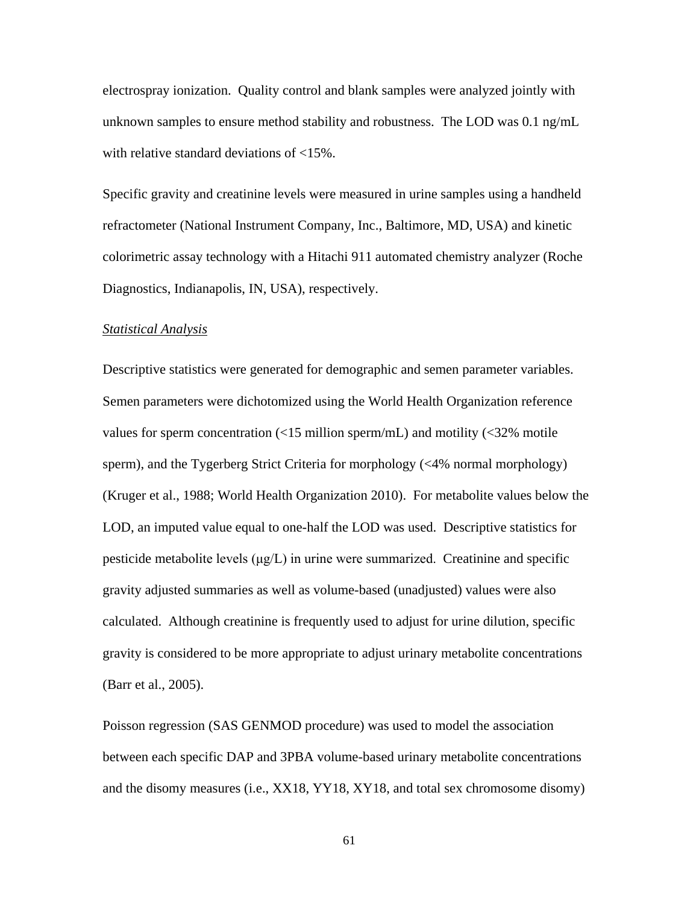electrospray ionization. Quality control and blank samples were analyzed jointly with unknown samples to ensure method stability and robustness. The LOD was 0.1 ng/mL with relative standard deviations of <15%.

Specific gravity and creatinine levels were measured in urine samples using a handheld refractometer (National Instrument Company, Inc., Baltimore, MD, USA) and kinetic colorimetric assay technology with a Hitachi 911 automated chemistry analyzer (Roche Diagnostics, Indianapolis, IN, USA), respectively.

#### *Statistical Analysis*

Descriptive statistics were generated for demographic and semen parameter variables. Semen parameters were dichotomized using the World Health Organization reference values for sperm concentration  $\left($ <15 million sperm/mL) and motility  $\left($ <32% motile sperm), and the Tygerberg Strict Criteria for morphology (<4% normal morphology) (Kruger et al., 1988; World Health Organization 2010). For metabolite values below the LOD, an imputed value equal to one-half the LOD was used. Descriptive statistics for pesticide metabolite levels  $(\mu g/L)$  in urine were summarized. Creatinine and specific gravity adjusted summaries as well as volume-based (unadjusted) values were also calculated. Although creatinine is frequently used to adjust for urine dilution, specific gravity is considered to be more appropriate to adjust urinary metabolite concentrations (Barr et al., 2005).

Poisson regression (SAS GENMOD procedure) was used to model the association between each specific DAP and 3PBA volume-based urinary metabolite concentrations and the disomy measures (i.e., XX18, YY18, XY18, and total sex chromosome disomy)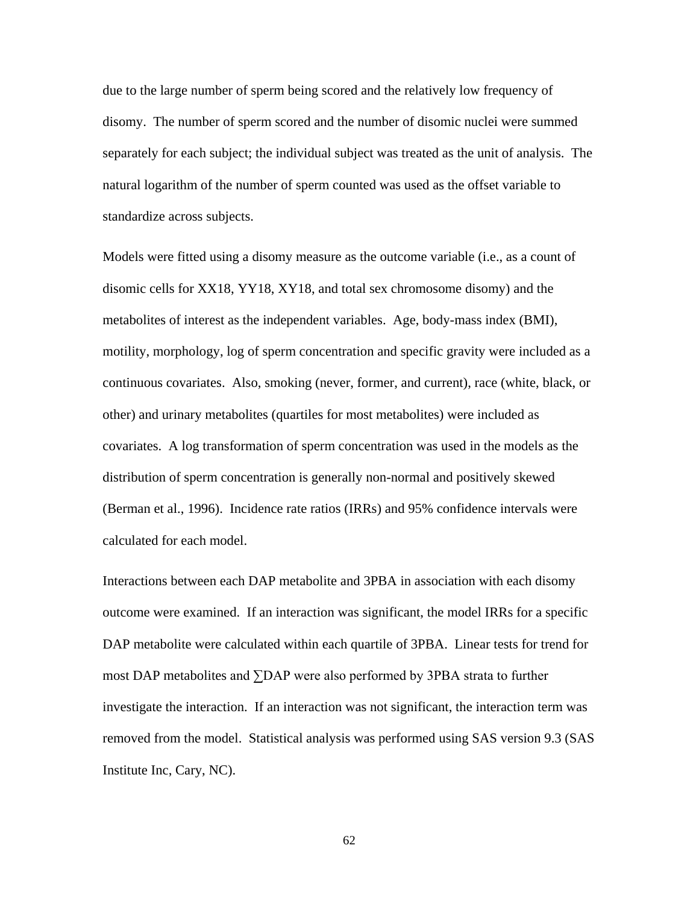due to the large number of sperm being scored and the relatively low frequency of disomy. The number of sperm scored and the number of disomic nuclei were summed separately for each subject; the individual subject was treated as the unit of analysis. The natural logarithm of the number of sperm counted was used as the offset variable to standardize across subjects.

Models were fitted using a disomy measure as the outcome variable (i.e., as a count of disomic cells for XX18, YY18, XY18, and total sex chromosome disomy) and the metabolites of interest as the independent variables. Age, body-mass index (BMI), motility, morphology, log of sperm concentration and specific gravity were included as a continuous covariates. Also, smoking (never, former, and current), race (white, black, or other) and urinary metabolites (quartiles for most metabolites) were included as covariates. A log transformation of sperm concentration was used in the models as the distribution of sperm concentration is generally non-normal and positively skewed (Berman et al., 1996). Incidence rate ratios (IRRs) and 95% confidence intervals were calculated for each model.

Interactions between each DAP metabolite and 3PBA in association with each disomy outcome were examined. If an interaction was significant, the model IRRs for a specific DAP metabolite were calculated within each quartile of 3PBA. Linear tests for trend for most DAP metabolites and ∑DAP were also performed by 3PBA strata to further investigate the interaction. If an interaction was not significant, the interaction term was removed from the model. Statistical analysis was performed using SAS version 9.3 (SAS Institute Inc, Cary, NC).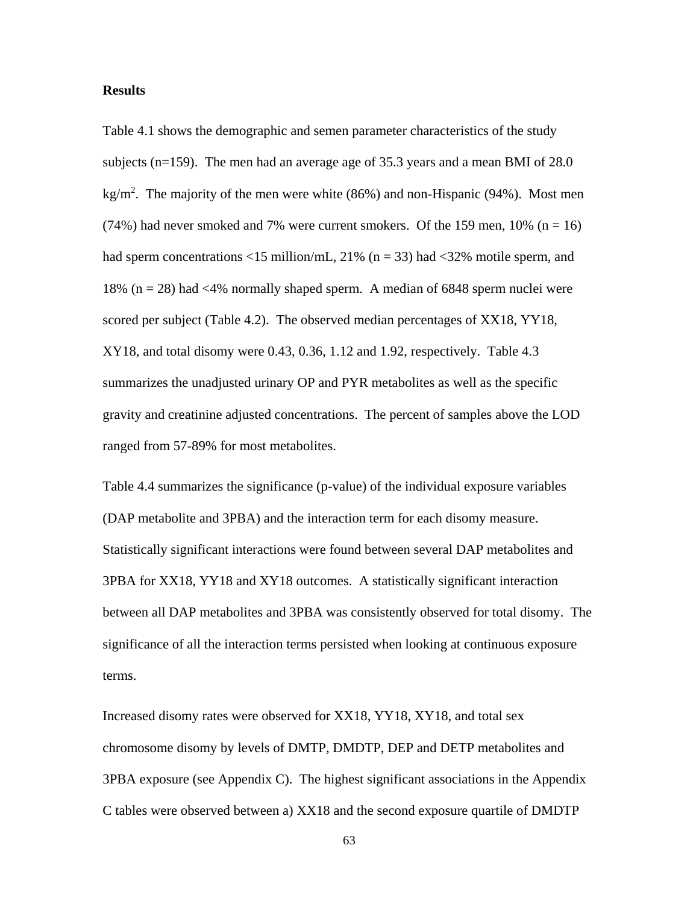#### **Results**

Table 4.1 shows the demographic and semen parameter characteristics of the study subjects (n=159). The men had an average age of 35.3 years and a mean BMI of 28.0 kg/m<sup>2</sup>. The majority of the men were white  $(86%)$  and non-Hispanic  $(94%)$ . Most men  $(74%)$  had never smoked and 7% were current smokers. Of the 159 men, 10% (n = 16) had sperm concentrations  $\langle 15 \text{ million/mL}, 21\% \text{ (n = 33)} \text{ had } \langle 32\% \text{ motile sperm}, \text{ and} \rangle$ 18% (n = 28) had <4% normally shaped sperm. A median of 6848 sperm nuclei were scored per subject (Table 4.2). The observed median percentages of XX18, YY18, XY18, and total disomy were 0.43, 0.36, 1.12 and 1.92, respectively. Table 4.3 summarizes the unadjusted urinary OP and PYR metabolites as well as the specific gravity and creatinine adjusted concentrations. The percent of samples above the LOD ranged from 57-89% for most metabolites.

Table 4.4 summarizes the significance (p-value) of the individual exposure variables (DAP metabolite and 3PBA) and the interaction term for each disomy measure. Statistically significant interactions were found between several DAP metabolites and 3PBA for XX18, YY18 and XY18 outcomes. A statistically significant interaction between all DAP metabolites and 3PBA was consistently observed for total disomy. The significance of all the interaction terms persisted when looking at continuous exposure terms.

Increased disomy rates were observed for XX18, YY18, XY18, and total sex chromosome disomy by levels of DMTP, DMDTP, DEP and DETP metabolites and 3PBA exposure (see Appendix C). The highest significant associations in the Appendix C tables were observed between a) XX18 and the second exposure quartile of DMDTP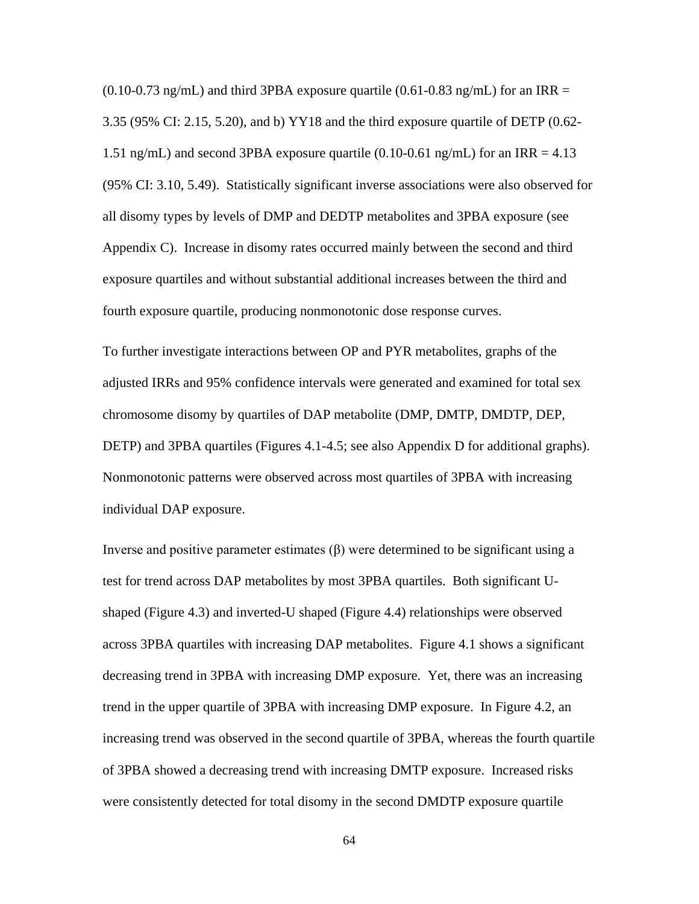$(0.10{\text -}0.73 \text{ ng/mL})$  and third 3PBA exposure quartile  $(0.61{\text -}0.83 \text{ ng/mL})$  for an IRR = 3.35 (95% CI: 2.15, 5.20), and b) YY18 and the third exposure quartile of DETP (0.62- 1.51 ng/mL) and second 3PBA exposure quartile  $(0.10-0.61 \text{ ng/mL})$  for an IRR = 4.13 (95% CI: 3.10, 5.49). Statistically significant inverse associations were also observed for all disomy types by levels of DMP and DEDTP metabolites and 3PBA exposure (see Appendix C). Increase in disomy rates occurred mainly between the second and third exposure quartiles and without substantial additional increases between the third and fourth exposure quartile, producing nonmonotonic dose response curves.

To further investigate interactions between OP and PYR metabolites, graphs of the adjusted IRRs and 95% confidence intervals were generated and examined for total sex chromosome disomy by quartiles of DAP metabolite (DMP, DMTP, DMDTP, DEP, DETP) and 3PBA quartiles (Figures 4.1-4.5; see also Appendix D for additional graphs). Nonmonotonic patterns were observed across most quartiles of 3PBA with increasing individual DAP exposure.

Inverse and positive parameter estimates (β) were determined to be significant using a test for trend across DAP metabolites by most 3PBA quartiles. Both significant Ushaped (Figure 4.3) and inverted-U shaped (Figure 4.4) relationships were observed across 3PBA quartiles with increasing DAP metabolites. Figure 4.1 shows a significant decreasing trend in 3PBA with increasing DMP exposure. Yet, there was an increasing trend in the upper quartile of 3PBA with increasing DMP exposure. In Figure 4.2, an increasing trend was observed in the second quartile of 3PBA, whereas the fourth quartile of 3PBA showed a decreasing trend with increasing DMTP exposure. Increased risks were consistently detected for total disomy in the second DMDTP exposure quartile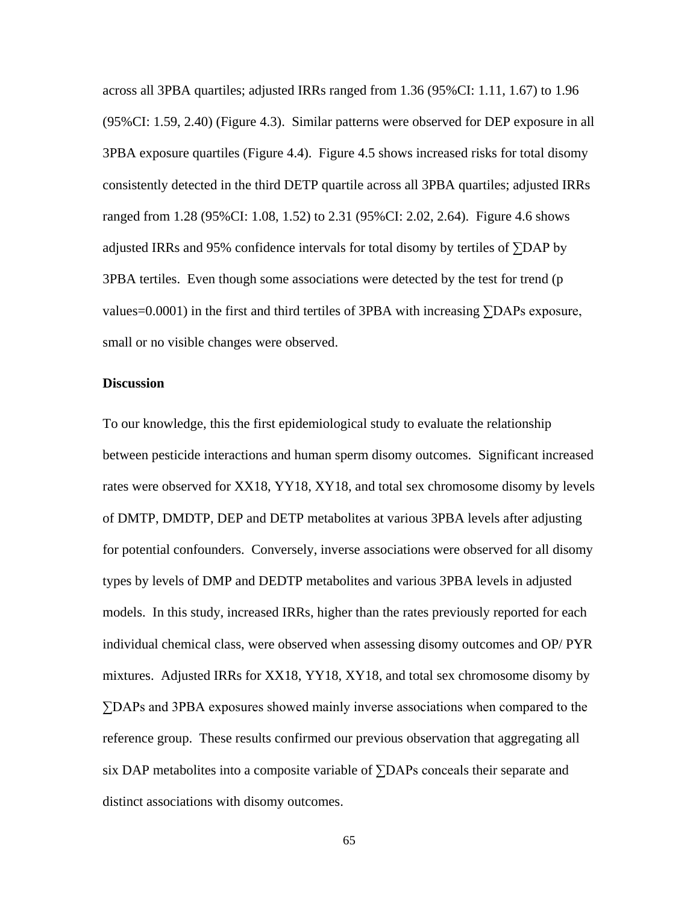across all 3PBA quartiles; adjusted IRRs ranged from 1.36 (95%CI: 1.11, 1.67) to 1.96 (95%CI: 1.59, 2.40) (Figure 4.3). Similar patterns were observed for DEP exposure in all 3PBA exposure quartiles (Figure 4.4). Figure 4.5 shows increased risks for total disomy consistently detected in the third DETP quartile across all 3PBA quartiles; adjusted IRRs ranged from 1.28 (95%CI: 1.08, 1.52) to 2.31 (95%CI: 2.02, 2.64). Figure 4.6 shows adjusted IRRs and 95% confidence intervals for total disomy by tertiles of ∑DAP by 3PBA tertiles. Even though some associations were detected by the test for trend (p values=0.0001) in the first and third tertiles of 3PBA with increasing  $\Sigma$ DAPs exposure, small or no visible changes were observed.

#### **Discussion**

To our knowledge, this the first epidemiological study to evaluate the relationship between pesticide interactions and human sperm disomy outcomes. Significant increased rates were observed for XX18, YY18, XY18, and total sex chromosome disomy by levels of DMTP, DMDTP, DEP and DETP metabolites at various 3PBA levels after adjusting for potential confounders. Conversely, inverse associations were observed for all disomy types by levels of DMP and DEDTP metabolites and various 3PBA levels in adjusted models. In this study, increased IRRs, higher than the rates previously reported for each individual chemical class, were observed when assessing disomy outcomes and OP/ PYR mixtures. Adjusted IRRs for XX18, YY18, XY18, and total sex chromosome disomy by ∑DAPs and 3PBA exposures showed mainly inverse associations when compared to the reference group. These results confirmed our previous observation that aggregating all six DAP metabolites into a composite variable of ∑DAPs conceals their separate and distinct associations with disomy outcomes.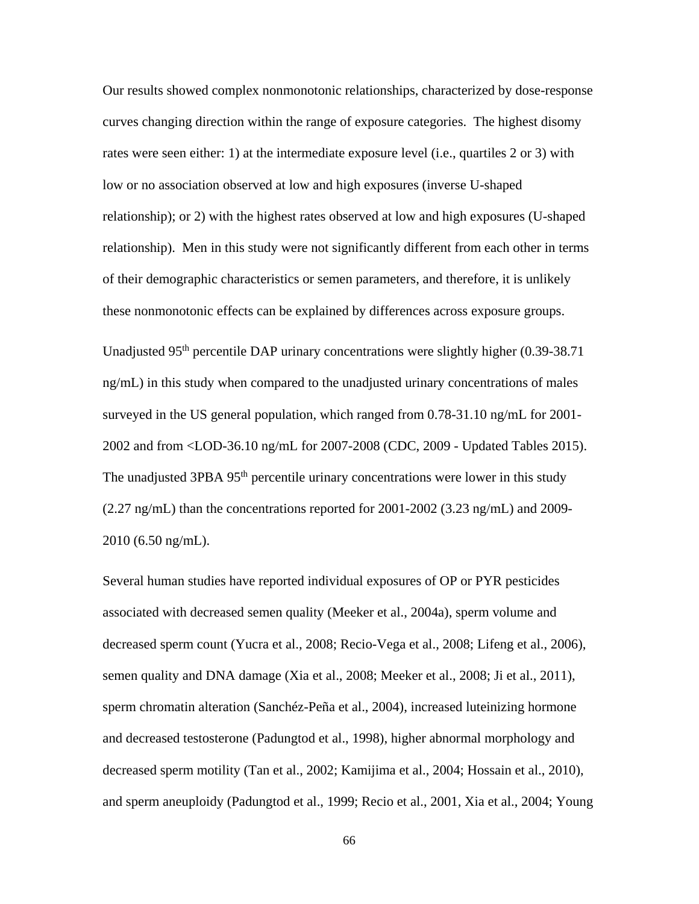Our results showed complex nonmonotonic relationships, characterized by dose-response curves changing direction within the range of exposure categories. The highest disomy rates were seen either: 1) at the intermediate exposure level (i.e., quartiles 2 or 3) with low or no association observed at low and high exposures (inverse U-shaped relationship); or 2) with the highest rates observed at low and high exposures (U-shaped relationship). Men in this study were not significantly different from each other in terms of their demographic characteristics or semen parameters, and therefore, it is unlikely these nonmonotonic effects can be explained by differences across exposure groups.

Unadjusted 95<sup>th</sup> percentile DAP urinary concentrations were slightly higher (0.39-38.71 ng/mL) in this study when compared to the unadjusted urinary concentrations of males surveyed in the US general population, which ranged from 0.78-31.10 ng/mL for 2001- 2002 and from <LOD-36.10 ng/mL for 2007-2008 (CDC, 2009 - Updated Tables 2015). The unadjusted 3PBA 95<sup>th</sup> percentile urinary concentrations were lower in this study  $(2.27 \text{ ng/mL})$  than the concentrations reported for  $2001-2002$   $(3.23 \text{ ng/mL})$  and  $2009-$ 2010 (6.50 ng/mL).

Several human studies have reported individual exposures of OP or PYR pesticides associated with decreased semen quality (Meeker et al., 2004a), sperm volume and decreased sperm count (Yucra et al., 2008; Recio-Vega et al., 2008; Lifeng et al., 2006), semen quality and DNA damage (Xia et al., 2008; Meeker et al., 2008; Ji et al., 2011), sperm chromatin alteration (Sanchéz-Peña et al., 2004), increased luteinizing hormone and decreased testosterone (Padungtod et al., 1998), higher abnormal morphology and decreased sperm motility (Tan et al., 2002; Kamijima et al., 2004; Hossain et al., 2010), and sperm aneuploidy (Padungtod et al., 1999; Recio et al., 2001, Xia et al., 2004; Young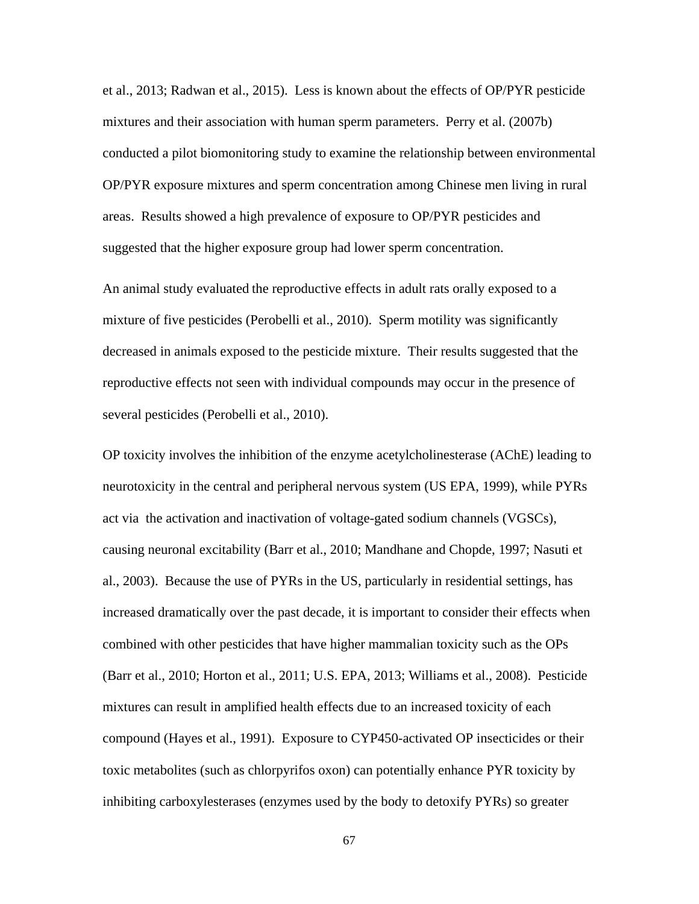et al., 2013; Radwan et al., 2015). Less is known about the effects of OP/PYR pesticide mixtures and their association with human sperm parameters. Perry et al. (2007b) conducted a pilot biomonitoring study to examine the relationship between environmental OP/PYR exposure mixtures and sperm concentration among Chinese men living in rural areas. Results showed a high prevalence of exposure to OP/PYR pesticides and suggested that the higher exposure group had lower sperm concentration.

An animal study evaluated the reproductive effects in adult rats orally exposed to a mixture of five pesticides (Perobelli et al., 2010). Sperm motility was significantly decreased in animals exposed to the pesticide mixture. Their results suggested that the reproductive effects not seen with individual compounds may occur in the presence of several pesticides (Perobelli et al., 2010).

OP toxicity involves the inhibition of the enzyme acetylcholinesterase (AChE) leading to neurotoxicity in the central and peripheral nervous system (US EPA, 1999), while PYRs act via the activation and inactivation of voltage-gated sodium channels (VGSCs), causing neuronal excitability (Barr et al., 2010; Mandhane and Chopde, 1997; Nasuti et al., 2003). Because the use of PYRs in the US, particularly in residential settings, has increased dramatically over the past decade, it is important to consider their effects when combined with other pesticides that have higher mammalian toxicity such as the OPs (Barr et al., 2010; Horton et al., 2011; U.S. EPA, 2013; Williams et al., 2008). Pesticide mixtures can result in amplified health effects due to an increased toxicity of each compound (Hayes et al., 1991). Exposure to CYP450-activated OP insecticides or their toxic metabolites (such as chlorpyrifos oxon) can potentially enhance PYR toxicity by inhibiting carboxylesterases (enzymes used by the body to detoxify PYRs) so greater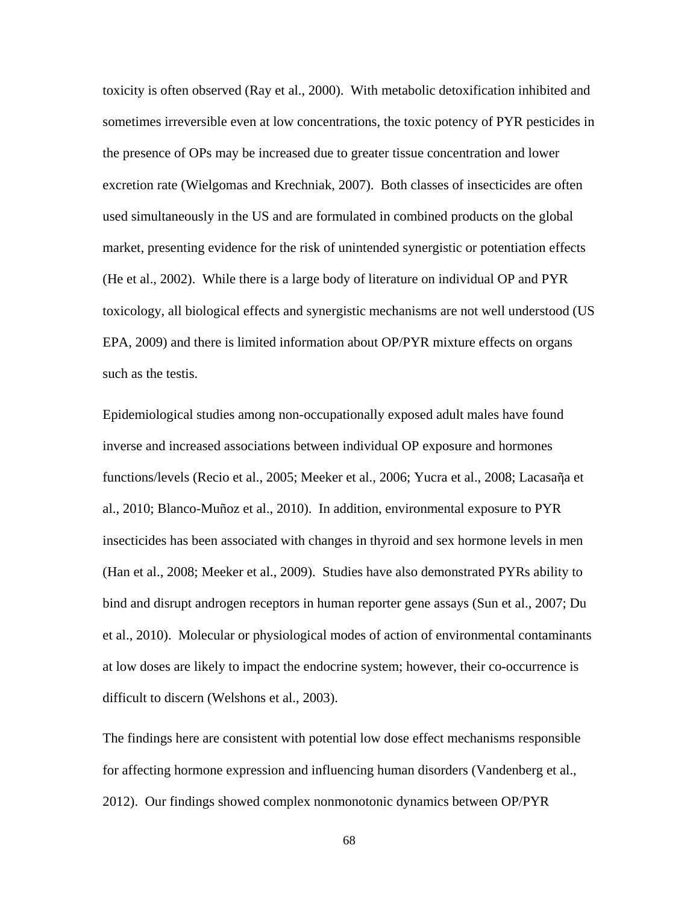toxicity is often observed (Ray et al., 2000). With metabolic detoxification inhibited and sometimes irreversible even at low concentrations, the toxic potency of PYR pesticides in the presence of OPs may be increased due to greater tissue concentration and lower excretion rate (Wielgomas and Krechniak, 2007). Both classes of insecticides are often used simultaneously in the US and are formulated in combined products on the global market, presenting evidence for the risk of unintended synergistic or potentiation effects (He et al., 2002). While there is a large body of literature on individual OP and PYR toxicology, all biological effects and synergistic mechanisms are not well understood (US EPA, 2009) and there is limited information about OP/PYR mixture effects on organs such as the testis.

Epidemiological studies among non-occupationally exposed adult males have found inverse and increased associations between individual OP exposure and hormones functions/levels (Recio et al., 2005; Meeker et al., 2006; Yucra et al., 2008; Lacasaῆa et al., 2010; Blanco-Muñoz et al., 2010). In addition, environmental exposure to PYR insecticides has been associated with changes in thyroid and sex hormone levels in men (Han et al., 2008; Meeker et al., 2009). Studies have also demonstrated PYRs ability to bind and disrupt androgen receptors in human reporter gene assays (Sun et al., 2007; Du et al., 2010). Molecular or physiological modes of action of environmental contaminants at low doses are likely to impact the endocrine system; however, their co-occurrence is difficult to discern (Welshons et al., 2003).

The findings here are consistent with potential low dose effect mechanisms responsible for affecting hormone expression and influencing human disorders (Vandenberg et al., 2012). Our findings showed complex nonmonotonic dynamics between OP/PYR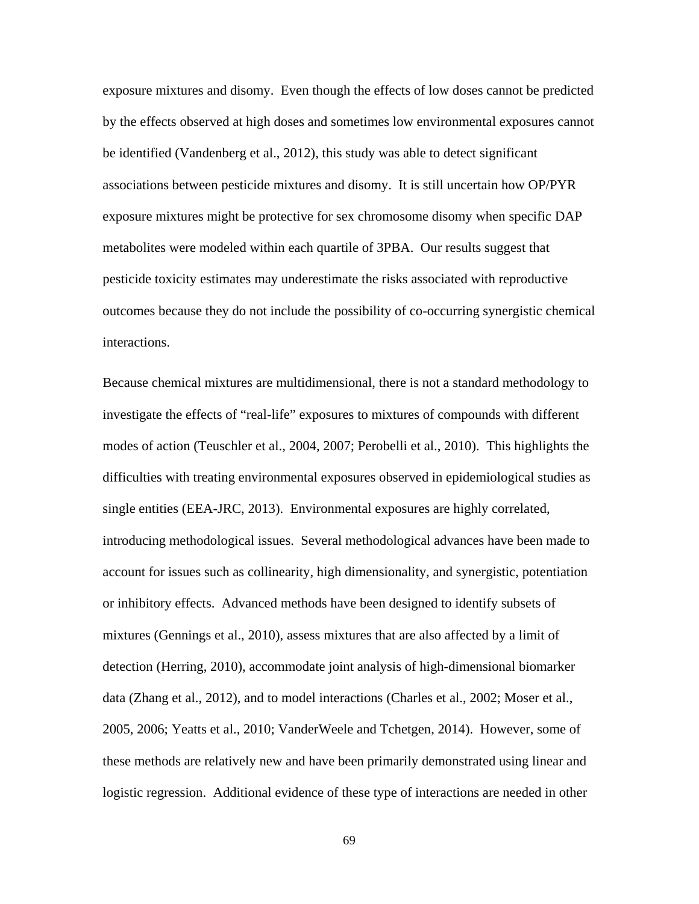exposure mixtures and disomy. Even though the effects of low doses cannot be predicted by the effects observed at high doses and sometimes low environmental exposures cannot be identified (Vandenberg et al., 2012), this study was able to detect significant associations between pesticide mixtures and disomy. It is still uncertain how OP/PYR exposure mixtures might be protective for sex chromosome disomy when specific DAP metabolites were modeled within each quartile of 3PBA. Our results suggest that pesticide toxicity estimates may underestimate the risks associated with reproductive outcomes because they do not include the possibility of co-occurring synergistic chemical interactions.

Because chemical mixtures are multidimensional, there is not a standard methodology to investigate the effects of "real-life" exposures to mixtures of compounds with different modes of action (Teuschler et al., 2004, 2007; Perobelli et al., 2010). This highlights the difficulties with treating environmental exposures observed in epidemiological studies as single entities (EEA-JRC, 2013). Environmental exposures are highly correlated, introducing methodological issues. Several methodological advances have been made to account for issues such as collinearity, high dimensionality, and synergistic, potentiation or inhibitory effects. Advanced methods have been designed to identify subsets of mixtures (Gennings et al., 2010), assess mixtures that are also affected by a limit of detection (Herring, 2010), accommodate joint analysis of high-dimensional biomarker data (Zhang et al., 2012), and to model interactions (Charles et al., 2002; Moser et al., 2005, 2006; Yeatts et al., 2010; VanderWeele and Tchetgen, 2014). However, some of these methods are relatively new and have been primarily demonstrated using linear and logistic regression. Additional evidence of these type of interactions are needed in other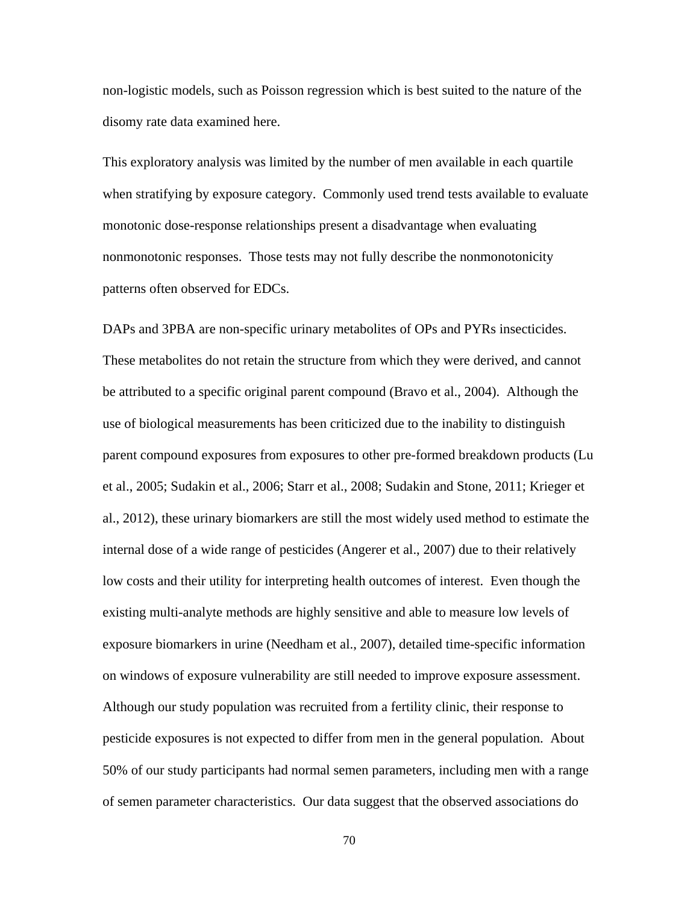non-logistic models, such as Poisson regression which is best suited to the nature of the disomy rate data examined here.

This exploratory analysis was limited by the number of men available in each quartile when stratifying by exposure category. Commonly used trend tests available to evaluate monotonic dose-response relationships present a disadvantage when evaluating nonmonotonic responses. Those tests may not fully describe the nonmonotonicity patterns often observed for EDCs.

DAPs and 3PBA are non-specific urinary metabolites of OPs and PYRs insecticides. These metabolites do not retain the structure from which they were derived, and cannot be attributed to a specific original parent compound (Bravo et al., 2004). Although the use of biological measurements has been criticized due to the inability to distinguish parent compound exposures from exposures to other pre-formed breakdown products (Lu et al., 2005; Sudakin et al., 2006; Starr et al., 2008; Sudakin and Stone, 2011; Krieger et al., 2012), these urinary biomarkers are still the most widely used method to estimate the internal dose of a wide range of pesticides (Angerer et al., 2007) due to their relatively low costs and their utility for interpreting health outcomes of interest. Even though the existing multi-analyte methods are highly sensitive and able to measure low levels of exposure biomarkers in urine (Needham et al., 2007), detailed time-specific information on windows of exposure vulnerability are still needed to improve exposure assessment. Although our study population was recruited from a fertility clinic, their response to pesticide exposures is not expected to differ from men in the general population. About 50% of our study participants had normal semen parameters, including men with a range of semen parameter characteristics. Our data suggest that the observed associations do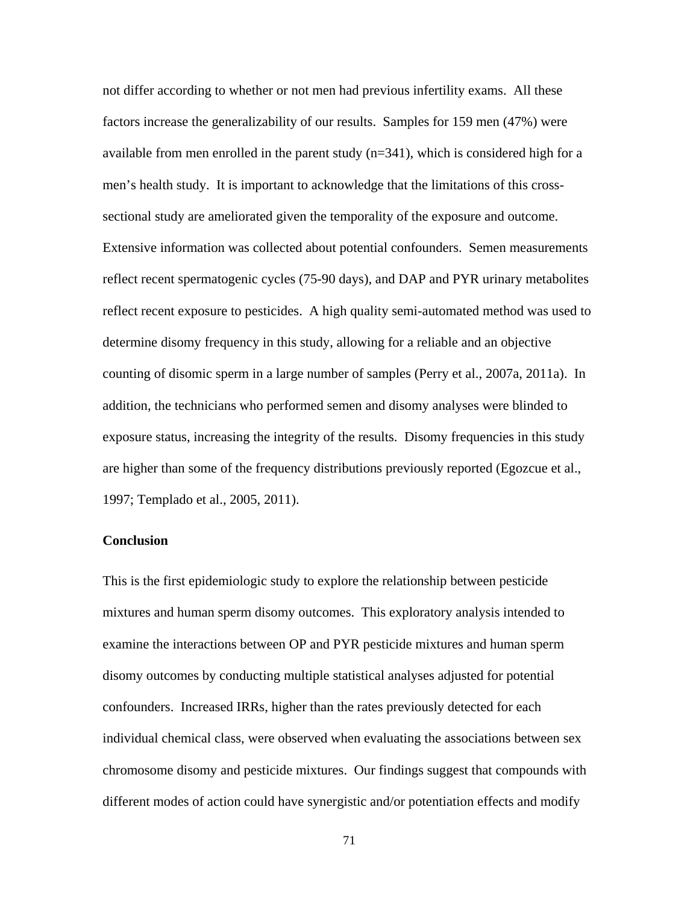not differ according to whether or not men had previous infertility exams. All these factors increase the generalizability of our results. Samples for 159 men (47%) were available from men enrolled in the parent study  $(n=341)$ , which is considered high for a men's health study. It is important to acknowledge that the limitations of this crosssectional study are ameliorated given the temporality of the exposure and outcome. Extensive information was collected about potential confounders. Semen measurements reflect recent spermatogenic cycles (75-90 days), and DAP and PYR urinary metabolites reflect recent exposure to pesticides. A high quality semi-automated method was used to determine disomy frequency in this study, allowing for a reliable and an objective counting of disomic sperm in a large number of samples (Perry et al., 2007a, 2011a). In addition, the technicians who performed semen and disomy analyses were blinded to exposure status, increasing the integrity of the results. Disomy frequencies in this study are higher than some of the frequency distributions previously reported (Egozcue et al., 1997; Templado et al., 2005, 2011).

#### **Conclusion**

This is the first epidemiologic study to explore the relationship between pesticide mixtures and human sperm disomy outcomes. This exploratory analysis intended to examine the interactions between OP and PYR pesticide mixtures and human sperm disomy outcomes by conducting multiple statistical analyses adjusted for potential confounders. Increased IRRs, higher than the rates previously detected for each individual chemical class, were observed when evaluating the associations between sex chromosome disomy and pesticide mixtures. Our findings suggest that compounds with different modes of action could have synergistic and/or potentiation effects and modify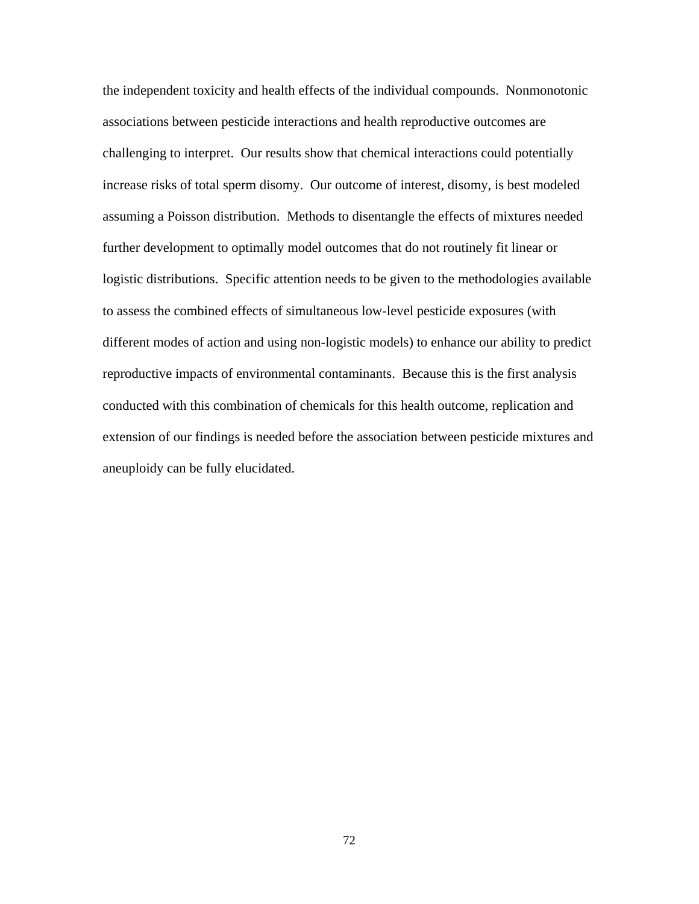the independent toxicity and health effects of the individual compounds. Nonmonotonic associations between pesticide interactions and health reproductive outcomes are challenging to interpret. Our results show that chemical interactions could potentially increase risks of total sperm disomy. Our outcome of interest, disomy, is best modeled assuming a Poisson distribution. Methods to disentangle the effects of mixtures needed further development to optimally model outcomes that do not routinely fit linear or logistic distributions. Specific attention needs to be given to the methodologies available to assess the combined effects of simultaneous low-level pesticide exposures (with different modes of action and using non-logistic models) to enhance our ability to predict reproductive impacts of environmental contaminants. Because this is the first analysis conducted with this combination of chemicals for this health outcome, replication and extension of our findings is needed before the association between pesticide mixtures and aneuploidy can be fully elucidated.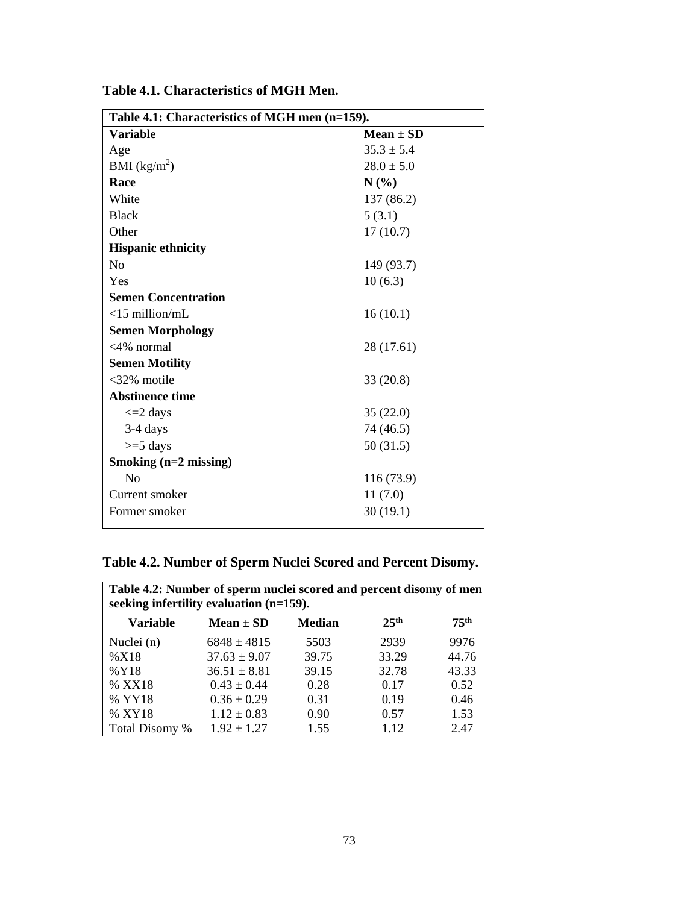| Table 4.1: Characteristics of MGH men (n=159). |                |  |  |  |  |  |
|------------------------------------------------|----------------|--|--|--|--|--|
| <b>Variable</b>                                | $Mean \pm SD$  |  |  |  |  |  |
| Age                                            | $35.3 \pm 5.4$ |  |  |  |  |  |
| BMI (kg/m <sup>2</sup> )                       | $28.0 \pm 5.0$ |  |  |  |  |  |
| Race                                           | N(%)           |  |  |  |  |  |
| White                                          | 137 (86.2)     |  |  |  |  |  |
| <b>Black</b>                                   | 5(3.1)         |  |  |  |  |  |
| Other                                          | 17(10.7)       |  |  |  |  |  |
| <b>Hispanic ethnicity</b>                      |                |  |  |  |  |  |
| N <sub>0</sub>                                 | 149 (93.7)     |  |  |  |  |  |
| Yes                                            | 10(6.3)        |  |  |  |  |  |
| <b>Semen Concentration</b>                     |                |  |  |  |  |  |
| $<$ 15 million/mL                              | 16(10.1)       |  |  |  |  |  |
| <b>Semen Morphology</b>                        |                |  |  |  |  |  |
| $<4\%$ normal                                  | 28 (17.61)     |  |  |  |  |  |
| <b>Semen Motility</b>                          |                |  |  |  |  |  |
| $<32\%$ motile                                 | 33(20.8)       |  |  |  |  |  |
| <b>Abstinence time</b>                         |                |  |  |  |  |  |
| $\leq$ 2 days                                  | 35(22.0)       |  |  |  |  |  |
| 3-4 days                                       | 74 (46.5)      |  |  |  |  |  |
| $>=$ 5 days                                    | 50 (31.5)      |  |  |  |  |  |
| Smoking (n=2 missing)                          |                |  |  |  |  |  |
| N <sub>o</sub>                                 | 116 (73.9)     |  |  |  |  |  |
| Current smoker                                 | 11(7.0)        |  |  |  |  |  |
| Former smoker                                  | 30(19.1)       |  |  |  |  |  |
|                                                |                |  |  |  |  |  |

**Table 4.1. Characteristics of MGH Men.**

# **Table 4.2. Number of Sperm Nuclei Scored and Percent Disomy.**

| Table 4.2: Number of sperm nuclei scored and percent disomy of men<br>seeking infertility evaluation (n=159). |                  |               |                  |                  |
|---------------------------------------------------------------------------------------------------------------|------------------|---------------|------------------|------------------|
| Variable                                                                                                      | Mean $\pm$ SD    | <b>Median</b> | 25 <sup>th</sup> | 75 <sup>th</sup> |
| Nuclei (n)                                                                                                    | $6848 \pm 4815$  | 5503          | 2939             | 9976             |
| %X18                                                                                                          | $37.63 \pm 9.07$ | 39.75         | 33.29            | 44.76            |
| %Y18                                                                                                          | $36.51 \pm 8.81$ | 39.15         | 32.78            | 43.33            |
| % XX18                                                                                                        | $0.43 \pm 0.44$  | 0.28          | 0.17             | 0.52             |
| % YY18                                                                                                        | $0.36 \pm 0.29$  | 0.31          | 0.19             | 0.46             |
| % XY18                                                                                                        | $1.12 \pm 0.83$  | 0.90          | 0.57             | 1.53             |
| Total Disomy %                                                                                                | $1.92 \pm 1.27$  | 1.55          | 1.12             | 2.47             |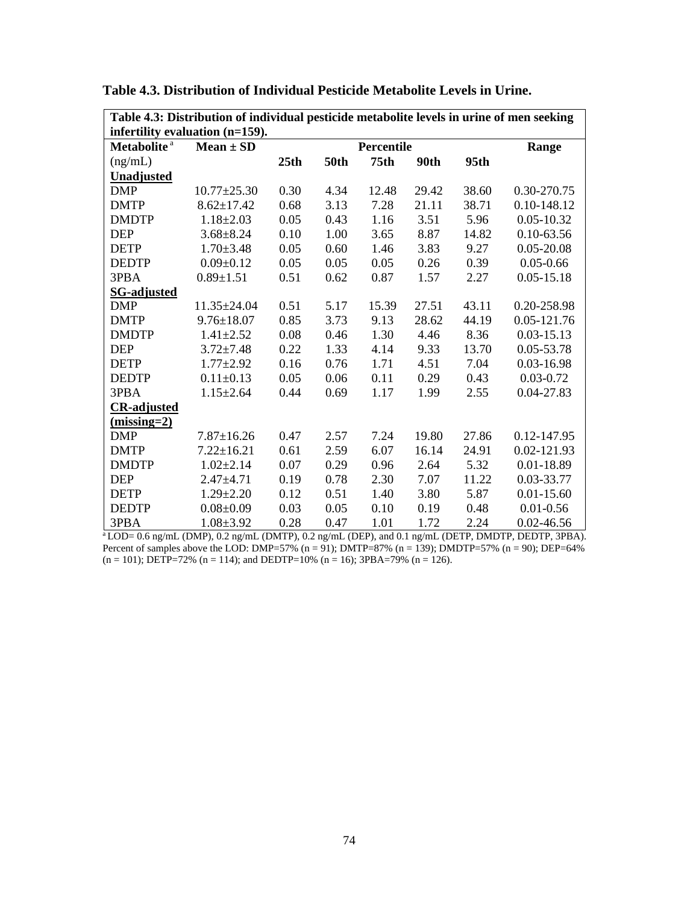| Table 4.3: Distribution of individual pesticide metabolite levels in urine of men seeking |                   |                     |             |                  |       |       |                |
|-------------------------------------------------------------------------------------------|-------------------|---------------------|-------------|------------------|-------|-------|----------------|
| infertility evaluation (n=159).                                                           |                   |                     |             |                  |       |       |                |
| Metabolite <sup>a</sup>                                                                   | $Mean \pm SD$     | Percentile<br>Range |             |                  |       |       |                |
| (ng/mL)                                                                                   |                   | 25th                | <b>50th</b> | 75 <sub>th</sub> | 90th  | 95th  |                |
| <b>Unadjusted</b>                                                                         |                   |                     |             |                  |       |       |                |
| <b>DMP</b>                                                                                | $10.77 \pm 25.30$ | 0.30                | 4.34        | 12.48            | 29.42 | 38.60 | 0.30-270.75    |
| <b>DMTP</b>                                                                               | $8.62 \pm 17.42$  | 0.68                | 3.13        | 7.28             | 21.11 | 38.71 | 0.10-148.12    |
| <b>DMDTP</b>                                                                              | $1.18 \pm 2.03$   | 0.05                | 0.43        | 1.16             | 3.51  | 5.96  | $0.05 - 10.32$ |
| <b>DEP</b>                                                                                | $3.68 \pm 8.24$   | 0.10                | 1.00        | 3.65             | 8.87  | 14.82 | $0.10 - 63.56$ |
| <b>DETP</b>                                                                               | $1.70 \pm 3.48$   | 0.05                | 0.60        | 1.46             | 3.83  | 9.27  | $0.05 - 20.08$ |
| <b>DEDTP</b>                                                                              | $0.09 \pm 0.12$   | 0.05                | 0.05        | 0.05             | 0.26  | 0.39  | $0.05 - 0.66$  |
| 3PBA                                                                                      | $0.89 \pm 1.51$   | 0.51                | 0.62        | 0.87             | 1.57  | 2.27  | $0.05 - 15.18$ |
| <b>SG-adjusted</b>                                                                        |                   |                     |             |                  |       |       |                |
| <b>DMP</b>                                                                                | $11.35 \pm 24.04$ | 0.51                | 5.17        | 15.39            | 27.51 | 43.11 | 0.20-258.98    |
| <b>DMTP</b>                                                                               | $9.76 \pm 18.07$  | 0.85                | 3.73        | 9.13             | 28.62 | 44.19 | 0.05-121.76    |
| <b>DMDTP</b>                                                                              | $1.41 \pm 2.52$   | 0.08                | 0.46        | 1.30             | 4.46  | 8.36  | $0.03 - 15.13$ |
| <b>DEP</b>                                                                                | $3.72 \pm 7.48$   | 0.22                | 1.33        | 4.14             | 9.33  | 13.70 | 0.05-53.78     |
| <b>DETP</b>                                                                               | $1.77 \pm 2.92$   | 0.16                | 0.76        | 1.71             | 4.51  | 7.04  | $0.03 - 16.98$ |
| <b>DEDTP</b>                                                                              | $0.11 \pm 0.13$   | 0.05                | 0.06        | 0.11             | 0.29  | 0.43  | $0.03 - 0.72$  |
| 3PBA                                                                                      | $1.15 \pm 2.64$   | 0.44                | 0.69        | 1.17             | 1.99  | 2.55  | 0.04-27.83     |
| <b>CR-adjusted</b>                                                                        |                   |                     |             |                  |       |       |                |
| $(missing=2)$                                                                             |                   |                     |             |                  |       |       |                |
| <b>DMP</b>                                                                                | $7.87 \pm 16.26$  | 0.47                | 2.57        | 7.24             | 19.80 | 27.86 | 0.12-147.95    |
| <b>DMTP</b>                                                                               | $7.22 \pm 16.21$  | 0.61                | 2.59        | 6.07             | 16.14 | 24.91 | 0.02-121.93    |
| <b>DMDTP</b>                                                                              | $1.02 \pm 2.14$   | 0.07                | 0.29        | 0.96             | 2.64  | 5.32  | $0.01 - 18.89$ |
| <b>DEP</b>                                                                                | $2.47 + 4.71$     | 0.19                | 0.78        | 2.30             | 7.07  | 11.22 | 0.03-33.77     |
| <b>DETP</b>                                                                               | $1.29 \pm 2.20$   | 0.12                | 0.51        | 1.40             | 3.80  | 5.87  | $0.01 - 15.60$ |
| <b>DEDTP</b>                                                                              | $0.08 \pm 0.09$   | 0.03                | 0.05        | 0.10             | 0.19  | 0.48  | $0.01 - 0.56$  |
| 3PBA                                                                                      | $1.08 \pm 3.92$   | 0.28                | 0.47        | 1.01             | 1.72  | 2.24  | 0.02-46.56     |

**Table 4.3. Distribution of Individual Pesticide Metabolite Levels in Urine.**

<sup>a</sup> LOD= 0.6 ng/mL (DMP), 0.2 ng/mL (DMTP), 0.2 ng/mL (DEP), and 0.1 ng/mL (DETP, DMDTP, DEDTP, 3PBA). Percent of samples above the LOD: DMP=57% (n = 91); DMTP=87% (n = 139); DMDTP=57% (n = 90); DEP=64%  $(n = 101)$ ; DETP=72%  $(n = 114)$ ; and DEDTP=10%  $(n = 16)$ ; 3PBA=79%  $(n = 126)$ .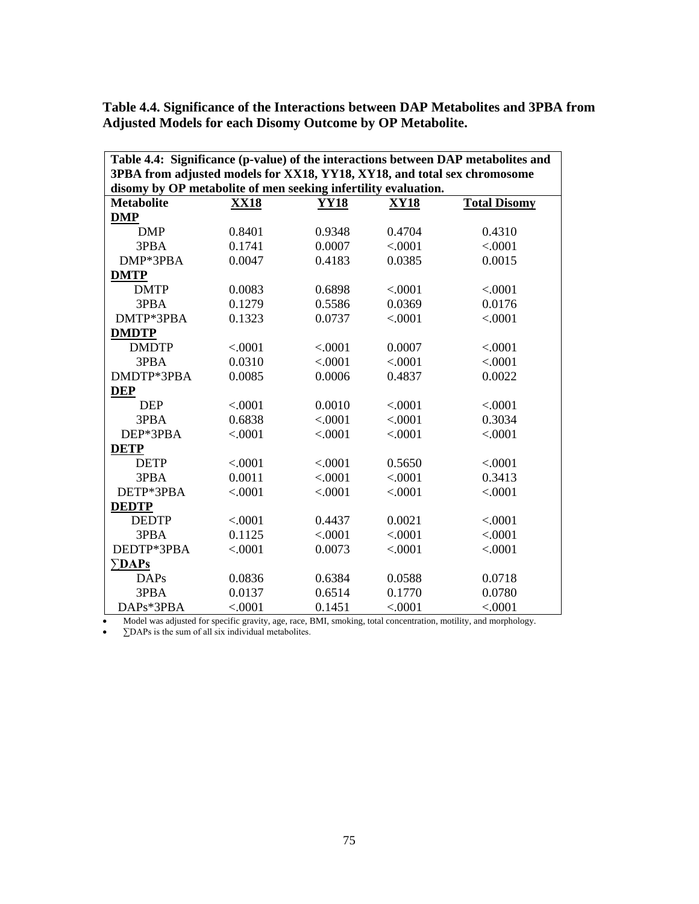| Table 4.4: Significance (p-value) of the interactions between DAP metabolites and |             |             |             |                     |  |
|-----------------------------------------------------------------------------------|-------------|-------------|-------------|---------------------|--|
| 3PBA from adjusted models for XX18, YY18, XY18, and total sex chromosome          |             |             |             |                     |  |
| disomy by OP metabolite of men seeking infertility evaluation.                    |             |             |             |                     |  |
| <b>Metabolite</b>                                                                 | <b>XX18</b> | <b>YY18</b> | <b>XY18</b> | <b>Total Disomy</b> |  |
| <b>DMP</b>                                                                        |             |             |             |                     |  |
| <b>DMP</b>                                                                        | 0.8401      | 0.9348      | 0.4704      | 0.4310              |  |
| 3PBA                                                                              | 0.1741      | 0.0007      | < .0001     | < .0001             |  |
| DMP*3PBA                                                                          | 0.0047      | 0.4183      | 0.0385      | 0.0015              |  |
| <b>DMTP</b>                                                                       |             |             |             |                     |  |
| <b>DMTP</b>                                                                       | 0.0083      | 0.6898      | < .0001     | < 0.0001            |  |
| 3PBA                                                                              | 0.1279      | 0.5586      | 0.0369      | 0.0176              |  |
| DMTP*3PBA                                                                         | 0.1323      | 0.0737      | < .0001     | < .0001             |  |
| <b>DMDTP</b>                                                                      |             |             |             |                     |  |
| <b>DMDTP</b>                                                                      | < .0001     | < .0001     | 0.0007      | < .0001             |  |
| 3PBA                                                                              | 0.0310      | < .0001     | < .0001     | < .0001             |  |
| DMDTP*3PBA                                                                        | 0.0085      | 0.0006      | 0.4837      | 0.0022              |  |
| <b>DEP</b>                                                                        |             |             |             |                     |  |
| <b>DEP</b>                                                                        | < .0001     | 0.0010      | < .0001     | < .0001             |  |
| 3PBA                                                                              | 0.6838      | < .0001     | < .0001     | 0.3034              |  |
| DEP*3PBA                                                                          | < .0001     | < .0001     | < .0001     | < .0001             |  |
| <b>DETP</b>                                                                       |             |             |             |                     |  |
| <b>DETP</b>                                                                       | < .0001     | < .0001     | 0.5650      | < .0001             |  |
| 3PBA                                                                              | 0.0011      | < .0001     | < .0001     | 0.3413              |  |
| DETP*3PBA                                                                         | < .0001     | < .0001     | < .0001     | < .0001             |  |
| <b>DEDTP</b>                                                                      |             |             |             |                     |  |
| <b>DEDTP</b>                                                                      | < .0001     | 0.4437      | 0.0021      | < .0001             |  |
| 3PBA                                                                              | 0.1125      | < .0001     | < .0001     | < .0001             |  |
| DEDTP*3PBA                                                                        | < .0001     | 0.0073      | < .0001     | < .0001             |  |
| $\Sigma$ DAPs                                                                     |             |             |             |                     |  |
| <b>DAPs</b>                                                                       | 0.0836      | 0.6384      | 0.0588      | 0.0718              |  |
| 3PBA                                                                              | 0.0137      | 0.6514      | 0.1770      | 0.0780              |  |
| DAPs*3PBA                                                                         | < .0001     | 0.1451      | < .0001     | < .0001             |  |

**Table 4.4. Significance of the Interactions between DAP Metabolites and 3PBA from Adjusted Models for each Disomy Outcome by OP Metabolite.**

• Model was adjusted for specific gravity, age, race, BMI, smoking, total concentration, motility, and morphology.

• ∑DAPs is the sum of all six individual metabolites.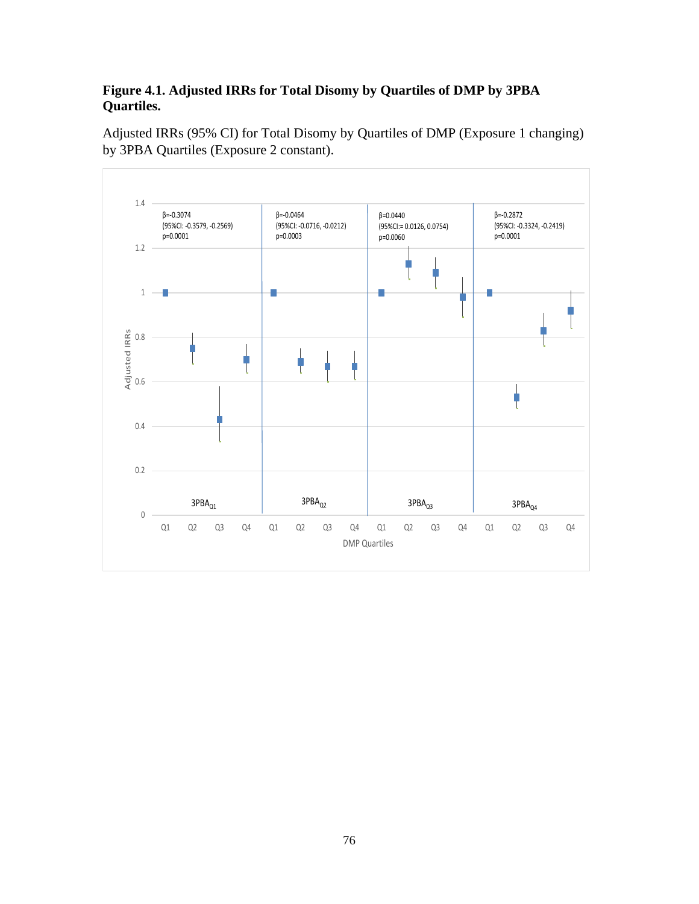# **Figure 4.1. Adjusted IRRs for Total Disomy by Quartiles of DMP by 3PBA Quartiles.**

Adjusted IRRs (95% CI) for Total Disomy by Quartiles of DMP (Exposure 1 changing) by 3PBA Quartiles (Exposure 2 constant).

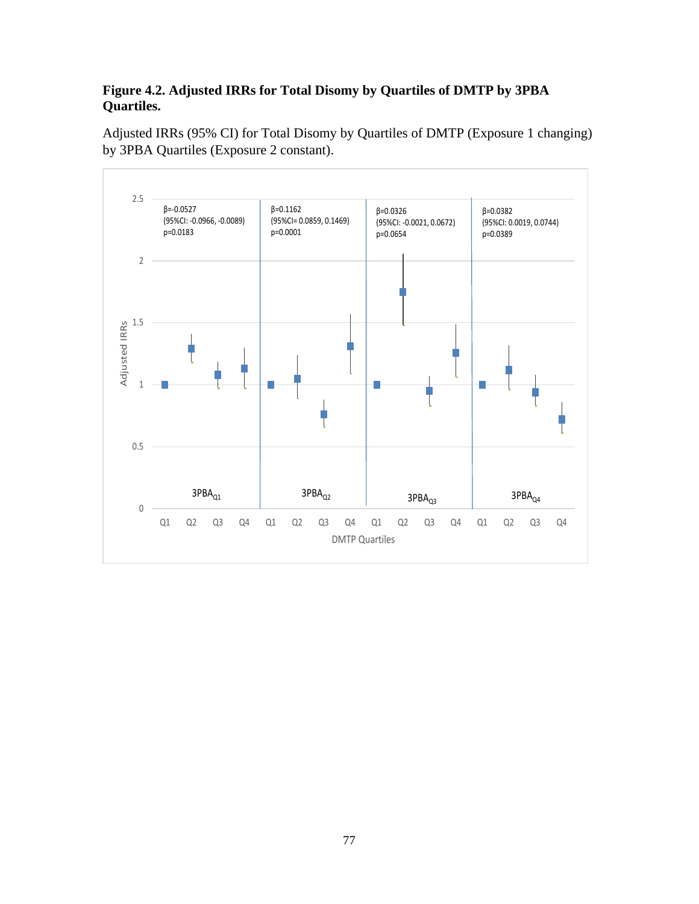# **Figure 4.2. Adjusted IRRs for Total Disomy by Quartiles of DMTP by 3PBA Quartiles.**

Adjusted IRRs (95% CI) for Total Disomy by Quartiles of DMTP (Exposure 1 changing) by 3PBA Quartiles (Exposure 2 constant).

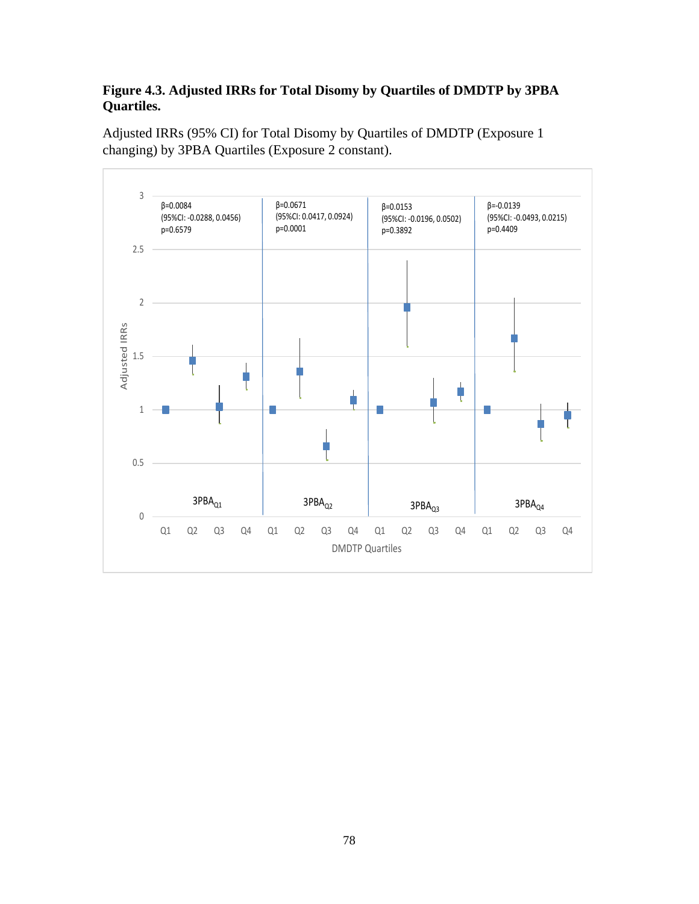# **Figure 4.3. Adjusted IRRs for Total Disomy by Quartiles of DMDTP by 3PBA Quartiles.**



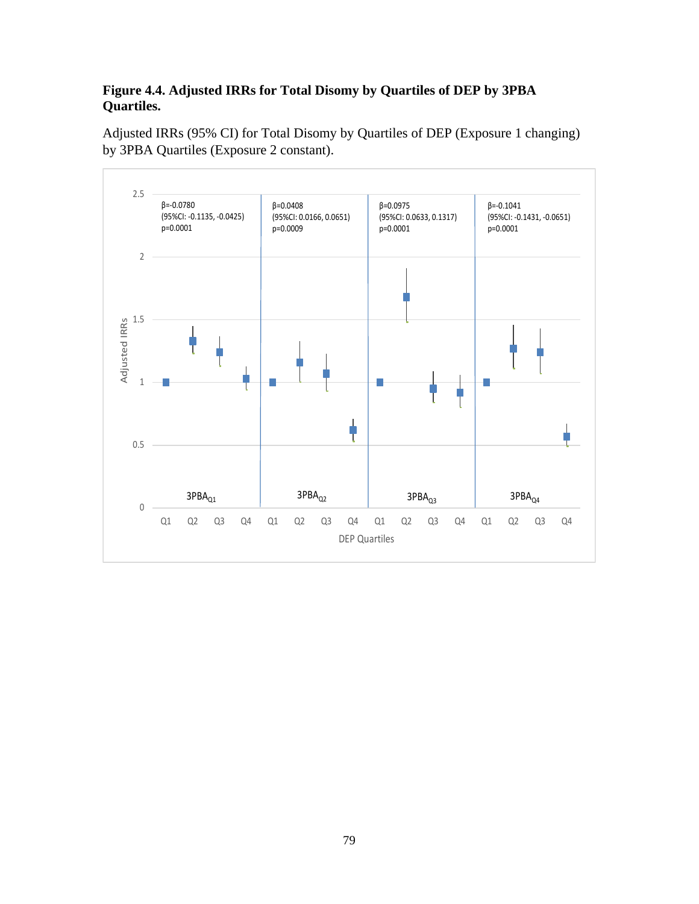# **Figure 4.4. Adjusted IRRs for Total Disomy by Quartiles of DEP by 3PBA Quartiles.**

Adjusted IRRs (95% CI) for Total Disomy by Quartiles of DEP (Exposure 1 changing) by 3PBA Quartiles (Exposure 2 constant).

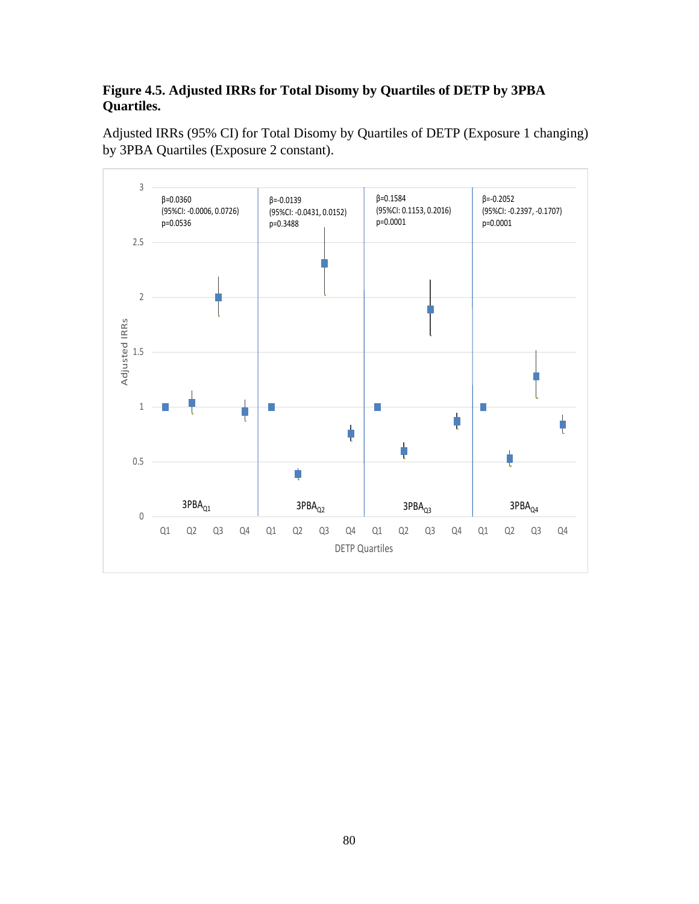### **Figure 4.5. Adjusted IRRs for Total Disomy by Quartiles of DETP by 3PBA Quartiles.**

Adjusted IRRs (95% CI) for Total Disomy by Quartiles of DETP (Exposure 1 changing) by 3PBA Quartiles (Exposure 2 constant).

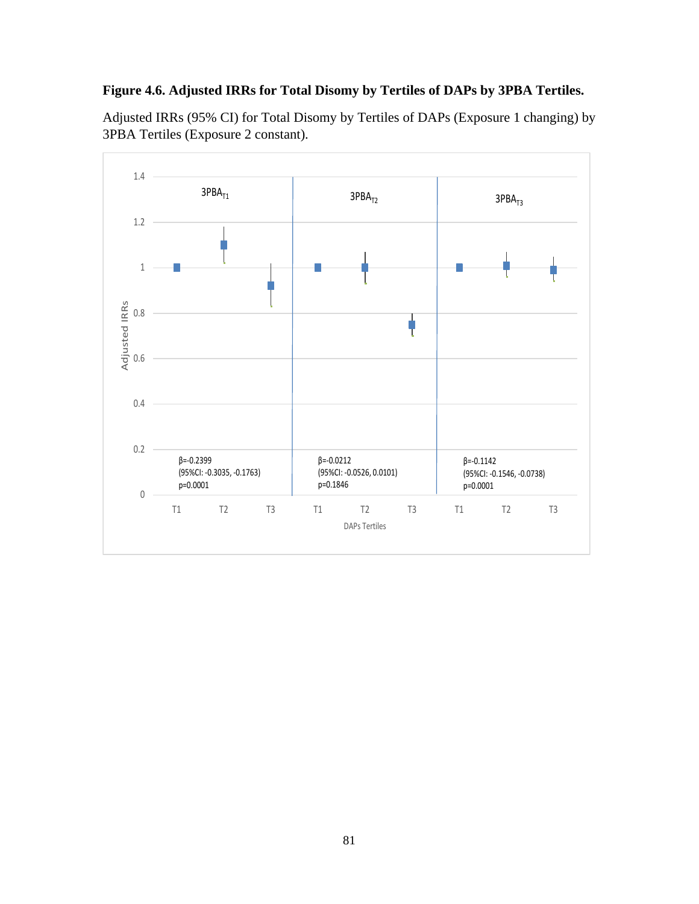### **Figure 4.6. Adjusted IRRs for Total Disomy by Tertiles of DAPs by 3PBA Tertiles.**

Adjusted IRRs (95% CI) for Total Disomy by Tertiles of DAPs (Exposure 1 changing) by 3PBA Tertiles (Exposure 2 constant).

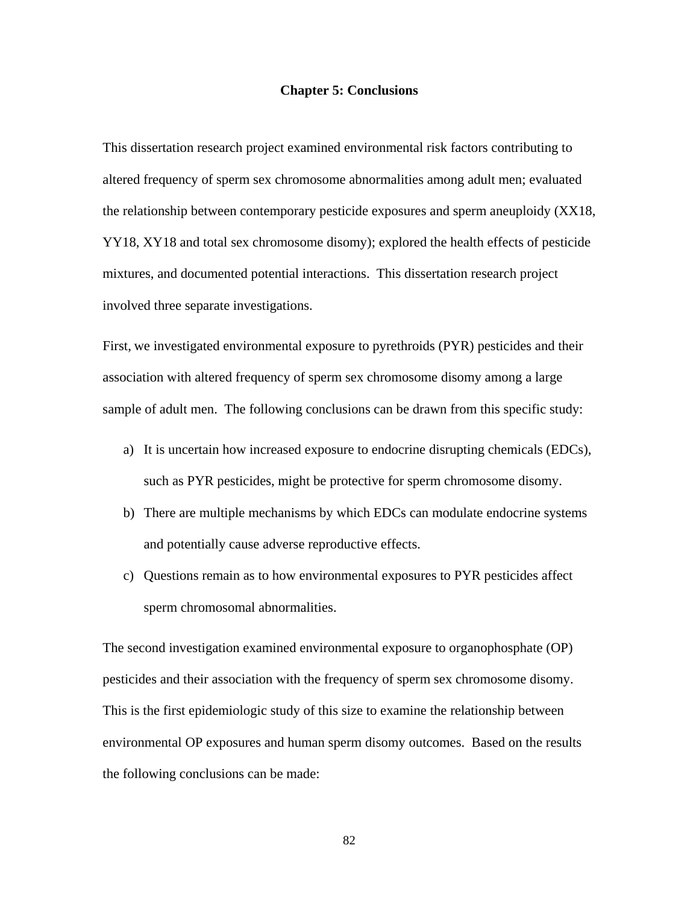#### **Chapter 5: Conclusions**

This dissertation research project examined environmental risk factors contributing to altered frequency of sperm sex chromosome abnormalities among adult men; evaluated the relationship between contemporary pesticide exposures and sperm aneuploidy (XX18, YY18, XY18 and total sex chromosome disomy); explored the health effects of pesticide mixtures, and documented potential interactions. This dissertation research project involved three separate investigations.

First, we investigated environmental exposure to pyrethroids (PYR) pesticides and their association with altered frequency of sperm sex chromosome disomy among a large sample of adult men. The following conclusions can be drawn from this specific study:

- a) It is uncertain how increased exposure to endocrine disrupting chemicals (EDCs), such as PYR pesticides, might be protective for sperm chromosome disomy.
- b) There are multiple mechanisms by which EDCs can modulate endocrine systems and potentially cause adverse reproductive effects.
- c) Questions remain as to how environmental exposures to PYR pesticides affect sperm chromosomal abnormalities.

The second investigation examined environmental exposure to organophosphate (OP) pesticides and their association with the frequency of sperm sex chromosome disomy. This is the first epidemiologic study of this size to examine the relationship between environmental OP exposures and human sperm disomy outcomes. Based on the results the following conclusions can be made: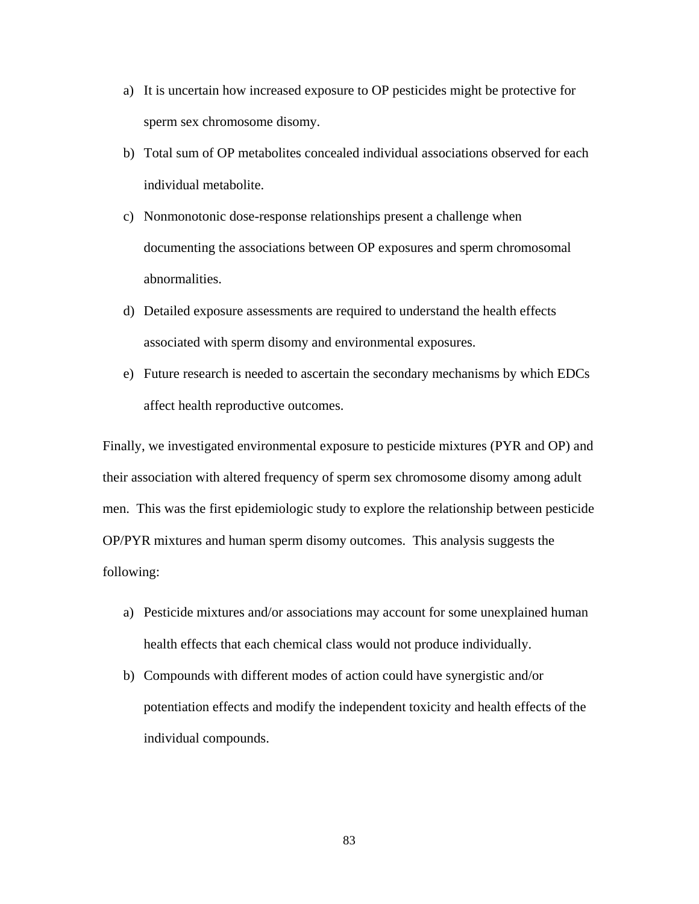- a) It is uncertain how increased exposure to OP pesticides might be protective for sperm sex chromosome disomy.
- b) Total sum of OP metabolites concealed individual associations observed for each individual metabolite.
- c) Nonmonotonic dose-response relationships present a challenge when documenting the associations between OP exposures and sperm chromosomal abnormalities.
- d) Detailed exposure assessments are required to understand the health effects associated with sperm disomy and environmental exposures.
- e) Future research is needed to ascertain the secondary mechanisms by which EDCs affect health reproductive outcomes.

Finally, we investigated environmental exposure to pesticide mixtures (PYR and OP) and their association with altered frequency of sperm sex chromosome disomy among adult men. This was the first epidemiologic study to explore the relationship between pesticide OP/PYR mixtures and human sperm disomy outcomes. This analysis suggests the following:

- a) Pesticide mixtures and/or associations may account for some unexplained human health effects that each chemical class would not produce individually.
- b) Compounds with different modes of action could have synergistic and/or potentiation effects and modify the independent toxicity and health effects of the individual compounds.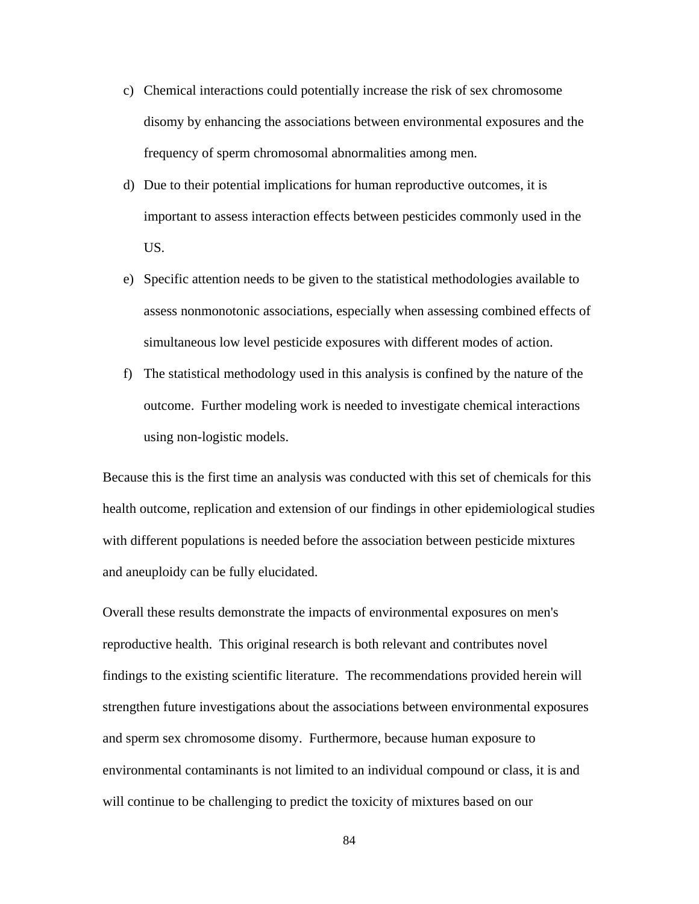- c) Chemical interactions could potentially increase the risk of sex chromosome disomy by enhancing the associations between environmental exposures and the frequency of sperm chromosomal abnormalities among men.
- d) Due to their potential implications for human reproductive outcomes, it is important to assess interaction effects between pesticides commonly used in the US.
- e) Specific attention needs to be given to the statistical methodologies available to assess nonmonotonic associations, especially when assessing combined effects of simultaneous low level pesticide exposures with different modes of action.
- f) The statistical methodology used in this analysis is confined by the nature of the outcome. Further modeling work is needed to investigate chemical interactions using non-logistic models.

Because this is the first time an analysis was conducted with this set of chemicals for this health outcome, replication and extension of our findings in other epidemiological studies with different populations is needed before the association between pesticide mixtures and aneuploidy can be fully elucidated.

Overall these results demonstrate the impacts of environmental exposures on men's reproductive health. This original research is both relevant and contributes novel findings to the existing scientific literature. The recommendations provided herein will strengthen future investigations about the associations between environmental exposures and sperm sex chromosome disomy. Furthermore, because human exposure to environmental contaminants is not limited to an individual compound or class, it is and will continue to be challenging to predict the toxicity of mixtures based on our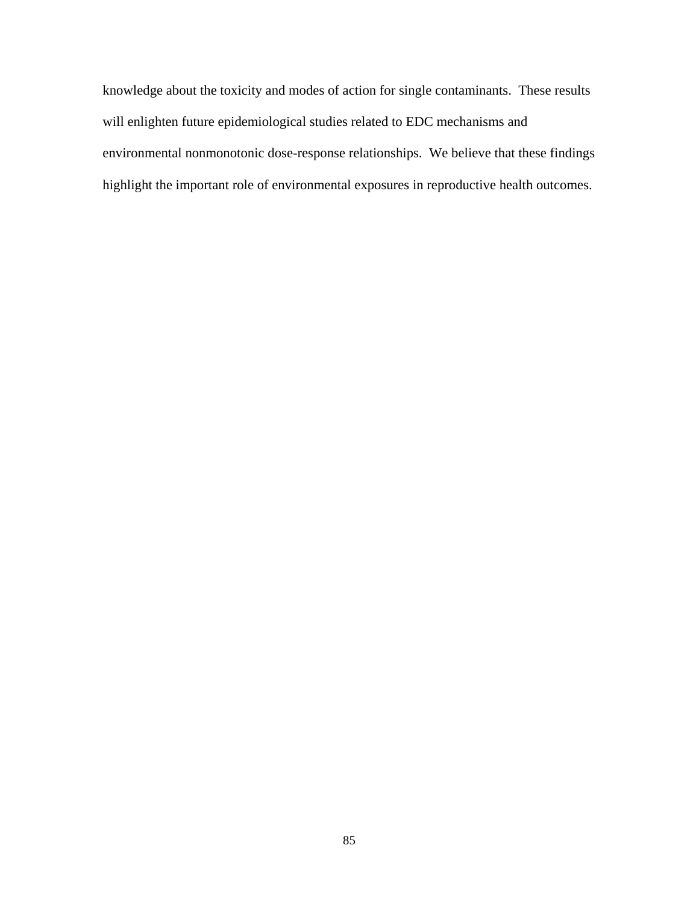knowledge about the toxicity and modes of action for single contaminants. These results will enlighten future epidemiological studies related to EDC mechanisms and environmental nonmonotonic dose-response relationships. We believe that these findings highlight the important role of environmental exposures in reproductive health outcomes.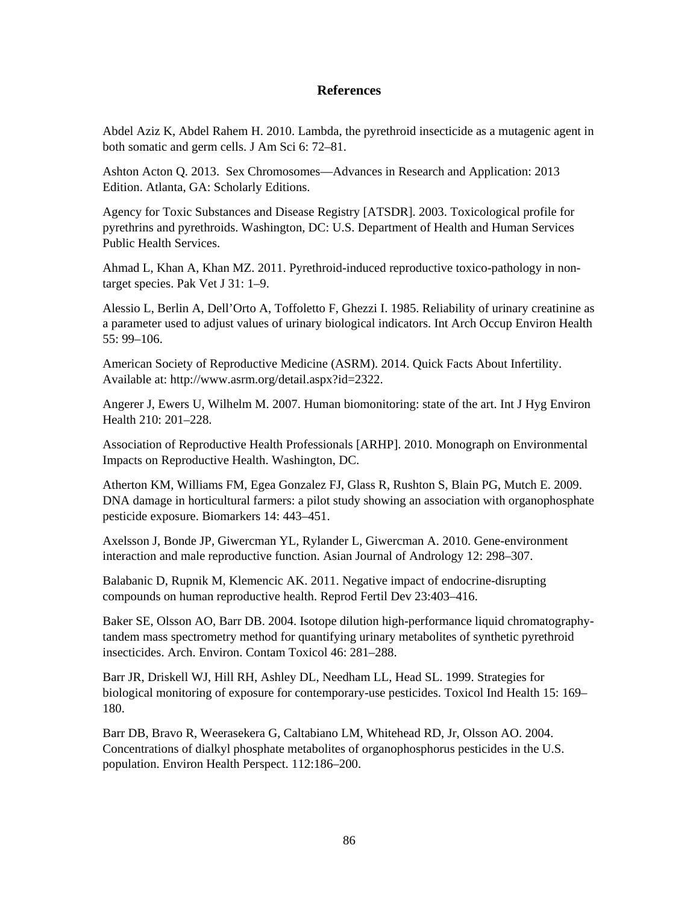#### **References**

Abdel Aziz K, Abdel Rahem H. 2010. Lambda, the pyrethroid insecticide as a mutagenic agent in both somatic and germ cells. J Am Sci 6: 72–81.

Ashton Acton Q. 2013. Sex Chromosomes—Advances in Research and Application: 2013 Edition. Atlanta, GA: Scholarly Editions.

Agency for Toxic Substances and Disease Registry [ATSDR]. 2003. Toxicological profile for pyrethrins and pyrethroids. Washington, DC: U.S. Department of Health and Human Services Public Health Services.

Ahmad L, Khan A, Khan MZ. 2011. Pyrethroid-induced reproductive toxico-pathology in nontarget species. Pak Vet J 31: 1–9.

Alessio L, Berlin A, Dell'Orto A, Toffoletto F, Ghezzi I. 1985. Reliability of urinary creatinine as a parameter used to adjust values of urinary biological indicators. Int Arch Occup Environ Health 55: 99–106.

American Society of Reproductive Medicine (ASRM). 2014. Quick Facts About Infertility. Available at: http://www.asrm.org/detail.aspx?id=2322.

Angerer J, Ewers U, Wilhelm M. 2007. Human biomonitoring: state of the art. Int J Hyg Environ Health 210: 201–228.

Association of Reproductive Health Professionals [ARHP]. 2010. Monograph on Environmental Impacts on Reproductive Health. Washington, DC.

Atherton KM, Williams FM, Egea Gonzalez FJ, Glass R, Rushton S, Blain PG, Mutch E. 2009. DNA damage in horticultural farmers: a pilot study showing an association with organophosphate pesticide exposure. Biomarkers 14: 443–451.

Axelsson J, Bonde JP, Giwercman YL, Rylander L, Giwercman A. 2010. Gene-environment interaction and male reproductive function. Asian Journal of Andrology 12: 298–307.

Balabanic D, Rupnik M, Klemencic AK. 2011. Negative impact of endocrine-disrupting compounds on human reproductive health. Reprod Fertil Dev 23:403–416.

Baker SE, Olsson AO, Barr DB. 2004. Isotope dilution high-performance liquid chromatographytandem mass spectrometry method for quantifying urinary metabolites of synthetic pyrethroid insecticides. Arch. Environ. Contam Toxicol 46: 281–288.

Barr JR, Driskell WJ, Hill RH, Ashley DL, Needham LL, Head SL. 1999. Strategies for biological monitoring of exposure for contemporary-use pesticides. Toxicol Ind Health 15: 169– 180.

Barr DB, Bravo R, Weerasekera G, Caltabiano LM, Whitehead RD, Jr, Olsson AO. 2004. Concentrations of dialkyl phosphate metabolites of organophosphorus pesticides in the U.S. population. Environ Health Perspect. 112:186–200.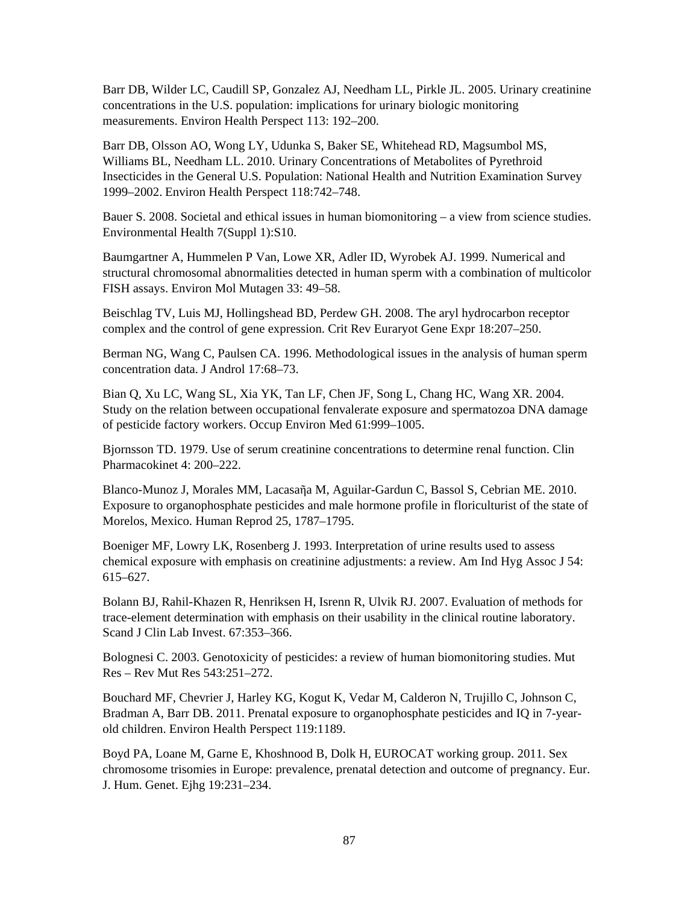Barr DB, Wilder LC, Caudill SP, Gonzalez AJ, Needham LL, Pirkle JL. 2005. Urinary creatinine concentrations in the U.S. population: implications for urinary biologic monitoring measurements. Environ Health Perspect 113: 192–200.

Barr DB, Olsson AO, Wong LY, Udunka S, Baker SE, Whitehead RD, Magsumbol MS, Williams BL, Needham LL. 2010. Urinary Concentrations of Metabolites of Pyrethroid Insecticides in the General U.S. Population: National Health and Nutrition Examination Survey 1999–2002. Environ Health Perspect 118:742–748.

Bauer S. 2008. Societal and ethical issues in human biomonitoring – a view from science studies. Environmental Health 7(Suppl 1):S10.

Baumgartner A, Hummelen P Van, Lowe XR, Adler ID, Wyrobek AJ. 1999. Numerical and structural chromosomal abnormalities detected in human sperm with a combination of multicolor FISH assays. Environ Mol Mutagen 33: 49–58.

Beischlag TV, Luis MJ, Hollingshead BD, Perdew GH. 2008. The aryl hydrocarbon receptor complex and the control of gene expression. Crit Rev Euraryot Gene Expr 18:207–250.

Berman NG, Wang C, Paulsen CA. 1996. Methodological issues in the analysis of human sperm concentration data. J Androl 17:68–73.

Bian Q, Xu LC, Wang SL, Xia YK, Tan LF, Chen JF, Song L, Chang HC, Wang XR. 2004. Study on the relation between occupational fenvalerate exposure and spermatozoa DNA damage of pesticide factory workers. Occup Environ Med 61:999–1005.

Bjornsson TD. 1979. Use of serum creatinine concentrations to determine renal function. Clin Pharmacokinet 4: 200–222.

Blanco-Munoz J, Morales MM, Lacasaῆa M, Aguilar-Gardun C, Bassol S, Cebrian ME. 2010. Exposure to organophosphate pesticides and male hormone profile in floriculturist of the state of Morelos, Mexico. Human Reprod 25, 1787–1795.

Boeniger MF, Lowry LK, Rosenberg J. 1993. Interpretation of urine results used to assess chemical exposure with emphasis on creatinine adjustments: a review. Am Ind Hyg Assoc J 54: 615–627.

Bolann BJ, Rahil-Khazen R, Henriksen H, Isrenn R, Ulvik RJ. 2007. Evaluation of methods for trace-element determination with emphasis on their usability in the clinical routine laboratory. Scand J Clin Lab Invest. 67:353–366.

Bolognesi C. 2003. Genotoxicity of pesticides: a review of human biomonitoring studies. Mut Res – Rev Mut Res 543:251–272.

Bouchard MF, Chevrier J, Harley KG, Kogut K, Vedar M, Calderon N, Trujillo C, Johnson C, Bradman A, Barr DB. 2011. Prenatal exposure to organophosphate pesticides and IQ in 7-yearold children. Environ Health Perspect 119:1189.

Boyd PA, Loane M, Garne E, Khoshnood B, Dolk H, EUROCAT working group. 2011. Sex chromosome trisomies in Europe: prevalence, prenatal detection and outcome of pregnancy. Eur. J. Hum. Genet. Ejhg 19:231–234.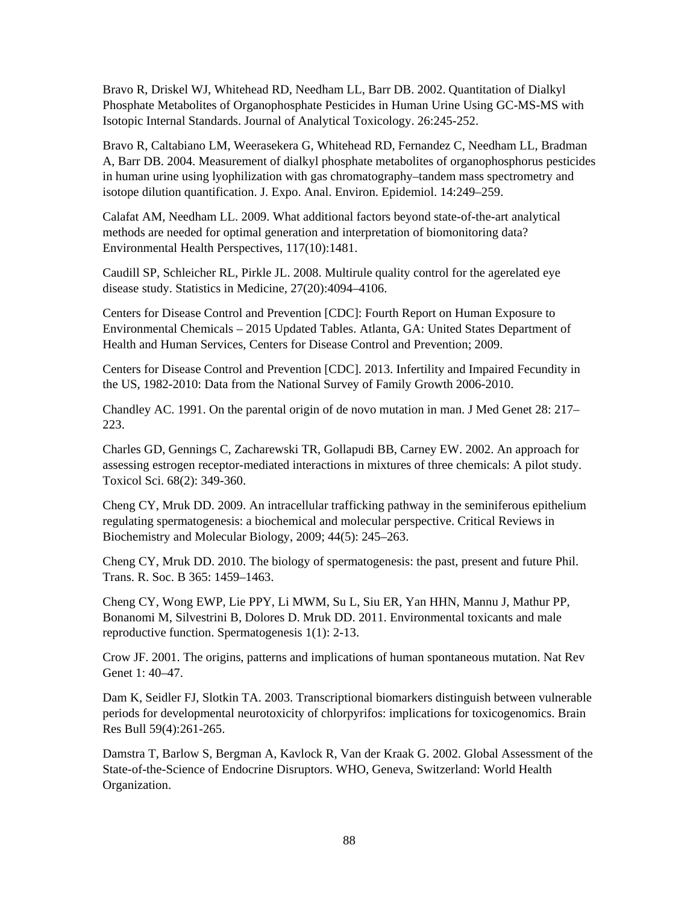Bravo R, Driskel WJ, Whitehead RD, Needham LL, Barr DB. 2002. Quantitation of Dialkyl Phosphate Metabolites of Organophosphate Pesticides in Human Urine Using GC-MS-MS with Isotopic Internal Standards. Journal of Analytical Toxicology. 26:245-252.

Bravo R, Caltabiano LM, Weerasekera G, Whitehead RD, Fernandez C, Needham LL, Bradman A, Barr DB. 2004. Measurement of dialkyl phosphate metabolites of organophosphorus pesticides in human urine using lyophilization with gas chromatography–tandem mass spectrometry and isotope dilution quantification. J. Expo. Anal. Environ. Epidemiol. 14:249–259.

Calafat AM, Needham LL. 2009. What additional factors beyond state-of-the-art analytical methods are needed for optimal generation and interpretation of biomonitoring data? Environmental Health Perspectives, 117(10):1481.

Caudill SP, Schleicher RL, Pirkle JL. 2008. Multirule quality control for the agerelated eye disease study. Statistics in Medicine, 27(20):4094–4106.

Centers for Disease Control and Prevention [CDC]: Fourth Report on Human Exposure to Environmental Chemicals – 2015 Updated Tables. Atlanta, GA: United States Department of Health and Human Services, Centers for Disease Control and Prevention; 2009.

Centers for Disease Control and Prevention [CDC]. 2013. Infertility and Impaired Fecundity in the US, 1982-2010: Data from the National Survey of Family Growth 2006-2010.

Chandley AC. 1991. On the parental origin of de novo mutation in man. J Med Genet 28: 217– 223.

Charles GD, Gennings C, Zacharewski TR, Gollapudi BB, Carney EW. 2002. An approach for assessing estrogen receptor-mediated interactions in mixtures of three chemicals: A pilot study. Toxicol Sci. 68(2): 349-360.

Cheng CY, Mruk DD. 2009. An intracellular trafficking pathway in the seminiferous epithelium regulating spermatogenesis: a biochemical and molecular perspective. Critical Reviews in Biochemistry and Molecular Biology, 2009; 44(5): 245–263.

Cheng CY, Mruk DD. 2010. The biology of spermatogenesis: the past, present and future Phil. Trans. R. Soc. B 365: 1459–1463.

Cheng CY, Wong EWP, Lie PPY, Li MWM, Su L, Siu ER, Yan HHN, Mannu J, Mathur PP, Bonanomi M, Silvestrini B, Dolores D. Mruk DD. 2011. Environmental toxicants and male reproductive function. Spermatogenesis 1(1): 2-13.

Crow JF. 2001. The origins, patterns and implications of human spontaneous mutation. Nat Rev Genet 1: 40–47.

Dam K, Seidler FJ, Slotkin TA. 2003. Transcriptional biomarkers distinguish between vulnerable periods for developmental neurotoxicity of chlorpyrifos: implications for toxicogenomics. Brain Res Bull 59(4):261-265.

Damstra T, Barlow S, Bergman A, Kavlock R, Van der Kraak G. 2002. Global Assessment of the State-of-the-Science of Endocrine Disruptors. WHO, Geneva, Switzerland: World Health Organization.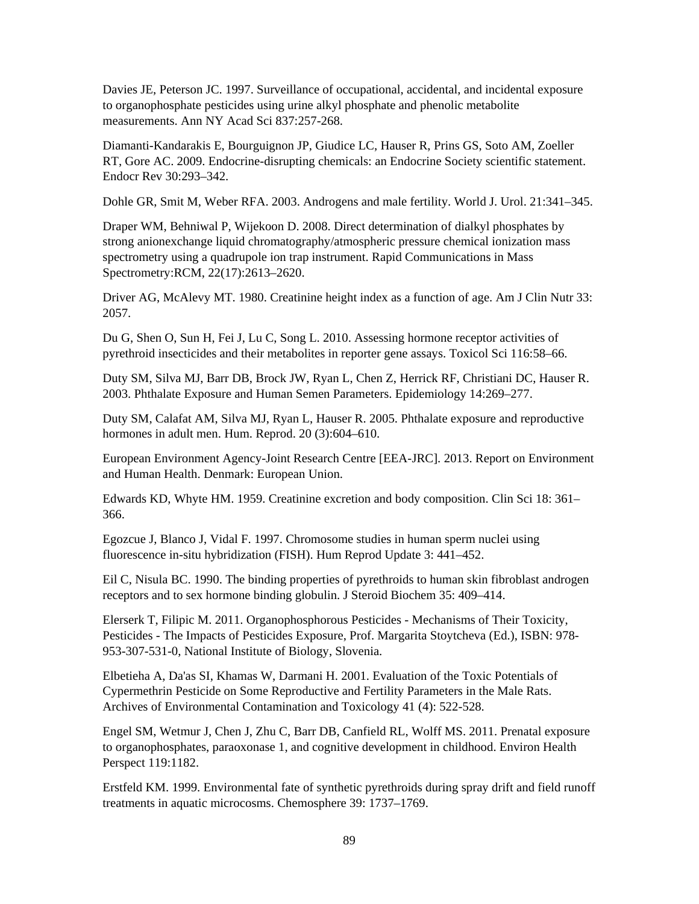Davies JE, Peterson JC. 1997. Surveillance of occupational, accidental, and incidental exposure to organophosphate pesticides using urine alkyl phosphate and phenolic metabolite measurements. Ann NY Acad Sci 837:257-268.

Diamanti-Kandarakis E, Bourguignon JP, Giudice LC, Hauser R, Prins GS, Soto AM, Zoeller RT, Gore AC. 2009. Endocrine-disrupting chemicals: an Endocrine Society scientific statement. Endocr Rev 30:293–342.

Dohle GR, Smit M, Weber RFA. 2003. Androgens and male fertility. World J. Urol. 21:341–345.

Draper WM, Behniwal P, Wijekoon D. 2008. Direct determination of dialkyl phosphates by strong anionexchange liquid chromatography/atmospheric pressure chemical ionization mass spectrometry using a quadrupole ion trap instrument. Rapid Communications in Mass Spectrometry:RCM, 22(17):2613–2620.

Driver AG, McAlevy MT. 1980. Creatinine height index as a function of age. Am J Clin Nutr 33: 2057.

Du G, Shen O, Sun H, Fei J, Lu C, Song L. 2010. Assessing hormone receptor activities of pyrethroid insecticides and their metabolites in reporter gene assays. Toxicol Sci 116:58–66.

Duty SM, Silva MJ, Barr DB, Brock JW, Ryan L, Chen Z, Herrick RF, Christiani DC, Hauser R. 2003. Phthalate Exposure and Human Semen Parameters. Epidemiology 14:269–277.

Duty SM, Calafat AM, Silva MJ, Ryan L, Hauser R. 2005. Phthalate exposure and reproductive hormones in adult men. Hum. Reprod. 20 (3):604–610.

European Environment Agency-Joint Research Centre [EEA-JRC]. 2013. Report on Environment and Human Health. Denmark: European Union.

Edwards KD, Whyte HM. 1959. Creatinine excretion and body composition. Clin Sci 18: 361– 366.

Egozcue J, Blanco J, Vidal F. 1997. Chromosome studies in human sperm nuclei using fluorescence in-situ hybridization (FISH). Hum Reprod Update 3: 441–452.

Eil C, Nisula BC. 1990. The binding properties of pyrethroids to human skin fibroblast androgen receptors and to sex hormone binding globulin. J Steroid Biochem 35: 409–414.

Elerserk T, Filipic M. 2011. Organophosphorous Pesticides - Mechanisms of Their Toxicity, Pesticides - The Impacts of Pesticides Exposure, Prof. Margarita Stoytcheva (Ed.), ISBN: 978- 953-307-531-0, National Institute of Biology, Slovenia.

Elbetieha A, Da'as SI, Khamas W, Darmani H. 2001. Evaluation of the Toxic Potentials of Cypermethrin Pesticide on Some Reproductive and Fertility Parameters in the Male Rats. Archives of Environmental Contamination and Toxicology 41 (4): 522-528.

Engel SM, Wetmur J, Chen J, Zhu C, Barr DB, Canfield RL, Wolff MS. 2011. Prenatal exposure to organophosphates, paraoxonase 1, and cognitive development in childhood. Environ Health Perspect 119:1182.

Erstfeld KM. 1999. Environmental fate of synthetic pyrethroids during spray drift and field runoff treatments in aquatic microcosms. Chemosphere 39: 1737–1769.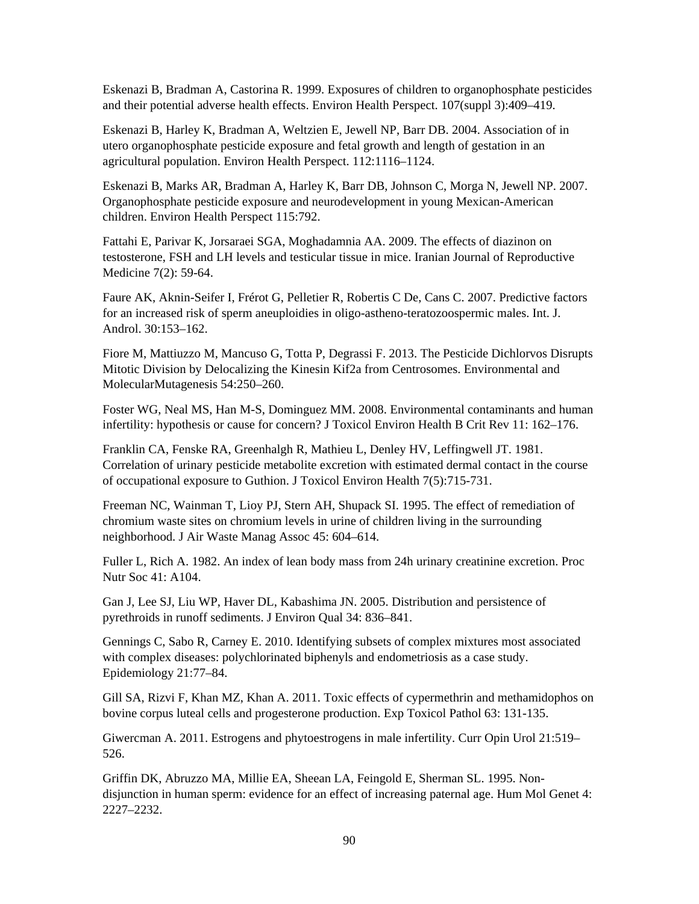Eskenazi B, Bradman A, Castorina R. 1999. Exposures of children to organophosphate pesticides and their potential adverse health effects. Environ Health Perspect. 107(suppl 3):409–419.

Eskenazi B, Harley K, Bradman A, Weltzien E, Jewell NP, Barr DB. 2004. Association of in utero organophosphate pesticide exposure and fetal growth and length of gestation in an agricultural population. Environ Health Perspect. 112:1116–1124.

Eskenazi B, Marks AR, Bradman A, Harley K, Barr DB, Johnson C, Morga N, Jewell NP. 2007. Organophosphate pesticide exposure and neurodevelopment in young Mexican-American children. Environ Health Perspect 115:792.

Fattahi E, Parivar K, Jorsaraei SGA, Moghadamnia AA. 2009. The effects of diazinon on testosterone, FSH and LH levels and testicular tissue in mice. Iranian Journal of Reproductive Medicine 7(2): 59-64.

Faure AK, Aknin-Seifer I, Frérot G, Pelletier R, Robertis C De, Cans C. 2007. Predictive factors for an increased risk of sperm aneuploidies in oligo-astheno-teratozoospermic males. Int. J. Androl. 30:153–162.

Fiore M, Mattiuzzo M, Mancuso G, Totta P, Degrassi F. 2013. The Pesticide Dichlorvos Disrupts Mitotic Division by Delocalizing the Kinesin Kif2a from Centrosomes. Environmental and MolecularMutagenesis 54:250–260.

Foster WG, Neal MS, Han M-S, Dominguez MM. 2008. Environmental contaminants and human infertility: hypothesis or cause for concern? J Toxicol Environ Health B Crit Rev 11: 162–176.

Franklin CA, Fenske RA, Greenhalgh R, Mathieu L, Denley HV, Leffingwell JT. 1981. Correlation of urinary pesticide metabolite excretion with estimated dermal contact in the course of occupational exposure to Guthion. J Toxicol Environ Health 7(5):715-731.

Freeman NC, Wainman T, Lioy PJ, Stern AH, Shupack SI. 1995. The effect of remediation of chromium waste sites on chromium levels in urine of children living in the surrounding neighborhood. J Air Waste Manag Assoc 45: 604–614.

Fuller L, Rich A. 1982. An index of lean body mass from 24h urinary creatinine excretion. Proc Nutr Soc 41: A104.

Gan J, Lee SJ, Liu WP, Haver DL, Kabashima JN. 2005. Distribution and persistence of pyrethroids in runoff sediments. J Environ Qual 34: 836–841.

Gennings C, Sabo R, Carney E. 2010. Identifying subsets of complex mixtures most associated with complex diseases: polychlorinated biphenyls and endometriosis as a case study. Epidemiology 21:77–84.

Gill SA, Rizvi F, Khan MZ, Khan A. 2011. Toxic effects of cypermethrin and methamidophos on bovine corpus luteal cells and progesterone production. Exp Toxicol Pathol 63: 131-135.

Giwercman A. 2011. Estrogens and phytoestrogens in male infertility. Curr Opin Urol 21:519– 526.

Griffin DK, Abruzzo MA, Millie EA, Sheean LA, Feingold E, Sherman SL. 1995. Nondisjunction in human sperm: evidence for an effect of increasing paternal age. Hum Mol Genet 4: 2227–2232.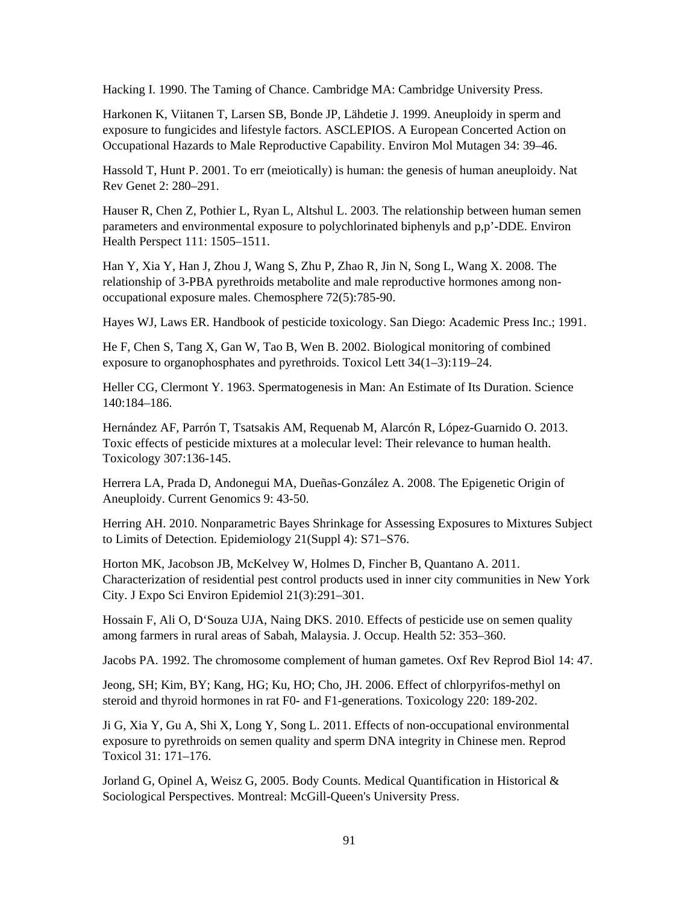Hacking I. 1990. The Taming of Chance. Cambridge MA: Cambridge University Press.

Harkonen K, Viitanen T, Larsen SB, Bonde JP, Lähdetie J. 1999. Aneuploidy in sperm and exposure to fungicides and lifestyle factors. ASCLEPIOS. A European Concerted Action on Occupational Hazards to Male Reproductive Capability. Environ Mol Mutagen 34: 39–46.

Hassold T, Hunt P. 2001. To err (meiotically) is human: the genesis of human aneuploidy. Nat Rev Genet 2: 280–291.

Hauser R, Chen Z, Pothier L, Ryan L, Altshul L. 2003. The relationship between human semen parameters and environmental exposure to polychlorinated biphenyls and p,p'-DDE. Environ Health Perspect 111: 1505–1511.

Han Y, Xia Y, Han J, Zhou J, Wang S, Zhu P, Zhao R, Jin N, Song L, Wang X. 2008. The relationship of 3-PBA pyrethroids metabolite and male reproductive hormones among nonoccupational exposure males. Chemosphere 72(5):785-90.

Hayes WJ, Laws ER. Handbook of pesticide toxicology. San Diego: Academic Press Inc.; 1991.

He F, Chen S, Tang X, Gan W, Tao B, Wen B. 2002. Biological monitoring of combined exposure to organophosphates and pyrethroids. Toxicol Lett 34(1–3):119–24.

Heller CG, Clermont Y. 1963. Spermatogenesis in Man: An Estimate of Its Duration. Science 140:184–186.

Hernández AF, Parrón T, Tsatsakis AM, Requenab M, Alarcón R, López-Guarnido O. 2013. Toxic effects of pesticide mixtures at a molecular level: Their relevance to human health. Toxicology 307:136-145.

Herrera LA, Prada D, Andonegui MA, Dueñas-González A. 2008. The Epigenetic Origin of Aneuploidy. Current Genomics 9: 43-50.

Herring AH. 2010. Nonparametric Bayes Shrinkage for Assessing Exposures to Mixtures Subject to Limits of Detection. Epidemiology 21(Suppl 4): S71–S76.

Horton MK, Jacobson JB, McKelvey W, Holmes D, Fincher B, Quantano A. 2011. Characterization of residential pest control products used in inner city communities in New York City. J Expo Sci Environ Epidemiol 21(3):291–301.

Hossain F, Ali O, D'Souza UJA, Naing DKS. 2010. Effects of pesticide use on semen quality among farmers in rural areas of Sabah, Malaysia. J. Occup. Health 52: 353–360.

Jacobs PA. 1992. The chromosome complement of human gametes. Oxf Rev Reprod Biol 14: 47.

Jeong, SH; Kim, BY; Kang, HG; Ku, HO; Cho, JH. 2006. Effect of chlorpyrifos-methyl on steroid and thyroid hormones in rat F0- and F1-generations. Toxicology 220: 189-202.

Ji G, Xia Y, Gu A, Shi X, Long Y, Song L. 2011. Effects of non-occupational environmental exposure to pyrethroids on semen quality and sperm DNA integrity in Chinese men. Reprod Toxicol 31: 171–176.

Jorland G, Opinel A, Weisz G, 2005. Body Counts. Medical Quantification in Historical & Sociological Perspectives. Montreal: McGill-Queen's University Press.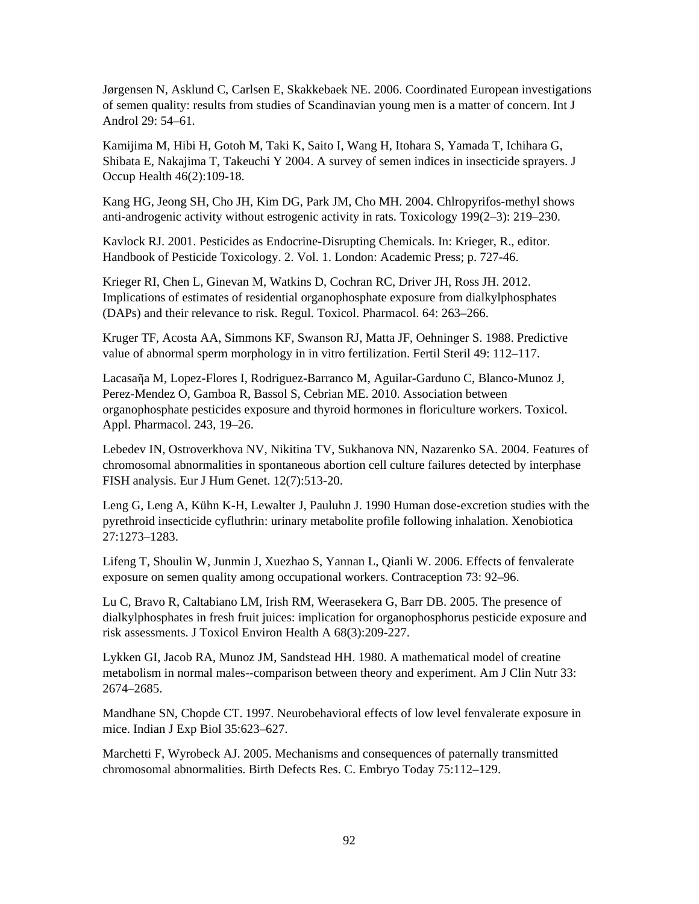Jørgensen N, Asklund C, Carlsen E, Skakkebaek NE. 2006. Coordinated European investigations of semen quality: results from studies of Scandinavian young men is a matter of concern. Int J Androl 29: 54–61.

Kamijima M, Hibi H, Gotoh M, Taki K, Saito I, Wang H, Itohara S, Yamada T, Ichihara G, Shibata E, Nakajima T, Takeuchi Y 2004. A survey of semen indices in insecticide sprayers. J Occup Health 46(2):109-18.

Kang HG, Jeong SH, Cho JH, Kim DG, Park JM, Cho MH. 2004. Chlropyrifos-methyl shows anti-androgenic activity without estrogenic activity in rats. Toxicology 199(2–3): 219–230.

Kavlock RJ. 2001. Pesticides as Endocrine-Disrupting Chemicals. In: Krieger, R., editor. Handbook of Pesticide Toxicology. 2. Vol. 1. London: Academic Press; p. 727-46.

Krieger RI, Chen L, Ginevan M, Watkins D, Cochran RC, Driver JH, Ross JH. 2012. Implications of estimates of residential organophosphate exposure from dialkylphosphates (DAPs) and their relevance to risk. Regul. Toxicol. Pharmacol. 64: 263–266.

Kruger TF, Acosta AA, Simmons KF, Swanson RJ, Matta JF, Oehninger S. 1988. Predictive value of abnormal sperm morphology in in vitro fertilization. Fertil Steril 49: 112–117.

Lacasaῆa M, Lopez-Flores I, Rodriguez-Barranco M, Aguilar-Garduno C, Blanco-Munoz J, Perez-Mendez O, Gamboa R, Bassol S, Cebrian ME. 2010. Association between organophosphate pesticides exposure and thyroid hormones in floriculture workers. Toxicol. Appl. Pharmacol. 243, 19–26.

Lebedev IN, Ostroverkhova NV, Nikitina TV, Sukhanova NN, Nazarenko SA. 2004. Features of chromosomal abnormalities in spontaneous abortion cell culture failures detected by interphase FISH analysis. Eur J Hum Genet. 12(7):513-20.

Leng G, Leng A, Kühn K-H, Lewalter J, Pauluhn J. 1990 Human dose-excretion studies with the pyrethroid insecticide cyfluthrin: urinary metabolite profile following inhalation. Xenobiotica 27:1273–1283.

Lifeng T, Shoulin W, Junmin J, Xuezhao S, Yannan L, Qianli W. 2006. Effects of fenvalerate exposure on semen quality among occupational workers. Contraception 73: 92–96.

Lu C, Bravo R, Caltabiano LM, Irish RM, Weerasekera G, Barr DB. 2005. The presence of dialkylphosphates in fresh fruit juices: implication for organophosphorus pesticide exposure and risk assessments. J Toxicol Environ Health A 68(3):209-227.

Lykken GI, Jacob RA, Munoz JM, Sandstead HH. 1980. A mathematical model of creatine metabolism in normal males--comparison between theory and experiment. Am J Clin Nutr 33: 2674–2685.

Mandhane SN, Chopde CT. 1997. Neurobehavioral effects of low level fenvalerate exposure in mice. Indian J Exp Biol 35:623–627.

Marchetti F, Wyrobeck AJ. 2005. Mechanisms and consequences of paternally transmitted chromosomal abnormalities. Birth Defects Res. C. Embryo Today 75:112–129.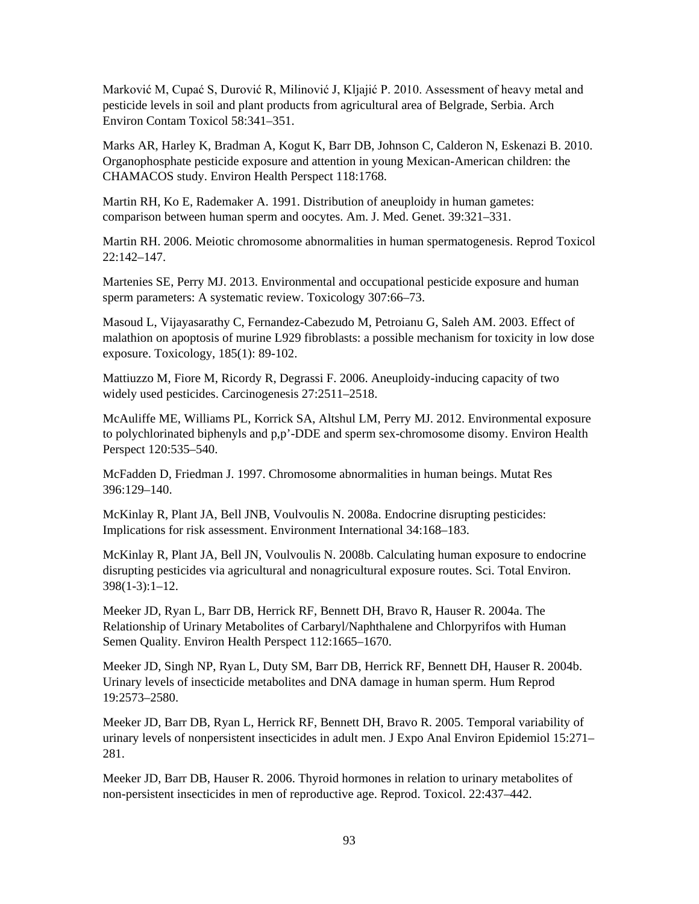Marković M, Cupać S, Durović R, Milinović J, Kljajić P. 2010. Assessment of heavy metal and pesticide levels in soil and plant products from agricultural area of Belgrade, Serbia. Arch Environ Contam Toxicol 58:341–351.

Marks AR, Harley K, Bradman A, Kogut K, Barr DB, Johnson C, Calderon N, Eskenazi B. 2010. Organophosphate pesticide exposure and attention in young Mexican-American children: the CHAMACOS study. Environ Health Perspect 118:1768.

Martin RH, Ko E, Rademaker A. 1991. Distribution of aneuploidy in human gametes: comparison between human sperm and oocytes. Am. J. Med. Genet. 39:321–331.

Martin RH. 2006. Meiotic chromosome abnormalities in human spermatogenesis. Reprod Toxicol 22:142–147.

Martenies SE, Perry MJ. 2013. Environmental and occupational pesticide exposure and human sperm parameters: A systematic review. Toxicology 307:66–73.

Masoud L, Vijayasarathy C, Fernandez-Cabezudo M, Petroianu G, Saleh AM. 2003. Effect of malathion on apoptosis of murine L929 fibroblasts: a possible mechanism for toxicity in low dose exposure. Toxicology, 185(1): 89-102.

Mattiuzzo M, Fiore M, Ricordy R, Degrassi F. 2006. Aneuploidy-inducing capacity of two widely used pesticides. Carcinogenesis 27:2511–2518.

McAuliffe ME, Williams PL, Korrick SA, Altshul LM, Perry MJ. 2012. Environmental exposure to polychlorinated biphenyls and p,p'-DDE and sperm sex-chromosome disomy. Environ Health Perspect 120:535–540.

McFadden D, Friedman J. 1997. Chromosome abnormalities in human beings. Mutat Res 396:129–140.

McKinlay R, Plant JA, Bell JNB, Voulvoulis N. 2008a. Endocrine disrupting pesticides: Implications for risk assessment. Environment International 34:168–183.

McKinlay R, Plant JA, Bell JN, Voulvoulis N. 2008b. Calculating human exposure to endocrine disrupting pesticides via agricultural and nonagricultural exposure routes. Sci. Total Environ. 398(1-3):1–12.

Meeker JD, Ryan L, Barr DB, Herrick RF, Bennett DH, Bravo R, Hauser R. 2004a. The Relationship of Urinary Metabolites of Carbaryl/Naphthalene and Chlorpyrifos with Human Semen Quality. Environ Health Perspect 112:1665–1670.

Meeker JD, Singh NP, Ryan L, Duty SM, Barr DB, Herrick RF, Bennett DH, Hauser R. 2004b. Urinary levels of insecticide metabolites and DNA damage in human sperm. Hum Reprod 19:2573–2580.

Meeker JD, Barr DB, Ryan L, Herrick RF, Bennett DH, Bravo R. 2005. Temporal variability of urinary levels of nonpersistent insecticides in adult men. J Expo Anal Environ Epidemiol 15:271– 281.

Meeker JD, Barr DB, Hauser R. 2006. Thyroid hormones in relation to urinary metabolites of non-persistent insecticides in men of reproductive age. Reprod. Toxicol. 22:437–442.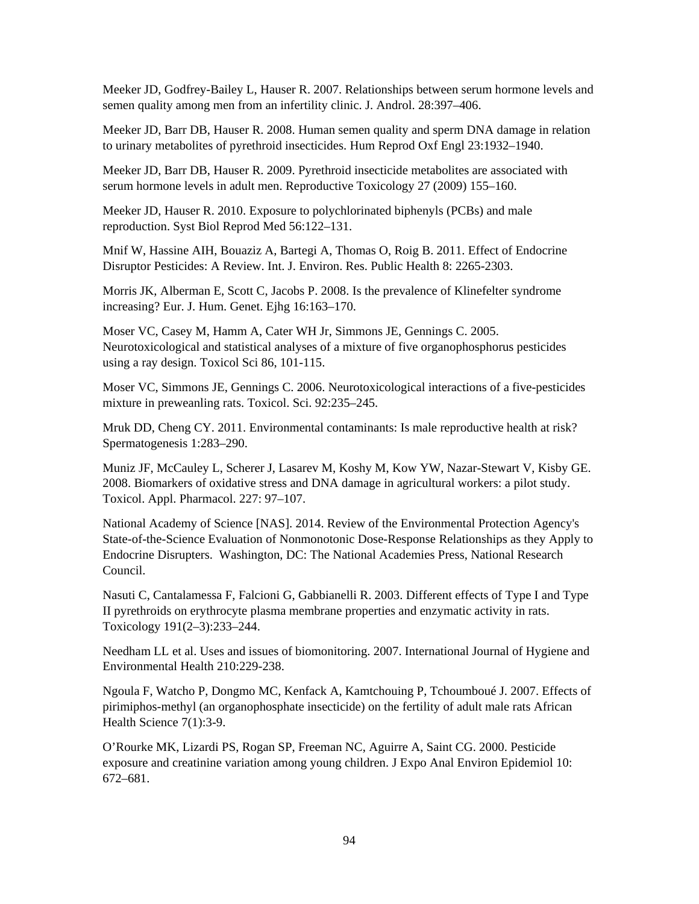Meeker JD, Godfrey-Bailey L, Hauser R. 2007. Relationships between serum hormone levels and semen quality among men from an infertility clinic. J. Androl. 28:397–406.

Meeker JD, Barr DB, Hauser R. 2008. Human semen quality and sperm DNA damage in relation to urinary metabolites of pyrethroid insecticides. Hum Reprod Oxf Engl 23:1932–1940.

Meeker JD, Barr DB, Hauser R. 2009. Pyrethroid insecticide metabolites are associated with serum hormone levels in adult men. Reproductive Toxicology 27 (2009) 155–160.

Meeker JD, Hauser R. 2010. Exposure to polychlorinated biphenyls (PCBs) and male reproduction. Syst Biol Reprod Med 56:122–131.

Mnif W, Hassine AIH, Bouaziz A, Bartegi A, Thomas O, Roig B. 2011. Effect of Endocrine Disruptor Pesticides: A Review. Int. J. Environ. Res. Public Health 8: 2265-2303.

Morris JK, Alberman E, Scott C, Jacobs P. 2008. Is the prevalence of Klinefelter syndrome increasing? Eur. J. Hum. Genet. Ejhg 16:163–170.

Moser VC, Casey M, Hamm A, Cater WH Jr, Simmons JE, Gennings C. 2005. Neurotoxicological and statistical analyses of a mixture of five organophosphorus pesticides using a ray design. Toxicol Sci 86, 101-115.

Moser VC, Simmons JE, Gennings C. 2006. Neurotoxicological interactions of a five-pesticides mixture in preweanling rats. Toxicol. Sci. 92:235–245.

Mruk DD, Cheng CY. 2011. Environmental contaminants: Is male reproductive health at risk? Spermatogenesis 1:283–290.

Muniz JF, McCauley L, Scherer J, Lasarev M, Koshy M, Kow YW, Nazar-Stewart V, Kisby GE. 2008. Biomarkers of oxidative stress and DNA damage in agricultural workers: a pilot study. Toxicol. Appl. Pharmacol. 227: 97–107.

National Academy of Science [NAS]. 2014. Review of the Environmental Protection Agency's State-of-the-Science Evaluation of Nonmonotonic Dose-Response Relationships as they Apply to Endocrine Disrupters. Washington, DC: The National Academies Press, National Research Council.

Nasuti C, Cantalamessa F, Falcioni G, Gabbianelli R. 2003. Different effects of Type I and Type II pyrethroids on erythrocyte plasma membrane properties and enzymatic activity in rats. Toxicology 191(2–3):233–244.

Needham LL et al. Uses and issues of biomonitoring. 2007. International Journal of Hygiene and Environmental Health 210:229-238.

Ngoula F, Watcho P, Dongmo MC, Kenfack A, Kamtchouing P, Tchoumboué J. 2007. Effects of pirimiphos-methyl (an organophosphate insecticide) on the fertility of adult male rats African Health Science 7(1):3-9.

O'Rourke MK, Lizardi PS, Rogan SP, Freeman NC, Aguirre A, Saint CG. 2000. Pesticide exposure and creatinine variation among young children. J Expo Anal Environ Epidemiol 10: 672–681.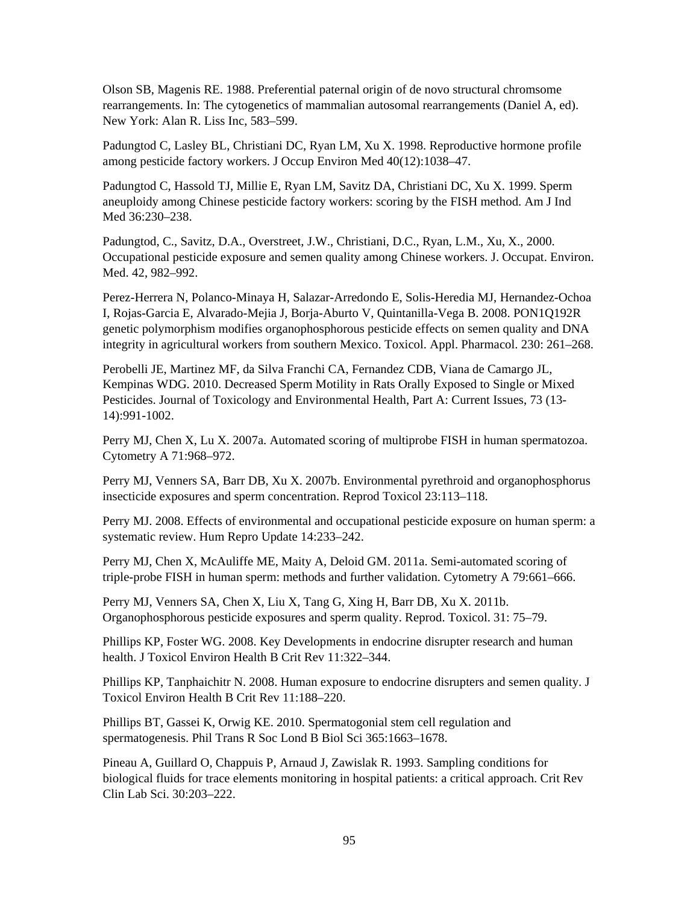Olson SB, Magenis RE. 1988. Preferential paternal origin of de novo structural chromsome rearrangements. In: The cytogenetics of mammalian autosomal rearrangements (Daniel A, ed). New York: Alan R. Liss Inc, 583–599.

Padungtod C, Lasley BL, Christiani DC, Ryan LM, Xu X. 1998. Reproductive hormone profile among pesticide factory workers. J Occup Environ Med 40(12):1038–47.

Padungtod C, Hassold TJ, Millie E, Ryan LM, Savitz DA, Christiani DC, Xu X. 1999. Sperm aneuploidy among Chinese pesticide factory workers: scoring by the FISH method. Am J Ind Med 36:230–238.

Padungtod, C., Savitz, D.A., Overstreet, J.W., Christiani, D.C., Ryan, L.M., Xu, X., 2000. Occupational pesticide exposure and semen quality among Chinese workers. J. Occupat. Environ. Med. 42, 982–992.

Perez-Herrera N, Polanco-Minaya H, Salazar-Arredondo E, Solis-Heredia MJ, Hernandez-Ochoa I, Rojas-Garcia E, Alvarado-Mejia J, Borja-Aburto V, Quintanilla-Vega B. 2008. PON1Q192R genetic polymorphism modifies organophosphorous pesticide effects on semen quality and DNA integrity in agricultural workers from southern Mexico. Toxicol. Appl. Pharmacol. 230: 261–268.

Perobelli JE, Martinez MF, da Silva Franchi CA, Fernandez CDB, Viana de Camargo JL, Kempinas WDG. 2010. Decreased Sperm Motility in Rats Orally Exposed to Single or Mixed Pesticides. Journal of Toxicology and Environmental Health, Part A: Current Issues, 73 (13- 14):991-1002.

Perry MJ, Chen X, Lu X. 2007a. Automated scoring of multiprobe FISH in human spermatozoa. Cytometry A 71:968–972.

Perry MJ, Venners SA, Barr DB, Xu X. 2007b. Environmental pyrethroid and organophosphorus insecticide exposures and sperm concentration. Reprod Toxicol 23:113–118.

Perry MJ. 2008. Effects of environmental and occupational pesticide exposure on human sperm: a systematic review. Hum Repro Update 14:233–242.

Perry MJ, Chen X, McAuliffe ME, Maity A, Deloid GM. 2011a. Semi-automated scoring of triple-probe FISH in human sperm: methods and further validation. Cytometry A 79:661–666.

Perry MJ, Venners SA, Chen X, Liu X, Tang G, Xing H, Barr DB, Xu X. 2011b. Organophosphorous pesticide exposures and sperm quality. Reprod. Toxicol. 31: 75–79.

Phillips KP, Foster WG. 2008. Key Developments in endocrine disrupter research and human health. J Toxicol Environ Health B Crit Rev 11:322–344.

Phillips KP, Tanphaichitr N. 2008. Human exposure to endocrine disrupters and semen quality. J Toxicol Environ Health B Crit Rev 11:188–220.

Phillips BT, Gassei K, Orwig KE. 2010. Spermatogonial stem cell regulation and spermatogenesis. Phil Trans R Soc Lond B Biol Sci 365:1663–1678.

Pineau A, Guillard O, Chappuis P, Arnaud J, Zawislak R. 1993. Sampling conditions for biological fluids for trace elements monitoring in hospital patients: a critical approach. Crit Rev Clin Lab Sci. 30:203–222.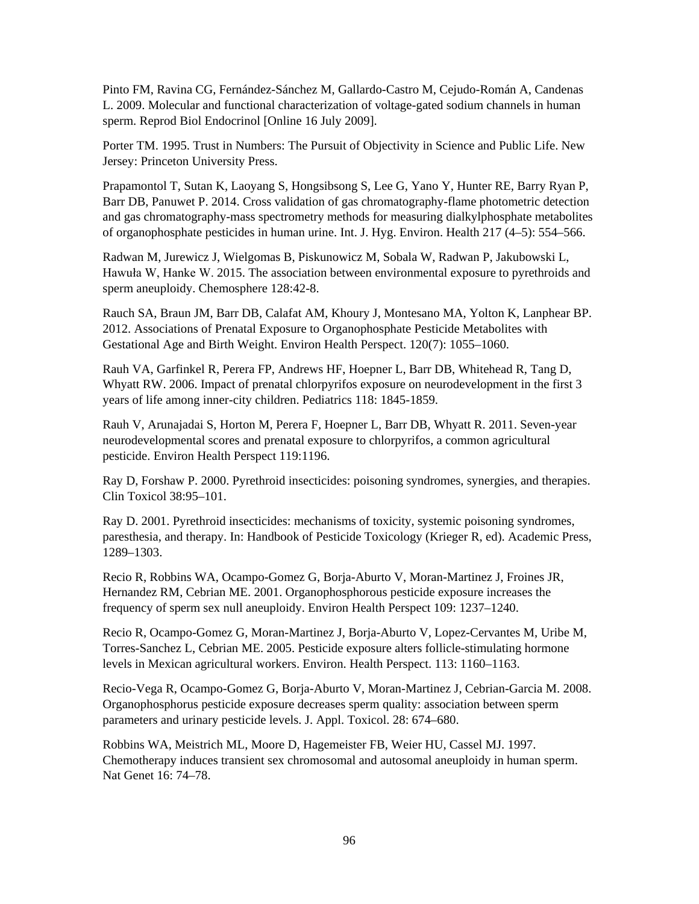Pinto FM, Ravina CG, Fernández-Sánchez M, Gallardo-Castro M, Cejudo-Román A, Candenas L. 2009. Molecular and functional characterization of voltage-gated sodium channels in human sperm. Reprod Biol Endocrinol [Online 16 July 2009].

Porter TM. 1995. Trust in Numbers: The Pursuit of Objectivity in Science and Public Life. New Jersey: Princeton University Press.

Prapamontol T, Sutan K, Laoyang S, Hongsibsong S, Lee G, Yano Y, Hunter RE, Barry Ryan P, Barr DB, Panuwet P. 2014. Cross validation of gas chromatography-flame photometric detection and gas chromatography-mass spectrometry methods for measuring dialkylphosphate metabolites of organophosphate pesticides in human urine. Int. J. Hyg. Environ. Health 217 (4–5): 554–566.

Radwan M, Jurewicz J, Wielgomas B, Piskunowicz M, Sobala W, Radwan P, Jakubowski L, Hawuła W, Hanke W. 2015. The association between environmental exposure to pyrethroids and sperm aneuploidy. Chemosphere 128:42-8.

Rauch SA, Braun JM, Barr DB, Calafat AM, Khoury J, Montesano MA, Yolton K, Lanphear BP. 2012. Associations of Prenatal Exposure to Organophosphate Pesticide Metabolites with Gestational Age and Birth Weight. Environ Health Perspect. 120(7): 1055–1060.

Rauh VA, Garfinkel R, Perera FP, Andrews HF, Hoepner L, Barr DB, Whitehead R, Tang D, Whyatt RW. 2006. Impact of prenatal chlorpyrifos exposure on neurodevelopment in the first 3 years of life among inner-city children. Pediatrics 118: 1845-1859.

Rauh V, Arunajadai S, Horton M, Perera F, Hoepner L, Barr DB, Whyatt R. 2011. Seven-year neurodevelopmental scores and prenatal exposure to chlorpyrifos, a common agricultural pesticide. Environ Health Perspect 119:1196.

Ray D, Forshaw P. 2000. Pyrethroid insecticides: poisoning syndromes, synergies, and therapies. Clin Toxicol 38:95–101.

Ray D. 2001. Pyrethroid insecticides: mechanisms of toxicity, systemic poisoning syndromes, paresthesia, and therapy. In: Handbook of Pesticide Toxicology (Krieger R, ed). Academic Press, 1289–1303.

Recio R, Robbins WA, Ocampo-Gomez G, Borja-Aburto V, Moran-Martinez J, Froines JR, Hernandez RM, Cebrian ME. 2001. Organophosphorous pesticide exposure increases the frequency of sperm sex null aneuploidy. Environ Health Perspect 109: 1237–1240.

Recio R, Ocampo-Gomez G, Moran-Martinez J, Borja-Aburto V, Lopez-Cervantes M, Uribe M, Torres-Sanchez L, Cebrian ME. 2005. Pesticide exposure alters follicle-stimulating hormone levels in Mexican agricultural workers. Environ. Health Perspect. 113: 1160–1163.

Recio-Vega R, Ocampo-Gomez G, Borja-Aburto V, Moran-Martinez J, Cebrian-Garcia M. 2008. Organophosphorus pesticide exposure decreases sperm quality: association between sperm parameters and urinary pesticide levels. J. Appl. Toxicol. 28: 674–680.

Robbins WA, Meistrich ML, Moore D, Hagemeister FB, Weier HU, Cassel MJ. 1997. Chemotherapy induces transient sex chromosomal and autosomal aneuploidy in human sperm. Nat Genet 16: 74–78.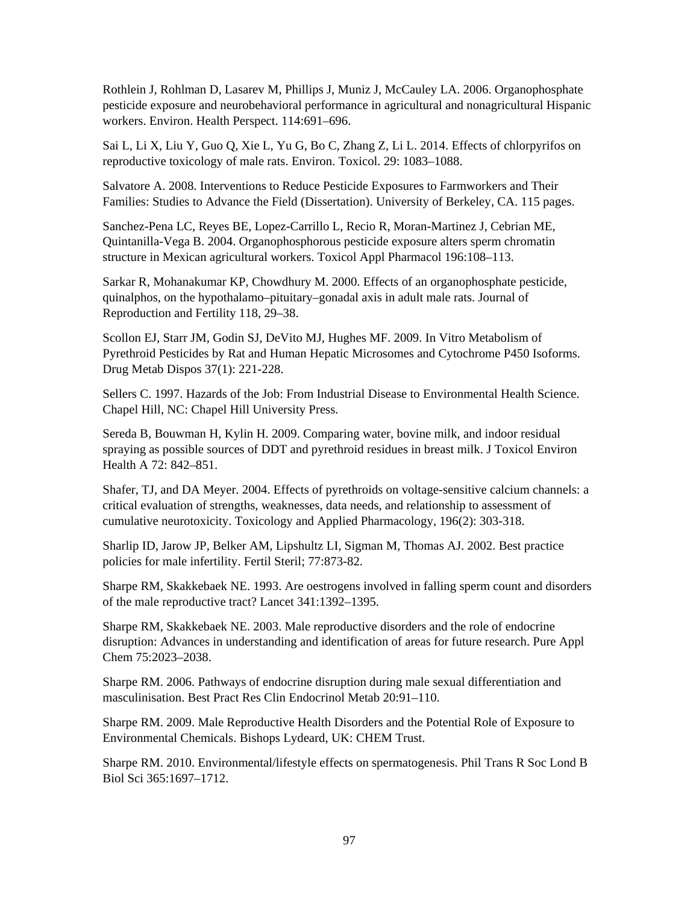Rothlein J, Rohlman D, Lasarev M, Phillips J, Muniz J, McCauley LA. 2006. Organophosphate pesticide exposure and neurobehavioral performance in agricultural and nonagricultural Hispanic workers. Environ. Health Perspect. 114:691–696.

Sai L, Li X, Liu Y, Guo Q, Xie L, Yu G, Bo C, Zhang Z, Li L. 2014. Effects of chlorpyrifos on reproductive toxicology of male rats. Environ. Toxicol. 29: 1083–1088.

Salvatore A. 2008. Interventions to Reduce Pesticide Exposures to Farmworkers and Their Families: Studies to Advance the Field (Dissertation). University of Berkeley, CA. 115 pages.

Sanchez-Pena LC, Reyes BE, Lopez-Carrillo L, Recio R, Moran-Martinez J, Cebrian ME, Quintanilla-Vega B. 2004. Organophosphorous pesticide exposure alters sperm chromatin structure in Mexican agricultural workers. Toxicol Appl Pharmacol 196:108–113.

Sarkar R, Mohanakumar KP, Chowdhury M. 2000. Effects of an organophosphate pesticide, quinalphos, on the hypothalamo–pituitary–gonadal axis in adult male rats. Journal of Reproduction and Fertility 118, 29–38.

Scollon EJ, Starr JM, Godin SJ, DeVito MJ, Hughes MF. 2009. In Vitro Metabolism of Pyrethroid Pesticides by Rat and Human Hepatic Microsomes and Cytochrome P450 Isoforms. Drug Metab Dispos 37(1): 221-228.

Sellers C. 1997. Hazards of the Job: From Industrial Disease to Environmental Health Science. Chapel Hill, NC: Chapel Hill University Press.

Sereda B, Bouwman H, Kylin H. 2009. Comparing water, bovine milk, and indoor residual spraying as possible sources of DDT and pyrethroid residues in breast milk. J Toxicol Environ Health A 72: 842–851.

Shafer, TJ, and DA Meyer. 2004. Effects of pyrethroids on voltage-sensitive calcium channels: a critical evaluation of strengths, weaknesses, data needs, and relationship to assessment of cumulative neurotoxicity. Toxicology and Applied Pharmacology, 196(2): 303-318.

Sharlip ID, Jarow JP, Belker AM, Lipshultz LI, Sigman M, Thomas AJ. 2002. Best practice policies for male infertility. Fertil Steril; 77:873-82.

Sharpe RM, Skakkebaek NE. 1993. Are oestrogens involved in falling sperm count and disorders of the male reproductive tract? Lancet 341:1392–1395.

Sharpe RM, Skakkebaek NE. 2003. Male reproductive disorders and the role of endocrine disruption: Advances in understanding and identification of areas for future research. Pure Appl Chem 75:2023–2038.

Sharpe RM. 2006. Pathways of endocrine disruption during male sexual differentiation and masculinisation. Best Pract Res Clin Endocrinol Metab 20:91–110.

Sharpe RM. 2009. Male Reproductive Health Disorders and the Potential Role of Exposure to Environmental Chemicals. Bishops Lydeard, UK: CHEM Trust.

Sharpe RM. 2010. Environmental/lifestyle effects on spermatogenesis. Phil Trans R Soc Lond B Biol Sci 365:1697–1712.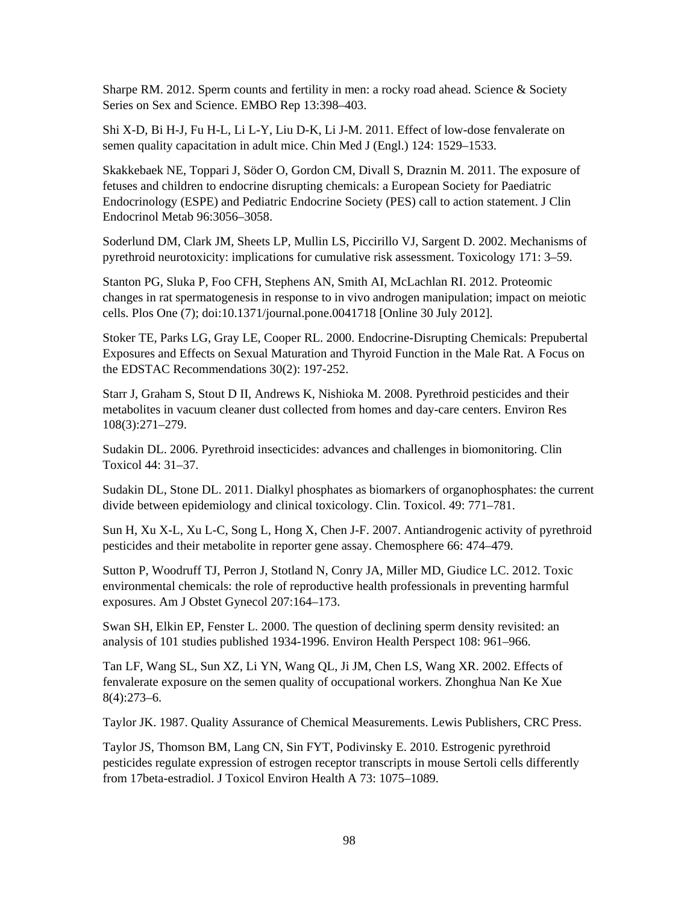Sharpe RM. 2012. Sperm counts and fertility in men: a rocky road ahead. Science & Society Series on Sex and Science. EMBO Rep 13:398–403.

Shi X-D, Bi H-J, Fu H-L, Li L-Y, Liu D-K, Li J-M. 2011. Effect of low-dose fenvalerate on semen quality capacitation in adult mice. Chin Med J (Engl.) 124: 1529–1533.

Skakkebaek NE, Toppari J, Söder O, Gordon CM, Divall S, Draznin M. 2011. The exposure of fetuses and children to endocrine disrupting chemicals: a European Society for Paediatric Endocrinology (ESPE) and Pediatric Endocrine Society (PES) call to action statement. J Clin Endocrinol Metab 96:3056–3058.

Soderlund DM, Clark JM, Sheets LP, Mullin LS, Piccirillo VJ, Sargent D. 2002. Mechanisms of pyrethroid neurotoxicity: implications for cumulative risk assessment. Toxicology 171: 3–59.

Stanton PG, Sluka P, Foo CFH, Stephens AN, Smith AI, McLachlan RI. 2012. Proteomic changes in rat spermatogenesis in response to in vivo androgen manipulation; impact on meiotic cells. Plos One (7); doi:10.1371/journal.pone.0041718 [Online 30 July 2012].

Stoker TE, Parks LG, Gray LE, Cooper RL. 2000. Endocrine-Disrupting Chemicals: Prepubertal Exposures and Effects on Sexual Maturation and Thyroid Function in the Male Rat. A Focus on the EDSTAC Recommendations 30(2): 197-252.

Starr J, Graham S, Stout D II, Andrews K, Nishioka M. 2008. Pyrethroid pesticides and their metabolites in vacuum cleaner dust collected from homes and day-care centers. Environ Res 108(3):271–279.

Sudakin DL. 2006. Pyrethroid insecticides: advances and challenges in biomonitoring. Clin Toxicol 44: 31–37.

Sudakin DL, Stone DL. 2011. Dialkyl phosphates as biomarkers of organophosphates: the current divide between epidemiology and clinical toxicology. Clin. Toxicol. 49: 771–781.

Sun H, Xu X-L, Xu L-C, Song L, Hong X, Chen J-F. 2007. Antiandrogenic activity of pyrethroid pesticides and their metabolite in reporter gene assay. Chemosphere 66: 474–479.

Sutton P, Woodruff TJ, Perron J, Stotland N, Conry JA, Miller MD, Giudice LC. 2012. Toxic environmental chemicals: the role of reproductive health professionals in preventing harmful exposures. Am J Obstet Gynecol 207:164–173.

Swan SH, Elkin EP, Fenster L. 2000. The question of declining sperm density revisited: an analysis of 101 studies published 1934-1996. Environ Health Perspect 108: 961–966.

Tan LF, Wang SL, Sun XZ, Li YN, Wang QL, Ji JM, Chen LS, Wang XR. 2002. Effects of fenvalerate exposure on the semen quality of occupational workers. Zhonghua Nan Ke Xue 8(4):273–6.

Taylor JK. 1987. Quality Assurance of Chemical Measurements. Lewis Publishers, CRC Press.

Taylor JS, Thomson BM, Lang CN, Sin FYT, Podivinsky E. 2010. Estrogenic pyrethroid pesticides regulate expression of estrogen receptor transcripts in mouse Sertoli cells differently from 17beta-estradiol. J Toxicol Environ Health A 73: 1075–1089.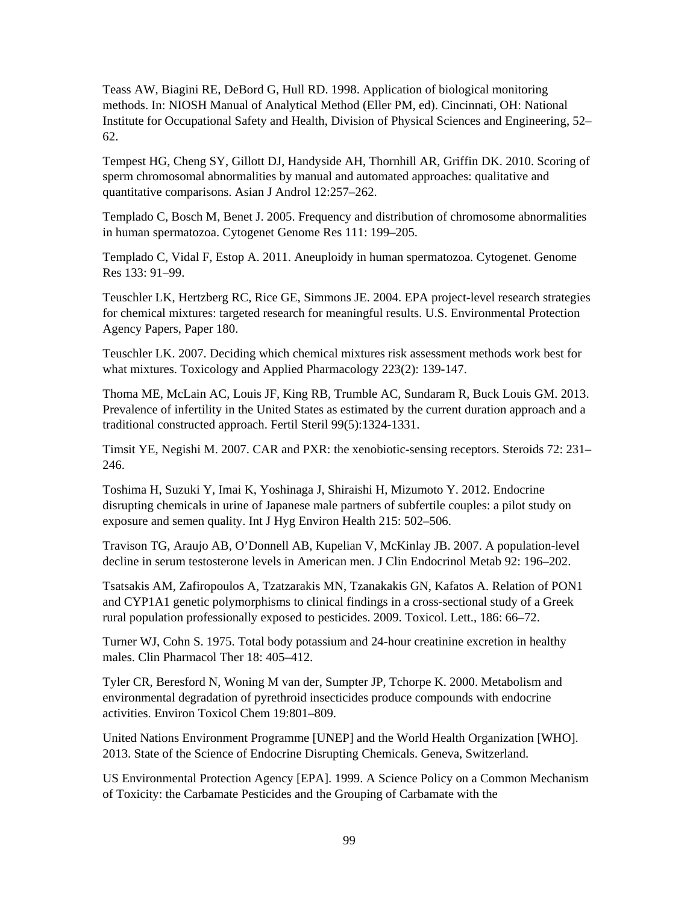Teass AW, Biagini RE, DeBord G, Hull RD. 1998. Application of biological monitoring methods. In: NIOSH Manual of Analytical Method (Eller PM, ed). Cincinnati, OH: National Institute for Occupational Safety and Health, Division of Physical Sciences and Engineering, 52– 62.

Tempest HG, Cheng SY, Gillott DJ, Handyside AH, Thornhill AR, Griffin DK. 2010. Scoring of sperm chromosomal abnormalities by manual and automated approaches: qualitative and quantitative comparisons. Asian J Androl 12:257–262.

Templado C, Bosch M, Benet J. 2005. Frequency and distribution of chromosome abnormalities in human spermatozoa. Cytogenet Genome Res 111: 199–205.

Templado C, Vidal F, Estop A. 2011. Aneuploidy in human spermatozoa. Cytogenet. Genome Res 133: 91–99.

Teuschler LK, Hertzberg RC, Rice GE, Simmons JE. 2004. EPA project-level research strategies for chemical mixtures: targeted research for meaningful results. U.S. Environmental Protection Agency Papers, Paper 180.

Teuschler LK. 2007. Deciding which chemical mixtures risk assessment methods work best for what mixtures. Toxicology and Applied Pharmacology 223(2): 139-147.

Thoma ME, McLain AC, Louis JF, King RB, Trumble AC, Sundaram R, Buck Louis GM. 2013. Prevalence of infertility in the United States as estimated by the current duration approach and a traditional constructed approach. Fertil Steril 99(5):1324-1331.

Timsit YE, Negishi M. 2007. CAR and PXR: the xenobiotic-sensing receptors. Steroids 72: 231– 246.

Toshima H, Suzuki Y, Imai K, Yoshinaga J, Shiraishi H, Mizumoto Y. 2012. Endocrine disrupting chemicals in urine of Japanese male partners of subfertile couples: a pilot study on exposure and semen quality. Int J Hyg Environ Health 215: 502–506.

Travison TG, Araujo AB, O'Donnell AB, Kupelian V, McKinlay JB. 2007. A population-level decline in serum testosterone levels in American men. J Clin Endocrinol Metab 92: 196–202.

Tsatsakis AM, Zafiropoulos A, Tzatzarakis MN, Tzanakakis GN, Kafatos A. Relation of PON1 and CYP1A1 genetic polymorphisms to clinical findings in a cross-sectional study of a Greek rural population professionally exposed to pesticides. 2009. Toxicol. Lett., 186: 66–72.

Turner WJ, Cohn S. 1975. Total body potassium and 24-hour creatinine excretion in healthy males. Clin Pharmacol Ther 18: 405–412.

Tyler CR, Beresford N, Woning M van der, Sumpter JP, Tchorpe K. 2000. Metabolism and environmental degradation of pyrethroid insecticides produce compounds with endocrine activities. Environ Toxicol Chem 19:801–809.

United Nations Environment Programme [UNEP] and the World Health Organization [WHO]. 2013. State of the Science of Endocrine Disrupting Chemicals. Geneva, Switzerland.

US Environmental Protection Agency [EPA]. 1999. A Science Policy on a Common Mechanism of Toxicity: the Carbamate Pesticides and the Grouping of Carbamate with the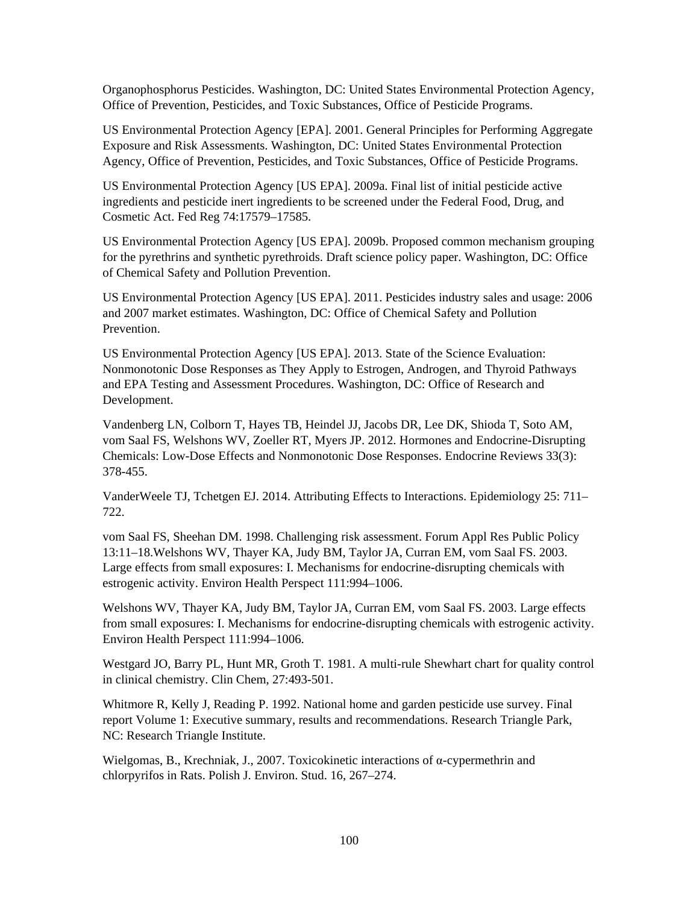Organophosphorus Pesticides. Washington, DC: United States Environmental Protection Agency, Office of Prevention, Pesticides, and Toxic Substances, Office of Pesticide Programs.

US Environmental Protection Agency [EPA]. 2001. General Principles for Performing Aggregate Exposure and Risk Assessments. Washington, DC: United States Environmental Protection Agency, Office of Prevention, Pesticides, and Toxic Substances, Office of Pesticide Programs.

US Environmental Protection Agency [US EPA]. 2009a. Final list of initial pesticide active ingredients and pesticide inert ingredients to be screened under the Federal Food, Drug, and Cosmetic Act. Fed Reg 74:17579–17585.

US Environmental Protection Agency [US EPA]. 2009b. Proposed common mechanism grouping for the pyrethrins and synthetic pyrethroids. Draft science policy paper. Washington, DC: Office of Chemical Safety and Pollution Prevention.

US Environmental Protection Agency [US EPA]. 2011. Pesticides industry sales and usage: 2006 and 2007 market estimates. Washington, DC: Office of Chemical Safety and Pollution Prevention.

US Environmental Protection Agency [US EPA]. 2013. State of the Science Evaluation: Nonmonotonic Dose Responses as They Apply to Estrogen, Androgen, and Thyroid Pathways and EPA Testing and Assessment Procedures. Washington, DC: Office of Research and Development.

Vandenberg LN, Colborn T, Hayes TB, Heindel JJ, Jacobs DR, Lee DK, Shioda T, Soto AM, vom Saal FS, Welshons WV, Zoeller RT, Myers JP. 2012. Hormones and Endocrine-Disrupting Chemicals: Low-Dose Effects and Nonmonotonic Dose Responses. Endocrine Reviews 33(3): 378-455.

VanderWeele TJ, Tchetgen EJ. 2014. Attributing Effects to Interactions. Epidemiology 25: 711– 722.

vom Saal FS, Sheehan DM. 1998. Challenging risk assessment. Forum Appl Res Public Policy 13:11–18.Welshons WV, Thayer KA, Judy BM, Taylor JA, Curran EM, vom Saal FS. 2003. Large effects from small exposures: I. Mechanisms for endocrine-disrupting chemicals with estrogenic activity. Environ Health Perspect 111:994–1006.

Welshons WV, Thayer KA, Judy BM, Taylor JA, Curran EM, vom Saal FS. 2003. Large effects from small exposures: I. Mechanisms for endocrine-disrupting chemicals with estrogenic activity. Environ Health Perspect 111:994–1006.

Westgard JO, Barry PL, Hunt MR, Groth T. 1981. A multi-rule Shewhart chart for quality control in clinical chemistry. Clin Chem, 27:493-501.

Whitmore R, Kelly J, Reading P. 1992. National home and garden pesticide use survey. Final report Volume 1: Executive summary, results and recommendations. Research Triangle Park, NC: Research Triangle Institute.

Wielgomas, B., Krechniak, J., 2007. Toxicokinetic interactions of  $\alpha$ -cypermethrin and chlorpyrifos in Rats. Polish J. Environ. Stud. 16, 267–274.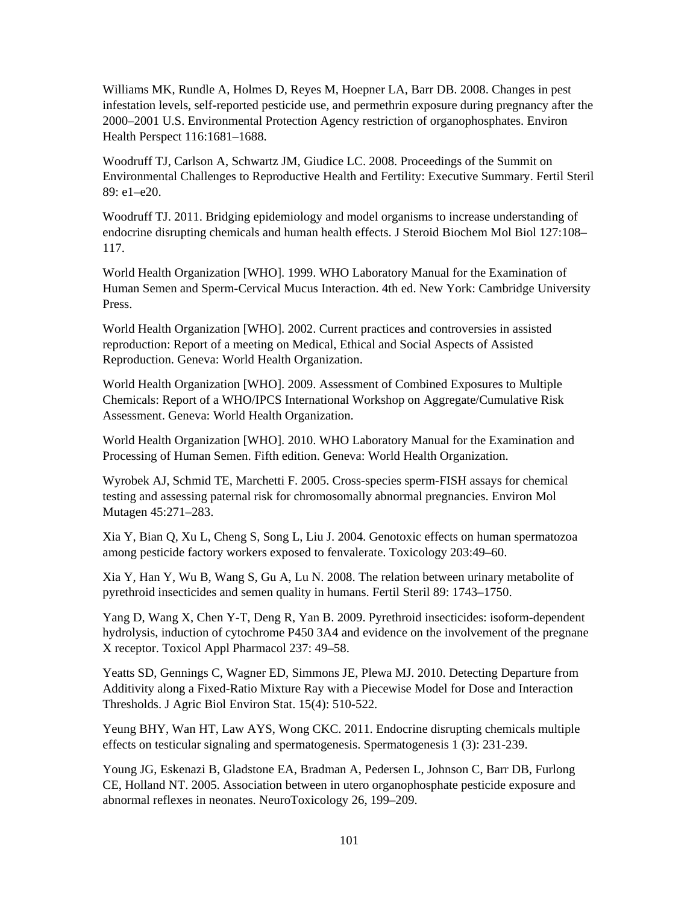Williams MK, Rundle A, Holmes D, Reyes M, Hoepner LA, Barr DB. 2008. Changes in pest infestation levels, self-reported pesticide use, and permethrin exposure during pregnancy after the 2000–2001 U.S. Environmental Protection Agency restriction of organophosphates. Environ Health Perspect 116:1681–1688.

Woodruff TJ, Carlson A, Schwartz JM, Giudice LC. 2008. Proceedings of the Summit on Environmental Challenges to Reproductive Health and Fertility: Executive Summary. Fertil Steril 89: e1–e20.

Woodruff TJ. 2011. Bridging epidemiology and model organisms to increase understanding of endocrine disrupting chemicals and human health effects. J Steroid Biochem Mol Biol 127:108– 117.

World Health Organization [WHO]. 1999. WHO Laboratory Manual for the Examination of Human Semen and Sperm-Cervical Mucus Interaction. 4th ed. New York: Cambridge University Press.

World Health Organization [WHO]. 2002. Current practices and controversies in assisted reproduction: Report of a meeting on Medical, Ethical and Social Aspects of Assisted Reproduction. Geneva: World Health Organization.

World Health Organization [WHO]. 2009. Assessment of Combined Exposures to Multiple Chemicals: Report of a WHO/IPCS International Workshop on Aggregate/Cumulative Risk Assessment. Geneva: World Health Organization.

World Health Organization [WHO]. 2010. WHO Laboratory Manual for the Examination and Processing of Human Semen. Fifth edition. Geneva: World Health Organization.

Wyrobek AJ, Schmid TE, Marchetti F. 2005. Cross-species sperm-FISH assays for chemical testing and assessing paternal risk for chromosomally abnormal pregnancies. Environ Mol Mutagen 45:271–283.

Xia Y, Bian Q, Xu L, Cheng S, Song L, Liu J. 2004. Genotoxic effects on human spermatozoa among pesticide factory workers exposed to fenvalerate. Toxicology 203:49–60.

Xia Y, Han Y, Wu B, Wang S, Gu A, Lu N. 2008. The relation between urinary metabolite of pyrethroid insecticides and semen quality in humans. Fertil Steril 89: 1743–1750.

Yang D, Wang X, Chen Y-T, Deng R, Yan B. 2009. Pyrethroid insecticides: isoform-dependent hydrolysis, induction of cytochrome P450 3A4 and evidence on the involvement of the pregnane X receptor. Toxicol Appl Pharmacol 237: 49–58.

Yeatts SD, Gennings C, Wagner ED, Simmons JE, Plewa MJ. 2010. Detecting Departure from Additivity along a Fixed-Ratio Mixture Ray with a Piecewise Model for Dose and Interaction Thresholds. J Agric Biol Environ Stat. 15(4): 510-522.

Yeung BHY, Wan HT, Law AYS, Wong CKC. 2011. Endocrine disrupting chemicals multiple effects on testicular signaling and spermatogenesis. Spermatogenesis 1 (3): 231-239.

Young JG, Eskenazi B, Gladstone EA, Bradman A, Pedersen L, Johnson C, Barr DB, Furlong CE, Holland NT. 2005. Association between in utero organophosphate pesticide exposure and abnormal reflexes in neonates. NeuroToxicology 26, 199–209.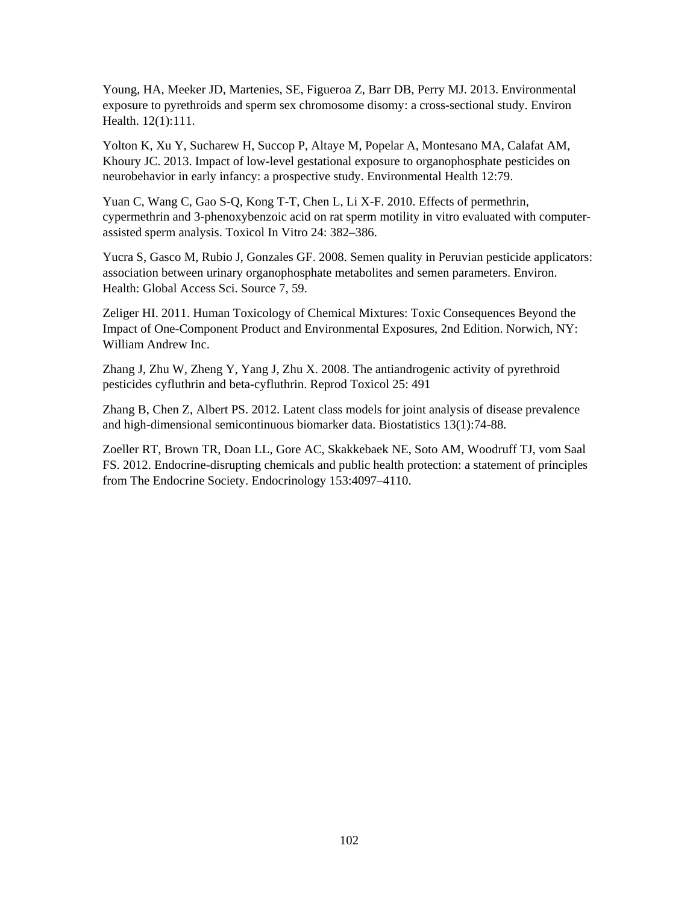Young, HA, Meeker JD, Martenies, SE, Figueroa Z, Barr DB, Perry MJ. 2013. Environmental exposure to pyrethroids and sperm sex chromosome disomy: a cross-sectional study. Environ Health. 12(1):111.

Yolton K, Xu Y, Sucharew H, Succop P, Altaye M, Popelar A, Montesano MA, Calafat AM, Khoury JC. 2013. Impact of low-level gestational exposure to organophosphate pesticides on neurobehavior in early infancy: a prospective study. Environmental Health 12:79.

Yuan C, Wang C, Gao S-Q, Kong T-T, Chen L, Li X-F. 2010. Effects of permethrin, cypermethrin and 3-phenoxybenzoic acid on rat sperm motility in vitro evaluated with computerassisted sperm analysis. Toxicol In Vitro 24: 382–386.

Yucra S, Gasco M, Rubio J, Gonzales GF. 2008. Semen quality in Peruvian pesticide applicators: association between urinary organophosphate metabolites and semen parameters. Environ. Health: Global Access Sci. Source 7, 59.

Zeliger HI. 2011. Human Toxicology of Chemical Mixtures: Toxic Consequences Beyond the Impact of One-Component Product and Environmental Exposures, 2nd Edition. Norwich, NY: William Andrew Inc.

Zhang J, Zhu W, Zheng Y, Yang J, Zhu X. 2008. The antiandrogenic activity of pyrethroid pesticides cyfluthrin and beta-cyfluthrin. Reprod Toxicol 25: 491

Zhang B, Chen Z, Albert PS. 2012. Latent class models for joint analysis of disease prevalence and high-dimensional semicontinuous biomarker data. Biostatistics 13(1):74-88.

Zoeller RT, Brown TR, Doan LL, Gore AC, Skakkebaek NE, Soto AM, Woodruff TJ, vom Saal FS. 2012. Endocrine-disrupting chemicals and public health protection: a statement of principles from The Endocrine Society. Endocrinology 153:4097–4110.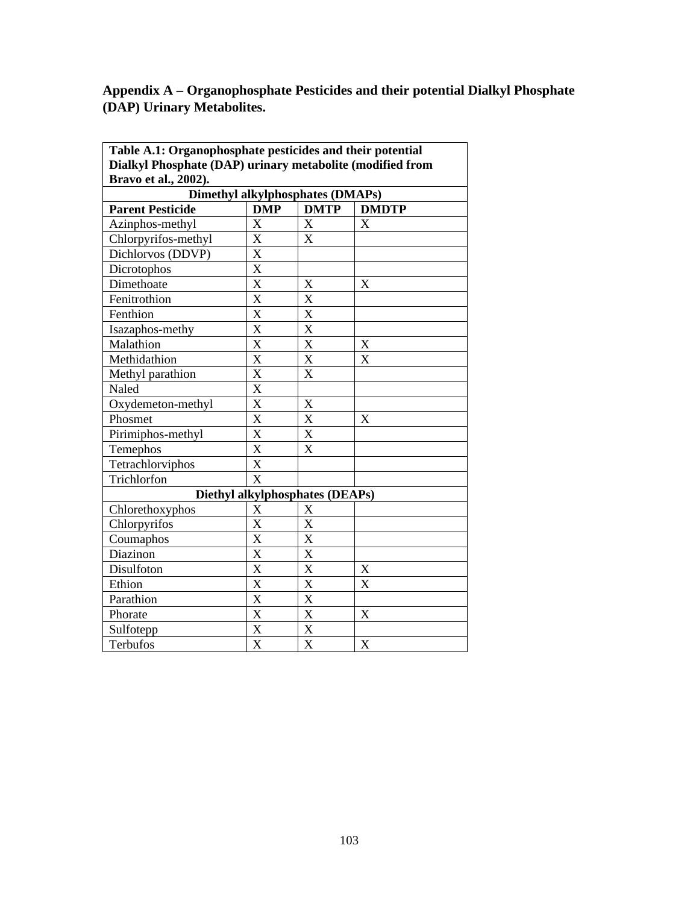# **Appendix A – Organophosphate Pesticides and their potential Dialkyl Phosphate (DAP) Urinary Metabolites.**

| Table A.1: Organophosphate pesticides and their potential |                                         |                         |                         |
|-----------------------------------------------------------|-----------------------------------------|-------------------------|-------------------------|
| Dialkyl Phosphate (DAP) urinary metabolite (modified from |                                         |                         |                         |
| Bravo et al., 2002).                                      |                                         |                         |                         |
|                                                           | <b>Dimethyl alkylphosphates (DMAPs)</b> |                         |                         |
| <b>Parent Pesticide</b>                                   | <b>DMP</b>                              | <b>DMTP</b>             | <b>DMDTP</b>            |
| Azinphos-methyl                                           | $\mathbf X$                             | X                       | X                       |
| Chlorpyrifos-methyl                                       | $\overline{\mathbf{X}}$                 | X                       |                         |
| Dichlorvos (DDVP)                                         | $\overline{\text{X}}$                   |                         |                         |
| Dicrotophos                                               | $\overline{\text{X}}$                   |                         |                         |
| Dimethoate                                                | $\frac{\text{X}}{\text{X}}$             | X                       | X                       |
| Fenitrothion                                              |                                         | $\overline{\text{X}}$   |                         |
| Fenthion                                                  | $\frac{\text{X}}{\text{X}}$             | X                       |                         |
| Isazaphos-methy                                           |                                         | $\overline{\text{X}}$   |                         |
| Malathion                                                 | $\overline{\text{X}}$                   | X                       | X                       |
| Methidathion                                              | $\overline{\text{X}}$                   | $\overline{X}$          | $\overline{\mathbf{x}}$ |
| Methyl parathion                                          | $\frac{\overline{X}}{X}$                | X                       |                         |
| Naled                                                     |                                         |                         |                         |
| Oxydemeton-methyl                                         | $\overline{X}$                          | X                       |                         |
| Phosmet                                                   | $\overline{\textbf{X}}$                 | $\overline{\text{X}}$   | X                       |
| Pirimiphos-methyl                                         | $\overline{\text{X}}$                   | X                       |                         |
| Temephos                                                  | $\overline{X}$                          | X                       |                         |
| Tetrachlorviphos                                          | $\overline{\mathbf{X}}$                 |                         |                         |
| Trichlorfon                                               | $\overline{\text{X}}$                   |                         |                         |
|                                                           | Diethyl alkylphosphates (DEAPs)         |                         |                         |
| Chlorethoxyphos                                           | $\mathbf X$                             | X                       |                         |
| Chlorpyrifos                                              | X                                       | X                       |                         |
| Coumaphos                                                 | $\overline{\mathbf{X}}$                 | $\overline{\text{X}}$   |                         |
| Diazinon                                                  | $\overline{\mathbf{X}}$                 | $\overline{\text{X}}$   |                         |
| Disulfoton                                                | $\frac{\overline{X}}{\overline{X}}$     | $\overline{\textbf{X}}$ | $\mathbf X$             |
| Ethion                                                    |                                         | $\overline{\text{X}}$   | $\overline{\mathrm{X}}$ |
| Parathion                                                 | $\overline{\text{X}}$                   | X                       |                         |
| Phorate                                                   | $\overline{\text{X}}$                   | X                       | X                       |
| Sulfotepp                                                 | $\overline{\text{X}}$                   | $\overline{\text{X}}$   |                         |
| <b>Terbufos</b>                                           | $\overline{\text{X}}$                   | $\overline{\text{X}}$   | $\overline{\mathbf{X}}$ |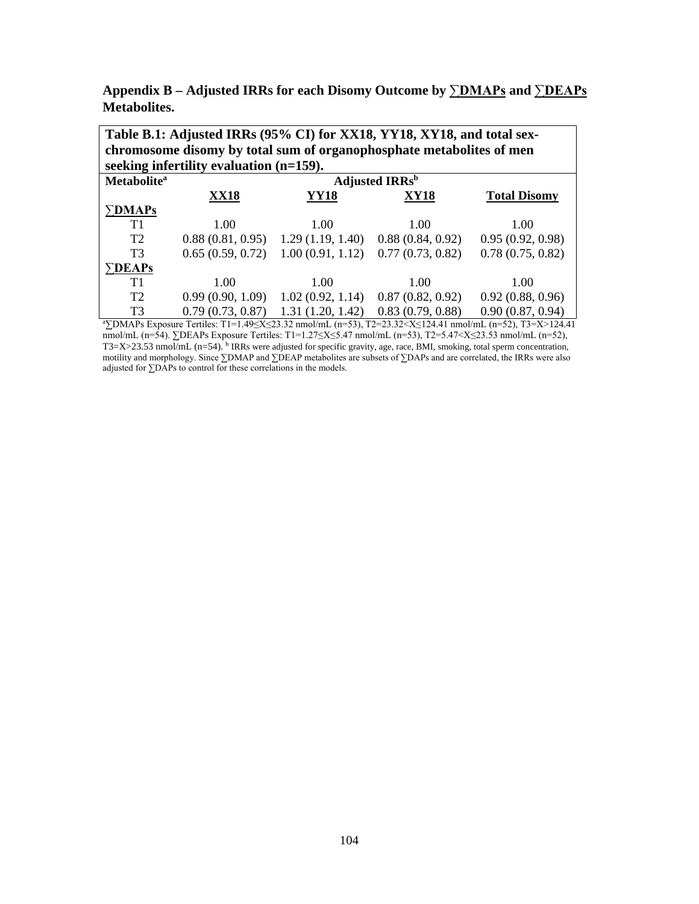**Appendix B – Adjusted IRRs for each Disomy Outcome by ∑DMAPs and ∑DEAPs Metabolites.** 

| Table B.1: Adjusted IRRs (95% CI) for XX18, YY18, XY18, and total sex- |                                         |                  |                                                                      |                     |  |  |
|------------------------------------------------------------------------|-----------------------------------------|------------------|----------------------------------------------------------------------|---------------------|--|--|
|                                                                        |                                         |                  | chromosome disomy by total sum of organophosphate metabolites of men |                     |  |  |
|                                                                        | seeking infertility evaluation (n=159). |                  |                                                                      |                     |  |  |
| <b>Metabolite</b> <sup>a</sup>                                         |                                         |                  | <b>Adjusted IRRs</b> <sup>b</sup>                                    |                     |  |  |
|                                                                        | <b>XX18</b>                             | YY18             | XY18                                                                 | <b>Total Disomy</b> |  |  |
| $\boldsymbol{\Sigma}$ DMAPs                                            |                                         |                  |                                                                      |                     |  |  |
| T1                                                                     | 1.00                                    | 1.00             | 1.00                                                                 | 1.00                |  |  |
| T2                                                                     | 0.88(0.81, 0.95)                        | 1.29(1.19, 1.40) | 0.88(0.84, 0.92)                                                     | 0.95(0.92, 0.98)    |  |  |
| T3                                                                     | 0.65(0.59, 0.72)                        | 1.00(0.91, 1.12) | 0.77(0.73, 0.82)                                                     | 0.78(0.75, 0.82)    |  |  |
| <b>DEAPs</b>                                                           |                                         |                  |                                                                      |                     |  |  |
| T1                                                                     | 1.00                                    | 1.00             | 1.00                                                                 | 1.00                |  |  |
| T <sub>2</sub>                                                         | 0.99(0.90, 1.09)                        | 1.02(0.92, 1.14) | 0.87(0.82, 0.92)                                                     | 0.92(0.88, 0.96)    |  |  |
| T <sub>3</sub>                                                         | 0.79(0.73, 0.87)                        | 1.31(1.20, 1.42) | 0.83(0.79, 0.88)                                                     | 0.90(0.87, 0.94)    |  |  |

a ∑DMAPs Exposure Tertiles: T1=1.49≤X≤23.32 nmol/mL (n=53), T2=23.32<X≤124.41 nmol/mL (n=52), T3=X>124.41 nmol/mL (n=54). ∑DEAPs Exposure Tertiles: T1=1.27≤X≤5.47 nmol/mL (n=53), T2=5.47<X≤23.53 nmol/mL (n=52),  $T3=X>23.53$  nmol/mL (n=54). <sup>b</sup> IRRs were adjusted for specific gravity, age, race, BMI, smoking, total sperm concentration, motility and morphology. Since ∑DMAP and ∑DEAP metabolites are subsets of ∑DAPs and are correlated, the IRRs were also adjusted for ∑DAPs to control for these correlations in the models.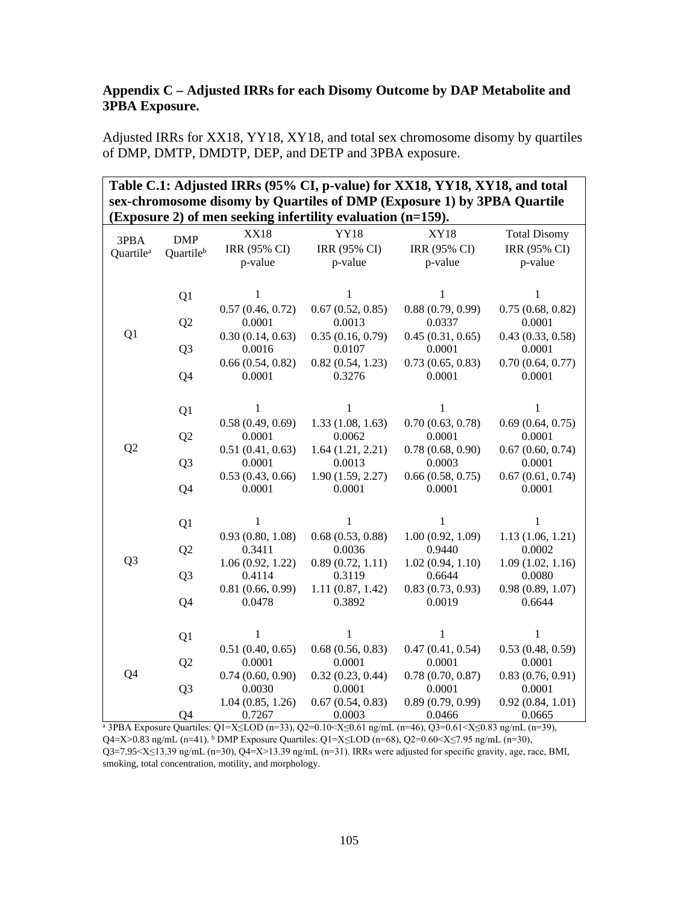#### **Appendix C – Adjusted IRRs for each Disomy Outcome by DAP Metabolite and 3PBA Exposure.**

Adjusted IRRs for XX18, YY18, XY18, and total sex chromosome disomy by quartiles of DMP, DMTP, DMDTP, DEP, and DETP and 3PBA exposure.

| Table C.1: Adjusted IRRs (95% CI, p-value) for XX18, YY18, XY18, and total<br>sex-chromosome disomy by Quartiles of DMP (Exposure 1) by 3PBA Quartile<br>(Exposure 2) of men seeking infertility evaluation (n=159). |                |                             |                             |                             |                                     |  |
|----------------------------------------------------------------------------------------------------------------------------------------------------------------------------------------------------------------------|----------------|-----------------------------|-----------------------------|-----------------------------|-------------------------------------|--|
| 3PBA                                                                                                                                                                                                                 | <b>DMP</b>     | <b>XX18</b><br>IRR (95% CI) | <b>YY18</b><br>IRR (95% CI) | <b>XY18</b><br>IRR (95% CI) | <b>Total Disomy</b><br>IRR (95% CI) |  |
| Quartile <sup>a</sup>                                                                                                                                                                                                | Quartileb      | p-value                     | p-value                     | p-value                     | p-value                             |  |
|                                                                                                                                                                                                                      | Q1             | $\mathbf{1}$                | $\mathbf{1}$                | $\mathbf{1}$                | 1                                   |  |
|                                                                                                                                                                                                                      | Q2             | 0.57(0.46, 0.72)<br>0.0001  | 0.67(0.52, 0.85)<br>0.0013  | 0.88(0.79, 0.99)<br>0.0337  | 0.75(0.68, 0.82)<br>0.0001          |  |
| Q <sub>1</sub>                                                                                                                                                                                                       | Q <sub>3</sub> | 0.30(0.14, 0.63)<br>0.0016  | 0.35(0.16, 0.79)<br>0.0107  | 0.45(0.31, 0.65)<br>0.0001  | 0.43(0.33, 0.58)<br>0.0001          |  |
|                                                                                                                                                                                                                      | Q4             | 0.66(0.54, 0.82)<br>0.0001  | 0.82(0.54, 1.23)<br>0.3276  | 0.73(0.65, 0.83)<br>0.0001  | 0.70(0.64, 0.77)<br>0.0001          |  |
|                                                                                                                                                                                                                      | Q1             | 1                           | 1                           | 1                           | 1                                   |  |
|                                                                                                                                                                                                                      | Q <sub>2</sub> | 0.58(0.49, 0.69)<br>0.0001  | 1.33(1.08, 1.63)<br>0.0062  | 0.70(0.63, 0.78)<br>0.0001  | 0.69(0.64, 0.75)<br>0.0001          |  |
| Q <sub>2</sub>                                                                                                                                                                                                       | Q <sub>3</sub> | 0.51(0.41, 0.63)<br>0.0001  | 1.64(1.21, 2.21)<br>0.0013  | 0.78(0.68, 0.90)<br>0.0003  | 0.67(0.60, 0.74)<br>0.0001          |  |
|                                                                                                                                                                                                                      | Q4             | 0.53(0.43, 0.66)<br>0.0001  | 1.90(1.59, 2.27)<br>0.0001  | 0.66(0.58, 0.75)<br>0.0001  | 0.67(0.61, 0.74)<br>0.0001          |  |
|                                                                                                                                                                                                                      | Q1             | 1                           | 1                           | 1                           | 1                                   |  |
|                                                                                                                                                                                                                      | Q2             | 0.93(0.80, 1.08)<br>0.3411  | 0.68(0.53, 0.88)<br>0.0036  | 1.00(0.92, 1.09)<br>0.9440  | 1.13(1.06, 1.21)<br>0.0002          |  |
| Q <sub>3</sub>                                                                                                                                                                                                       | Q <sub>3</sub> | 1.06(0.92, 1.22)<br>0.4114  | 0.89(0.72, 1.11)<br>0.3119  | 1.02(0.94, 1.10)<br>0.6644  | 1.09(1.02, 1.16)<br>0.0080          |  |
|                                                                                                                                                                                                                      | Q4             | 0.81(0.66, 0.99)<br>0.0478  | 1.11(0.87, 1.42)<br>0.3892  | 0.83(0.73, 0.93)<br>0.0019  | 0.98(0.89, 1.07)<br>0.6644          |  |
|                                                                                                                                                                                                                      | Q <sub>1</sub> | $\mathbf{1}$                | 1                           | 1                           | 1                                   |  |
|                                                                                                                                                                                                                      | Q2             | 0.51(0.40, 0.65)<br>0.0001  | 0.68(0.56, 0.83)<br>0.0001  | 0.47(0.41, 0.54)<br>0.0001  | 0.53(0.48, 0.59)<br>0.0001          |  |
| Q4                                                                                                                                                                                                                   | Q <sub>3</sub> | 0.74(0.60, 0.90)<br>0.0030  | 0.32(0.23, 0.44)<br>0.0001  | 0.78(0.70, 0.87)<br>0.0001  | 0.83(0.76, 0.91)<br>0.0001          |  |
|                                                                                                                                                                                                                      | Q4             | 1.04(0.85, 1.26)<br>0.7267  | 0.67(0.54, 0.83)<br>0.0003  | 0.89(0.79, 0.99)<br>0.0466  | 0.92(0.84, 1.01)<br>0.0665          |  |

<sup>a</sup> 3PBA Exposure Quartiles: Q1=X≤LOD (n=33), Q2=0.10<X≤0.61 ng/mL (n=46), Q3=0.61<X≤0.83 ng/mL (n=39), Q4=X>0.83 ng/mL (n=41). <sup>b</sup> DMP Exposure Quartiles: Q1=X≤LOD (n=68), Q2=0.60<X≤7.95 ng/mL (n=30), Q3=7.95<X≤13.39 ng/mL (n=30), Q4=X>13.39 ng/mL (n=31). IRRs were adjusted for specific gravity, age, race, BMI, smoking, total concentration, motility, and morphology.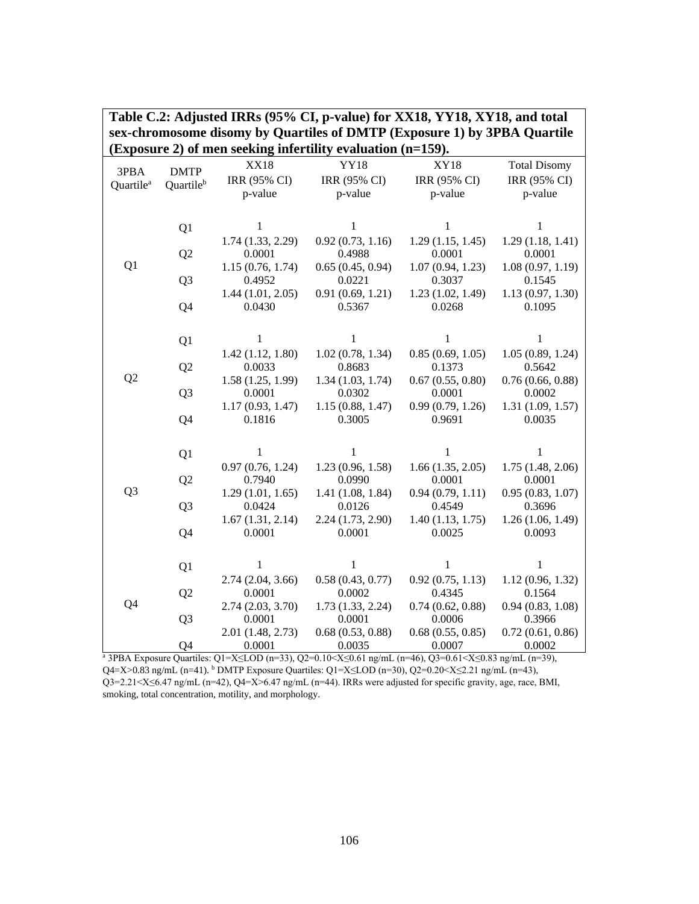| (Exposure 2) of men seeking infertility evaluation $(n=159)$ . |                          |                            |                            |                            |                            |
|----------------------------------------------------------------|--------------------------|----------------------------|----------------------------|----------------------------|----------------------------|
|                                                                |                          | <b>XX18</b>                | <b>YY18</b>                | <b>XY18</b>                | <b>Total Disomy</b>        |
| 3PBA<br>Quartile <sup>a</sup>                                  | <b>DMTP</b><br>Quartileb | IRR (95% CI)               | IRR (95% CI)               | IRR (95% CI)               | IRR (95% CI)               |
|                                                                |                          | p-value                    | p-value                    | p-value                    | p-value                    |
|                                                                |                          |                            |                            |                            |                            |
|                                                                |                          | $\mathbf{1}$               | 1                          | 1                          | 1                          |
|                                                                | Q1                       | $1.74$ $(1.33, 2.29)$      | 0.92(0.73, 1.16)           | 1.29(1.15, 1.45)           | 1.29(1.18, 1.41)           |
|                                                                | Q2                       | 0.0001                     | 0.4988                     | 0.0001                     | 0.0001                     |
| Q1                                                             |                          | 1.15(0.76, 1.74)           | 0.65(0.45, 0.94)           | 1.07(0.94, 1.23)           | 1.08(0.97, 1.19)           |
|                                                                | Q <sub>3</sub>           | 0.4952                     | 0.0221                     | 0.3037                     | 0.1545                     |
|                                                                |                          | 1.44(1.01, 2.05)           | 0.91(0.69, 1.21)           | 1.23(1.02, 1.49)           | 1.13(0.97, 1.30)           |
|                                                                | Q4                       | 0.0430                     | 0.5367                     | 0.0268                     | 0.1095                     |
|                                                                |                          |                            |                            |                            |                            |
|                                                                |                          |                            |                            |                            |                            |
|                                                                | Q1                       | $\mathbf{1}$               | $\mathbf{1}$               | 1                          | $\mathbf{1}$               |
|                                                                |                          | 1.42(1.12, 1.80)           | 1.02(0.78, 1.34)           | 0.85(0.69, 1.05)           | 1.05(0.89, 1.24)           |
| Q <sub>2</sub>                                                 | Q2                       | 0.0033                     | 0.8683                     | 0.1373                     | 0.5642                     |
|                                                                |                          | 1.58(1.25, 1.99)<br>0.0001 | 1.34(1.03, 1.74)           | 0.67(0.55, 0.80)<br>0.0001 | 0.76(0.66, 0.88)<br>0.0002 |
|                                                                | Q <sub>3</sub>           | 1.17(0.93, 1.47)           | 0.0302<br>1.15(0.88, 1.47) | 0.99(0.79, 1.26)           | 1.31(1.09, 1.57)           |
|                                                                | Q4                       | 0.1816                     | 0.3005                     | 0.9691                     | 0.0035                     |
|                                                                |                          |                            |                            |                            |                            |
|                                                                |                          |                            |                            |                            |                            |
|                                                                | Q1                       | 1                          | 1                          | 1                          | 1                          |
|                                                                |                          | 0.97(0.76, 1.24)           | 1.23(0.96, 1.58)           | 1.66(1.35, 2.05)           | $1.75$ $(1.48, 2.06)$      |
|                                                                | Q <sub>2</sub>           | 0.7940                     | 0.0990                     | 0.0001                     | 0.0001                     |
| Q <sub>3</sub>                                                 |                          | 1.29(1.01, 1.65)           | 1.41(1.08, 1.84)           | 0.94(0.79, 1.11)           | 0.95(0.83, 1.07)           |
|                                                                | Q <sub>3</sub>           | 0.0424                     | 0.0126                     | 0.4549                     | 0.3696                     |
|                                                                |                          | 1.67(1.31, 2.14)           | 2.24 (1.73, 2.90)          | 1.40(1.13, 1.75)           | 1.26(1.06, 1.49)           |
|                                                                | Q4                       | 0.0001                     | 0.0001                     | 0.0025                     | 0.0093                     |
|                                                                |                          |                            |                            |                            |                            |
|                                                                | Q1                       | $\mathbf{1}$               | 1                          | 1                          | 1                          |
|                                                                |                          | 2.74(2.04, 3.66)           | 0.58(0.43, 0.77)           | 0.92(0.75, 1.13)           | 1.12(0.96, 1.32)           |
|                                                                | Q <sub>2</sub>           | 0.0001                     | 0.0002                     | 0.4345                     | 0.1564                     |
| Q4                                                             |                          | 2.74 (2.03, 3.70)          | 1.73(1.33, 2.24)           | 0.74(0.62, 0.88)           | 0.94(0.83, 1.08)           |
|                                                                | Q <sub>3</sub>           | 0.0001                     | 0.0001                     | 0.0006                     | 0.3966                     |
|                                                                |                          | 2.01 (1.48, 2.73)          | 0.68(0.53, 0.88)           | 0.68(0.55, 0.85)           | 0.72(0.61, 0.86)           |
|                                                                | Q4                       | 0.0001                     | 0.0035                     | 0.0007                     | 0.0002                     |

**Table C.2: Adjusted IRRs (95% CI, p-value) for XX18, YY18, XY18, and total sex-chromosome disomy by Quartiles of DMTP (Exposure 1) by 3PBA Quartile** 

a 3PBA Exposure Quartiles: Q1=X≤LOD (n=33), Q2=0.10<X≤0.61 ng/mL (n=46), Q3=0.61<X≤0.83 ng/mL (n=39), Q4=X>0.83 ng/mL (n=41). b DMTP Exposure Quartiles: Q1=X≤LOD (n=30), Q2=0.20<X≤2.21 ng/mL (n=43), Q3=2.21<X≤6.47 ng/mL (n=42), Q4=X>6.47 ng/mL (n=44). IRRs were adjusted for specific gravity, age, race, BMI, smoking, total concentration, motility, and morphology.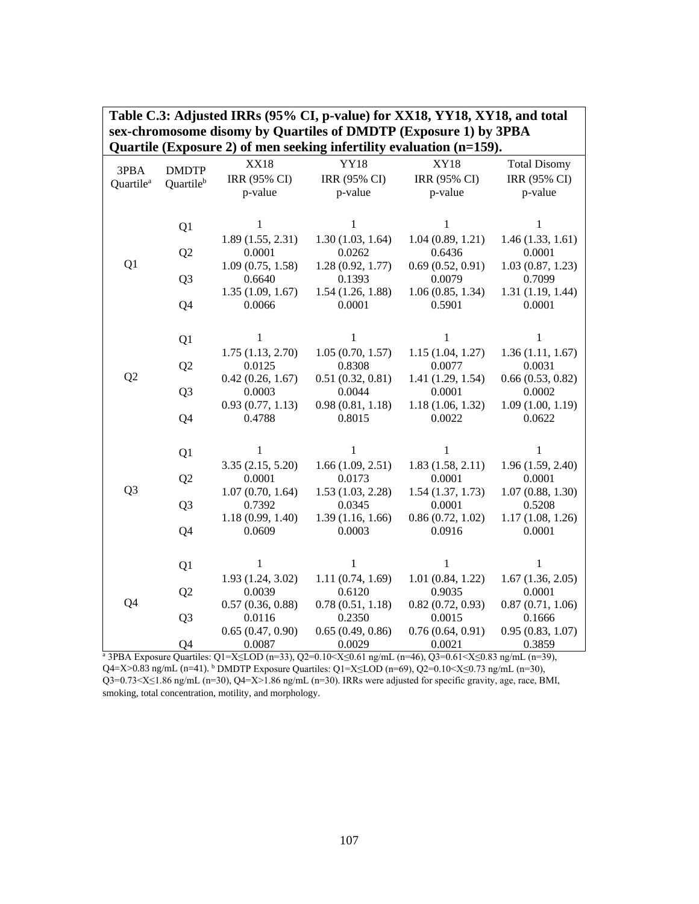|                       | Quartile (Exposure 2) of men seeking infertility evaluation (n=159). |                   |                  |                  |                     |  |
|-----------------------|----------------------------------------------------------------------|-------------------|------------------|------------------|---------------------|--|
| 3PBA                  | <b>DMDTP</b>                                                         | <b>XX18</b>       | <b>YY18</b>      | <b>XY18</b>      | <b>Total Disomy</b> |  |
| Quartile <sup>a</sup> | Quartileb                                                            | IRR (95% CI)      | IRR (95% CI)     | IRR (95% CI)     | IRR (95% CI)        |  |
|                       |                                                                      | p-value           | p-value          | p-value          | p-value             |  |
|                       |                                                                      |                   |                  |                  |                     |  |
|                       | Q1                                                                   | 1                 | 1                | 1                | 1                   |  |
|                       |                                                                      | 1.89(1.55, 2.31)  | 1.30(1.03, 1.64) | 1.04(0.89, 1.21) | 1.46(1.33, 1.61)    |  |
|                       | Q <sub>2</sub>                                                       | 0.0001            | 0.0262           | 0.6436           | 0.0001              |  |
| Q1                    |                                                                      | 1.09(0.75, 1.58)  | 1.28(0.92, 1.77) | 0.69(0.52, 0.91) | 1.03(0.87, 1.23)    |  |
|                       | Q <sub>3</sub>                                                       | 0.6640            | 0.1393           | 0.0079           | 0.7099              |  |
|                       |                                                                      | 1.35(1.09, 1.67)  | 1.54(1.26, 1.88) | 1.06(0.85, 1.34) | 1.31(1.19, 1.44)    |  |
|                       | Q4                                                                   | 0.0066            | 0.0001           | 0.5901           | 0.0001              |  |
|                       |                                                                      |                   |                  |                  |                     |  |
|                       | Q1                                                                   | $\mathbf{1}$      | $\mathbf{1}$     | 1                | $\mathbf{1}$        |  |
|                       |                                                                      | 1.75(1.13, 2.70)  | 1.05(0.70, 1.57) | 1.15(1.04, 1.27) | 1.36(1.11, 1.67)    |  |
|                       | Q <sub>2</sub>                                                       | 0.0125            | 0.8308           | 0.0077           | 0.0031              |  |
| Q <sub>2</sub>        |                                                                      | 0.42(0.26, 1.67)  | 0.51(0.32, 0.81) | 1.41(1.29, 1.54) | 0.66(0.53, 0.82)    |  |
|                       | Q <sub>3</sub>                                                       | 0.0003            | 0.0044           | 0.0001           | 0.0002              |  |
|                       |                                                                      | 0.93(0.77, 1.13)  | 0.98(0.81, 1.18) | 1.18(1.06, 1.32) | 1.09(1.00, 1.19)    |  |
|                       | Q4                                                                   | 0.4788            | 0.8015           | 0.0022           | 0.0622              |  |
|                       |                                                                      |                   |                  |                  |                     |  |
|                       | Q1                                                                   | 1                 | 1                | 1                | 1                   |  |
|                       |                                                                      | 3.35(2.15, 5.20)  | 1.66(1.09, 2.51) | 1.83(1.58, 2.11) | 1.96(1.59, 2.40)    |  |
|                       | Q <sub>2</sub>                                                       | 0.0001            | 0.0173           | 0.0001           | 0.0001              |  |
| Q <sub>3</sub>        |                                                                      | 1.07(0.70, 1.64)  | 1.53(1.03, 2.28) | 1.54(1.37, 1.73) | 1.07(0.88, 1.30)    |  |
|                       | Q <sub>3</sub>                                                       | 0.7392            | 0.0345           | 0.0001           | 0.5208              |  |
|                       |                                                                      | 1.18(0.99, 1.40)  | 1.39(1.16, 1.66) | 0.86(0.72, 1.02) | 1.17(1.08, 1.26)    |  |
|                       | Q4                                                                   | 0.0609            | 0.0003           | 0.0916           | 0.0001              |  |
|                       |                                                                      |                   |                  |                  |                     |  |
|                       | Q <sub>1</sub>                                                       | $\mathbf{1}$      | 1                | $\mathbf{1}$     | 1                   |  |
|                       |                                                                      | 1.93 (1.24, 3.02) | 1.11(0.74, 1.69) | 1.01(0.84, 1.22) | 1.67(1.36, 2.05)    |  |
|                       | Q <sub>2</sub>                                                       | 0.0039            | 0.6120           | 0.9035           | 0.0001              |  |
| Q4                    |                                                                      | 0.57(0.36, 0.88)  | 0.78(0.51, 1.18) | 0.82(0.72, 0.93) | 0.87(0.71, 1.06)    |  |
|                       | Q <sub>3</sub>                                                       | 0.0116            | 0.2350           | 0.0015           | 0.1666              |  |
|                       |                                                                      | 0.65(0.47, 0.90)  | 0.65(0.49, 0.86) | 0.76(0.64, 0.91) | 0.95(0.83, 1.07)    |  |
|                       | Q4                                                                   | 0.0087            | 0.0029           | 0.0021           | 0.3859              |  |

**Table C.3: Adjusted IRRs (95% CI, p-value) for XX18, YY18, XY18, and total sex-chromosome disomy by Quartiles of DMDTP (Exposure 1) by 3PBA** 

<sup>a</sup> 3PBA Exposure Quartiles: Q1=X≤LOD (n=33), Q2=0.10<X≤0.61 ng/mL (n=46), Q3=0.61<X≤0.83 ng/mL (n=39), Q4=X>0.83 ng/mL (n=41). b DMDTP Exposure Quartiles: Q1=X≤LOD (n=69), Q2=0.10<X≤0.73 ng/mL (n=30), Q3=0.73<X≤1.86 ng/mL (n=30), Q4=X>1.86 ng/mL (n=30). IRRs were adjusted for specific gravity, age, race, BMI, smoking, total concentration, motility, and morphology.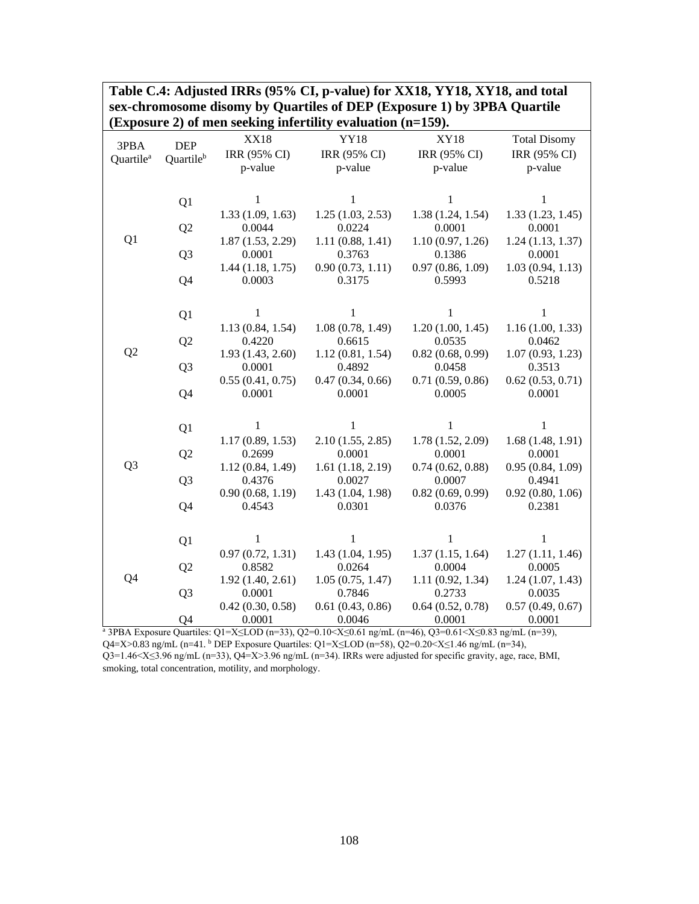| (Exposure 2) of men seeking infertility evaluation (n=159). |                |                  |                  |                  |                     |
|-------------------------------------------------------------|----------------|------------------|------------------|------------------|---------------------|
| 3PBA                                                        | <b>DEP</b>     | <b>XX18</b>      | <b>YY18</b>      | <b>XY18</b>      | <b>Total Disomy</b> |
| Quartile <sup>a</sup>                                       | Quartileb      | IRR (95% CI)     | IRR (95% CI)     | IRR (95% CI)     | IRR (95% CI)        |
|                                                             |                | p-value          | p-value          | p-value          | p-value             |
|                                                             |                |                  |                  |                  |                     |
|                                                             | Q1             | $\mathbf{1}$     | $\mathbf{1}$     | $\mathbf{1}$     | $\mathbf{1}$        |
|                                                             |                | 1.33(1.09, 1.63) | 1.25(1.03, 2.53) | 1.38(1.24, 1.54) | 1.33(1.23, 1.45)    |
|                                                             | Q <sub>2</sub> | 0.0044           | 0.0224           | 0.0001           | 0.0001              |
| Q1                                                          |                | 1.87(1.53, 2.29) | 1.11(0.88, 1.41) | 1.10(0.97, 1.26) | 1.24(1.13, 1.37)    |
|                                                             | Q <sub>3</sub> | 0.0001           | 0.3763           | 0.1386           | 0.0001              |
|                                                             |                | 1.44(1.18, 1.75) | 0.90(0.73, 1.11) | 0.97(0.86, 1.09) | 1.03(0.94, 1.13)    |
|                                                             | Q4             | 0.0003           | 0.3175           | 0.5993           | 0.5218              |
|                                                             |                |                  |                  |                  |                     |
|                                                             | Q <sub>1</sub> | 1                | 1                | $\mathbf{1}$     | 1                   |
|                                                             |                | 1.13(0.84, 1.54) | 1.08(0.78, 1.49) | 1.20(1.00, 1.45) | 1.16(1.00, 1.33)    |
|                                                             | Q <sub>2</sub> | 0.4220           | 0.6615           | 0.0535           | 0.0462              |
| Q <sub>2</sub>                                              |                | 1.93(1.43, 2.60) | 1.12(0.81, 1.54) | 0.82(0.68, 0.99) | 1.07(0.93, 1.23)    |
|                                                             | Q <sub>3</sub> | 0.0001           | 0.4892           | 0.0458           | 0.3513              |
|                                                             |                | 0.55(0.41, 0.75) | 0.47(0.34, 0.66) | 0.71(0.59, 0.86) | 0.62(0.53, 0.71)    |
|                                                             | Q4             | 0.0001           | 0.0001           | 0.0005           | 0.0001              |
|                                                             |                |                  |                  |                  |                     |
|                                                             | Q <sub>1</sub> | 1                | 1                | 1                | 1                   |
|                                                             |                | 1.17(0.89, 1.53) | 2.10(1.55, 2.85) | 1.78(1.52, 2.09) | 1.68(1.48, 1.91)    |
|                                                             | Q <sub>2</sub> | 0.2699           | 0.0001           | 0.0001           | 0.0001              |
| Q <sub>3</sub>                                              |                | 1.12(0.84, 1.49) | 1.61(1.18, 2.19) | 0.74(0.62, 0.88) | 0.95(0.84, 1.09)    |
|                                                             | Q <sub>3</sub> | 0.4376           | 0.0027           | 0.0007           | 0.4941              |
|                                                             |                | 0.90(0.68, 1.19) | 1.43(1.04, 1.98) | 0.82(0.69, 0.99) | 0.92(0.80, 1.06)    |
|                                                             | Q4             | 0.4543           | 0.0301           | 0.0376           | 0.2381              |
|                                                             |                |                  |                  |                  |                     |
|                                                             | Q1             | $\mathbf{1}$     | $\mathbf{1}$     | $\mathbf{1}$     | $\mathbf{1}$        |
|                                                             |                | 0.97(0.72, 1.31) | 1.43(1.04, 1.95) | 1.37(1.15, 1.64) | 1.27(1.11, 1.46)    |
|                                                             | Q <sub>2</sub> | 0.8582           | 0.0264           | 0.0004           | 0.0005              |
| Q4                                                          |                | 1.92(1.40, 2.61) | 1.05(0.75, 1.47) | 1.11(0.92, 1.34) | 1.24(1.07, 1.43)    |
|                                                             | Q <sub>3</sub> | 0.0001           | 0.7846           | 0.2733           | 0.0035              |
|                                                             |                | 0.42(0.30, 0.58) | 0.61(0.43, 0.86) | 0.64(0.52, 0.78) | 0.57(0.49, 0.67)    |
|                                                             | Q4             | 0.0001           | 0.0046           | 0.0001           | 0.0001              |

**Table C.4: Adjusted IRRs (95% CI, p-value) for XX18, YY18, XY18, and total sex-chromosome disomy by Quartiles of DEP (Exposure 1) by 3PBA Quartile** 

<sup>a</sup> 3PBA Exposure Quartiles: Q1=X≤LOD (n=33), Q2=0.10<X≤0.61 ng/mL (n=46), Q3=0.61<X≤0.83 ng/mL (n=39), Q4=X>0.83 ng/mL (n=41. <sup>b</sup> DEP Exposure Quartiles: Q1=X≤LOD (n=58), Q2=0.20<X≤1.46 ng/mL (n=34), Q3=1.46<X≤3.96 ng/mL (n=33), Q4=X>3.96 ng/mL (n=34). IRRs were adjusted for specific gravity, age, race, BMI, smoking, total concentration, motility, and morphology.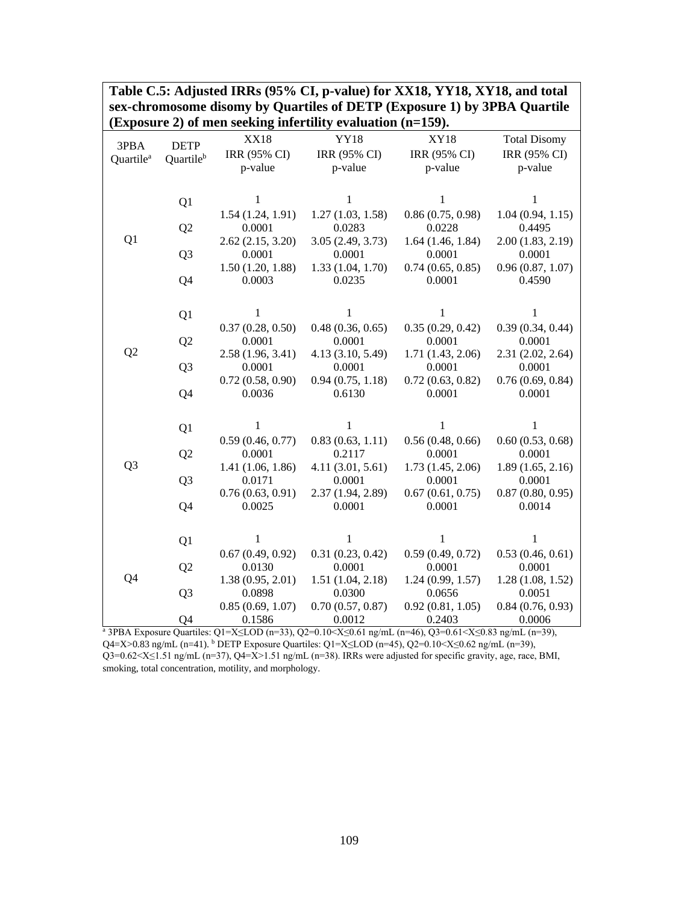| sex-chromosome disomy by Quartnes of DETT (Exposure 1) by 3r DA Quartne<br>(Exposure 2) of men seeking infertility evaluation (n=159). |                          |                   |                   |                  |                     |  |
|----------------------------------------------------------------------------------------------------------------------------------------|--------------------------|-------------------|-------------------|------------------|---------------------|--|
|                                                                                                                                        |                          | <b>XX18</b>       | <b>YY18</b>       | <b>XY18</b>      | <b>Total Disomy</b> |  |
| 3PBA<br>Quartile <sup>a</sup>                                                                                                          | <b>DETP</b><br>Quartileb | IRR (95% CI)      | IRR (95% CI)      | IRR (95% CI)     | IRR (95% CI)        |  |
|                                                                                                                                        |                          | p-value           | p-value           | p-value          | p-value             |  |
|                                                                                                                                        |                          |                   |                   |                  |                     |  |
|                                                                                                                                        | Q1                       | 1                 | 1                 | 1                | 1                   |  |
|                                                                                                                                        |                          | 1.54(1.24, 1.91)  | 1.27(1.03, 1.58)  | 0.86(0.75, 0.98) | 1.04(0.94, 1.15)    |  |
|                                                                                                                                        | Q <sub>2</sub>           | 0.0001            | 0.0283            | 0.0228           | 0.4495              |  |
| Q <sub>1</sub>                                                                                                                         |                          | 2.62(2.15, 3.20)  | 3.05(2.49, 3.73)  | 1.64(1.46, 1.84) | 2.00(1.83, 2.19)    |  |
|                                                                                                                                        | Q <sub>3</sub>           | 0.0001            | 0.0001            | 0.0001           | 0.0001              |  |
|                                                                                                                                        |                          | 1.50(1.20, 1.88)  | 1.33(1.04, 1.70)  | 0.74(0.65, 0.85) | 0.96(0.87, 1.07)    |  |
|                                                                                                                                        | Q4                       | 0.0003            | 0.0235            | 0.0001           | 0.4590              |  |
|                                                                                                                                        |                          |                   |                   |                  |                     |  |
|                                                                                                                                        | Q1                       | 1                 | 1                 | 1                | 1                   |  |
|                                                                                                                                        |                          | 0.37(0.28, 0.50)  | 0.48(0.36, 0.65)  | 0.35(0.29, 0.42) | 0.39(0.34, 0.44)    |  |
|                                                                                                                                        | Q <sub>2</sub>           | 0.0001            | 0.0001            | 0.0001           | 0.0001              |  |
| Q <sub>2</sub>                                                                                                                         |                          | 2.58 (1.96, 3.41) | 4.13 (3.10, 5.49) | 1.71(1.43, 2.06) | 2.31 (2.02, 2.64)   |  |
|                                                                                                                                        | Q <sub>3</sub>           | 0.0001            | 0.0001            | 0.0001           | 0.0001              |  |
|                                                                                                                                        |                          | 0.72(0.58, 0.90)  | 0.94(0.75, 1.18)  | 0.72(0.63, 0.82) | 0.76(0.69, 0.84)    |  |
|                                                                                                                                        | Q4                       | 0.0036            | 0.6130            | 0.0001           | 0.0001              |  |
|                                                                                                                                        |                          |                   |                   |                  |                     |  |
|                                                                                                                                        | Q1                       | $\mathbf{1}$      | 1                 | $\mathbf{1}$     | $\mathbf{1}$        |  |
|                                                                                                                                        |                          | 0.59(0.46, 0.77)  | 0.83(0.63, 1.11)  | 0.56(0.48, 0.66) | 0.60(0.53, 0.68)    |  |
|                                                                                                                                        | Q <sub>2</sub>           | 0.0001            | 0.2117            | 0.0001           | 0.0001              |  |
| Q <sub>3</sub>                                                                                                                         |                          | 1.41 (1.06, 1.86) | 4.11(3.01, 5.61)  | 1.73(1.45, 2.06) | 1.89(1.65, 2.16)    |  |
|                                                                                                                                        | Q <sub>3</sub>           | 0.0171            | 0.0001            | 0.0001           | 0.0001              |  |
|                                                                                                                                        |                          | 0.76(0.63, 0.91)  | 2.37 (1.94, 2.89) | 0.67(0.61, 0.75) | 0.87(0.80, 0.95)    |  |
|                                                                                                                                        | Q4                       | 0.0025            | 0.0001            | 0.0001           | 0.0014              |  |
|                                                                                                                                        |                          |                   |                   |                  |                     |  |
|                                                                                                                                        | Q1                       | 1                 | 1                 | 1                | 1                   |  |
|                                                                                                                                        |                          | 0.67(0.49, 0.92)  | 0.31(0.23, 0.42)  | 0.59(0.49, 0.72) | 0.53(0.46, 0.61)    |  |
|                                                                                                                                        | Q <sub>2</sub>           | 0.0130            | 0.0001            | 0.0001           | 0.0001              |  |
| Q4                                                                                                                                     |                          | 1.38(0.95, 2.01)  | 1.51(1.04, 2.18)  | 1.24(0.99, 1.57) | 1.28(1.08, 1.52)    |  |
|                                                                                                                                        | Q <sub>3</sub>           | 0.0898            | 0.0300            | 0.0656           | 0.0051              |  |
|                                                                                                                                        |                          | 0.85(0.69, 1.07)  | 0.70(0.57, 0.87)  | 0.92(0.81, 1.05) | 0.84(0.76, 0.93)    |  |
|                                                                                                                                        | Q4                       | 0.1586            | 0.0012            | 0.2403           | 0.0006              |  |

**Table C.5: Adjusted IRRs (95% CI, p-value) for XX18, YY18, XY18, and total sex-chromosome disomy by Quartiles of DETP (Exposure 1) by 3PBA Quartile** 

<sup>a</sup> 3PBA Exposure Quartiles: Q1=X≤LOD (n=33), Q2=0.10<X≤0.61 ng/mL (n=46), Q3=0.61<X≤0.83 ng/mL (n=39), Q4=X>0.83 ng/mL (n=41). b DETP Exposure Quartiles: Q1=X≤LOD (n=45), Q2=0.10<X≤0.62 ng/mL (n=39), Q3=0.62<X≤1.51 ng/mL (n=37), Q4=X>1.51 ng/mL (n=38). IRRs were adjusted for specific gravity, age, race, BMI, smoking, total concentration, motility, and morphology.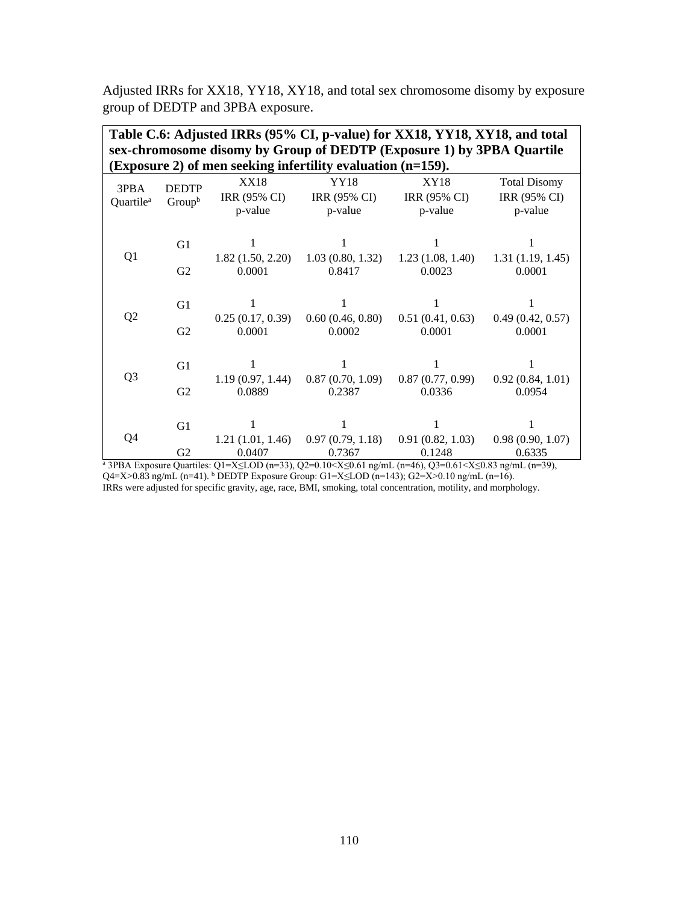Adjusted IRRs for XX18, YY18, XY18, and total sex chromosome disomy by exposure group of DEDTP and 3PBA exposure.

| Table C.6: Adjusted IRRs (95% CI, p-value) for XX18, YY18, XY18, and total<br>sex-chromosome disomy by Group of DEDTP (Exposure 1) by 3PBA Quartile<br>(Exposure 2) of men seeking infertility evaluation (n=159). |                        |                                               |                                 |                                        |                                                |  |
|--------------------------------------------------------------------------------------------------------------------------------------------------------------------------------------------------------------------|------------------------|-----------------------------------------------|---------------------------------|----------------------------------------|------------------------------------------------|--|
| 3PBA<br>Quartile <sup>a</sup>                                                                                                                                                                                      | <b>DEDTP</b><br>Groupb | <b>XX18</b><br><b>IRR (95% CI)</b><br>p-value | YY18<br>IRR (95% CI)<br>p-value | <b>XY18</b><br>IRR (95% CI)<br>p-value | <b>Total Disomy</b><br>IRR (95% CI)<br>p-value |  |
|                                                                                                                                                                                                                    | G1                     | 1                                             |                                 |                                        | 1                                              |  |
| Q1                                                                                                                                                                                                                 | G2                     | 1.82(1.50, 2.20)<br>0.0001                    | 1.03(0.80, 1.32)<br>0.8417      | 1.23(1.08, 1.40)<br>0.0023             | 1.31(1.19, 1.45)<br>0.0001                     |  |
|                                                                                                                                                                                                                    | G1                     | 1                                             |                                 | 1                                      | 1                                              |  |
| Q <sub>2</sub>                                                                                                                                                                                                     | G2                     | 0.25(0.17, 0.39)<br>0.0001                    | 0.60(0.46, 0.80)<br>0.0002      | 0.51(0.41, 0.63)<br>0.0001             | 0.49(0.42, 0.57)<br>0.0001                     |  |
| Q <sub>3</sub>                                                                                                                                                                                                     | G1                     | 1.19(0.97, 1.44)                              | 0.87(0.70, 1.09)                | 0.87(0.77, 0.99)                       | 0.92(0.84, 1.01)                               |  |
|                                                                                                                                                                                                                    | G <sub>2</sub>         | 0.0889                                        | 0.2387                          | 0.0336                                 | 0.0954                                         |  |
|                                                                                                                                                                                                                    | G <sub>1</sub>         | 1                                             |                                 |                                        |                                                |  |
| Q4                                                                                                                                                                                                                 | G <sub>2</sub>         | 1.21(1.01, 1.46)<br>0.0407                    | 0.97(0.79, 1.18)<br>0.7367      | 0.91(0.82, 1.03)<br>0.1248             | 0.98(0.90, 1.07)<br>0.6335                     |  |

<sup>a</sup> 3PBA Exposure Quartiles: Q1=X≤LOD (n=33), Q2=0.10<X≤0.61 ng/mL (n=46), Q3=0.61<X≤0.83 ng/mL (n=39),  $Q4 = X > 0.83$  ng/mL (n=41). <sup>b</sup> DEDTP Exposure Group: G1=X≤LOD (n=143); G2=X>0.10 ng/mL (n=16). IRRs were adjusted for specific gravity, age, race, BMI, smoking, total concentration, motility, and morphology.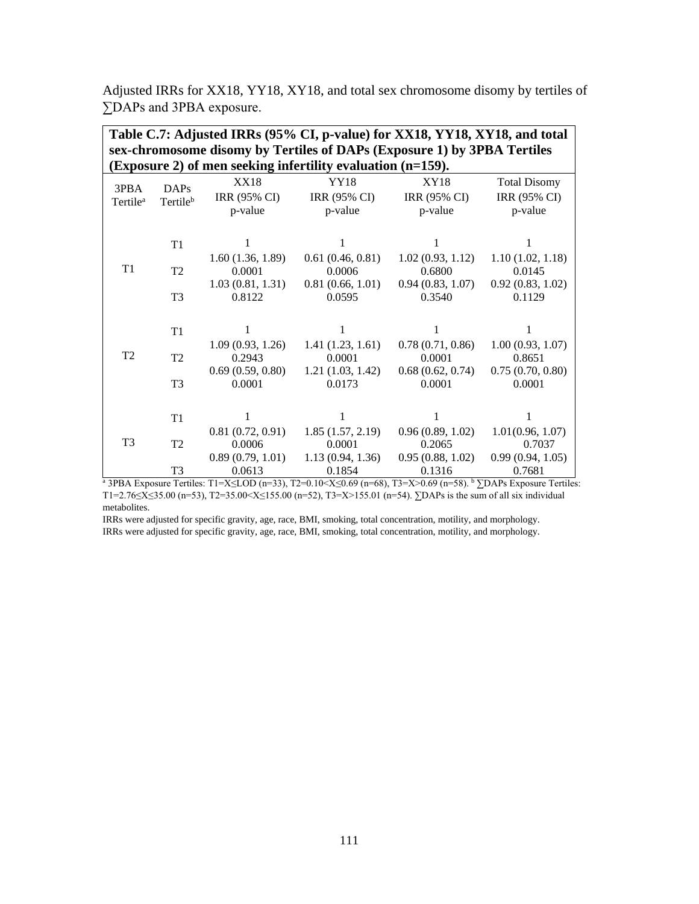Adjusted IRRs for XX18, YY18, XY18, and total sex chromosome disomy by tertiles of ∑DAPs and 3PBA exposure.

|                      | Table C.7: Adjusted IRRs (95% CI, p-value) for XX18, YY18, XY18, and total |                     |                                                                         |                  |                     |  |
|----------------------|----------------------------------------------------------------------------|---------------------|-------------------------------------------------------------------------|------------------|---------------------|--|
|                      |                                                                            |                     | sex-chromosome disomy by Tertiles of DAPs (Exposure 1) by 3PBA Tertiles |                  |                     |  |
|                      |                                                                            |                     | (Exposure 2) of men seeking infertility evaluation (n=159).             |                  |                     |  |
| 3PBA                 | <b>DAPs</b>                                                                | <b>XX18</b>         | YY18                                                                    | <b>XY18</b>      | <b>Total Disomy</b> |  |
| Tertile <sup>a</sup> | Tertile <sup>b</sup>                                                       | <b>IRR (95% CI)</b> | IRR (95% CI)                                                            | IRR (95% CI)     | IRR (95% CI)        |  |
|                      |                                                                            | p-value             | p-value                                                                 | p-value          | p-value             |  |
|                      |                                                                            |                     |                                                                         |                  |                     |  |
|                      | T1                                                                         |                     |                                                                         |                  |                     |  |
|                      |                                                                            | 1.60(1.36, 1.89)    | 0.61(0.46, 0.81)                                                        | 1.02(0.93, 1.12) | 1.10(1.02, 1.18)    |  |
| T1                   | T <sub>2</sub>                                                             | 0.0001              | 0.0006                                                                  | 0.6800           | 0.0145              |  |
|                      |                                                                            | 1.03(0.81, 1.31)    | 0.81(0.66, 1.01)                                                        | 0.94(0.83, 1.07) | 0.92(0.83, 1.02)    |  |
|                      | T <sub>3</sub>                                                             | 0.8122              | 0.0595                                                                  | 0.3540           | 0.1129              |  |
|                      |                                                                            |                     |                                                                         |                  |                     |  |
|                      | T1                                                                         |                     |                                                                         |                  |                     |  |
|                      |                                                                            | 1.09(0.93, 1.26)    | 1.41(1.23, 1.61)                                                        | 0.78(0.71, 0.86) | 1.00(0.93, 1.07)    |  |
| T <sub>2</sub>       | T2                                                                         | 0.2943              | 0.0001                                                                  | 0.0001           | 0.8651              |  |
|                      |                                                                            | 0.69(0.59, 0.80)    | 1.21(1.03, 1.42)                                                        | 0.68(0.62, 0.74) | 0.75(0.70, 0.80)    |  |
|                      | T <sub>3</sub>                                                             | 0.0001              | 0.0173                                                                  | 0.0001           | 0.0001              |  |
|                      |                                                                            |                     |                                                                         |                  |                     |  |
|                      | T <sub>1</sub>                                                             |                     |                                                                         |                  | 1                   |  |
|                      |                                                                            | 0.81(0.72, 0.91)    | 1.85(1.57, 2.19)                                                        | 0.96(0.89, 1.02) | 1.01(0.96, 1.07)    |  |
| T <sub>3</sub>       | T <sub>2</sub>                                                             | 0.0006              | 0.0001                                                                  | 0.2065           | 0.7037              |  |
|                      |                                                                            | 0.89(0.79, 1.01)    | 1.13(0.94, 1.36)                                                        | 0.95(0.88, 1.02) | 0.99(0.94, 1.05)    |  |
|                      | T <sub>3</sub>                                                             | 0.0613              | 0.1854                                                                  | 0.1316           | 0.7681              |  |

<sup>a</sup> 3PBA Exposure Tertiles: T1=X≤LOD (n=33), T2=0.10<X≤0.69 (n=68), T3=X>0.69 (n=58). <sup>b</sup> ∑DAPs Exposure Tertiles: T1=2.76≤X≤35.00 (n=53), T2=35.00<X≤155.00 (n=52), T3=X>155.01 (n=54). ∑DAPs is the sum of all six individual metabolites.

IRRs were adjusted for specific gravity, age, race, BMI, smoking, total concentration, motility, and morphology. IRRs were adjusted for specific gravity, age, race, BMI, smoking, total concentration, motility, and morphology.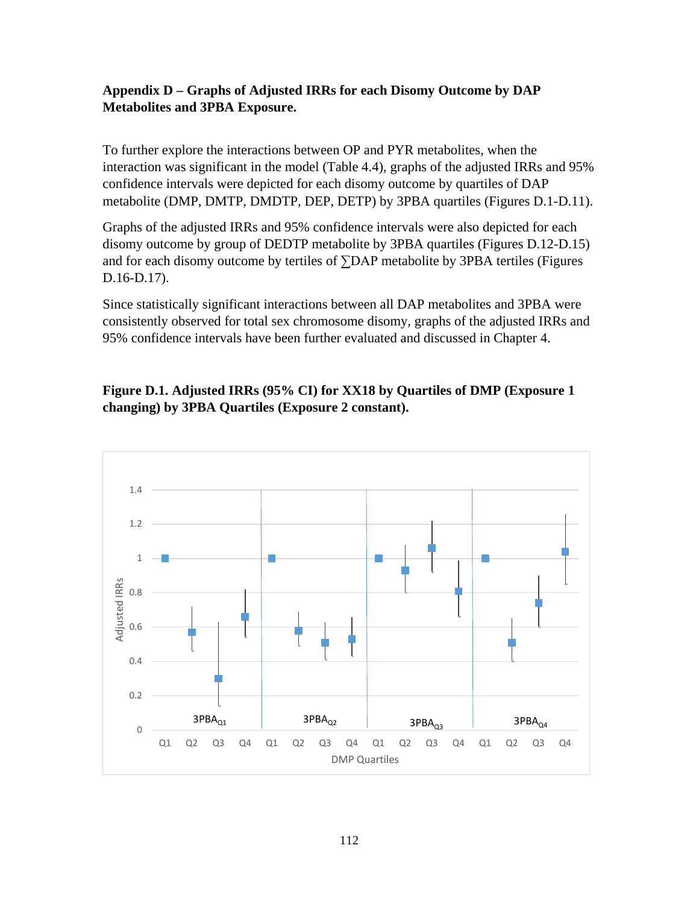## **Appendix D – Graphs of Adjusted IRRs for each Disomy Outcome by DAP Metabolites and 3PBA Exposure.**

To further explore the interactions between OP and PYR metabolites, when the interaction was significant in the model (Table 4.4), graphs of the adjusted IRRs and 95% confidence intervals were depicted for each disomy outcome by quartiles of DAP metabolite (DMP, DMTP, DMDTP, DEP, DETP) by 3PBA quartiles (Figures D.1-D.11).

Graphs of the adjusted IRRs and 95% confidence intervals were also depicted for each disomy outcome by group of DEDTP metabolite by 3PBA quartiles (Figures D.12-D.15) and for each disomy outcome by tertiles of ∑DAP metabolite by 3PBA tertiles (Figures D.16-D.17).

Since statistically significant interactions between all DAP metabolites and 3PBA were consistently observed for total sex chromosome disomy, graphs of the adjusted IRRs and 95% confidence intervals have been further evaluated and discussed in Chapter 4.

## **Figure D.1. Adjusted IRRs (95% CI) for XX18 by Quartiles of DMP (Exposure 1 changing) by 3PBA Quartiles (Exposure 2 constant).**

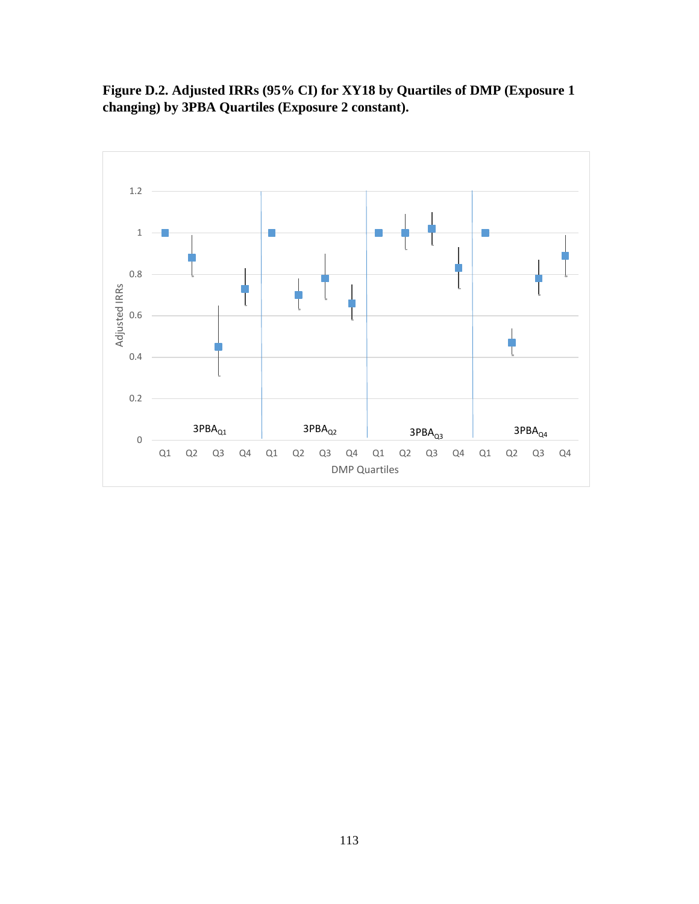**Figure D.2. Adjusted IRRs (95% CI) for XY18 by Quartiles of DMP (Exposure 1 changing) by 3PBA Quartiles (Exposure 2 constant).**

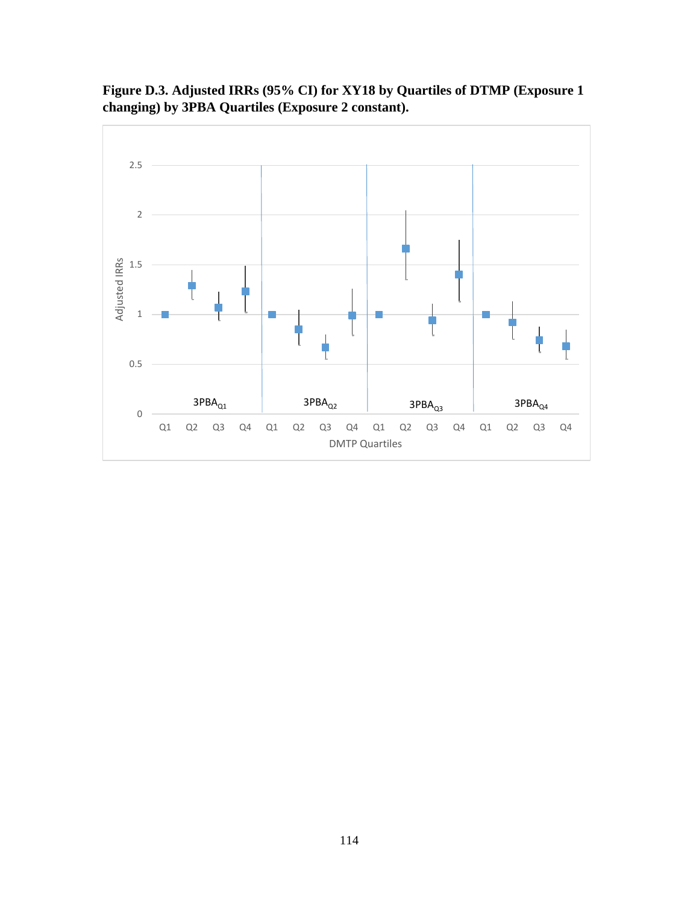

**Figure D.3. Adjusted IRRs (95% CI) for XY18 by Quartiles of DTMP (Exposure 1 changing) by 3PBA Quartiles (Exposure 2 constant).**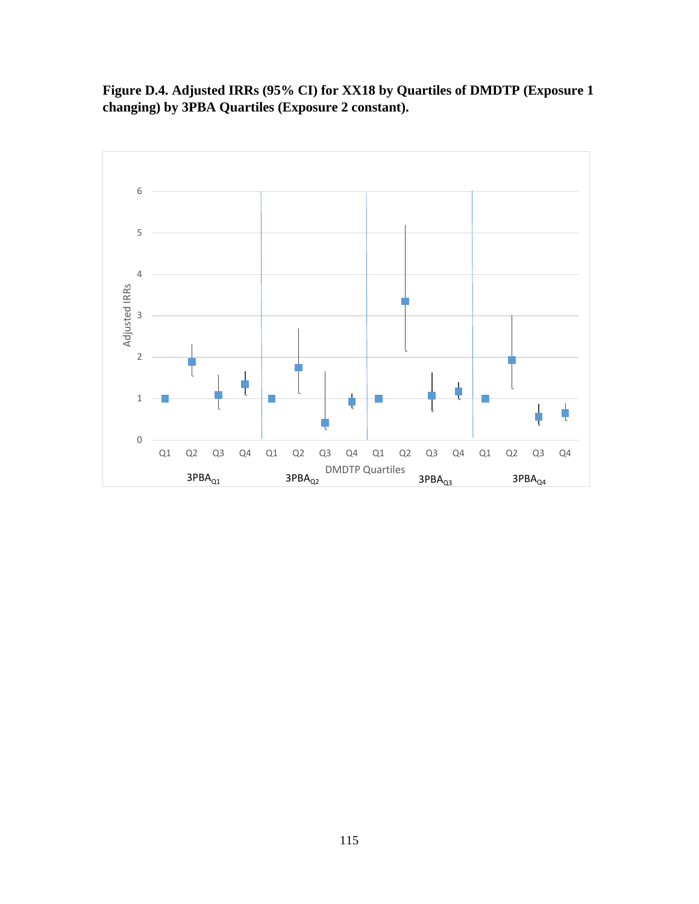**Figure D.4. Adjusted IRRs (95% CI) for XX18 by Quartiles of DMDTP (Exposure 1 changing) by 3PBA Quartiles (Exposure 2 constant).**

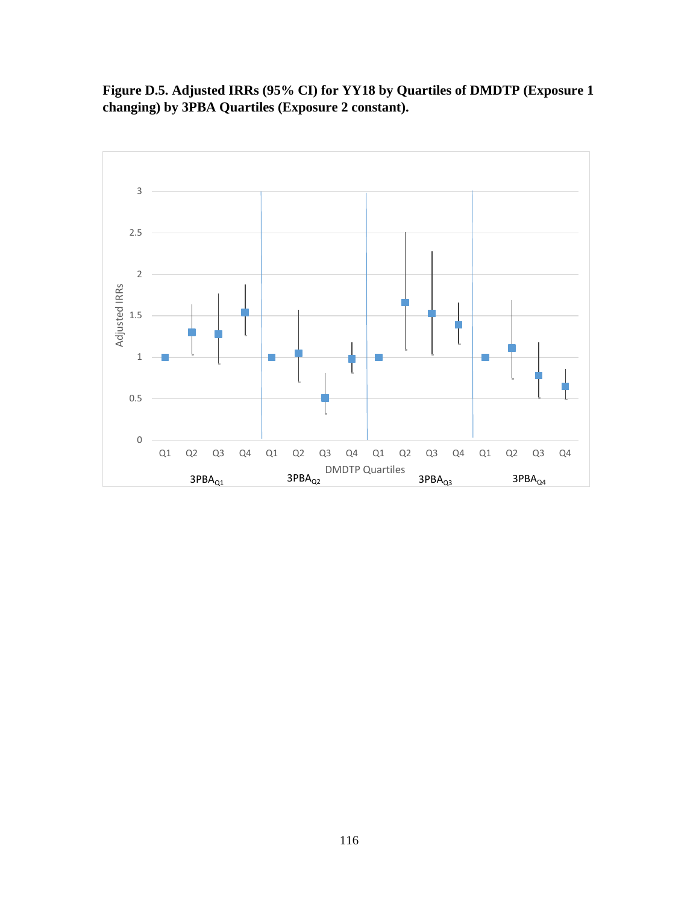**Figure D.5. Adjusted IRRs (95% CI) for YY18 by Quartiles of DMDTP (Exposure 1 changing) by 3PBA Quartiles (Exposure 2 constant).**

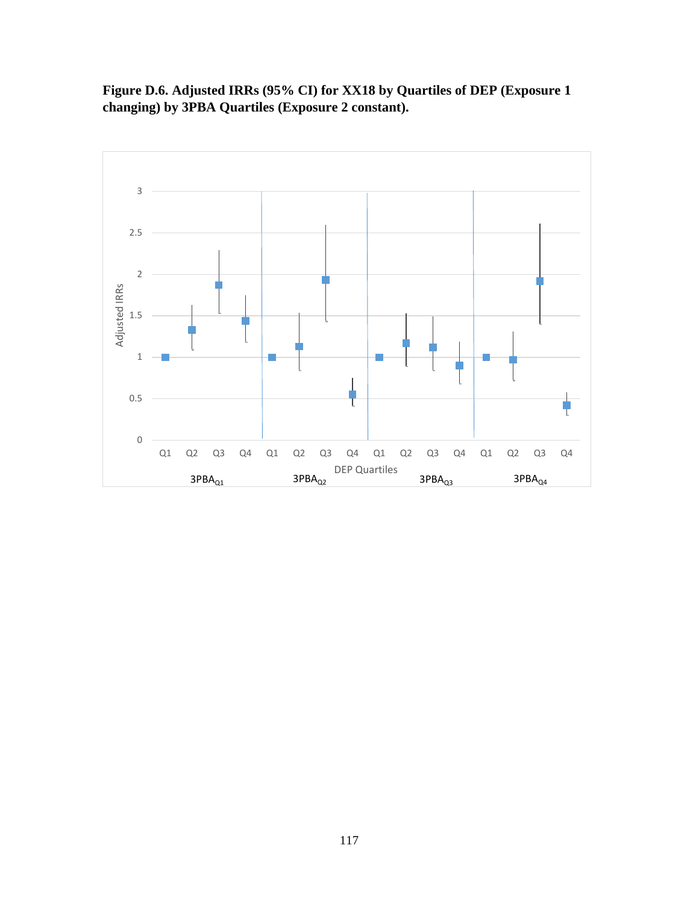**Figure D.6. Adjusted IRRs (95% CI) for XX18 by Quartiles of DEP (Exposure 1 changing) by 3PBA Quartiles (Exposure 2 constant).**

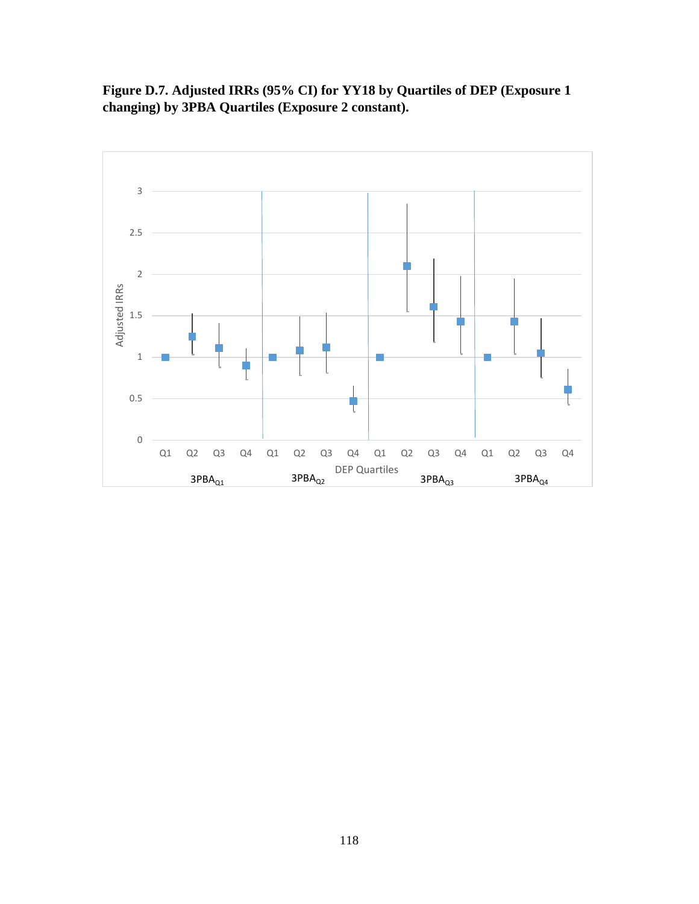**Figure D.7. Adjusted IRRs (95% CI) for YY18 by Quartiles of DEP (Exposure 1 changing) by 3PBA Quartiles (Exposure 2 constant).**

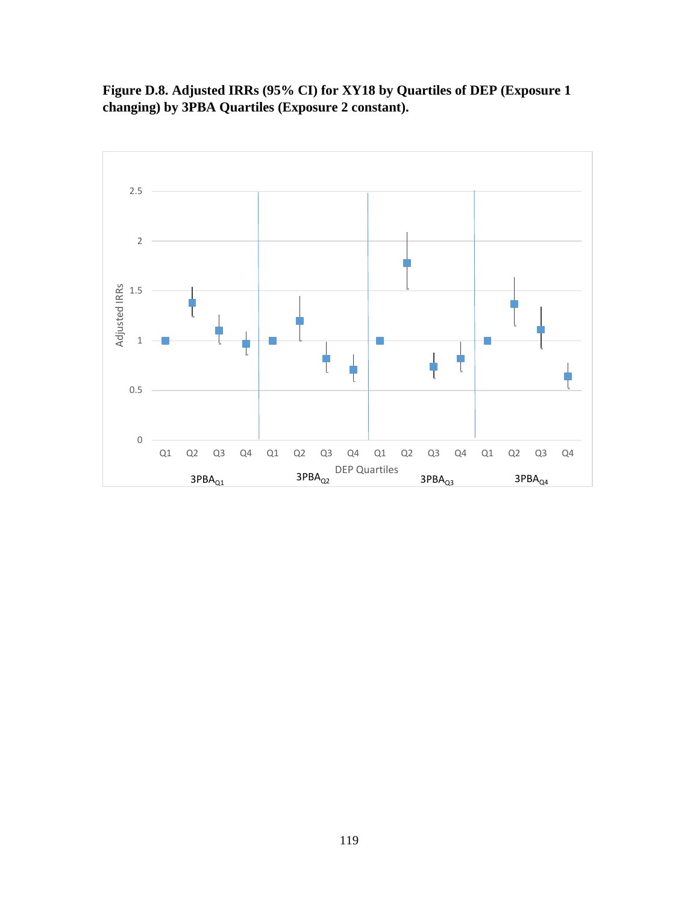**Figure D.8. Adjusted IRRs (95% CI) for XY18 by Quartiles of DEP (Exposure 1 changing) by 3PBA Quartiles (Exposure 2 constant).**

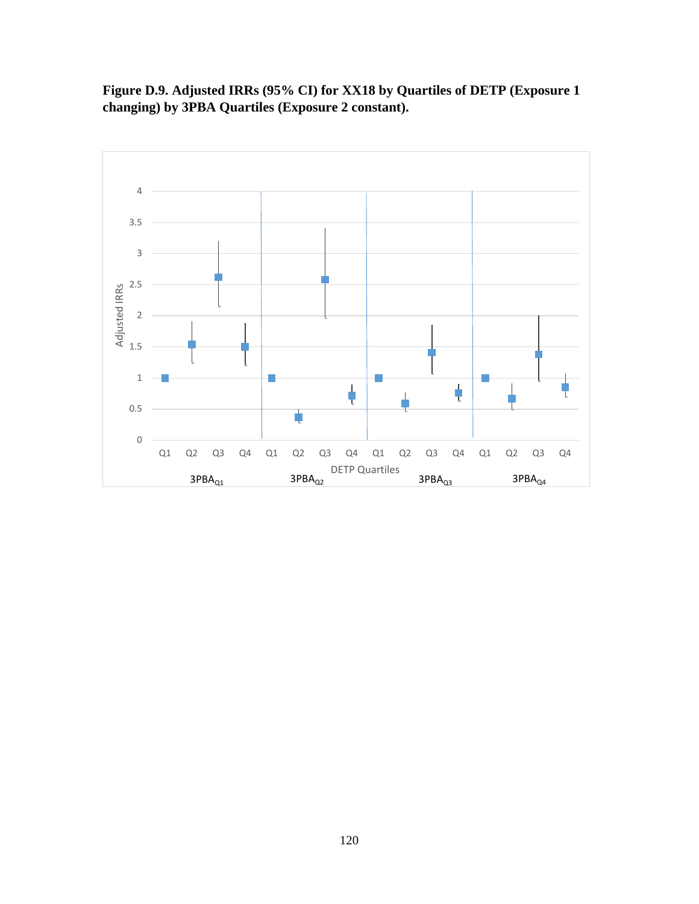**Figure D.9. Adjusted IRRs (95% CI) for XX18 by Quartiles of DETP (Exposure 1 changing) by 3PBA Quartiles (Exposure 2 constant).**

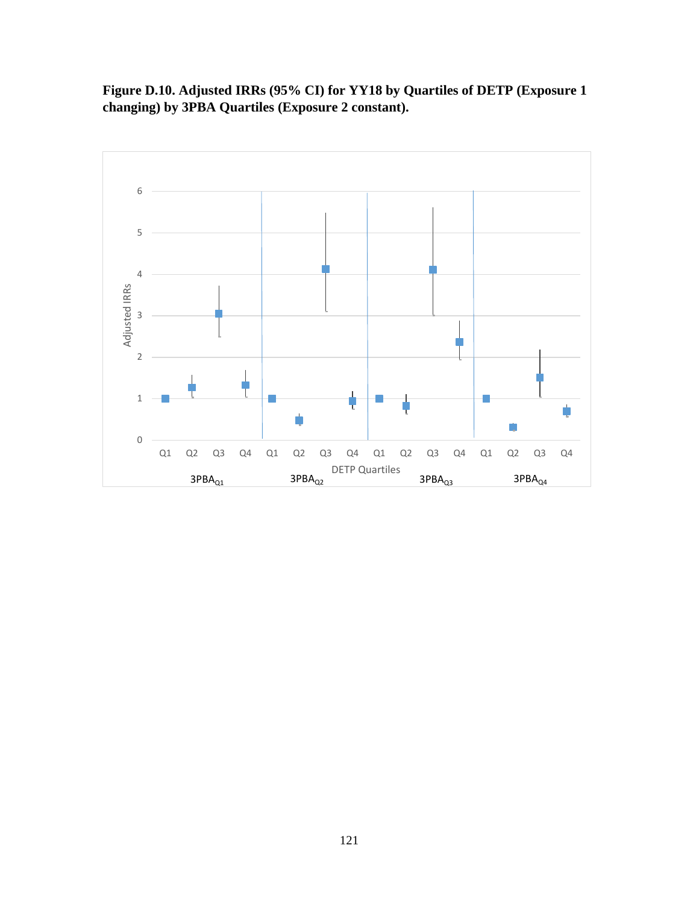**Figure D.10. Adjusted IRRs (95% CI) for YY18 by Quartiles of DETP (Exposure 1 changing) by 3PBA Quartiles (Exposure 2 constant).**

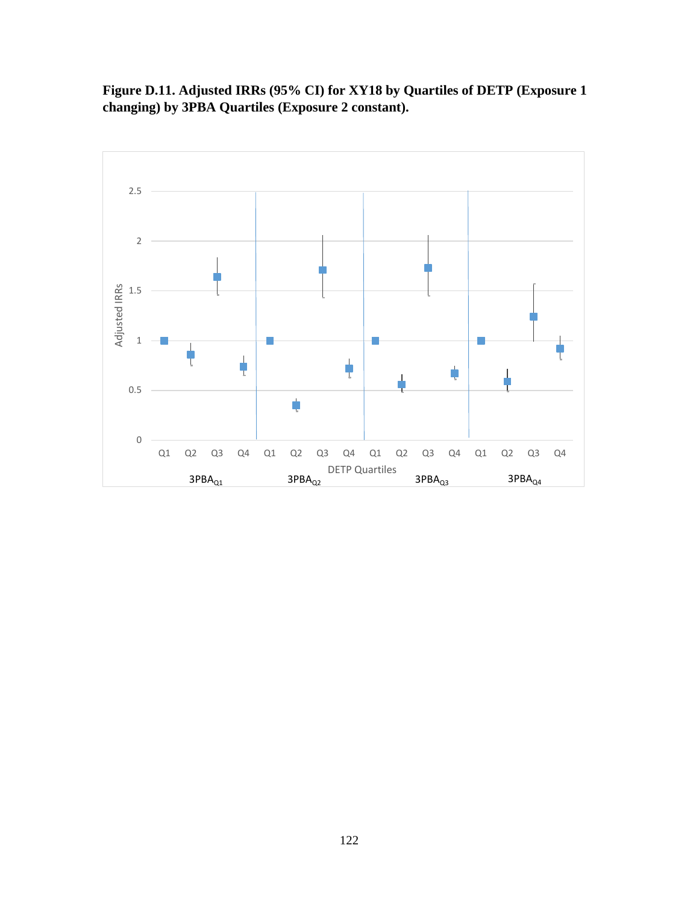**Figure D.11. Adjusted IRRs (95% CI) for XY18 by Quartiles of DETP (Exposure 1 changing) by 3PBA Quartiles (Exposure 2 constant).**

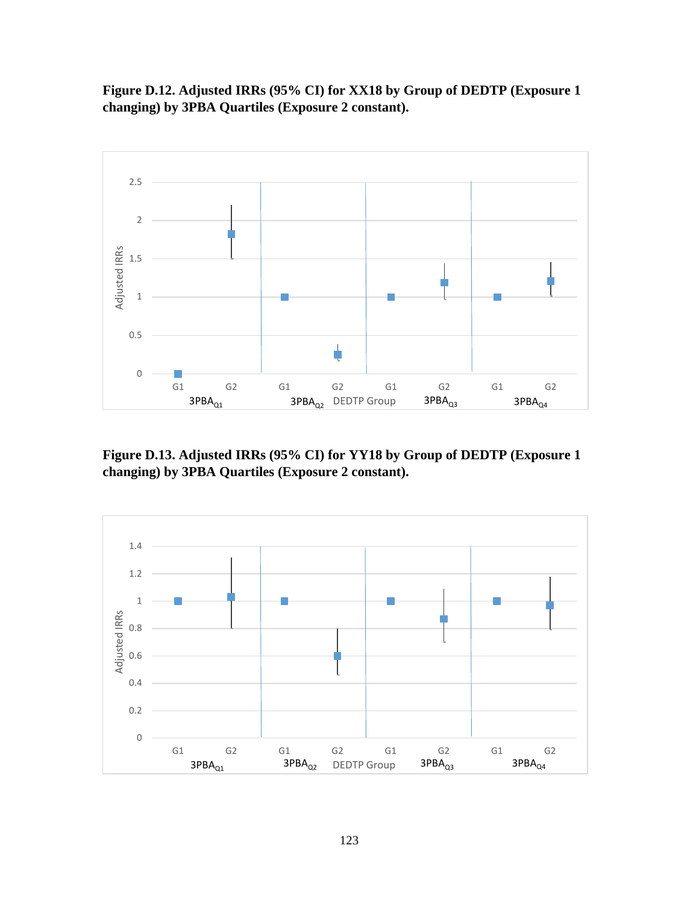**Figure D.12. Adjusted IRRs (95% CI) for XX18 by Group of DEDTP (Exposure 1 changing) by 3PBA Quartiles (Exposure 2 constant).**



**Figure D.13. Adjusted IRRs (95% CI) for YY18 by Group of DEDTP (Exposure 1 changing) by 3PBA Quartiles (Exposure 2 constant).**

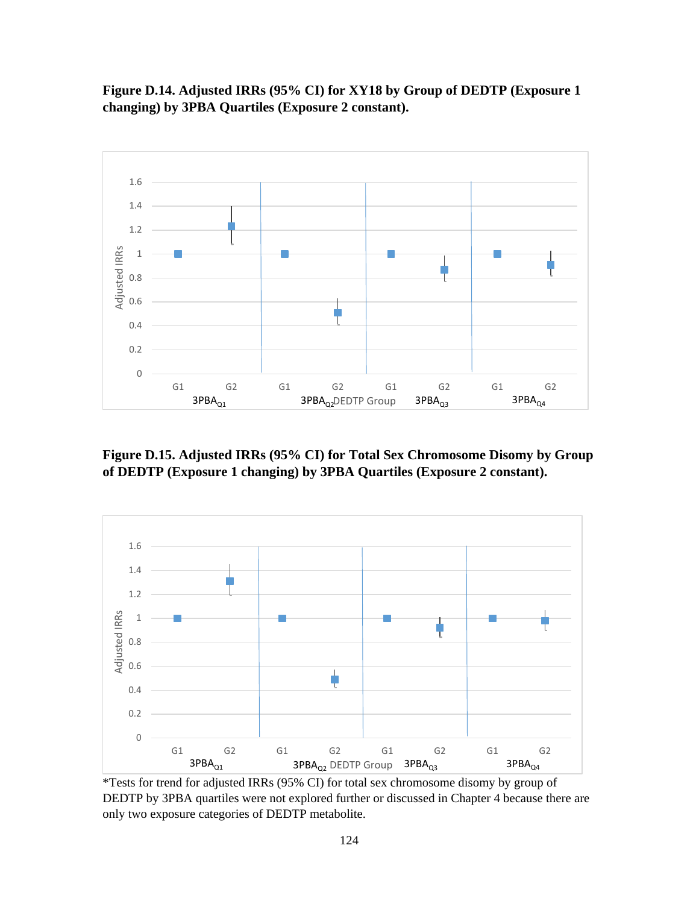**Figure D.14. Adjusted IRRs (95% CI) for XY18 by Group of DEDTP (Exposure 1 changing) by 3PBA Quartiles (Exposure 2 constant).**



**Figure D.15. Adjusted IRRs (95% CI) for Total Sex Chromosome Disomy by Group of DEDTP (Exposure 1 changing) by 3PBA Quartiles (Exposure 2 constant).**



\*Tests for trend for adjusted IRRs (95% CI) for total sex chromosome disomy by group of DEDTP by 3PBA quartiles were not explored further or discussed in Chapter 4 because there are only two exposure categories of DEDTP metabolite.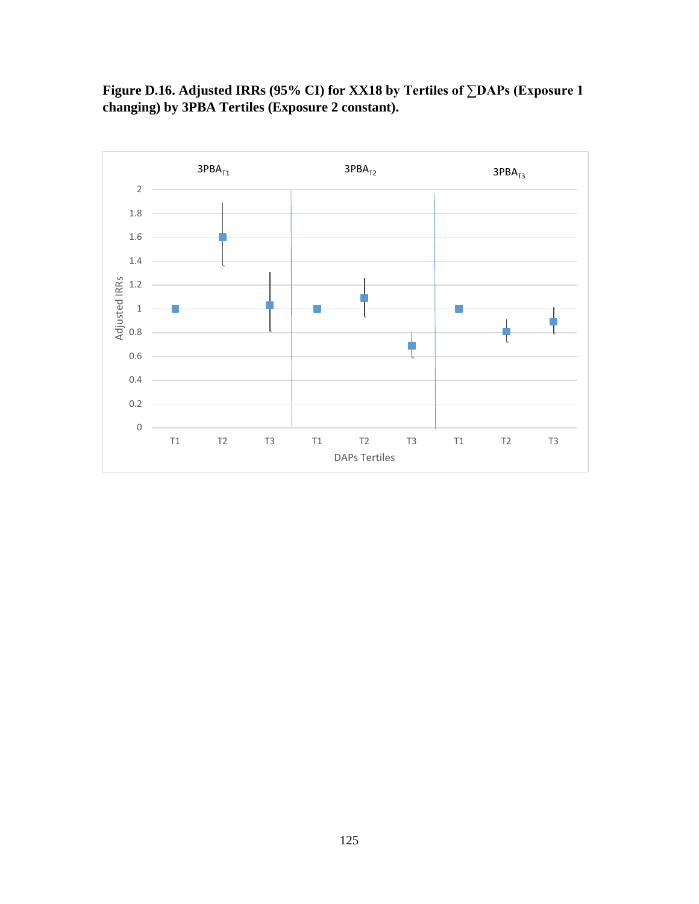

**Figure D.16. Adjusted IRRs (95% CI) for XX18 by Tertiles of ∑DAPs (Exposure 1 changing) by 3PBA Tertiles (Exposure 2 constant).**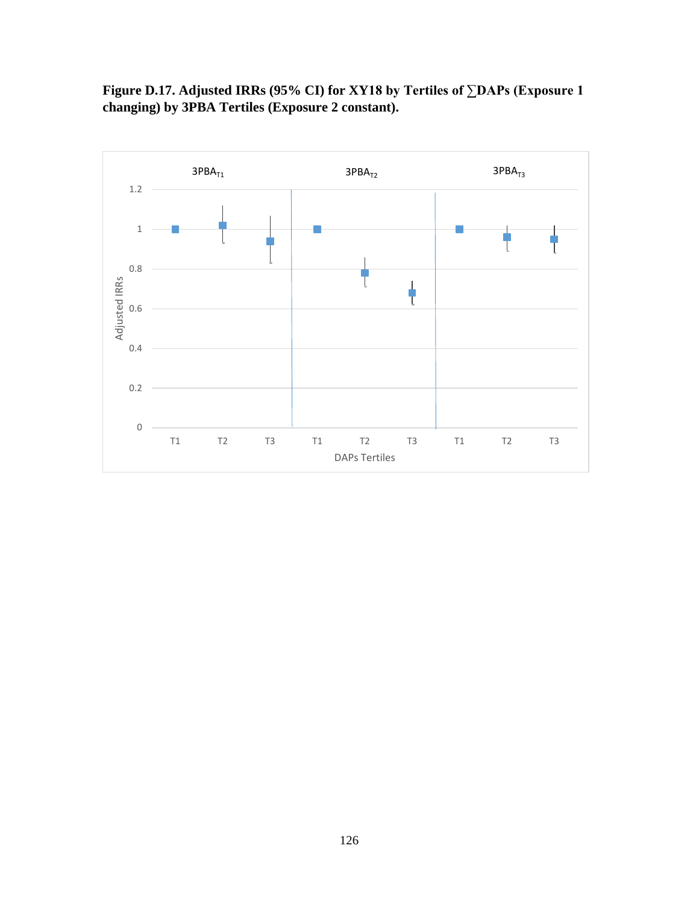**Figure D.17. Adjusted IRRs (95% CI) for XY18 by Tertiles of ∑DAPs (Exposure 1 changing) by 3PBA Tertiles (Exposure 2 constant).**